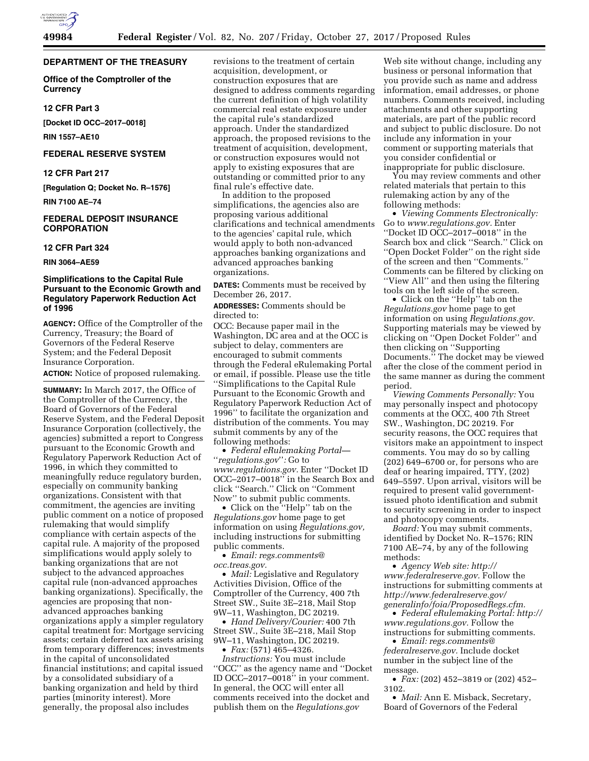

## **DEPARTMENT OF THE TREASURY**

**Office of the Comptroller of the Currency** 

#### **12 CFR Part 3**

**[Docket ID OCC–2017–0018]** 

**RIN 1557–AE10** 

#### **FEDERAL RESERVE SYSTEM**

## **12 CFR Part 217**

**[Regulation Q; Docket No. R–1576]** 

**RIN 7100 AE–74** 

## **FEDERAL DEPOSIT INSURANCE CORPORATION**

#### **12 CFR Part 324**

**RIN 3064–AE59** 

## **Simplifications to the Capital Rule Pursuant to the Economic Growth and Regulatory Paperwork Reduction Act of 1996**

**AGENCY:** Office of the Comptroller of the Currency, Treasury; the Board of Governors of the Federal Reserve System; and the Federal Deposit Insurance Corporation.

**ACTION:** Notice of proposed rulemaking.

**SUMMARY:** In March 2017, the Office of the Comptroller of the Currency, the Board of Governors of the Federal Reserve System, and the Federal Deposit Insurance Corporation (collectively, the agencies) submitted a report to Congress pursuant to the Economic Growth and Regulatory Paperwork Reduction Act of 1996, in which they committed to meaningfully reduce regulatory burden, especially on community banking organizations. Consistent with that commitment, the agencies are inviting public comment on a notice of proposed rulemaking that would simplify compliance with certain aspects of the capital rule. A majority of the proposed simplifications would apply solely to banking organizations that are not subject to the advanced approaches capital rule (non-advanced approaches banking organizations). Specifically, the agencies are proposing that nonadvanced approaches banking organizations apply a simpler regulatory capital treatment for: Mortgage servicing assets; certain deferred tax assets arising from temporary differences; investments in the capital of unconsolidated financial institutions; and capital issued by a consolidated subsidiary of a banking organization and held by third parties (minority interest). More generally, the proposal also includes

revisions to the treatment of certain acquisition, development, or construction exposures that are designed to address comments regarding the current definition of high volatility commercial real estate exposure under the capital rule's standardized approach. Under the standardized approach, the proposed revisions to the treatment of acquisition, development, or construction exposures would not apply to existing exposures that are outstanding or committed prior to any final rule's effective date.

In addition to the proposed simplifications, the agencies also are proposing various additional clarifications and technical amendments to the agencies' capital rule, which would apply to both non-advanced approaches banking organizations and advanced approaches banking organizations.

**DATES:** Comments must be received by December 26, 2017.

**ADDRESSES:** Comments should be directed to:

OCC: Because paper mail in the Washington, DC area and at the OCC is subject to delay, commenters are encouraged to submit comments through the Federal eRulemaking Portal or email, if possible. Please use the title ''Simplifications to the Capital Rule Pursuant to the Economic Growth and Regulatory Paperwork Reduction Act of 1996'' to facilitate the organization and distribution of the comments. You may submit comments by any of the following methods:

• *Federal eRulemaking Portal—*  ''*regulations.gov*''*:* Go to *[www.regulations.gov.](http://www.regulations.gov)* Enter ''Docket ID OCC–2017–0018'' in the Search Box and click ''Search.'' Click on ''Comment Now'' to submit public comments.

• Click on the ''Help'' tab on the *Regulations.gov* home page to get information on using *Regulations.gov,*  including instructions for submitting public comments.

• *Email: [regs.comments@](mailto:regs.comments@occ.treas.gov) [occ.treas.gov.](mailto:regs.comments@occ.treas.gov)* 

• *Mail:* Legislative and Regulatory Activities Division, Office of the Comptroller of the Currency, 400 7th Street SW., Suite 3E–218, Mail Stop 9W–11, Washington, DC 20219.

• *Hand Delivery/Courier:* 400 7th Street SW., Suite 3E–218, Mail Stop 9W–11, Washington, DC 20219. • *Fax:* (571) 465–4326.

*Instructions:* You must include ''OCC'' as the agency name and ''Docket ID OCC–2017–0018'' in your comment. In general, the OCC will enter all comments received into the docket and publish them on the *Regulations.gov* 

Web site without change, including any business or personal information that you provide such as name and address information, email addresses, or phone numbers. Comments received, including attachments and other supporting materials, are part of the public record and subject to public disclosure. Do not include any information in your comment or supporting materials that you consider confidential or inappropriate for public disclosure.

You may review comments and other related materials that pertain to this rulemaking action by any of the following methods:

• *Viewing Comments Electronically:*  Go to *[www.regulations.gov.](http://www.regulations.gov)* Enter ''Docket ID OCC–2017–0018'' in the Search box and click ''Search.'' Click on ''Open Docket Folder'' on the right side of the screen and then ''Comments.'' Comments can be filtered by clicking on ''View All'' and then using the filtering tools on the left side of the screen.

• Click on the ''Help'' tab on the *Regulations.gov* home page to get information on using *Regulations.gov.*  Supporting materials may be viewed by clicking on ''Open Docket Folder'' and then clicking on ''Supporting Documents.'' The docket may be viewed after the close of the comment period in the same manner as during the comment period.

*Viewing Comments Personally:* You may personally inspect and photocopy comments at the OCC, 400 7th Street SW., Washington, DC 20219. For security reasons, the OCC requires that visitors make an appointment to inspect comments. You may do so by calling (202) 649–6700 or, for persons who are deaf or hearing impaired, TTY, (202) 649–5597. Upon arrival, visitors will be required to present valid governmentissued photo identification and submit to security screening in order to inspect and photocopy comments.

*Board:* You may submit comments, identified by Docket No. R–1576; RIN 7100 AE–74, by any of the following methods:

• *Agency Web site: [http://](http://www.federalreserve.gov) [www.federalreserve.gov.](http://www.federalreserve.gov)* Follow the instructions for submitting comments at *[http://www.federalreserve.gov/](http://www.federalreserve.gov/generalinfo/foia/ProposedRegs.cfm) [generalinfo/foia/ProposedRegs.cfm.](http://www.federalreserve.gov/generalinfo/foia/ProposedRegs.cfm)* 

• *Federal eRulemaking Portal: [http://](http://www.regulations.gov)  [www.regulations.gov.](http://www.regulations.gov)* Follow the instructions for submitting comments.

• *Email: [regs.comments@](mailto:regs.comments@federalreserve.gov) [federalreserve.gov.](mailto:regs.comments@federalreserve.gov)* Include docket number in the subject line of the message.

• *Fax:* (202) 452–3819 or (202) 452– 3102.

• *Mail:* Ann E. Misback, Secretary, Board of Governors of the Federal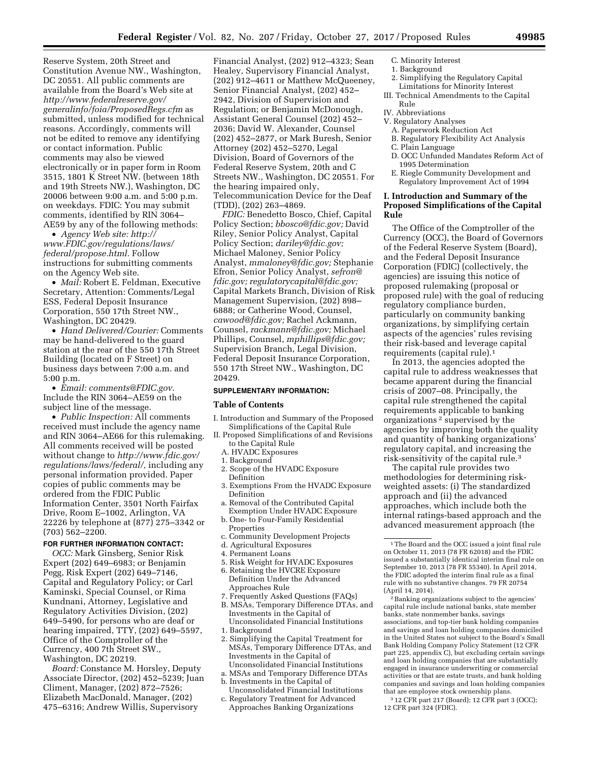Reserve System, 20th Street and Constitution Avenue NW., Washington, DC 20551. All public comments are available from the Board's Web site at *[http://www.federalreserve.gov/](http://www.federalreserve.gov/generalinfo/foia/ProposedRegs.cfm) [generalinfo/foia/ProposedRegs.cfm](http://www.federalreserve.gov/generalinfo/foia/ProposedRegs.cfm)* as submitted, unless modified for technical reasons. Accordingly, comments will not be edited to remove any identifying or contact information. Public comments may also be viewed electronically or in paper form in Room 3515, 1801 K Street NW. (between 18th and 19th Streets NW.), Washington, DC 20006 between 9:00 a.m. and 5:00 p.m. on weekdays. FDIC: You may submit comments, identified by RIN 3064– AE59 by any of the following methods:

• *Agency Web site: [http://](http://www.FDIC.gov/regulations/laws/federal/propose.html) [www.FDIC.gov/regulations/laws/](http://www.FDIC.gov/regulations/laws/federal/propose.html) [federal/propose.html.](http://www.FDIC.gov/regulations/laws/federal/propose.html)* Follow instructions for submitting comments on the Agency Web site.

• *Mail:* Robert E. Feldman, Executive Secretary, Attention: Comments/Legal ESS, Federal Deposit Insurance Corporation, 550 17th Street NW., Washington, DC 20429.

• *Hand Delivered/Courier:* Comments may be hand-delivered to the guard station at the rear of the 550 17th Street Building (located on F Street) on business days between 7:00 a.m. and 5:00 p.m.

• *Email: [comments@FDIC.gov.](mailto:comments@FDIC.gov)*  Include the RIN 3064–AE59 on the subject line of the message.

• *Public Inspection:* All comments received must include the agency name and RIN 3064–AE66 for this rulemaking. All comments received will be posted without change to *[http://www.fdic.gov/](http://www.fdic.gov/regulations/laws/federal/) [regulations/laws/federal/,](http://www.fdic.gov/regulations/laws/federal/)* including any personal information provided. Paper copies of public comments may be ordered from the FDIC Public Information Center, 3501 North Fairfax Drive, Room E–1002, Arlington, VA 22226 by telephone at (877) 275–3342 or (703) 562–2200.

#### **FOR FURTHER INFORMATION CONTACT:**

*OCC:* Mark Ginsberg, Senior Risk Expert (202) 649–6983; or Benjamin Pegg, Risk Expert (202) 649–7146, Capital and Regulatory Policy; or Carl Kaminski, Special Counsel, or Rima Kundnani, Attorney, Legislative and Regulatory Activities Division, (202) 649–5490, for persons who are deaf or hearing impaired, TTY, (202) 649–5597, Office of the Comptroller of the Currency, 400 7th Street SW., Washington, DC 20219.

*Board:* Constance M. Horsley, Deputy Associate Director, (202) 452–5239; Juan Climent, Manager, (202) 872–7526; Elizabeth MacDonald, Manager, (202) 475–6316; Andrew Willis, Supervisory

Financial Analyst, (202) 912–4323; Sean Healey, Supervisory Financial Analyst, (202) 912–4611 or Matthew McQueeney, Senior Financial Analyst, (202) 452– 2942, Division of Supervision and Regulation; or Benjamin McDonough, Assistant General Counsel (202) 452– 2036; David W. Alexander, Counsel (202) 452–2877, or Mark Buresh, Senior Attorney (202) 452–5270, Legal Division, Board of Governors of the Federal Reserve System, 20th and C Streets NW., Washington, DC 20551. For the hearing impaired only, Telecommunication Device for the Deaf (TDD), (202) 263–4869.

*FDIC:* Benedetto Bosco, Chief, Capital Policy Section; *[bbosco@fdic.gov;](mailto:bbosco@fdic.gov)* David Riley, Senior Policy Analyst, Capital Policy Section; *[dariley@fdic.gov;](mailto:dariley@fdic.gov)*  Michael Maloney, Senior Policy Analyst, *[mmaloney@fdic.gov;](mailto:mmaloney@fdic.gov)* Stephanie Efron, Senior Policy Analyst, *[sefron@](mailto:sefron@fdic.gov) [fdic.gov;](mailto:sefron@fdic.gov) [regulatorycapital@fdic.gov;](mailto:regulatorycapital@fdic.gov)*  Capital Markets Branch, Division of Risk Management Supervision, (202) 898– 6888; or Catherine Wood, Counsel, *[cawood@fdic.gov;](mailto:cawood@fdic.gov)* Rachel Ackmann, Counsel, *[rackmann@fdic.gov;](mailto:rackmann@fdic.gov)* Michael Phillips, Counsel, *[mphillips@fdic.gov;](mailto:mphillips@fdic.gov)*  Supervision Branch, Legal Division, Federal Deposit Insurance Corporation, 550 17th Street NW., Washington, DC 20429.

#### **SUPPLEMENTARY INFORMATION:**

#### **Table of Contents**

- I. Introduction and Summary of the Proposed Simplifications of the Capital Rule
- II. Proposed Simplifications of and Revisions to the Capital Rule
	- A. HVADC Exposures
	- 1. Background
	- 2. Scope of the HVADC Exposure
	- Definition
	- 3. Exemptions From the HVADC Exposure Definition
	- a. Removal of the Contributed Capital Exemption Under HVADC Exposure
	- b. One- to Four-Family Residential Properties
	- c. Community Development Projects
	- d. Agricultural Exposures
	- 4. Permanent Loans
	- 5. Risk Weight for HVADC Exposures
	- 6. Retaining the HVCRE Exposure Definition Under the Advanced Approaches Rule
	- 7. Frequently Asked Questions (FAQs)
	- B. MSAs, Temporary Difference DTAs, and Investments in the Capital of Unconsolidated Financial Institutions
	- 1. Background
	- 2. Simplifying the Capital Treatment for MSAs, Temporary Difference DTAs, and Investments in the Capital of Unconsolidated Financial Institutions
	- a. MSAs and Temporary Difference DTAs
	- b. Investments in the Capital of Unconsolidated Financial Institutions
	- c. Regulatory Treatment for Advanced Approaches Banking Organizations
- C. Minority Interest
- 1. Background
- 2. Simplifying the Regulatory Capital Limitations for Minority Interest
- III. Technical Amendments to the Capital Rule
- IV. Abbreviations
- V. Regulatory Analyses
	- A. Paperwork Reduction Act
	- B. Regulatory Flexibility Act Analysis
	- C. Plain Language
	- D. OCC Unfunded Mandates Reform Act of 1995 Determination
	- E. Riegle Community Development and Regulatory Improvement Act of 1994

## **I. Introduction and Summary of the Proposed Simplifications of the Capital Rule**

The Office of the Comptroller of the Currency (OCC), the Board of Governors of the Federal Reserve System (Board), and the Federal Deposit Insurance Corporation (FDIC) (collectively, the agencies) are issuing this notice of proposed rulemaking (proposal or proposed rule) with the goal of reducing regulatory compliance burden, particularly on community banking organizations, by simplifying certain aspects of the agencies' rules revising their risk-based and leverage capital requirements (capital rule).1

In 2013, the agencies adopted the capital rule to address weaknesses that became apparent during the financial crisis of 2007–08. Principally, the capital rule strengthened the capital requirements applicable to banking organizations 2 supervised by the agencies by improving both the quality and quantity of banking organizations' regulatory capital, and increasing the risk-sensitivity of the capital rule.3

The capital rule provides two methodologies for determining riskweighted assets: (i) The standardized approach and (ii) the advanced approaches, which include both the internal ratings-based approach and the advanced measurement approach (the

2Banking organizations subject to the agencies' capital rule include national banks, state member banks, state nonmember banks, savings associations, and top-tier bank holding companies and savings and loan holding companies domiciled in the United States not subject to the Board's Small Bank Holding Company Policy Statement (12 CFR part 225, appendix C), but excluding certain savings and loan holding companies that are substantially engaged in insurance underwriting or commercial activities or that are estate trusts, and bank holding companies and savings and loan holding companies that are employee stock ownership plans.

3 12 CFR part 217 (Board); 12 CFR part 3 (OCC); 12 CFR part 324 (FDIC).

<sup>1</sup>The Board and the OCC issued a joint final rule on October 11, 2013 (78 FR 62018) and the FDIC issued a substantially identical interim final rule on September 10, 2013 (78 FR 55340). In April 2014, the FDIC adopted the interim final rule as a final rule with no substantive changes. 79 FR 20754 (April 14, 2014).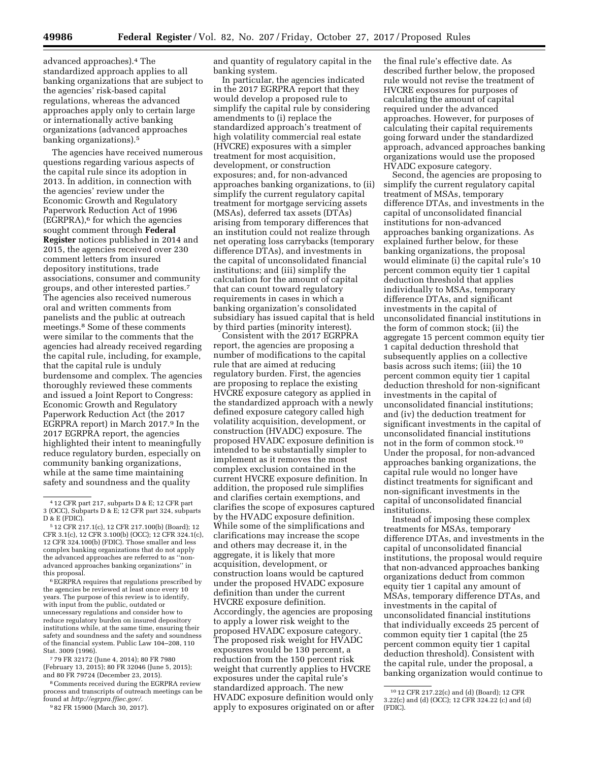advanced approaches).4 The standardized approach applies to all banking organizations that are subject to the agencies' risk-based capital regulations, whereas the advanced approaches apply only to certain large or internationally active banking organizations (advanced approaches banking organizations).5

The agencies have received numerous questions regarding various aspects of the capital rule since its adoption in 2013. In addition, in connection with the agencies' review under the Economic Growth and Regulatory Paperwork Reduction Act of 1996  $(E\bar{G}RPRA)$ ,<sup>6</sup> for which the agencies sought comment through **Federal Register** notices published in 2014 and 2015, the agencies received over 230 comment letters from insured depository institutions, trade associations, consumer and community groups, and other interested parties.7 The agencies also received numerous oral and written comments from panelists and the public at outreach meetings.8 Some of these comments were similar to the comments that the agencies had already received regarding the capital rule, including, for example, that the capital rule is unduly burdensome and complex. The agencies thoroughly reviewed these comments and issued a Joint Report to Congress: Economic Growth and Regulatory Paperwork Reduction Act (the 2017 EGRPRA report) in March 2017.9 In the 2017 EGRPRA report, the agencies highlighted their intent to meaningfully reduce regulatory burden, especially on community banking organizations, while at the same time maintaining safety and soundness and the quality

 $^{\rm 6}$  EGRPRA requires that regulations prescribed by the agencies be reviewed at least once every 10 years. The purpose of this review is to identify, with input from the public, outdated or unnecessary regulations and consider how to reduce regulatory burden on insured depository institutions while, at the same time, ensuring their safety and soundness and the safety and soundness of the financial system. Public Law 104–208, 110 Stat. 3009 (1996).

7 79 FR 32172 (June 4, 2014); 80 FR 7980 (February 13, 2015); 80 FR 32046 (June 5, 2015); and 80 FR 79724 (December 23, 2015).

8Comments received during the EGRPRA review process and transcripts of outreach meetings can be found at *[http://egrpra.ffiec.gov/.](http://egrpra.ffiec.gov/)* 

9 82 FR 15900 (March 30, 2017).

and quantity of regulatory capital in the banking system.

In particular, the agencies indicated in the 2017 EGRPRA report that they would develop a proposed rule to simplify the capital rule by considering amendments to (i) replace the standardized approach's treatment of high volatility commercial real estate (HVCRE) exposures with a simpler treatment for most acquisition, development, or construction exposures; and, for non-advanced approaches banking organizations, to (ii) simplify the current regulatory capital treatment for mortgage servicing assets (MSAs), deferred tax assets (DTAs) arising from temporary differences that an institution could not realize through net operating loss carrybacks (temporary difference DTAs), and investments in the capital of unconsolidated financial institutions; and (iii) simplify the calculation for the amount of capital that can count toward regulatory requirements in cases in which a banking organization's consolidated subsidiary has issued capital that is held by third parties (minority interest).

Consistent with the 2017 EGRPRA report, the agencies are proposing a number of modifications to the capital rule that are aimed at reducing regulatory burden. First, the agencies are proposing to replace the existing HVCRE exposure category as applied in the standardized approach with a newly defined exposure category called high volatility acquisition, development, or construction (HVADC) exposure. The proposed HVADC exposure definition is intended to be substantially simpler to implement as it removes the most complex exclusion contained in the current HVCRE exposure definition. In addition, the proposed rule simplifies and clarifies certain exemptions, and clarifies the scope of exposures captured by the HVADC exposure definition. While some of the simplifications and clarifications may increase the scope and others may decrease it, in the aggregate, it is likely that more acquisition, development, or construction loans would be captured under the proposed HVADC exposure definition than under the current HVCRE exposure definition. Accordingly, the agencies are proposing to apply a lower risk weight to the proposed HVADC exposure category. The proposed risk weight for HVADC exposures would be 130 percent, a reduction from the 150 percent risk weight that currently applies to HVCRE exposures under the capital rule's standardized approach. The new HVADC exposure definition would only apply to exposures originated on or after

the final rule's effective date. As described further below, the proposed rule would not revise the treatment of HVCRE exposures for purposes of calculating the amount of capital required under the advanced approaches. However, for purposes of calculating their capital requirements going forward under the standardized approach, advanced approaches banking organizations would use the proposed HVADC exposure category.

Second, the agencies are proposing to simplify the current regulatory capital treatment of MSAs, temporary difference DTAs, and investments in the capital of unconsolidated financial institutions for non-advanced approaches banking organizations. As explained further below, for these banking organizations, the proposal would eliminate (i) the capital rule's 10 percent common equity tier 1 capital deduction threshold that applies individually to MSAs, temporary difference DTAs, and significant investments in the capital of unconsolidated financial institutions in the form of common stock; (ii) the aggregate 15 percent common equity tier 1 capital deduction threshold that subsequently applies on a collective basis across such items; (iii) the 10 percent common equity tier 1 capital deduction threshold for non-significant investments in the capital of unconsolidated financial institutions; and (iv) the deduction treatment for significant investments in the capital of unconsolidated financial institutions not in the form of common stock.10 Under the proposal, for non-advanced approaches banking organizations, the capital rule would no longer have distinct treatments for significant and non-significant investments in the capital of unconsolidated financial institutions.

Instead of imposing these complex treatments for MSAs, temporary difference DTAs, and investments in the capital of unconsolidated financial institutions, the proposal would require that non-advanced approaches banking organizations deduct from common equity tier 1 capital any amount of MSAs, temporary difference DTAs, and investments in the capital of unconsolidated financial institutions that individually exceeds 25 percent of common equity tier 1 capital (the 25 percent common equity tier 1 capital deduction threshold). Consistent with the capital rule, under the proposal, a banking organization would continue to

<sup>4</sup> 12 CFR part 217, subparts D & E; 12 CFR part 3 (OCC), Subparts D & E; 12 CFR part 324, subparts D & E (FDIC).

<sup>5</sup> 12 CFR 217.1(c), 12 CFR 217.100(b) (Board); 12 CFR 3.1(c), 12 CFR 3.100(b) (OCC); 12 CFR 324.1(c), 12 CFR 324.100(b) (FDIC). Those smaller and less complex banking organizations that do not apply the advanced approaches are referred to as ' advanced approaches banking organizations'' in this proposal.

<sup>10</sup> 12 CFR 217.22(c) and (d) (Board); 12 CFR 3.22(c) and (d) (OCC); 12 CFR 324.22 (c) and (d) (FDIC).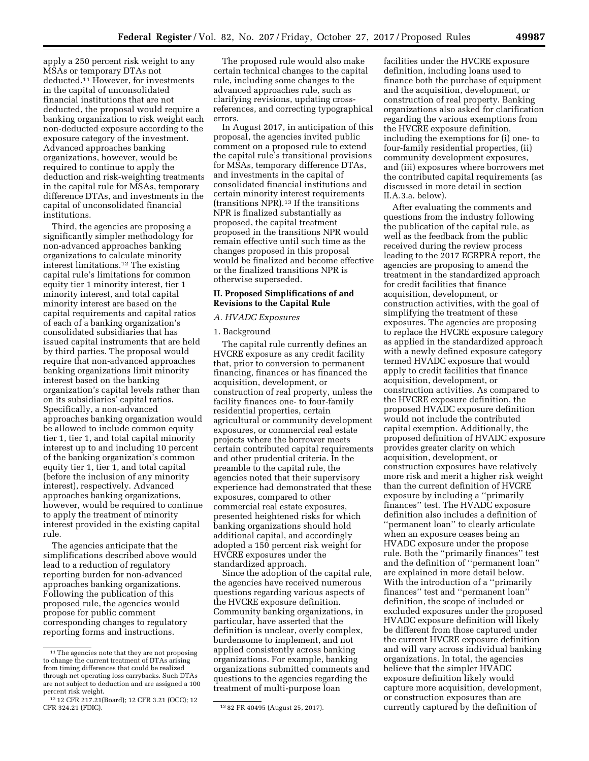apply a 250 percent risk weight to any MSAs or temporary DTAs not deducted.11 However, for investments in the capital of unconsolidated financial institutions that are not deducted, the proposal would require a banking organization to risk weight each non-deducted exposure according to the exposure category of the investment. Advanced approaches banking organizations, however, would be required to continue to apply the deduction and risk-weighting treatments in the capital rule for MSAs, temporary difference DTAs, and investments in the capital of unconsolidated financial institutions.

Third, the agencies are proposing a significantly simpler methodology for non-advanced approaches banking organizations to calculate minority interest limitations.12 The existing capital rule's limitations for common equity tier 1 minority interest, tier 1 minority interest, and total capital minority interest are based on the capital requirements and capital ratios of each of a banking organization's consolidated subsidiaries that has issued capital instruments that are held by third parties. The proposal would require that non-advanced approaches banking organizations limit minority interest based on the banking organization's capital levels rather than on its subsidiaries' capital ratios. Specifically, a non-advanced approaches banking organization would be allowed to include common equity tier 1, tier 1, and total capital minority interest up to and including 10 percent of the banking organization's common equity tier 1, tier 1, and total capital (before the inclusion of any minority interest), respectively. Advanced approaches banking organizations, however, would be required to continue to apply the treatment of minority interest provided in the existing capital rule.

The agencies anticipate that the simplifications described above would lead to a reduction of regulatory reporting burden for non-advanced approaches banking organizations. Following the publication of this proposed rule, the agencies would propose for public comment corresponding changes to regulatory reporting forms and instructions.

The proposed rule would also make certain technical changes to the capital rule, including some changes to the advanced approaches rule, such as clarifying revisions, updating crossreferences, and correcting typographical errors.

In August 2017, in anticipation of this proposal, the agencies invited public comment on a proposed rule to extend the capital rule's transitional provisions for MSAs, temporary difference DTAs, and investments in the capital of consolidated financial institutions and certain minority interest requirements (transitions NPR).13 If the transitions NPR is finalized substantially as proposed, the capital treatment proposed in the transitions NPR would remain effective until such time as the changes proposed in this proposal would be finalized and become effective or the finalized transitions NPR is otherwise superseded.

## **II. Proposed Simplifications of and Revisions to the Capital Rule**

# *A. HVADC Exposures*

#### 1. Background

The capital rule currently defines an HVCRE exposure as any credit facility that, prior to conversion to permanent financing, finances or has financed the acquisition, development, or construction of real property, unless the facility finances one- to four-family residential properties, certain agricultural or community development exposures, or commercial real estate projects where the borrower meets certain contributed capital requirements and other prudential criteria. In the preamble to the capital rule, the agencies noted that their supervisory experience had demonstrated that these exposures, compared to other commercial real estate exposures, presented heightened risks for which banking organizations should hold additional capital, and accordingly adopted a 150 percent risk weight for HVCRE exposures under the standardized approach.

Since the adoption of the capital rule, the agencies have received numerous questions regarding various aspects of the HVCRE exposure definition. Community banking organizations, in particular, have asserted that the definition is unclear, overly complex, burdensome to implement, and not applied consistently across banking organizations. For example, banking organizations submitted comments and questions to the agencies regarding the treatment of multi-purpose loan

facilities under the HVCRE exposure definition, including loans used to finance both the purchase of equipment and the acquisition, development, or construction of real property. Banking organizations also asked for clarification regarding the various exemptions from the HVCRE exposure definition, including the exemptions for (i) one- to four-family residential properties, (ii) community development exposures, and (iii) exposures where borrowers met the contributed capital requirements (as discussed in more detail in section II.A.3.a. below).

After evaluating the comments and questions from the industry following the publication of the capital rule, as well as the feedback from the public received during the review process leading to the 2017 EGRPRA report, the agencies are proposing to amend the treatment in the standardized approach for credit facilities that finance acquisition, development, or construction activities, with the goal of simplifying the treatment of these exposures. The agencies are proposing to replace the HVCRE exposure category as applied in the standardized approach with a newly defined exposure category termed HVADC exposure that would apply to credit facilities that finance acquisition, development, or construction activities. As compared to the HVCRE exposure definition, the proposed HVADC exposure definition would not include the contributed capital exemption. Additionally, the proposed definition of HVADC exposure provides greater clarity on which acquisition, development, or construction exposures have relatively more risk and merit a higher risk weight than the current definition of HVCRE exposure by including a ''primarily finances'' test. The HVADC exposure definition also includes a definition of ''permanent loan'' to clearly articulate when an exposure ceases being an HVADC exposure under the propose rule. Both the ''primarily finances'' test and the definition of ''permanent loan'' are explained in more detail below. With the introduction of a ''primarily finances'' test and ''permanent loan'' definition, the scope of included or excluded exposures under the proposed HVADC exposure definition will likely be different from those captured under the current HVCRE exposure definition and will vary across individual banking organizations. In total, the agencies believe that the simpler HVADC exposure definition likely would capture more acquisition, development, or construction exposures than are currently captured by the definition of

<sup>11</sup>The agencies note that they are not proposing to change the current treatment of DTAs arising from timing differences that could be realized through net operating loss carrybacks. Such DTAs are not subject to deduction and are assigned a 100 percent risk weight.

<sup>&</sup>lt;sup>12</sup> 12 CFR 217.21(Board); 12 CFR 3.21 (OCC); 12<br>CFR 324.21 (FDIC).

<sup>13 82</sup> FR 40495 (August 25, 2017).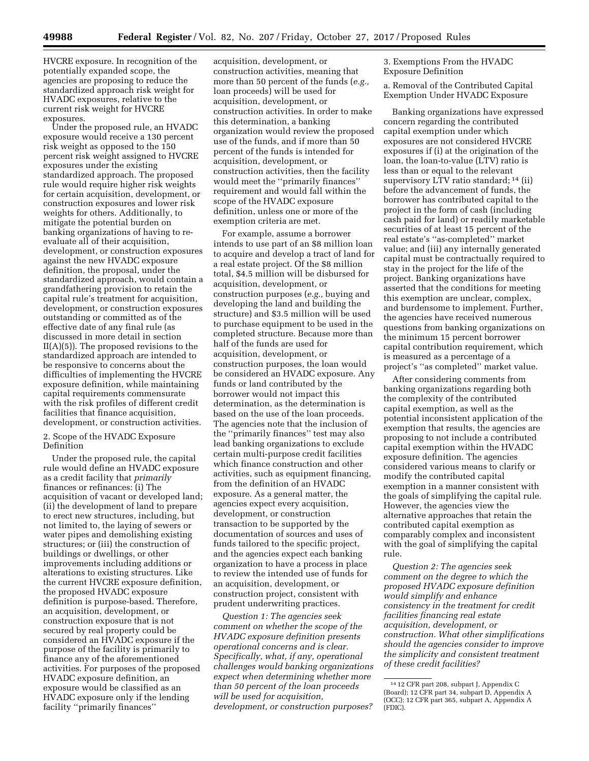HVCRE exposure. In recognition of the potentially expanded scope, the agencies are proposing to reduce the standardized approach risk weight for HVADC exposures, relative to the current risk weight for HVCRE exposures.

Under the proposed rule, an HVADC exposure would receive a 130 percent risk weight as opposed to the 150 percent risk weight assigned to HVCRE exposures under the existing standardized approach. The proposed rule would require higher risk weights for certain acquisition, development, or construction exposures and lower risk weights for others. Additionally, to mitigate the potential burden on banking organizations of having to reevaluate all of their acquisition, development, or construction exposures against the new HVADC exposure definition, the proposal, under the standardized approach, would contain a grandfathering provision to retain the capital rule's treatment for acquisition, development, or construction exposures outstanding or committed as of the effective date of any final rule (as discussed in more detail in section  $II(A)(5)$ . The proposed revisions to the standardized approach are intended to be responsive to concerns about the difficulties of implementing the HVCRE exposure definition, while maintaining capital requirements commensurate with the risk profiles of different credit facilities that finance acquisition, development, or construction activities.

## 2. Scope of the HVADC Exposure Definition

Under the proposed rule, the capital rule would define an HVADC exposure as a credit facility that *primarily*  finances or refinances: (i) The acquisition of vacant or developed land; (ii) the development of land to prepare to erect new structures, including, but not limited to, the laying of sewers or water pipes and demolishing existing structures; or (iii) the construction of buildings or dwellings, or other improvements including additions or alterations to existing structures. Like the current HVCRE exposure definition, the proposed HVADC exposure definition is purpose-based. Therefore, an acquisition, development, or construction exposure that is not secured by real property could be considered an HVADC exposure if the purpose of the facility is primarily to finance any of the aforementioned activities. For purposes of the proposed HVADC exposure definition, an exposure would be classified as an HVADC exposure only if the lending facility ''primarily finances''

acquisition, development, or construction activities, meaning that more than 50 percent of the funds (*e.g.,*  loan proceeds) will be used for acquisition, development, or construction activities. In order to make this determination, a banking organization would review the proposed use of the funds, and if more than 50 percent of the funds is intended for acquisition, development, or construction activities, then the facility would meet the ''primarily finances'' requirement and would fall within the scope of the HVADC exposure definition, unless one or more of the exemption criteria are met.

For example, assume a borrower intends to use part of an \$8 million loan to acquire and develop a tract of land for a real estate project. Of the \$8 million total, \$4.5 million will be disbursed for acquisition, development, or construction purposes (*e.g.,* buying and developing the land and building the structure) and \$3.5 million will be used to purchase equipment to be used in the completed structure. Because more than half of the funds are used for acquisition, development, or construction purposes, the loan would be considered an HVADC exposure. Any funds or land contributed by the borrower would not impact this determination, as the determination is based on the use of the loan proceeds. The agencies note that the inclusion of the ''primarily finances'' test may also lead banking organizations to exclude certain multi-purpose credit facilities which finance construction and other activities, such as equipment financing, from the definition of an HVADC exposure. As a general matter, the agencies expect every acquisition, development, or construction transaction to be supported by the documentation of sources and uses of funds tailored to the specific project, and the agencies expect each banking organization to have a process in place to review the intended use of funds for an acquisition, development, or construction project, consistent with prudent underwriting practices.

*Question 1: The agencies seek comment on whether the scope of the HVADC exposure definition presents operational concerns and is clear. Specifically, what, if any, operational challenges would banking organizations expect when determining whether more than 50 percent of the loan proceeds will be used for acquisition, development, or construction purposes?* 

3. Exemptions From the HVADC Exposure Definition

a. Removal of the Contributed Capital Exemption Under HVADC Exposure

Banking organizations have expressed concern regarding the contributed capital exemption under which exposures are not considered HVCRE exposures if (i) at the origination of the loan, the loan-to-value (LTV) ratio is less than or equal to the relevant supervisory LTV ratio standard; 14 (ii) before the advancement of funds, the borrower has contributed capital to the project in the form of cash (including cash paid for land) or readily marketable securities of at least 15 percent of the real estate's ''as-completed'' market value; and (iii) any internally generated capital must be contractually required to stay in the project for the life of the project. Banking organizations have asserted that the conditions for meeting this exemption are unclear, complex, and burdensome to implement. Further, the agencies have received numerous questions from banking organizations on the minimum 15 percent borrower capital contribution requirement, which is measured as a percentage of a project's ''as completed'' market value.

After considering comments from banking organizations regarding both the complexity of the contributed capital exemption, as well as the potential inconsistent application of the exemption that results, the agencies are proposing to not include a contributed capital exemption within the HVADC exposure definition. The agencies considered various means to clarify or modify the contributed capital exemption in a manner consistent with the goals of simplifying the capital rule. However, the agencies view the alternative approaches that retain the contributed capital exemption as comparably complex and inconsistent with the goal of simplifying the capital rule.

*Question 2: The agencies seek comment on the degree to which the proposed HVADC exposure definition would simplify and enhance consistency in the treatment for credit facilities financing real estate acquisition, development, or construction. What other simplifications should the agencies consider to improve the simplicity and consistent treatment of these credit facilities?* 

<sup>14</sup> 12 CFR part 208, subpart J, Appendix C (Board); 12 CFR part 34, subpart D, Appendix A (OCC); 12 CFR part 365, subpart A, Appendix A (FDIC).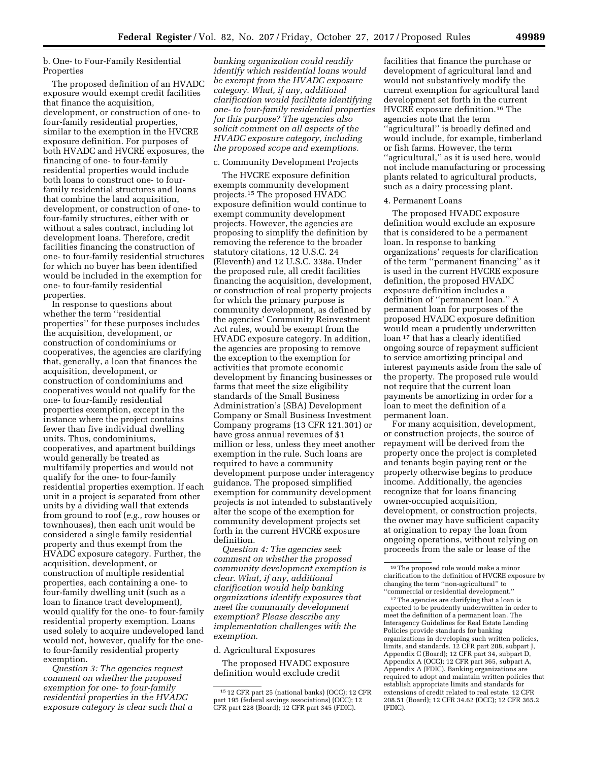b. One- to Four-Family Residential Properties

The proposed definition of an HVADC exposure would exempt credit facilities that finance the acquisition, development, or construction of one- to four-family residential properties, similar to the exemption in the HVCRE exposure definition. For purposes of both HVADC and HVCRE exposures, the financing of one- to four-family residential properties would include both loans to construct one- to fourfamily residential structures and loans that combine the land acquisition, development, or construction of one- to four-family structures, either with or without a sales contract, including lot development loans. Therefore, credit facilities financing the construction of one- to four-family residential structures for which no buyer has been identified would be included in the exemption for one- to four-family residential properties.

In response to questions about whether the term ''residential properties'' for these purposes includes the acquisition, development, or construction of condominiums or cooperatives, the agencies are clarifying that, generally, a loan that finances the acquisition, development, or construction of condominiums and cooperatives would not qualify for the one- to four-family residential properties exemption, except in the instance where the project contains fewer than five individual dwelling units. Thus, condominiums, cooperatives, and apartment buildings would generally be treated as multifamily properties and would not qualify for the one- to four-family residential properties exemption. If each unit in a project is separated from other units by a dividing wall that extends from ground to roof (*e.g.,* row houses or townhouses), then each unit would be considered a single family residential property and thus exempt from the HVADC exposure category. Further, the acquisition, development, or construction of multiple residential properties, each containing a one- to four-family dwelling unit (such as a loan to finance tract development), would qualify for the one- to four-family residential property exemption. Loans used solely to acquire undeveloped land would not, however, qualify for the oneto four-family residential property exemption.

*Question 3: The agencies request comment on whether the proposed exemption for one- to four-family residential properties in the HVADC exposure category is clear such that a* 

*banking organization could readily identify which residential loans would be exempt from the HVADC exposure category. What, if any, additional clarification would facilitate identifying one- to four-family residential properties for this purpose? The agencies also solicit comment on all aspects of the HVADC exposure category, including the proposed scope and exemptions.* 

## c. Community Development Projects

The HVCRE exposure definition exempts community development projects.15 The proposed HVADC exposure definition would continue to exempt community development projects. However, the agencies are proposing to simplify the definition by removing the reference to the broader statutory citations, 12 U.S.C. 24 (Eleventh) and 12 U.S.C. 338a. Under the proposed rule, all credit facilities financing the acquisition, development, or construction of real property projects for which the primary purpose is community development, as defined by the agencies' Community Reinvestment Act rules, would be exempt from the HVADC exposure category. In addition, the agencies are proposing to remove the exception to the exemption for activities that promote economic development by financing businesses or farms that meet the size eligibility standards of the Small Business Administration's (SBA) Development Company or Small Business Investment Company programs (13 CFR 121.301) or have gross annual revenues of \$1 million or less, unless they meet another exemption in the rule. Such loans are required to have a community development purpose under interagency guidance. The proposed simplified exemption for community development projects is not intended to substantively alter the scope of the exemption for community development projects set forth in the current HVCRE exposure definition.

*Question 4: The agencies seek comment on whether the proposed community development exemption is clear. What, if any, additional clarification would help banking organizations identify exposures that meet the community development exemption? Please describe any implementation challenges with the exemption.* 

d. Agricultural Exposures

The proposed HVADC exposure definition would exclude credit

facilities that finance the purchase or development of agricultural land and would not substantively modify the current exemption for agricultural land development set forth in the current HVCRE exposure definition.16 The agencies note that the term ''agricultural'' is broadly defined and would include, for example, timberland or fish farms. However, the term "agricultural," as it is used here, would not include manufacturing or processing plants related to agricultural products, such as a dairy processing plant.

#### 4. Permanent Loans

The proposed HVADC exposure definition would exclude an exposure that is considered to be a permanent loan. In response to banking organizations' requests for clarification of the term ''permanent financing'' as it is used in the current HVCRE exposure definition, the proposed HVADC exposure definition includes a definition of ''permanent loan.'' A permanent loan for purposes of the proposed HVADC exposure definition would mean a prudently underwritten loan 17 that has a clearly identified ongoing source of repayment sufficient to service amortizing principal and interest payments aside from the sale of the property. The proposed rule would not require that the current loan payments be amortizing in order for a loan to meet the definition of a permanent loan.

For many acquisition, development, or construction projects, the source of repayment will be derived from the property once the project is completed and tenants begin paying rent or the property otherwise begins to produce income. Additionally, the agencies recognize that for loans financing owner-occupied acquisition, development, or construction projects, the owner may have sufficient capacity at origination to repay the loan from ongoing operations, without relying on proceeds from the sale or lease of the

 $^{\rm 17}\mathrm{The}$  agencies are clarifying that a loan is expected to be prudently underwritten in order to meet the definition of a permanent loan. The Interagency Guidelines for Real Estate Lending Policies provide standards for banking organizations in developing such written policies, limits, and standards. 12 CFR part 208, subpart J, Appendix C (Board); 12 CFR part 34, subpart D, Appendix A (OCC); 12 CFR part 365, subpart A, Appendix A (FDIC). Banking organizations are required to adopt and maintain written policies that establish appropriate limits and standards for extensions of credit related to real estate. 12 CFR 208.51 (Board); 12 CFR 34.62 (OCC); 12 CFR 365.2 (FDIC).

<sup>15</sup> 12 CFR part 25 (national banks) (OCC); 12 CFR part 195 (federal savings associations) (OCC); 12 CFR part 228 (Board); 12 CFR part 345 (FDIC).

<sup>16</sup>The proposed rule would make a minor clarification to the definition of HVCRE exposure by changing the term ''non-agricultural'' to ''commercial or residential development.''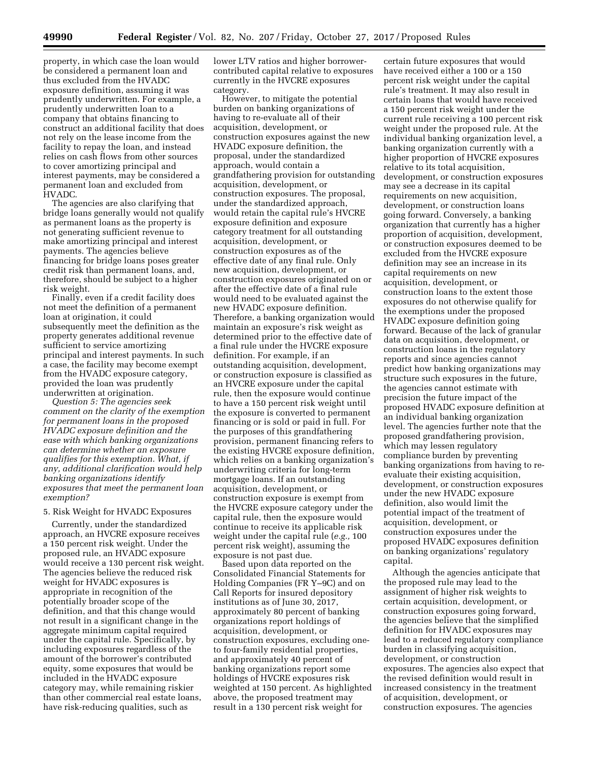property, in which case the loan would be considered a permanent loan and thus excluded from the HVADC exposure definition, assuming it was prudently underwritten. For example, a prudently underwritten loan to a company that obtains financing to construct an additional facility that does not rely on the lease income from the facility to repay the loan, and instead relies on cash flows from other sources to cover amortizing principal and interest payments, may be considered a permanent loan and excluded from HVADC.

The agencies are also clarifying that bridge loans generally would not qualify as permanent loans as the property is not generating sufficient revenue to make amortizing principal and interest payments. The agencies believe financing for bridge loans poses greater credit risk than permanent loans, and, therefore, should be subject to a higher risk weight.

Finally, even if a credit facility does not meet the definition of a permanent loan at origination, it could subsequently meet the definition as the property generates additional revenue sufficient to service amortizing principal and interest payments. In such a case, the facility may become exempt from the HVADC exposure category, provided the loan was prudently underwritten at origination.

*Question 5: The agencies seek comment on the clarity of the exemption for permanent loans in the proposed HVADC exposure definition and the ease with which banking organizations can determine whether an exposure qualifies for this exemption. What, if any, additional clarification would help banking organizations identify exposures that meet the permanent loan exemption?* 

#### 5. Risk Weight for HVADC Exposures

Currently, under the standardized approach, an HVCRE exposure receives a 150 percent risk weight. Under the proposed rule, an HVADC exposure would receive a 130 percent risk weight. The agencies believe the reduced risk weight for HVADC exposures is appropriate in recognition of the potentially broader scope of the definition, and that this change would not result in a significant change in the aggregate minimum capital required under the capital rule. Specifically, by including exposures regardless of the amount of the borrower's contributed equity, some exposures that would be included in the HVADC exposure category may, while remaining riskier than other commercial real estate loans, have risk-reducing qualities, such as

lower LTV ratios and higher borrowercontributed capital relative to exposures currently in the HVCRE exposures category.

However, to mitigate the potential burden on banking organizations of having to re-evaluate all of their acquisition, development, or construction exposures against the new HVADC exposure definition, the proposal, under the standardized approach, would contain a grandfathering provision for outstanding acquisition, development, or construction exposures. The proposal, under the standardized approach, would retain the capital rule's HVCRE exposure definition and exposure category treatment for all outstanding acquisition, development, or construction exposures as of the effective date of any final rule. Only new acquisition, development, or construction exposures originated on or after the effective date of a final rule would need to be evaluated against the new HVADC exposure definition. Therefore, a banking organization would maintain an exposure's risk weight as determined prior to the effective date of a final rule under the HVCRE exposure definition. For example, if an outstanding acquisition, development, or construction exposure is classified as an HVCRE exposure under the capital rule, then the exposure would continue to have a 150 percent risk weight until the exposure is converted to permanent financing or is sold or paid in full. For the purposes of this grandfathering provision, permanent financing refers to the existing HVCRE exposure definition, which relies on a banking organization's underwriting criteria for long-term mortgage loans. If an outstanding acquisition, development, or construction exposure is exempt from the HVCRE exposure category under the capital rule, then the exposure would continue to receive its applicable risk weight under the capital rule (*e.g.,* 100 percent risk weight), assuming the exposure is not past due.

Based upon data reported on the Consolidated Financial Statements for Holding Companies (FR Y–9C) and on Call Reports for insured depository institutions as of June 30, 2017, approximately 80 percent of banking organizations report holdings of acquisition, development, or construction exposures, excluding oneto four-family residential properties, and approximately 40 percent of banking organizations report some holdings of HVCRE exposures risk weighted at 150 percent. As highlighted above, the proposed treatment may result in a 130 percent risk weight for

certain future exposures that would have received either a 100 or a 150 percent risk weight under the capital rule's treatment. It may also result in certain loans that would have received a 150 percent risk weight under the current rule receiving a 100 percent risk weight under the proposed rule. At the individual banking organization level, a banking organization currently with a higher proportion of HVCRE exposures relative to its total acquisition, development, or construction exposures may see a decrease in its capital requirements on new acquisition, development, or construction loans going forward. Conversely, a banking organization that currently has a higher proportion of acquisition, development, or construction exposures deemed to be excluded from the HVCRE exposure definition may see an increase in its capital requirements on new acquisition, development, or construction loans to the extent those exposures do not otherwise qualify for the exemptions under the proposed HVADC exposure definition going forward. Because of the lack of granular data on acquisition, development, or construction loans in the regulatory reports and since agencies cannot predict how banking organizations may structure such exposures in the future, the agencies cannot estimate with precision the future impact of the proposed HVADC exposure definition at an individual banking organization level. The agencies further note that the proposed grandfathering provision, which may lessen regulatory compliance burden by preventing banking organizations from having to reevaluate their existing acquisition, development, or construction exposures under the new HVADC exposure definition, also would limit the potential impact of the treatment of acquisition, development, or construction exposures under the proposed HVADC exposures definition on banking organizations' regulatory capital.

Although the agencies anticipate that the proposed rule may lead to the assignment of higher risk weights to certain acquisition, development, or construction exposures going forward, the agencies believe that the simplified definition for HVADC exposures may lead to a reduced regulatory compliance burden in classifying acquisition, development, or construction exposures. The agencies also expect that the revised definition would result in increased consistency in the treatment of acquisition, development, or construction exposures. The agencies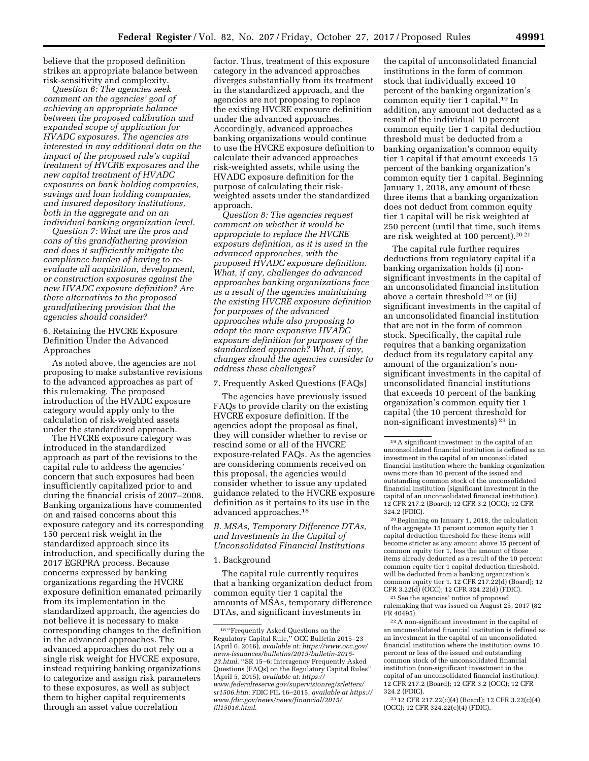believe that the proposed definition strikes an appropriate balance between risk-sensitivity and complexity.

*Question 6: The agencies seek comment on the agencies' goal of achieving an appropriate balance between the proposed calibration and expanded scope of application for HVADC exposures. The agencies are interested in any additional data on the impact of the proposed rule's capital treatment of HVCRE exposures and the new capital treatment of HVADC exposures on bank holding companies, savings and loan holding companies, and insured depository institutions, both in the aggregate and on an individual banking organization level.* 

*Question 7: What are the pros and cons of the grandfathering provision and does it sufficiently mitigate the compliance burden of having to reevaluate all acquisition, development, or construction exposures against the new HVADC exposure definition? Are there alternatives to the proposed grandfathering provision that the agencies should consider?* 

6. Retaining the HVCRE Exposure Definition Under the Advanced Approaches

As noted above, the agencies are not proposing to make substantive revisions to the advanced approaches as part of this rulemaking. The proposed introduction of the HVADC exposure category would apply only to the calculation of risk-weighted assets under the standardized approach.

The HVCRE exposure category was introduced in the standardized approach as part of the revisions to the capital rule to address the agencies' concern that such exposures had been insufficiently capitalized prior to and during the financial crisis of 2007–2008. Banking organizations have commented on and raised concerns about this exposure category and its corresponding 150 percent risk weight in the standardized approach since its introduction, and specifically during the 2017 EGRPRA process. Because concerns expressed by banking organizations regarding the HVCRE exposure definition emanated primarily from its implementation in the standardized approach, the agencies do not believe it is necessary to make corresponding changes to the definition in the advanced approaches. The advanced approaches do not rely on a single risk weight for HVCRE exposure, instead requiring banking organizations to categorize and assign risk parameters to these exposures, as well as subject them to higher capital requirements through an asset value correlation

factor. Thus, treatment of this exposure category in the advanced approaches diverges substantially from its treatment in the standardized approach, and the agencies are not proposing to replace the existing HVCRE exposure definition under the advanced approaches. Accordingly, advanced approaches banking organizations would continue to use the HVCRE exposure definition to calculate their advanced approaches risk-weighted assets, while using the HVADC exposure definition for the purpose of calculating their riskweighted assets under the standardized approach.

*Question 8: The agencies request comment on whether it would be appropriate to replace the HVCRE exposure definition, as it is used in the advanced approaches, with the proposed HVADC exposure definition. What, if any, challenges do advanced approaches banking organizations face as a result of the agencies maintaining the existing HVCRE exposure definition for purposes of the advanced approaches while also proposing to adopt the more expansive HVADC exposure definition for purposes of the standardized approach? What, if any, changes should the agencies consider to address these challenges?* 

## 7. Frequently Asked Questions (FAQs)

The agencies have previously issued FAQs to provide clarity on the existing HVCRE exposure definition. If the agencies adopt the proposal as final, they will consider whether to revise or rescind some or all of the HVCRE exposure-related FAQs. As the agencies are considering comments received on this proposal, the agencies would consider whether to issue any updated guidance related to the HVCRE exposure definition as it pertains to its use in the advanced approaches.18

*B. MSAs, Temporary Difference DTAs, and Investments in the Capital of Unconsolidated Financial Institutions* 

#### 1. Background

The capital rule currently requires that a banking organization deduct from common equity tier 1 capital the amounts of MSAs, temporary difference DTAs, and significant investments in

the capital of unconsolidated financial institutions in the form of common stock that individually exceed 10 percent of the banking organization's common equity tier 1 capital.19 In addition, any amount not deducted as a result of the individual 10 percent common equity tier 1 capital deduction threshold must be deducted from a banking organization's common equity tier 1 capital if that amount exceeds 15 percent of the banking organization's common equity tier 1 capital. Beginning January 1, 2018, any amount of these three items that a banking organization does not deduct from common equity tier 1 capital will be risk weighted at 250 percent (until that time, such items are risk weighted at 100 percent).20 21

The capital rule further requires deductions from regulatory capital if a banking organization holds (i) nonsignificant investments in the capital of an unconsolidated financial institution above a certain threshold 22 or (ii) significant investments in the capital of an unconsolidated financial institution that are not in the form of common stock. Specifically, the capital rule requires that a banking organization deduct from its regulatory capital any amount of the organization's nonsignificant investments in the capital of unconsolidated financial institutions that exceeds 10 percent of the banking organization's common equity tier 1 capital (the 10 percent threshold for non-significant investments) 23 in

<sup>18</sup> ''Frequently Asked Questions on the Regulatory Capital Rule,'' OCC Bulletin 2015–23 (April 6, 2016), *available at: [https://www.occ.gov/](https://www.occ.gov/news-issuances/bulletins/2015/bulletin-2015-23.html) [news-issuances/bulletins/2015/bulletin-2015-](https://www.occ.gov/news-issuances/bulletins/2015/bulletin-2015-23.html) [23.html](https://www.occ.gov/news-issuances/bulletins/2015/bulletin-2015-23.html)*. ''SR 15–6: Interagency Frequently Asked Questions (FAQs) on the Regulatory Capital Rules'' (April 5, 2015), *available at: [https://](https://www.federalreserve.gov/supervisionreg/srletters/sr1506.htm) [www.federalreserve.gov/supervisionreg/srletters/](https://www.federalreserve.gov/supervisionreg/srletters/sr1506.htm) [sr1506.htm](https://www.federalreserve.gov/supervisionreg/srletters/sr1506.htm)*; FDIC FIL 16–2015, *available at [https://](https://www.fdic.gov/news/news/financial/2015/fil15016.html) [www.fdic.gov/news/news/financial/2015/](https://www.fdic.gov/news/news/financial/2015/fil15016.html) [fil15016.html](https://www.fdic.gov/news/news/financial/2015/fil15016.html)*.

<sup>19</sup>A significant investment in the capital of an unconsolidated financial institution is defined as an investment in the capital of an unconsolidated financial institution where the banking organization owns more than 10 percent of the issued and outstanding common stock of the unconsolidated financial institution (significant investment in the capital of an unconsolidated financial institution). 12 CFR 217.2 (Board); 12 CFR 3.2 (OCC); 12 CFR 324.2 (FDIC).

<sup>20</sup>Beginning on January 1, 2018, the calculation of the aggregate 15 percent common equity tier 1 capital deduction threshold for these items will become stricter as any amount above 15 percent of common equity tier 1, less the amount of those items already deducted as a result of the 10 percent common equity tier 1 capital deduction threshold, will be deducted from a banking organization's common equity tier 1. 12 CFR 217.22(d) (Board); 12 CFR 3.22(d) (OCC); 12 CFR 324.22(d) (FDIC).

<sup>21</sup>See the agencies' notice of proposed rulemaking that was issued on August 25, 2017 (82 FR 40495).

 $\rm ^{22}A$  non-significant investment in the capital of an unconsolidated financial institution is defined as an investment in the capital of an unconsolidated financial institution where the institution owns 10 percent or less of the issued and outstanding common stock of the unconsolidated financial institution (non-significant investment in the capital of an unconsolidated financial institution). 12 CFR 217.2 (Board); 12 CFR 3.2 (OCC); 12 CFR 324.2 (FDIC).

<sup>23</sup> 12 CFR 217.22(c)(4) (Board); 12 CFR 3.22(c)(4) (OCC); 12 CFR 324.22(c)(4) (FDIC).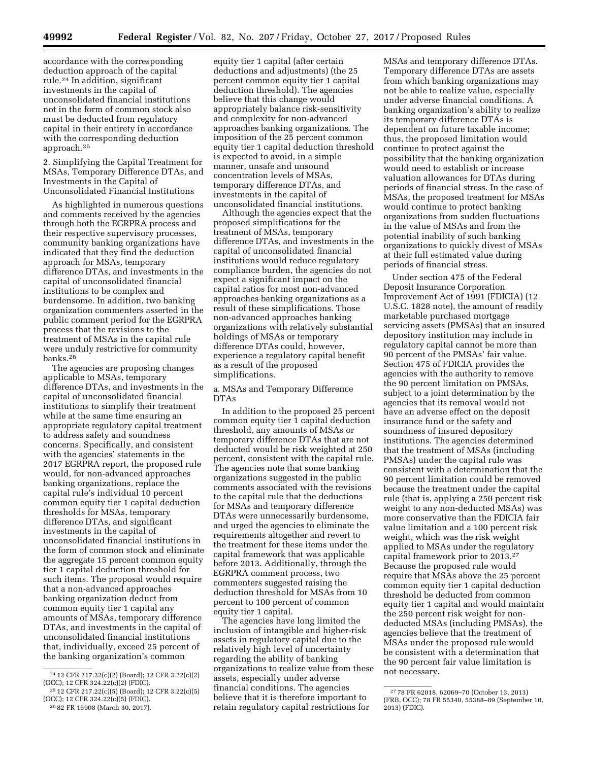accordance with the corresponding deduction approach of the capital rule.24 In addition, significant investments in the capital of unconsolidated financial institutions not in the form of common stock also must be deducted from regulatory capital in their entirety in accordance with the corresponding deduction approach.25

2. Simplifying the Capital Treatment for MSAs, Temporary Difference DTAs, and Investments in the Capital of Unconsolidated Financial Institutions

As highlighted in numerous questions and comments received by the agencies through both the EGRPRA process and their respective supervisory processes, community banking organizations have indicated that they find the deduction approach for MSAs, temporary difference DTAs, and investments in the capital of unconsolidated financial institutions to be complex and burdensome. In addition, two banking organization commenters asserted in the public comment period for the EGRPRA process that the revisions to the treatment of MSAs in the capital rule were unduly restrictive for community banks.26

The agencies are proposing changes applicable to MSAs, temporary difference DTAs, and investments in the capital of unconsolidated financial institutions to simplify their treatment while at the same time ensuring an appropriate regulatory capital treatment to address safety and soundness concerns. Specifically, and consistent with the agencies' statements in the 2017 EGRPRA report, the proposed rule would, for non-advanced approaches banking organizations, replace the capital rule's individual 10 percent common equity tier 1 capital deduction thresholds for MSAs, temporary difference DTAs, and significant investments in the capital of unconsolidated financial institutions in the form of common stock and eliminate the aggregate 15 percent common equity tier 1 capital deduction threshold for such items. The proposal would require that a non-advanced approaches banking organization deduct from common equity tier 1 capital any amounts of MSAs, temporary difference DTAs, and investments in the capital of unconsolidated financial institutions that, individually, exceed 25 percent of the banking organization's common

equity tier 1 capital (after certain deductions and adjustments) (the 25 percent common equity tier 1 capital deduction threshold). The agencies believe that this change would appropriately balance risk-sensitivity and complexity for non-advanced approaches banking organizations. The imposition of the 25 percent common equity tier 1 capital deduction threshold is expected to avoid, in a simple manner, unsafe and unsound concentration levels of MSAs, temporary difference DTAs, and investments in the capital of unconsolidated financial institutions.

Although the agencies expect that the proposed simplifications for the treatment of MSAs, temporary difference DTAs, and investments in the capital of unconsolidated financial institutions would reduce regulatory compliance burden, the agencies do not expect a significant impact on the capital ratios for most non-advanced approaches banking organizations as a result of these simplifications. Those non-advanced approaches banking organizations with relatively substantial holdings of MSAs or temporary difference DTAs could, however, experience a regulatory capital benefit as a result of the proposed simplifications.

a. MSAs and Temporary Difference DTAs

In addition to the proposed 25 percent common equity tier 1 capital deduction threshold, any amounts of MSAs or temporary difference DTAs that are not deducted would be risk weighted at 250 percent, consistent with the capital rule. The agencies note that some banking organizations suggested in the public comments associated with the revisions to the capital rule that the deductions for MSAs and temporary difference DTAs were unnecessarily burdensome, and urged the agencies to eliminate the requirements altogether and revert to the treatment for these items under the capital framework that was applicable before 2013. Additionally, through the EGRPRA comment process, two commenters suggested raising the deduction threshold for MSAs from 10 percent to 100 percent of common equity tier 1 capital.

The agencies have long limited the inclusion of intangible and higher-risk assets in regulatory capital due to the relatively high level of uncertainty regarding the ability of banking organizations to realize value from these assets, especially under adverse financial conditions. The agencies believe that it is therefore important to retain regulatory capital restrictions for

MSAs and temporary difference DTAs. Temporary difference DTAs are assets from which banking organizations may not be able to realize value, especially under adverse financial conditions. A banking organization's ability to realize its temporary difference DTAs is dependent on future taxable income; thus, the proposed limitation would continue to protect against the possibility that the banking organization would need to establish or increase valuation allowances for DTAs during periods of financial stress. In the case of MSAs, the proposed treatment for MSAs would continue to protect banking organizations from sudden fluctuations in the value of MSAs and from the potential inability of such banking organizations to quickly divest of MSAs at their full estimated value during periods of financial stress.

Under section 475 of the Federal Deposit Insurance Corporation Improvement Act of 1991 (FDICIA) (12 U.S.C. 1828 note), the amount of readily marketable purchased mortgage servicing assets (PMSAs) that an insured depository institution may include in regulatory capital cannot be more than 90 percent of the PMSAs' fair value. Section 475 of FDICIA provides the agencies with the authority to remove the 90 percent limitation on PMSAs, subject to a joint determination by the agencies that its removal would not have an adverse effect on the deposit insurance fund or the safety and soundness of insured depository institutions. The agencies determined that the treatment of MSAs (including PMSAs) under the capital rule was consistent with a determination that the 90 percent limitation could be removed because the treatment under the capital rule (that is, applying a 250 percent risk weight to any non-deducted MSAs) was more conservative than the FDICIA fair value limitation and a 100 percent risk weight, which was the risk weight applied to MSAs under the regulatory capital framework prior to 2013.27 Because the proposed rule would require that MSAs above the 25 percent common equity tier 1 capital deduction threshold be deducted from common equity tier 1 capital and would maintain the 250 percent risk weight for nondeducted MSAs (including PMSAs), the agencies believe that the treatment of MSAs under the proposed rule would be consistent with a determination that the 90 percent fair value limitation is not necessary.

<sup>24</sup> 12 CFR 217.22(c)(2) (Board); 12 CFR 3.22(c)(2) (OCC); 12 CFR 324.22(c)(2) (FDIC).

<sup>25</sup> 12 CFR 217.22(c)(5) (Board); 12 CFR 3.22(c)(5) (OCC); 12 CFR 324.22(c)(5) (FDIC).

<sup>26</sup> 82 FR 15908 (March 30, 2017).

<sup>27</sup> 78 FR 62018, 62069–70 (October 13, 2013) (FRB, OCC); 78 FR 55340, 55388–89 (September 10, 2013) (FDIC).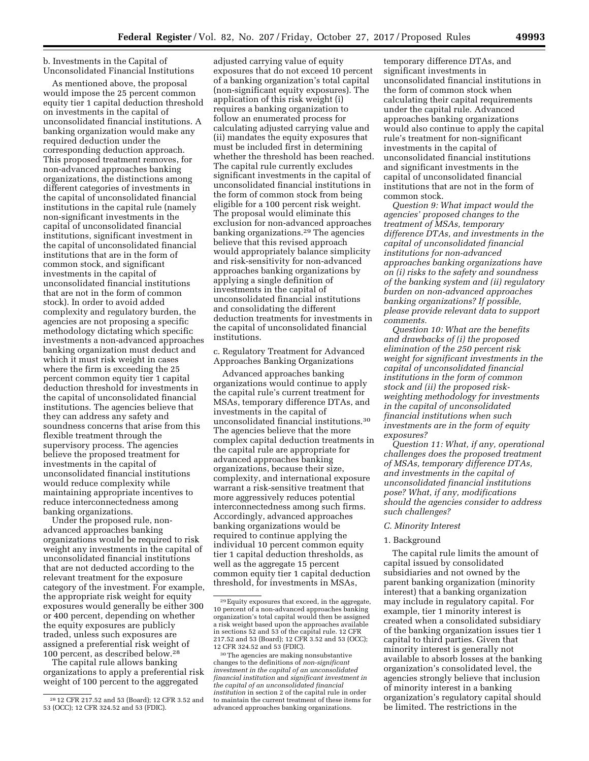b. Investments in the Capital of Unconsolidated Financial Institutions

As mentioned above, the proposal would impose the 25 percent common equity tier 1 capital deduction threshold on investments in the capital of unconsolidated financial institutions. A banking organization would make any required deduction under the corresponding deduction approach. This proposed treatment removes, for non-advanced approaches banking organizations, the distinctions among different categories of investments in the capital of unconsolidated financial institutions in the capital rule (namely non-significant investments in the capital of unconsolidated financial institutions, significant investment in the capital of unconsolidated financial institutions that are in the form of common stock, and significant investments in the capital of unconsolidated financial institutions that are not in the form of common stock). In order to avoid added complexity and regulatory burden, the agencies are not proposing a specific methodology dictating which specific investments a non-advanced approaches banking organization must deduct and which it must risk weight in cases where the firm is exceeding the 25 percent common equity tier 1 capital deduction threshold for investments in the capital of unconsolidated financial institutions. The agencies believe that they can address any safety and soundness concerns that arise from this flexible treatment through the supervisory process. The agencies believe the proposed treatment for investments in the capital of unconsolidated financial institutions would reduce complexity while maintaining appropriate incentives to reduce interconnectedness among banking organizations.

Under the proposed rule, nonadvanced approaches banking organizations would be required to risk weight any investments in the capital of unconsolidated financial institutions that are not deducted according to the relevant treatment for the exposure category of the investment. For example, the appropriate risk weight for equity exposures would generally be either 300 or 400 percent, depending on whether the equity exposures are publicly traded, unless such exposures are assigned a preferential risk weight of 100 percent, as described below.28

The capital rule allows banking organizations to apply a preferential risk weight of 100 percent to the aggregated

adjusted carrying value of equity exposures that do not exceed 10 percent of a banking organization's total capital (non-significant equity exposures). The application of this risk weight (i) requires a banking organization to follow an enumerated process for calculating adjusted carrying value and (ii) mandates the equity exposures that must be included first in determining whether the threshold has been reached. The capital rule currently excludes significant investments in the capital of unconsolidated financial institutions in the form of common stock from being eligible for a 100 percent risk weight. The proposal would eliminate this exclusion for non-advanced approaches banking organizations.<sup>29</sup> The agencies believe that this revised approach would appropriately balance simplicity and risk-sensitivity for non-advanced approaches banking organizations by applying a single definition of investments in the capital of unconsolidated financial institutions and consolidating the different deduction treatments for investments in the capital of unconsolidated financial institutions.

c. Regulatory Treatment for Advanced Approaches Banking Organizations

Advanced approaches banking organizations would continue to apply the capital rule's current treatment for MSAs, temporary difference DTAs, and investments in the capital of unconsolidated financial institutions.30 The agencies believe that the more complex capital deduction treatments in the capital rule are appropriate for advanced approaches banking organizations, because their size, complexity, and international exposure warrant a risk-sensitive treatment that more aggressively reduces potential interconnectedness among such firms. Accordingly, advanced approaches banking organizations would be required to continue applying the individual 10 percent common equity tier 1 capital deduction thresholds, as well as the aggregate 15 percent common equity tier 1 capital deduction threshold, for investments in MSAs,

temporary difference DTAs, and significant investments in unconsolidated financial institutions in the form of common stock when calculating their capital requirements under the capital rule. Advanced approaches banking organizations would also continue to apply the capital rule's treatment for non-significant investments in the capital of unconsolidated financial institutions and significant investments in the capital of unconsolidated financial institutions that are not in the form of common stock.

*Question 9: What impact would the agencies' proposed changes to the treatment of MSAs, temporary difference DTAs, and investments in the capital of unconsolidated financial institutions for non-advanced approaches banking organizations have on (i) risks to the safety and soundness of the banking system and (ii) regulatory burden on non-advanced approaches banking organizations? If possible, please provide relevant data to support comments.* 

*Question 10: What are the benefits and drawbacks of (i) the proposed elimination of the 250 percent risk weight for significant investments in the capital of unconsolidated financial institutions in the form of common stock and (ii) the proposed riskweighting methodology for investments in the capital of unconsolidated financial institutions when such investments are in the form of equity exposures?* 

*Question 11: What, if any, operational challenges does the proposed treatment of MSAs, temporary difference DTAs, and investments in the capital of unconsolidated financial institutions pose? What, if any, modifications should the agencies consider to address such challenges?* 

#### *C. Minority Interest*

#### 1. Background

The capital rule limits the amount of capital issued by consolidated subsidiaries and not owned by the parent banking organization (minority interest) that a banking organization may include in regulatory capital. For example, tier 1 minority interest is created when a consolidated subsidiary of the banking organization issues tier 1 capital to third parties. Given that minority interest is generally not available to absorb losses at the banking organization's consolidated level, the agencies strongly believe that inclusion of minority interest in a banking organization's regulatory capital should be limited. The restrictions in the

<sup>28</sup> 12 CFR 217.52 and 53 (Board); 12 CFR 3.52 and 53 (OCC); 12 CFR 324.52 and 53 (FDIC).

<sup>29</sup>Equity exposures that exceed, in the aggregate, 10 percent of a non-advanced approaches banking organization's total capital would then be assigned a risk weight based upon the approaches available in sections 52 and 53 of the capital rule. 12 CFR 217.52 and 53 (Board); 12 CFR 3.52 and 53 (OCC);

<sup>&</sup>lt;sup>30</sup> The agencies are making nonsubstantive changes to the definitions of *non-significant investment in the capital of an unconsolidated financial institution* and *significant investment in the capital of an unconsolidated financial institution* in section 2 of the capital rule in order to maintain the current treatment of these items for advanced approaches banking organizations.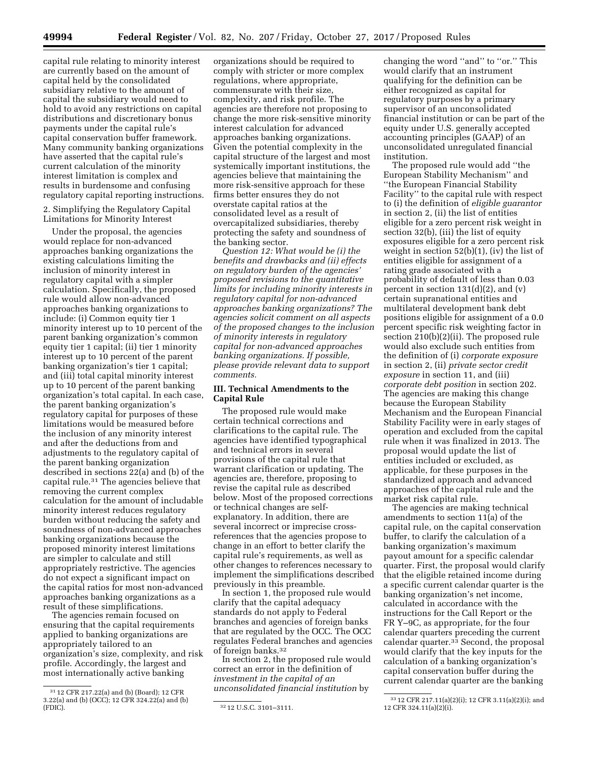capital rule relating to minority interest are currently based on the amount of capital held by the consolidated subsidiary relative to the amount of capital the subsidiary would need to hold to avoid any restrictions on capital distributions and discretionary bonus payments under the capital rule's capital conservation buffer framework. Many community banking organizations have asserted that the capital rule's current calculation of the minority interest limitation is complex and results in burdensome and confusing regulatory capital reporting instructions.

2. Simplifying the Regulatory Capital Limitations for Minority Interest

Under the proposal, the agencies would replace for non-advanced approaches banking organizations the existing calculations limiting the inclusion of minority interest in regulatory capital with a simpler calculation. Specifically, the proposed rule would allow non-advanced approaches banking organizations to include: (i) Common equity tier 1 minority interest up to 10 percent of the parent banking organization's common equity tier 1 capital; (ii) tier 1 minority interest up to 10 percent of the parent banking organization's tier 1 capital; and (iii) total capital minority interest up to 10 percent of the parent banking organization's total capital. In each case, the parent banking organization's regulatory capital for purposes of these limitations would be measured before the inclusion of any minority interest and after the deductions from and adjustments to the regulatory capital of the parent banking organization described in sections 22(a) and (b) of the capital rule.31 The agencies believe that removing the current complex calculation for the amount of includable minority interest reduces regulatory burden without reducing the safety and soundness of non-advanced approaches banking organizations because the proposed minority interest limitations are simpler to calculate and still appropriately restrictive. The agencies do not expect a significant impact on the capital ratios for most non-advanced approaches banking organizations as a result of these simplifications.

The agencies remain focused on ensuring that the capital requirements applied to banking organizations are appropriately tailored to an organization's size, complexity, and risk profile. Accordingly, the largest and most internationally active banking

organizations should be required to comply with stricter or more complex regulations, where appropriate, commensurate with their size, complexity, and risk profile. The agencies are therefore not proposing to change the more risk-sensitive minority interest calculation for advanced approaches banking organizations. Given the potential complexity in the capital structure of the largest and most systemically important institutions, the agencies believe that maintaining the more risk-sensitive approach for these firms better ensures they do not overstate capital ratios at the consolidated level as a result of overcapitalized subsidiaries, thereby protecting the safety and soundness of the banking sector.

*Question 12: What would be (i) the benefits and drawbacks and (ii) effects on regulatory burden of the agencies' proposed revisions to the quantitative limits for including minority interests in regulatory capital for non-advanced approaches banking organizations? The agencies solicit comment on all aspects of the proposed changes to the inclusion of minority interests in regulatory capital for non-advanced approaches banking organizations. If possible, please provide relevant data to support comments.* 

## **III. Technical Amendments to the Capital Rule**

The proposed rule would make certain technical corrections and clarifications to the capital rule. The agencies have identified typographical and technical errors in several provisions of the capital rule that warrant clarification or updating. The agencies are, therefore, proposing to revise the capital rule as described below. Most of the proposed corrections or technical changes are selfexplanatory. In addition, there are several incorrect or imprecise crossreferences that the agencies propose to change in an effort to better clarify the capital rule's requirements, as well as other changes to references necessary to implement the simplifications described previously in this preamble.

In section 1, the proposed rule would clarify that the capital adequacy standards do not apply to Federal branches and agencies of foreign banks that are regulated by the OCC. The OCC regulates Federal branches and agencies of foreign banks.32

In section 2, the proposed rule would correct an error in the definition of *investment in the capital of an unconsolidated financial institution* by

changing the word ''and'' to ''or.'' This would clarify that an instrument qualifying for the definition can be either recognized as capital for regulatory purposes by a primary supervisor of an unconsolidated financial institution or can be part of the equity under U.S. generally accepted accounting principles (GAAP) of an unconsolidated unregulated financial institution.

The proposed rule would add ''the European Stability Mechanism'' and ''the European Financial Stability Facility'' to the capital rule with respect to (i) the definition of *eligible guarantor*  in section 2, (ii) the list of entities eligible for a zero percent risk weight in section 32(b), (iii) the list of equity exposures eligible for a zero percent risk weight in section 52(b)(1), (iv) the list of entities eligible for assignment of a rating grade associated with a probability of default of less than 0.03 percent in section 131(d)(2), and (v) certain supranational entities and multilateral development bank debt positions eligible for assignment of a 0.0 percent specific risk weighting factor in section 210(b)(2)(ii). The proposed rule would also exclude such entities from the definition of (i) *corporate exposure*  in section 2, (ii) *private sector credit exposure* in section 11, and (iii) *corporate debt position* in section 202. The agencies are making this change because the European Stability Mechanism and the European Financial Stability Facility were in early stages of operation and excluded from the capital rule when it was finalized in 2013. The proposal would update the list of entities included or excluded, as applicable, for these purposes in the standardized approach and advanced approaches of the capital rule and the market risk capital rule.

The agencies are making technical amendments to section 11(a) of the capital rule, on the capital conservation buffer, to clarify the calculation of a banking organization's maximum payout amount for a specific calendar quarter. First, the proposal would clarify that the eligible retained income during a specific current calendar quarter is the banking organization's net income, calculated in accordance with the instructions for the Call Report or the FR Y–9C, as appropriate, for the four calendar quarters preceding the current calendar quarter. $3\overline{3}$  Second, the proposal would clarify that the key inputs for the calculation of a banking organization's capital conservation buffer during the current calendar quarter are the banking

<sup>31</sup> 12 CFR 217.22(a) and (b) (Board); 12 CFR 3.22(a) and (b) (OCC); 12 CFR 324.22(a) and (b)

<sup>32 12</sup> U.S.C. 3101-3111.

<sup>33</sup> 12 CFR 217.11(a)(2)(i); 12 CFR 3.11(a)(2)(i); and 12 CFR 324.11(a)(2)(i).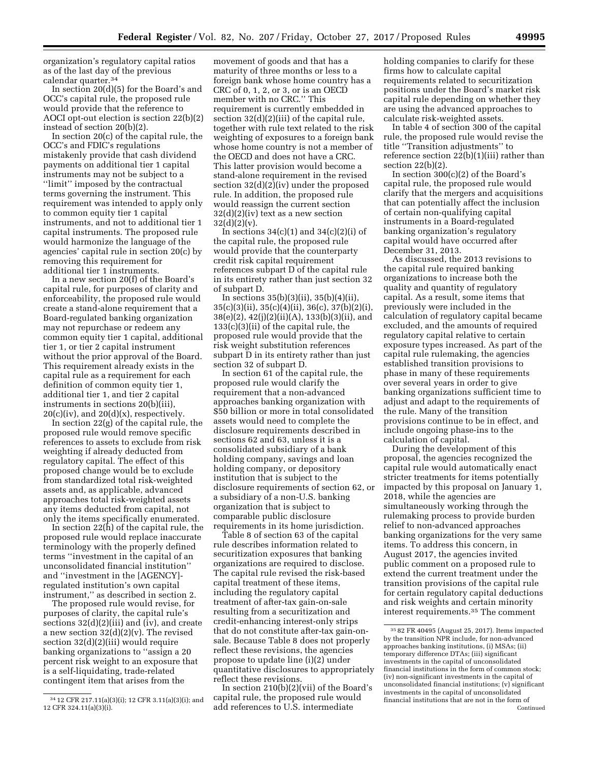organization's regulatory capital ratios as of the last day of the previous calendar quarter.34

In section 20(d)(5) for the Board's and OCC's capital rule, the proposed rule would provide that the reference to AOCI opt-out election is section 22(b)(2) instead of section 20(b)(2).

In section 20(c) of the capital rule, the OCC's and FDIC's regulations mistakenly provide that cash dividend payments on additional tier 1 capital instruments may not be subject to a ''limit'' imposed by the contractual terms governing the instrument. This requirement was intended to apply only to common equity tier 1 capital instruments, and not to additional tier 1 capital instruments. The proposed rule would harmonize the language of the agencies' capital rule in section 20(c) by removing this requirement for additional tier 1 instruments.

In a new section 20(f) of the Board's capital rule, for purposes of clarity and enforceability, the proposed rule would create a stand-alone requirement that a Board-regulated banking organization may not repurchase or redeem any common equity tier 1 capital, additional tier 1, or tier 2 capital instrument without the prior approval of the Board. This requirement already exists in the capital rule as a requirement for each definition of common equity tier 1, additional tier 1, and tier 2 capital instruments in sections 20(b)(iii),  $20(c)(iv)$ , and  $20(d)(x)$ , respectively.

In section 22(g) of the capital rule, the proposed rule would remove specific references to assets to exclude from risk weighting if already deducted from regulatory capital. The effect of this proposed change would be to exclude from standardized total risk-weighted assets and, as applicable, advanced approaches total risk-weighted assets any items deducted from capital, not only the items specifically enumerated.

In section  $22(h)$  of the capital rule, the proposed rule would replace inaccurate terminology with the properly defined terms ''investment in the capital of an unconsolidated financial institution'' and ''investment in the [AGENCY] regulated institution's own capital instrument,'' as described in section 2.

The proposed rule would revise, for purposes of clarity, the capital rule's sections 32(d)(2)(iii) and (iv), and create a new section 32(d)(2)(v). The revised section  $32(d)(2)(iii)$  would require banking organizations to ''assign a 20 percent risk weight to an exposure that is a self-liquidating, trade-related contingent item that arises from the

movement of goods and that has a maturity of three months or less to a foreign bank whose home country has a CRC of 0, 1, 2, or 3, or is an OECD member with no CRC.'' This requirement is currently embedded in section 32(d)(2)(iii) of the capital rule, together with rule text related to the risk weighting of exposures to a foreign bank whose home country is not a member of the OECD and does not have a CRC. This latter provision would become a stand-alone requirement in the revised section 32(d)(2)(iv) under the proposed rule. In addition, the proposed rule would reassign the current section  $32(d)(2)(iv)$  text as a new section  $32(d)(2)(v)$ .

In sections  $34(c)(1)$  and  $34(c)(2)(i)$  of the capital rule, the proposed rule would provide that the counterparty credit risk capital requirement references subpart D of the capital rule in its entirety rather than just section 32 of subpart D.

In sections  $35(b)(3)(ii)$ ,  $35(b)(4)(ii)$ , 35(c)(3)(ii), 35(c)(4)(ii), 36(c), 37(b)(2)(i), 38(e)(2), 42(j)(2)(ii)(A), 133(b)(3)(ii), and 133(c)(3)(ii) of the capital rule, the proposed rule would provide that the risk weight substitution references subpart D in its entirety rather than just section 32 of subpart D.

In section 61 of the capital rule, the proposed rule would clarify the requirement that a non-advanced approaches banking organization with \$50 billion or more in total consolidated assets would need to complete the disclosure requirements described in sections 62 and 63, unless it is a consolidated subsidiary of a bank holding company, savings and loan holding company, or depository institution that is subject to the disclosure requirements of section 62, or a subsidiary of a non-U.S. banking organization that is subject to comparable public disclosure requirements in its home jurisdiction.

Table 8 of section 63 of the capital rule describes information related to securitization exposures that banking organizations are required to disclose. The capital rule revised the risk-based capital treatment of these items, including the regulatory capital treatment of after-tax gain-on-sale resulting from a securitization and credit-enhancing interest-only strips that do not constitute after-tax gain-onsale. Because Table 8 does not properly reflect these revisions, the agencies propose to update line (i)(2) under quantitative disclosures to appropriately reflect these revisions.

In section 210(b)(2)(vii) of the Board's capital rule, the proposed rule would add references to U.S. intermediate

holding companies to clarify for these firms how to calculate capital requirements related to securitization positions under the Board's market risk capital rule depending on whether they are using the advanced approaches to calculate risk-weighted assets.

In table 4 of section 300 of the capital rule, the proposed rule would revise the title ''Transition adjustments'' to reference section 22(b)(1)(iii) rather than section 22(b)(2).

In section 300(c)(2) of the Board's capital rule, the proposed rule would clarify that the mergers and acquisitions that can potentially affect the inclusion of certain non-qualifying capital instruments in a Board-regulated banking organization's regulatory capital would have occurred after December 31, 2013.

As discussed, the 2013 revisions to the capital rule required banking organizations to increase both the quality and quantity of regulatory capital. As a result, some items that previously were included in the calculation of regulatory capital became excluded, and the amounts of required regulatory capital relative to certain exposure types increased. As part of the capital rule rulemaking, the agencies established transition provisions to phase in many of these requirements over several years in order to give banking organizations sufficient time to adjust and adapt to the requirements of the rule. Many of the transition provisions continue to be in effect, and include ongoing phase-ins to the calculation of capital.

During the development of this proposal, the agencies recognized the capital rule would automatically enact stricter treatments for items potentially impacted by this proposal on January 1, 2018, while the agencies are simultaneously working through the rulemaking process to provide burden relief to non-advanced approaches banking organizations for the very same items. To address this concern, in August 2017, the agencies invited public comment on a proposed rule to extend the current treatment under the transition provisions of the capital rule for certain regulatory capital deductions and risk weights and certain minority interest requirements.35 The comment

<sup>34</sup> 12 CFR 217.11(a)(3)(i); 12 CFR 3.11(a)(3)(i); and 12 CFR 324.11(a)(3)(i).

<sup>35</sup> 82 FR 40495 (August 25, 2017). Items impacted by the transition NPR include, for non-advanced approaches banking institutions, (i) MSAs; (ii) temporary difference DTAs; (iii) significant investments in the capital of unconsolidated financial institutions in the form of common stock; (iv) non-significant investments in the capital of unconsolidated financial institutions; (v) significant investments in the capital of unconsolidated financial institutions that are not in the form of Continued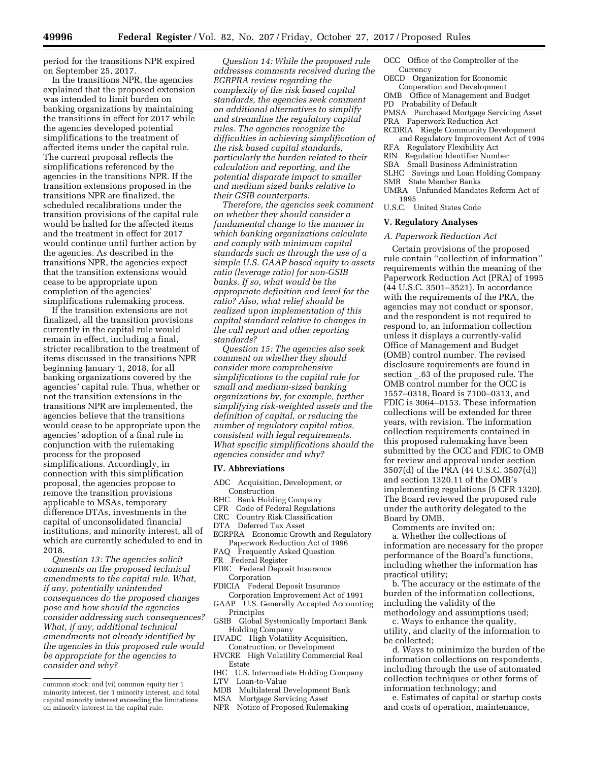period for the transitions NPR expired on September 25, 2017.

In the transitions NPR, the agencies explained that the proposed extension was intended to limit burden on banking organizations by maintaining the transitions in effect for 2017 while the agencies developed potential simplifications to the treatment of affected items under the capital rule. The current proposal reflects the simplifications referenced by the agencies in the transitions NPR. If the transition extensions proposed in the transitions NPR are finalized, the scheduled recalibrations under the transition provisions of the capital rule would be halted for the affected items and the treatment in effect for 2017 would continue until further action by the agencies. As described in the transitions NPR, the agencies expect that the transition extensions would cease to be appropriate upon completion of the agencies' simplifications rulemaking process.

If the transition extensions are not finalized, all the transition provisions currently in the capital rule would remain in effect, including a final, stricter recalibration to the treatment of items discussed in the transitions NPR beginning January 1, 2018, for all banking organizations covered by the agencies' capital rule. Thus, whether or not the transition extensions in the transitions NPR are implemented, the agencies believe that the transitions would cease to be appropriate upon the agencies' adoption of a final rule in conjunction with the rulemaking process for the proposed simplifications. Accordingly, in connection with this simplification proposal, the agencies propose to remove the transition provisions applicable to MSAs, temporary difference DTAs, investments in the capital of unconsolidated financial institutions, and minority interest, all of which are currently scheduled to end in 2018.

*Question 13: The agencies solicit comments on the proposed technical amendments to the capital rule. What, if any, potentially unintended consequences do the proposed changes pose and how should the agencies consider addressing such consequences? What, if any, additional technical amendments not already identified by the agencies in this proposed rule would be appropriate for the agencies to consider and why?* 

*Question 14: While the proposed rule addresses comments received during the EGRPRA review regarding the complexity of the risk based capital standards, the agencies seek comment on additional alternatives to simplify and streamline the regulatory capital rules. The agencies recognize the difficulties in achieving simplification of the risk based capital standards, particularly the burden related to their calculation and reporting, and the potential disparate impact to smaller and medium sized banks relative to their GSIB counterparts.* 

*Therefore, the agencies seek comment on whether they should consider a fundamental change to the manner in which banking organizations calculate and comply with minimum capital standards such as through the use of a simple U.S. GAAP based equity to assets ratio (leverage ratio) for non-GSIB banks. If so, what would be the appropriate definition and level for the ratio? Also, what relief should be realized upon implementation of this capital standard relative to changes in the call report and other reporting standards?* 

*Question 15: The agencies also seek comment on whether they should consider more comprehensive simplifications to the capital rule for small and medium-sized banking organizations by, for example, further simplifying risk-weighted assets and the definition of capital, or reducing the number of regulatory capital ratios, consistent with legal requirements. What specific simplifications should the agencies consider and why?* 

#### **IV. Abbreviations**

- ADC Acquisition, Development, or **Construction**
- BHC Bank Holding Company
- 
- CFR Code of Federal Regulations Country Risk Classification
- DTA Deferred Tax Asset
- EGRPRA Economic Growth and Regulatory Paperwork Reduction Act of 1996
- FAQ Frequently Asked Question
- FR Federal Register
- FDIC Federal Deposit Insurance Corporation
- FDICIA Federal Deposit Insurance
- Corporation Improvement Act of 1991<br>GAAP U.S. Generally Accepted Account U.S. Generally Accepted Accounting Principles
- GSIB Global Systemically Important Bank Holding Company
- HVADC High Volatility Acquisition, Construction, or Development
- HVCRE High Volatility Commercial Real Estate
- IHC U.S. Intermediate Holding Company
- LTV Loan-to-Value<br>MDB Multilateral D
- Multilateral Development Bank
- MSA Mortgage Servicing Asset<br>NPR Notice of Proposed Rulem
- Notice of Proposed Rulemaking

OCC Office of the Comptroller of the Currency

- OECD Organization for Economic Cooperation and Development
- OMB Office of Management and Budget
- PD Probability of Default
- PMSA Purchased Mortgage Servicing Asset
- PRA Paperwork Reduction Act
- RCDRIA Riegle Community Development and Regulatory Improvement Act of 1994
- RFA Regulatory Flexibility Act
- RIN Regulation Identifier Number
- SBA Small Business Administration
- SLHC Savings and Loan Holding Company SMB State Member Banks
- UMRA Unfunded Mandates Reform Act of 1995
- U.S.C. United States Code

#### **V. Regulatory Analyses**

#### *A. Paperwork Reduction Act*

Certain provisions of the proposed rule contain ''collection of information'' requirements within the meaning of the Paperwork Reduction Act (PRA) of 1995 (44 U.S.C. 3501–3521). In accordance with the requirements of the PRA, the agencies may not conduct or sponsor, and the respondent is not required to respond to, an information collection unless it displays a currently-valid Office of Management and Budget (OMB) control number. The revised disclosure requirements are found in section \_.63 of the proposed rule. The OMB control number for the OCC is 1557–0318, Board is 7100–0313, and FDIC is 3064–0153. These information collections will be extended for three years, with revision. The information collection requirements contained in this proposed rulemaking have been submitted by the OCC and FDIC to OMB for review and approval under section 3507(d) of the PRA (44 U.S.C. 3507(d)) and section 1320.11 of the OMB's implementing regulations (5 CFR 1320). The Board reviewed the proposed rule under the authority delegated to the Board by OMB.

Comments are invited on:

a. Whether the collections of information are necessary for the proper performance of the Board's functions, including whether the information has practical utility;

b. The accuracy or the estimate of the burden of the information collections, including the validity of the methodology and assumptions used;

c. Ways to enhance the quality, utility, and clarity of the information to be collected;

d. Ways to minimize the burden of the information collections on respondents, including through the use of automated collection techniques or other forms of information technology; and

e. Estimates of capital or startup costs and costs of operation, maintenance,

common stock; and (vi) common equity tier 1 minority interest, tier 1 minority interest, and total capital minority interest exceeding the limitations on minority interest in the capital rule.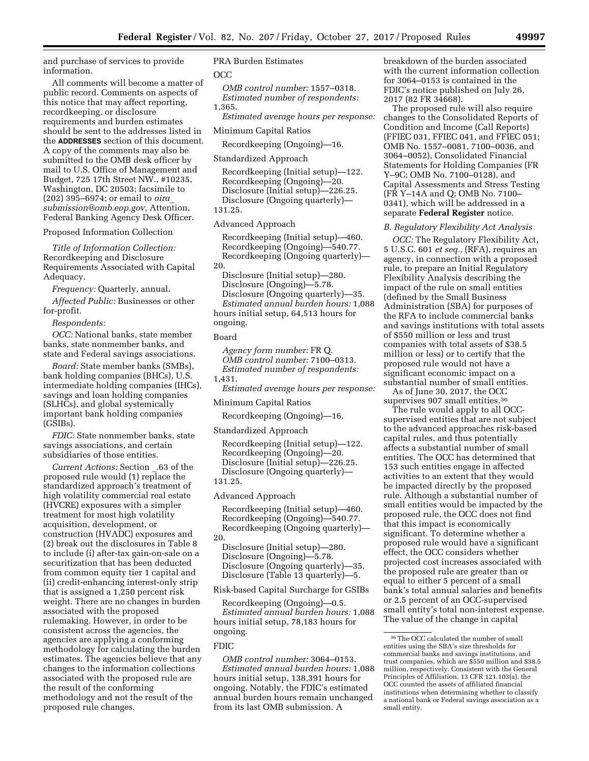and purchase of services to provide information.

All comments will become a matter of public record. Comments on aspects of this notice that may affect reporting, recordkeeping, or disclosure requirements and burden estimates should be sent to the addresses listed in the **ADDRESSES** section of this document. A copy of the comments may also be submitted to the OMB desk officer by mail to U.S. Office of Management and Budget, 725 17th Street NW., #10235, Washington, DC 20503; facsimile to (202) 395–6974; or email to *[oira](mailto:oira_submission@omb.eop.gov)*\_ *[submission@omb.eop.gov](mailto:oira_submission@omb.eop.gov)*, Attention, Federal Banking Agency Desk Officer.

Proposed Information Collection

*Title of Information Collection:*  Recordkeeping and Disclosure Requirements Associated with Capital Adequacy.

*Frequency:* Quarterly, annual.

*Affected Public:* Businesses or other for-profit.

*Respondents:* 

*OCC:* National banks, state member banks, state nonmember banks, and state and Federal savings associations.

*Board:* State member banks (SMBs), bank holding companies (BHCs), U.S. intermediate holding companies (IHCs), savings and loan holding companies (SLHCs), and global systemically important bank holding companies (GSIBs).

*FDIC:* State nonmember banks, state savings associations, and certain subsidiaries of those entities.

*Current Actions:* Section \_.63 of the proposed rule would (1) replace the standardized approach's treatment of high volatility commercial real estate (HVCRE) exposures with a simpler treatment for most high volatility acquisition, development, or construction (HVADC) exposures and (2) break out the disclosures in Table 8 to include (i) after-tax gain-on-sale on a securitization that has been deducted from common equity tier 1 capital and (ii) credit-enhancing interest-only strip that is assigned a 1,250 percent risk weight. There are no changes in burden associated with the proposed rulemaking. However, in order to be consistent across the agencies, the agencies are applying a conforming methodology for calculating the burden estimates. The agencies believe that any changes to the information collections associated with the proposed rule are the result of the conforming methodology and not the result of the proposed rule changes.

# PRA Burden Estimates

OCC

*OMB control number:* 1557–0318. *Estimated number of respondents:* 

1,365.

*Estimated average hours per response:* 

Minimum Capital Ratios

Recordkeeping (Ongoing)—16.

Standardized Approach

Recordkeeping (Initial setup)—122. Recordkeeping (Ongoing)—20. Disclosure (Initial setup)—226.25. Disclosure (Ongoing quarterly)— 131.25.

Advanced Approach

Recordkeeping (Initial setup)—460. Recordkeeping (Ongoing)—540.77. Recordkeeping (Ongoing quarterly)— 20.

Disclosure (Initial setup)—280. Disclosure (Ongoing)—5.78.

Disclosure (Ongoing quarterly)—35. *Estimated annual burden hours:* 1,088 hours initial setup, 64,513 hours for ongoing.

#### Board

*Agency form number:* FR Q. *OMB control number:* 7100–0313. *Estimated number of respondents:*  1,431.

*Estimated average hours per response:* 

Minimum Capital Ratios

Recordkeeping (Ongoing)—16.

Standardized Approach

Recordkeeping (Initial setup)—122. Recordkeeping (Ongoing)—20. Disclosure (Initial setup)—226.25. Disclosure (Ongoing quarterly)— 131.25.

Advanced Approach

Recordkeeping (Initial setup)—460. Recordkeeping (Ongoing)—540.77. Recordkeeping (Ongoing quarterly)— 20.

Disclosure (Initial setup)—280. Disclosure (Ongoing)—5.78. Disclosure (Ongoing quarterly)—35. Disclosure (Table 13 quarterly)—5.

Risk-based Capital Surcharge for GSIBs

Recordkeeping (Ongoing)—0.5. *Estimated annual burden hours:* 1,088 hours initial setup, 78,183 hours for ongoing.

## FDIC

*OMB control number:* 3064–0153. *Estimated annual burden hours:* 1,088 hours initial setup, 138,391 hours for ongoing. Notably, the FDIC's estimated annual burden hours remain unchanged from its last OMB submission. A

breakdown of the burden associated with the current information collection for 3064–0153 is contained in the FDIC's notice published on July 26, 2017 (82 FR 34668).

The proposed rule will also require changes to the Consolidated Reports of Condition and Income (Call Reports) (FFIEC 031, FFIEC 041, and FFIEC 051; OMB No. 1557–0081, 7100–0036, and 3064–0052), Consolidated Financial Statements for Holding Companies (FR Y–9C; OMB No. 7100–0128), and Capital Assessments and Stress Testing (FR Y–14A and Q; OMB No. 7100– 0341), which will be addressed in a separate **Federal Register** notice.

#### *B. Regulatory Flexibility Act Analysis*

*OCC:* The Regulatory Flexibility Act, 5 U.S.C. 601 *et seq.,* (RFA), requires an agency, in connection with a proposed rule, to prepare an Initial Regulatory Flexibility Analysis describing the impact of the rule on small entities (defined by the Small Business Administration (SBA) for purposes of the RFA to include commercial banks and savings institutions with total assets of \$550 million or less and trust companies with total assets of \$38.5 million or less) or to certify that the proposed rule would not have a significant economic impact on a substantial number of small entities.

As of June 30, 2017, the OCC supervises 907 small entities.<sup>36</sup>

The rule would apply to all OCCsupervised entities that are not subject to the advanced approaches risk-based capital rules, and thus potentially affects a substantial number of small entities. The OCC has determined that 153 such entities engage in affected activities to an extent that they would be impacted directly by the proposed rule. Although a substantial number of small entities would be impacted by the proposed rule, the OCC does not find that this impact is economically significant. To determine whether a proposed rule would have a significant effect, the OCC considers whether projected cost increases associated with the proposed rule are greater than or equal to either 5 percent of a small bank's total annual salaries and benefits or 2.5 percent of an OCC-supervised small entity's total non-interest expense. The value of the change in capital

<sup>36</sup>The OCC calculated the number of small entities using the SBA's size thresholds for commercial banks and savings institutions, and trust companies, which are \$550 million and \$38.5 million, respectively. Consistent with the General Principles of Affiliation, 13 CFR 121.103(a), the OCC counted the assets of affiliated financial institutions when determining whether to classify a national bank or Federal savings association as a small entity.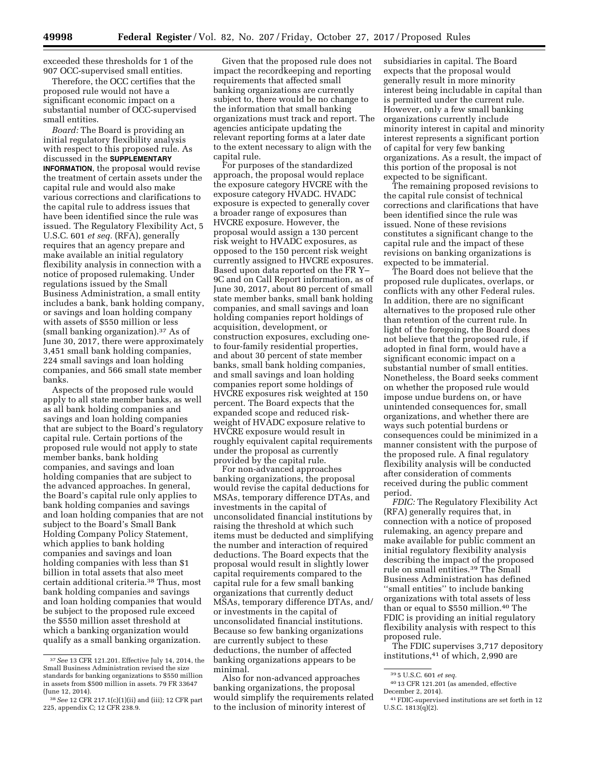exceeded these thresholds for 1 of the 907 OCC-supervised small entities.

Therefore, the OCC certifies that the proposed rule would not have a significant economic impact on a substantial number of OCC-supervised small entities.

*Board:* The Board is providing an initial regulatory flexibility analysis with respect to this proposed rule. As discussed in the **SUPPLEMENTARY INFORMATION**, the proposal would revise the treatment of certain assets under the capital rule and would also make various corrections and clarifications to the capital rule to address issues that have been identified since the rule was issued. The Regulatory Flexibility Act, 5 U.S.C. 601 *et seq.* (RFA), generally requires that an agency prepare and make available an initial regulatory flexibility analysis in connection with a notice of proposed rulemaking. Under regulations issued by the Small Business Administration, a small entity includes a bank, bank holding company, or savings and loan holding company with assets of \$550 million or less (small banking organization).37 As of June 30, 2017, there were approximately 3,451 small bank holding companies, 224 small savings and loan holding companies, and 566 small state member banks.

Aspects of the proposed rule would apply to all state member banks, as well as all bank holding companies and savings and loan holding companies that are subject to the Board's regulatory capital rule. Certain portions of the proposed rule would not apply to state member banks, bank holding companies, and savings and loan holding companies that are subject to the advanced approaches. In general, the Board's capital rule only applies to bank holding companies and savings and loan holding companies that are not subject to the Board's Small Bank Holding Company Policy Statement, which applies to bank holding companies and savings and loan holding companies with less than \$1 billion in total assets that also meet certain additional criteria.38 Thus, most bank holding companies and savings and loan holding companies that would be subject to the proposed rule exceed the \$550 million asset threshold at which a banking organization would qualify as a small banking organization.

Given that the proposed rule does not impact the recordkeeping and reporting requirements that affected small banking organizations are currently subject to, there would be no change to the information that small banking organizations must track and report. The agencies anticipate updating the relevant reporting forms at a later date to the extent necessary to align with the capital rule.

For purposes of the standardized approach, the proposal would replace the exposure category HVCRE with the exposure category HVADC. HVADC exposure is expected to generally cover a broader range of exposures than HVCRE exposure. However, the proposal would assign a 130 percent risk weight to HVADC exposures, as opposed to the 150 percent risk weight currently assigned to HVCRE exposures. Based upon data reported on the FR Y– 9C and on Call Report information, as of June 30, 2017, about 80 percent of small state member banks, small bank holding companies, and small savings and loan holding companies report holdings of acquisition, development, or construction exposures, excluding oneto four-family residential properties, and about 30 percent of state member banks, small bank holding companies, and small savings and loan holding companies report some holdings of HVCRE exposures risk weighted at 150 percent. The Board expects that the expanded scope and reduced riskweight of HVADC exposure relative to HVCRE exposure would result in roughly equivalent capital requirements under the proposal as currently provided by the capital rule.

For non-advanced approaches banking organizations, the proposal would revise the capital deductions for MSAs, temporary difference DTAs, and investments in the capital of unconsolidated financial institutions by raising the threshold at which such items must be deducted and simplifying the number and interaction of required deductions. The Board expects that the proposal would result in slightly lower capital requirements compared to the capital rule for a few small banking organizations that currently deduct MSAs, temporary difference DTAs, and/ or investments in the capital of unconsolidated financial institutions. Because so few banking organizations are currently subject to these deductions, the number of affected banking organizations appears to be minimal.

Also for non-advanced approaches banking organizations, the proposal would simplify the requirements related to the inclusion of minority interest of

subsidiaries in capital. The Board expects that the proposal would generally result in more minority interest being includable in capital than is permitted under the current rule. However, only a few small banking organizations currently include minority interest in capital and minority interest represents a significant portion of capital for very few banking organizations. As a result, the impact of this portion of the proposal is not expected to be significant.

The remaining proposed revisions to the capital rule consist of technical corrections and clarifications that have been identified since the rule was issued. None of these revisions constitutes a significant change to the capital rule and the impact of these revisions on banking organizations is expected to be immaterial.

The Board does not believe that the proposed rule duplicates, overlaps, or conflicts with any other Federal rules. In addition, there are no significant alternatives to the proposed rule other than retention of the current rule. In light of the foregoing, the Board does not believe that the proposed rule, if adopted in final form, would have a significant economic impact on a substantial number of small entities. Nonetheless, the Board seeks comment on whether the proposed rule would impose undue burdens on, or have unintended consequences for, small organizations, and whether there are ways such potential burdens or consequences could be minimized in a manner consistent with the purpose of the proposed rule. A final regulatory flexibility analysis will be conducted after consideration of comments received during the public comment period.

*FDIC:* The Regulatory Flexibility Act (RFA) generally requires that, in connection with a notice of proposed rulemaking, an agency prepare and make available for public comment an initial regulatory flexibility analysis describing the impact of the proposed rule on small entities.39 The Small Business Administration has defined ''small entities'' to include banking organizations with total assets of less than or equal to \$550 million.40 The FDIC is providing an initial regulatory flexibility analysis with respect to this proposed rule.

The FDIC supervises 3,717 depository institutions,41 of which, 2,990 are

<sup>37</sup>*See* 13 CFR 121.201. Effective July 14, 2014, the Small Business Administration revised the size standards for banking organizations to \$550 million in assets from \$500 million in assets. 79 FR 33647 (June 12, 2014).

<sup>38</sup>*See* 12 CFR 217.1(c)(1)(ii) and (iii); 12 CFR part 225, appendix C; 12 CFR 238.9.

<sup>39</sup> 5 U.S.C. 601 *et seq.* 

<sup>40</sup> 13 CFR 121.201 (as amended, effective December 2, 2014).

<sup>41</sup>FDIC-supervised institutions are set forth in 12 U.S.C.  $1813(q)(2)$ .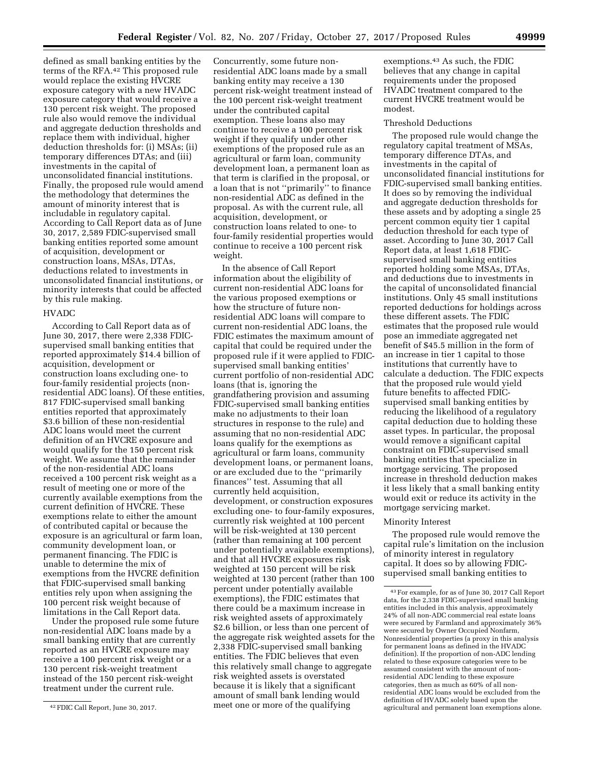defined as small banking entities by the terms of the RFA.42 This proposed rule would replace the existing HVCRE exposure category with a new HVADC exposure category that would receive a 130 percent risk weight. The proposed rule also would remove the individual and aggregate deduction thresholds and replace them with individual, higher deduction thresholds for: (i) MSAs; (ii) temporary differences DTAs; and (iii) investments in the capital of unconsolidated financial institutions. Finally, the proposed rule would amend the methodology that determines the amount of minority interest that is includable in regulatory capital. According to Call Report data as of June 30, 2017, 2,589 FDIC-supervised small banking entities reported some amount of acquisition, development or construction loans, MSAs, DTAs, deductions related to investments in

unconsolidated financial institutions, or minority interests that could be affected

# by this rule making. HVADC

According to Call Report data as of June 30, 2017, there were 2,338 FDICsupervised small banking entities that reported approximately \$14.4 billion of acquisition, development or construction loans excluding one- to four-family residential projects (nonresidential ADC loans). Of these entities, 817 FDIC-supervised small banking entities reported that approximately \$3.6 billion of these non-residential ADC loans would meet the current definition of an HVCRE exposure and would qualify for the 150 percent risk weight. We assume that the remainder of the non-residential ADC loans received a 100 percent risk weight as a result of meeting one or more of the currently available exemptions from the current definition of HVCRE. These exemptions relate to either the amount of contributed capital or because the exposure is an agricultural or farm loan, community development loan, or permanent financing. The FDIC is unable to determine the mix of exemptions from the HVCRE definition that FDIC-supervised small banking entities rely upon when assigning the 100 percent risk weight because of limitations in the Call Report data.

Under the proposed rule some future non-residential ADC loans made by a small banking entity that are currently reported as an HVCRE exposure may receive a 100 percent risk weight or a 130 percent risk-weight treatment instead of the 150 percent risk-weight treatment under the current rule.

Concurrently, some future nonresidential ADC loans made by a small banking entity may receive a 130 percent risk-weight treatment instead of the 100 percent risk-weight treatment under the contributed capital exemption. These loans also may continue to receive a 100 percent risk weight if they qualify under other exemptions of the proposed rule as an agricultural or farm loan, community development loan, a permanent loan as that term is clarified in the proposal, or a loan that is not ''primarily'' to finance non-residential ADC as defined in the proposal. As with the current rule, all acquisition, development, or construction loans related to one- to four-family residential properties would continue to receive a 100 percent risk weight.

In the absence of Call Report information about the eligibility of current non-residential ADC loans for the various proposed exemptions or how the structure of future nonresidential ADC loans will compare to current non-residential ADC loans, the FDIC estimates the maximum amount of capital that could be required under the proposed rule if it were applied to FDICsupervised small banking entities' current portfolio of non-residential ADC loans (that is, ignoring the grandfathering provision and assuming FDIC-supervised small banking entities make no adjustments to their loan structures in response to the rule) and assuming that no non-residential ADC loans qualify for the exemptions as agricultural or farm loans, community development loans, or permanent loans, or are excluded due to the ''primarily finances'' test. Assuming that all currently held acquisition, development, or construction exposures excluding one- to four-family exposures, currently risk weighted at 100 percent will be risk-weighted at 130 percent (rather than remaining at 100 percent under potentially available exemptions), and that all HVCRE exposures risk weighted at 150 percent will be risk weighted at 130 percent (rather than 100 percent under potentially available exemptions), the FDIC estimates that there could be a maximum increase in risk weighted assets of approximately \$2.6 billion, or less than one percent of the aggregate risk weighted assets for the 2,338 FDIC-supervised small banking entities. The FDIC believes that even this relatively small change to aggregate risk weighted assets is overstated because it is likely that a significant amount of small bank lending would meet one or more of the qualifying

exemptions.43 As such, the FDIC believes that any change in capital requirements under the proposed HVADC treatment compared to the current HVCRE treatment would be modest.

#### Threshold Deductions

The proposed rule would change the regulatory capital treatment of MSAs, temporary difference DTAs, and investments in the capital of unconsolidated financial institutions for FDIC-supervised small banking entities. It does so by removing the individual and aggregate deduction thresholds for these assets and by adopting a single 25 percent common equity tier 1 capital deduction threshold for each type of asset. According to June 30, 2017 Call Report data, at least 1,618 FDICsupervised small banking entities reported holding some MSAs, DTAs, and deductions due to investments in the capital of unconsolidated financial institutions. Only 45 small institutions reported deductions for holdings across these different assets. The FDIC estimates that the proposed rule would pose an immediate aggregated net benefit of \$45.5 million in the form of an increase in tier 1 capital to those institutions that currently have to calculate a deduction. The FDIC expects that the proposed rule would yield future benefits to affected FDICsupervised small banking entities by reducing the likelihood of a regulatory capital deduction due to holding these asset types. In particular, the proposal would remove a significant capital constraint on FDIC-supervised small banking entities that specialize in mortgage servicing. The proposed increase in threshold deduction makes it less likely that a small banking entity would exit or reduce its activity in the mortgage servicing market.

#### Minority Interest

The proposed rule would remove the capital rule's limitation on the inclusion of minority interest in regulatory capital. It does so by allowing FDICsupervised small banking entities to

<sup>42</sup>FDIC Call Report, June 30, 2017.

<sup>43</sup>For example, for as of June 30, 2017 Call Report data, for the 2,338 FDIC-supervised small banking entities included in this analysis, approximately 24% of all non-ADC commercial real estate loans were secured by Farmland and approximately 36% were secured by Owner Occupied Nonfarm, Nonresidential properties (a proxy in this analysis for permanent loans as defined in the HVADC definition). If the proportion of non-ADC lending related to these exposure categories were to be assumed consistent with the amount of nonresidential ADC lending to these exposure categories, then as much as 60% of all nonresidential ADC loans would be excluded from the definition of HVADC solely based upon the agricultural and permanent loan exemptions alone.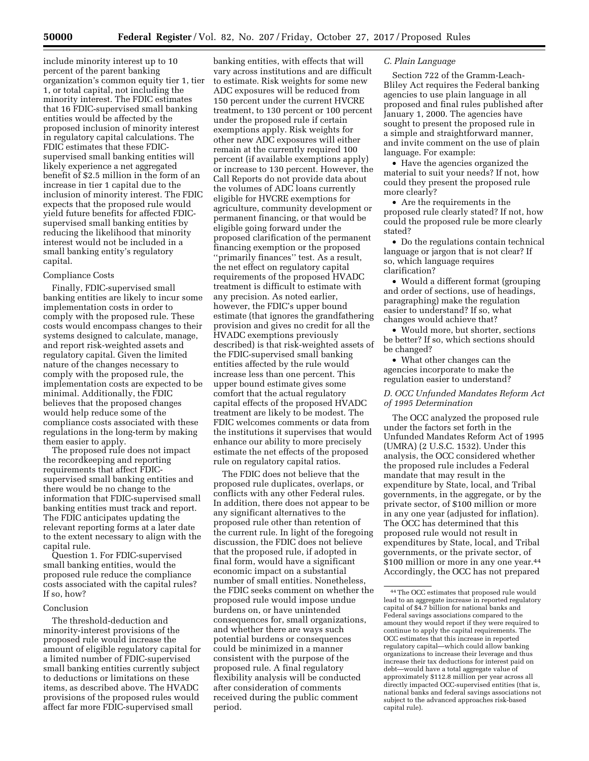include minority interest up to 10 percent of the parent banking organization's common equity tier 1, tier 1, or total capital, not including the minority interest. The FDIC estimates that 16 FDIC-supervised small banking entities would be affected by the proposed inclusion of minority interest in regulatory capital calculations. The FDIC estimates that these FDICsupervised small banking entities will likely experience a net aggregated benefit of \$2.5 million in the form of an increase in tier 1 capital due to the inclusion of minority interest. The FDIC expects that the proposed rule would yield future benefits for affected FDICsupervised small banking entities by reducing the likelihood that minority interest would not be included in a small banking entity's regulatory capital.

#### Compliance Costs

Finally, FDIC-supervised small banking entities are likely to incur some implementation costs in order to comply with the proposed rule. These costs would encompass changes to their systems designed to calculate, manage, and report risk-weighted assets and regulatory capital. Given the limited nature of the changes necessary to comply with the proposed rule, the implementation costs are expected to be minimal. Additionally, the FDIC believes that the proposed changes would help reduce some of the compliance costs associated with these regulations in the long-term by making them easier to apply.

The proposed rule does not impact the recordkeeping and reporting requirements that affect FDICsupervised small banking entities and there would be no change to the information that FDIC-supervised small banking entities must track and report. The FDIC anticipates updating the relevant reporting forms at a later date to the extent necessary to align with the capital rule.

Question 1. For FDIC-supervised small banking entities, would the proposed rule reduce the compliance costs associated with the capital rules? If so, how?

#### Conclusion

The threshold-deduction and minority-interest provisions of the proposed rule would increase the amount of eligible regulatory capital for a limited number of FDIC-supervised small banking entities currently subject to deductions or limitations on these items, as described above. The HVADC provisions of the proposed rules would affect far more FDIC-supervised small

banking entities, with effects that will vary across institutions and are difficult to estimate. Risk weights for some new ADC exposures will be reduced from 150 percent under the current HVCRE treatment, to 130 percent or 100 percent under the proposed rule if certain exemptions apply. Risk weights for other new ADC exposures will either remain at the currently required 100 percent (if available exemptions apply) or increase to 130 percent. However, the Call Reports do not provide data about the volumes of ADC loans currently eligible for HVCRE exemptions for agriculture, community development or permanent financing, or that would be eligible going forward under the proposed clarification of the permanent financing exemption or the proposed ''primarily finances'' test. As a result, the net effect on regulatory capital requirements of the proposed HVADC treatment is difficult to estimate with any precision. As noted earlier, however, the FDIC's upper bound estimate (that ignores the grandfathering provision and gives no credit for all the HVADC exemptions previously described) is that risk-weighted assets of the FDIC-supervised small banking entities affected by the rule would increase less than one percent. This upper bound estimate gives some comfort that the actual regulatory capital effects of the proposed HVADC treatment are likely to be modest. The FDIC welcomes comments or data from the institutions it supervises that would enhance our ability to more precisely estimate the net effects of the proposed rule on regulatory capital ratios.

The FDIC does not believe that the proposed rule duplicates, overlaps, or conflicts with any other Federal rules. In addition, there does not appear to be any significant alternatives to the proposed rule other than retention of the current rule. In light of the foregoing discussion, the FDIC does not believe that the proposed rule, if adopted in final form, would have a significant economic impact on a substantial number of small entities. Nonetheless, the FDIC seeks comment on whether the proposed rule would impose undue burdens on, or have unintended consequences for, small organizations, and whether there are ways such potential burdens or consequences could be minimized in a manner consistent with the purpose of the proposed rule. A final regulatory flexibility analysis will be conducted after consideration of comments received during the public comment period.

## *C. Plain Language*

Section 722 of the Gramm-Leach-Bliley Act requires the Federal banking agencies to use plain language in all proposed and final rules published after January 1, 2000. The agencies have sought to present the proposed rule in a simple and straightforward manner, and invite comment on the use of plain language. For example:

• Have the agencies organized the material to suit your needs? If not, how could they present the proposed rule more clearly?

• Are the requirements in the proposed rule clearly stated? If not, how could the proposed rule be more clearly stated?

• Do the regulations contain technical language or jargon that is not clear? If so, which language requires clarification?

• Would a different format (grouping and order of sections, use of headings, paragraphing) make the regulation easier to understand? If so, what changes would achieve that?

• Would more, but shorter, sections be better? If so, which sections should be changed?

• What other changes can the agencies incorporate to make the regulation easier to understand?

## *D. OCC Unfunded Mandates Reform Act of 1995 Determination*

The OCC analyzed the proposed rule under the factors set forth in the Unfunded Mandates Reform Act of 1995 (UMRA) (2 U.S.C. 1532). Under this analysis, the OCC considered whether the proposed rule includes a Federal mandate that may result in the expenditure by State, local, and Tribal governments, in the aggregate, or by the private sector, of \$100 million or more in any one year (adjusted for inflation). The OCC has determined that this proposed rule would not result in expenditures by State, local, and Tribal governments, or the private sector, of \$100 million or more in any one year.44 Accordingly, the OCC has not prepared

<sup>44</sup>The OCC estimates that proposed rule would lead to an aggregate increase in reported regulatory capital of \$4.7 billion for national banks and Federal savings associations compared to the amount they would report if they were required to continue to apply the capital requirements. The OCC estimates that this increase in reported regulatory capital—which could allow banking organizations to increase their leverage and thus increase their tax deductions for interest paid on debt—would have a total aggregate value of approximately \$112.8 million per year across all directly impacted OCC-supervised entities (that is, national banks and federal savings associations not subject to the advanced approaches risk-based capital rule).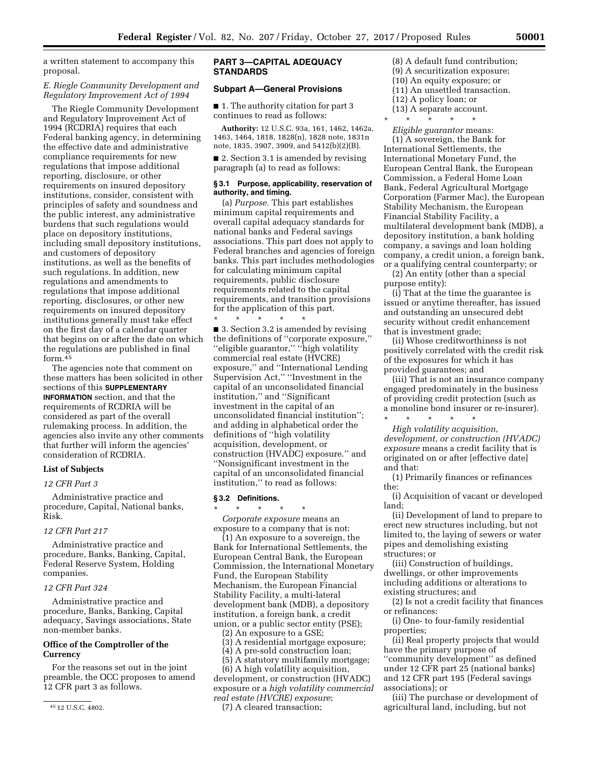a written statement to accompany this proposal.

## *E. Riegle Community Development and Regulatory Improvement Act of 1994*

The Riegle Community Development and Regulatory Improvement Act of 1994 (RCDRIA) requires that each Federal banking agency, in determining the effective date and administrative compliance requirements for new regulations that impose additional reporting, disclosure, or other requirements on insured depository institutions, consider, consistent with principles of safety and soundness and the public interest, any administrative burdens that such regulations would place on depository institutions, including small depository institutions, and customers of depository institutions, as well as the benefits of such regulations. In addition, new regulations and amendments to regulations that impose additional reporting, disclosures, or other new requirements on insured depository institutions generally must take effect on the first day of a calendar quarter that begins on or after the date on which the regulations are published in final form.45

The agencies note that comment on these matters has been solicited in other sections of this **SUPPLEMENTARY INFORMATION** section, and that the requirements of RCDRIA will be considered as part of the overall rulemaking process. In addition, the agencies also invite any other comments that further will inform the agencies' consideration of RCDRIA.

## **List of Subjects**

#### *12 CFR Part 3*

Administrative practice and procedure, Capital, National banks, Risk.

## *12 CFR Part 217*

Administrative practice and procedure, Banks, Banking, Capital, Federal Reserve System, Holding companies.

#### *12 CFR Part 324*

Administrative practice and procedure, Banks, Banking, Capital adequacy, Savings associations, State non-member banks.

# **Office of the Comptroller of the Currency**

For the reasons set out in the joint preamble, the OCC proposes to amend 12 CFR part 3 as follows.

## **PART 3—CAPITAL ADEQUACY STANDARDS**

# **Subpart A—General Provisions**

■ 1. The authority citation for part 3 continues to read as follows:

**Authority:** 12 U.S.C. 93a, 161, 1462, 1462a, 1463, 1464, 1818, 1828(n), 1828 note, 1831n note, 1835, 3907, 3909, and 5412(b)(2)(B).

■ 2. Section 3.1 is amended by revising paragraph (a) to read as follows:

## **§ 3.1 Purpose, applicability, reservation of authority, and timing.**

(a) *Purpose.* This part establishes minimum capital requirements and overall capital adequacy standards for national banks and Federal savings associations. This part does not apply to Federal branches and agencies of foreign banks. This part includes methodologies for calculating minimum capital requirements, public disclosure requirements related to the capital requirements, and transition provisions for the application of this part.

\* \* \* \* \* ■ 3. Section 3.2 is amended by revising the definitions of ''corporate exposure,'' ''eligible guarantor,'' ''high volatility commercial real estate (HVCRE) exposure,'' and ''International Lending Supervision Act,'' ''Investment in the capital of an unconsolidated financial institution,'' and ''Significant investment in the capital of an unconsolidated financial institution''; and adding in alphabetical order the definitions of ''high volatility acquisition, development, or construction (HVADC) exposure.'' and ''Nonsignificant investment in the capital of an unconsolidated financial institution,'' to read as follows:

#### **§ 3.2 Definitions.**

\* \* \* \* \* *Corporate exposure* means an exposure to a company that is not:

(1) An exposure to a sovereign, the Bank for International Settlements, the European Central Bank, the European Commission, the International Monetary Fund, the European Stability Mechanism, the European Financial Stability Facility, a multi-lateral development bank (MDB), a depository institution, a foreign bank, a credit union, or a public sector entity (PSE);

- (2) An exposure to a GSE;
- (3) A residential mortgage exposure;
- (4) A pre-sold construction loan;
- (5) A statutory multifamily mortgage;

(6) A high volatility acquisition, development, or construction (HVADC) exposure or a *high volatility commercial real estate (HVCRE) exposure*;

(7) A cleared transaction;

- (8) A default fund contribution; (9) A securitization exposure;
- (10) An equity exposure; or
- (11) An unsettled transaction.
- (12) A policy loan; or
- (13) A separate account.
- \* \* \* \* \*

*Eligible guarantor* means: (1) A sovereign, the Bank for International Settlements, the International Monetary Fund, the European Central Bank, the European Commission, a Federal Home Loan Bank, Federal Agricultural Mortgage Corporation (Farmer Mac), the European Stability Mechanism, the European Financial Stability Facility, a multilateral development bank (MDB), a depository institution, a bank holding company, a savings and loan holding company, a credit union, a foreign bank, or a qualifying central counterparty; or

(2) An entity (other than a special purpose entity):

(i) That at the time the guarantee is issued or anytime thereafter, has issued and outstanding an unsecured debt security without credit enhancement that is investment grade;

(ii) Whose creditworthiness is not positively correlated with the credit risk of the exposures for which it has provided guarantees; and

(iii) That is not an insurance company engaged predominately in the business of providing credit protection (such as a monoline bond insurer or re-insurer).

\* \* \* \* \* *High volatility acquisition, development, or construction (HVADC) exposure* means a credit facility that is originated on or after [effective date] and that:

(1) Primarily finances or refinances the:

(i) Acquisition of vacant or developed land;

(ii) Development of land to prepare to erect new structures including, but not limited to, the laying of sewers or water pipes and demolishing existing structures; or

(iii) Construction of buildings, dwellings, or other improvements including additions or alterations to existing structures; and

(2) Is not a credit facility that finances or refinances:

(i) One- to four-family residential properties;

(ii) Real property projects that would have the primary purpose of ''community development'' as defined under 12 CFR part 25 (national banks) and 12 CFR part 195 (Federal savings associations); or

(iii) The purchase or development of agricultural land, including, but not

<sup>45</sup> 12 U.S.C. 4802.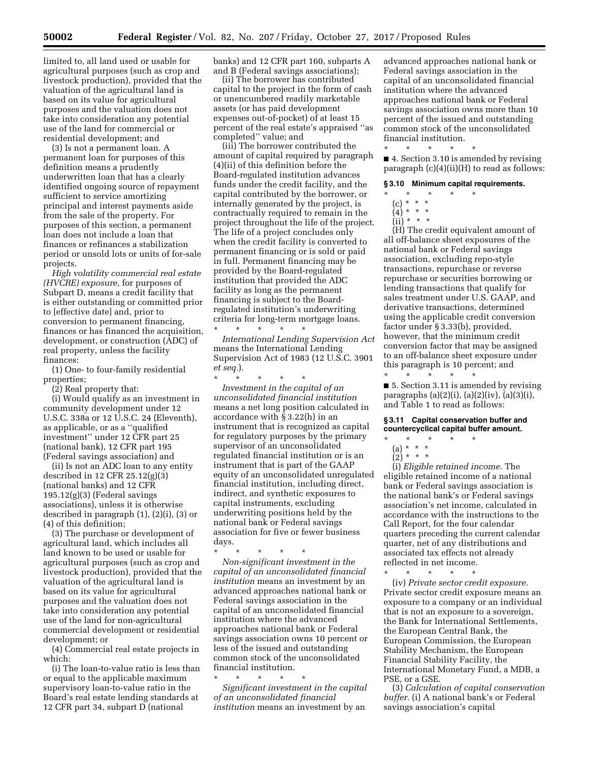limited to, all land used or usable for agricultural purposes (such as crop and livestock production), provided that the valuation of the agricultural land is based on its value for agricultural purposes and the valuation does not take into consideration any potential use of the land for commercial or residential development; and

(3) Is not a permanent loan. A permanent loan for purposes of this definition means a prudently underwritten loan that has a clearly identified ongoing source of repayment sufficient to service amortizing principal and interest payments aside from the sale of the property. For purposes of this section, a permanent loan does not include a loan that finances or refinances a stabilization period or unsold lots or units of for-sale projects.

*High volatility commercial real estate (HVCRE) exposure,* for purposes of Subpart D, means a credit facility that is either outstanding or committed prior to [effective date] and, prior to conversion to permanent financing, finances or has financed the acquisition, development, or construction (ADC) of real property, unless the facility finances:

(1) One- to four-family residential properties;

(2) Real property that:

(i) Would qualify as an investment in community development under 12 U.S.C. 338a or 12 U.S.C. 24 (Eleventh), as applicable, or as a ''qualified investment'' under 12 CFR part 25 (national bank), 12 CFR part 195 (Federal savings association) and

(ii) Is not an ADC loan to any entity described in 12 CFR 25.12(g)(3) (national banks) and 12 CFR 195.12(g)(3) (Federal savings associations), unless it is otherwise described in paragraph (1), (2)(i), (3) or (4) of this definition;

(3) The purchase or development of agricultural land, which includes all land known to be used or usable for agricultural purposes (such as crop and livestock production), provided that the valuation of the agricultural land is based on its value for agricultural purposes and the valuation does not take into consideration any potential use of the land for non-agricultural commercial development or residential development; or

(4) Commercial real estate projects in which:

(i) The loan-to-value ratio is less than or equal to the applicable maximum supervisory loan-to-value ratio in the Board's real estate lending standards at 12 CFR part 34, subpart D (national

banks) and 12 CFR part 160, subparts A and B (Federal savings associations);

(ii) The borrower has contributed capital to the project in the form of cash or unencumbered readily marketable assets (or has paid development expenses out-of-pocket) of at least 15 percent of the real estate's appraised ''as completed'' value; and

(iii) The borrower contributed the amount of capital required by paragraph (4)(ii) of this definition before the Board-regulated institution advances funds under the credit facility, and the capital contributed by the borrower, or internally generated by the project, is contractually required to remain in the project throughout the life of the project. The life of a project concludes only when the credit facility is converted to permanent financing or is sold or paid in full. Permanent financing may be provided by the Board-regulated institution that provided the ADC facility as long as the permanent financing is subject to the Boardregulated institution's underwriting criteria for long-term mortgage loans. \* \* \* \* \*

*International Lending Supervision Act*  means the International Lending Supervision Act of 1983 (12 U.S.C. 3901 *et seq.*).

\* \* \* \* \* *Investment in the capital of an unconsolidated financial institution*  means a net long position calculated in accordance with § 3.22(h) in an instrument that is recognized as capital for regulatory purposes by the primary supervisor of an unconsolidated regulated financial institution or is an instrument that is part of the GAAP equity of an unconsolidated unregulated financial institution, including direct, indirect, and synthetic exposures to capital instruments, excluding underwriting positions held by the national bank or Federal savings association for five or fewer business days.

\* \* \* \* \* *Non-significant investment in the capital of an unconsolidated financial institution* means an investment by an advanced approaches national bank or Federal savings association in the capital of an unconsolidated financial institution where the advanced approaches national bank or Federal savings association owns 10 percent or less of the issued and outstanding common stock of the unconsolidated financial institution.

\* \* \* \* \* *Significant investment in the capital of an unconsolidated financial institution* means an investment by an

advanced approaches national bank or Federal savings association in the capital of an unconsolidated financial institution where the advanced approaches national bank or Federal savings association owns more than 10 percent of the issued and outstanding common stock of the unconsolidated financial institution.

■ 4. Section 3.10 is amended by revising paragraph (c)(4)(ii)(H) to read as follows:

#### **§ 3.10 Minimum capital requirements.**

\* \* \* \* \*

\* \* \* \* \*

- (c) \* \* \*
- $(4) * * * *$
- $\overrightarrow{iii}$  \* \* \*

(H) The credit equivalent amount of all off-balance sheet exposures of the national bank or Federal savings association, excluding repo-style transactions, repurchase or reverse repurchase or securities borrowing or lending transactions that qualify for sales treatment under U.S. GAAP, and derivative transactions, determined using the applicable credit conversion factor under § 3.33(b), provided, however, that the minimum credit conversion factor that may be assigned to an off-balance sheet exposure under this paragraph is 10 percent; and

\* \* \* \* \* ■ 5. Section 3.11 is amended by revising paragraphs (a)(2)(i), (a)(2)(iv), (a)(3)(i), and Table 1 to read as follows:

#### **§ 3.11 Capital conservation buffer and countercyclical capital buffer amount.**

- \* \* \* \* \* (a) \* \* \*
- $(2)^* * * *$

(i) *Eligible retained income.* The eligible retained income of a national bank or Federal savings association is the national bank's or Federal savings association's net income, calculated in accordance with the instructions to the Call Report, for the four calendar quarters preceding the current calendar quarter, net of any distributions and associated tax effects not already reflected in net income.

\* \* \* \* \* (iv) *Private sector credit exposure.*  Private sector credit exposure means an exposure to a company or an individual that is not an exposure to a sovereign, the Bank for International Settlements, the European Central Bank, the European Commission, the European Stability Mechanism, the European Financial Stability Facility, the International Monetary Fund, a MDB, a PSE, or a GSE.

(3) *Calculation of capital conservation buffer.* (i) A national bank's or Federal savings association's capital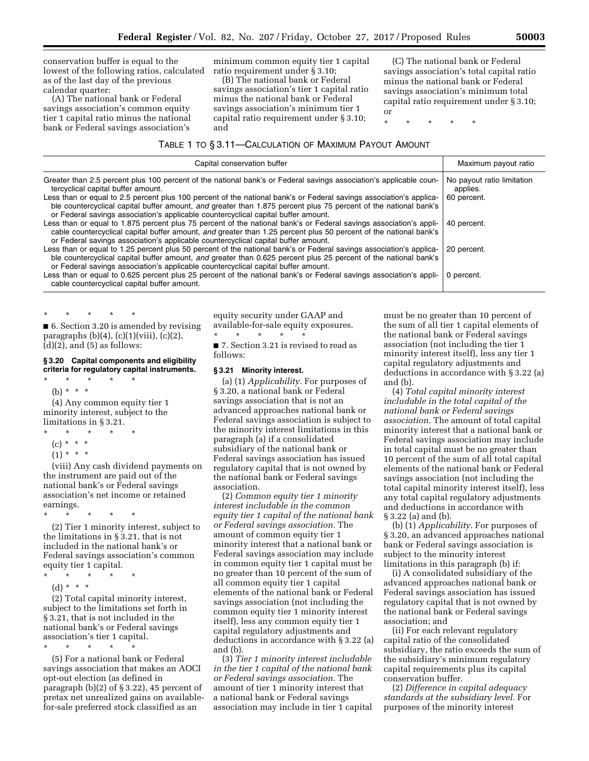conservation buffer is equal to the lowest of the following ratios, calculated as of the last day of the previous calendar quarter:

(A) The national bank or Federal savings association's common equity tier 1 capital ratio minus the national bank or Federal savings association's

minimum common equity tier 1 capital ratio requirement under § 3.10;

(B) The national bank or Federal savings association's tier 1 capital ratio minus the national bank or Federal savings association's minimum tier 1 capital ratio requirement under § 3.10; and

(C) The national bank or Federal savings association's total capital ratio minus the national bank or Federal savings association's minimum total capital ratio requirement under § 3.10; or

\* \* \* \* \*

#### TABLE 1 TO § 3.11—CALCULATION OF MAXIMUM PAYOUT AMOUNT

| Capital conservation buffer                                                                                                                                                                                                                                                                                                   | Maximum payout ratio                   |
|-------------------------------------------------------------------------------------------------------------------------------------------------------------------------------------------------------------------------------------------------------------------------------------------------------------------------------|----------------------------------------|
| Greater than 2.5 percent plus 100 percent of the national bank's or Federal savings association's applicable coun-<br>tercyclical capital buffer amount.                                                                                                                                                                      | No payout ratio limitation<br>applies. |
| Less than or equal to 2.5 percent plus 100 percent of the national bank's or Federal savings association's applica-<br>ble countercyclical capital buffer amount, and greater than 1.875 percent plus 75 percent of the national bank's<br>or Federal savings association's applicable countercyclical capital buffer amount. | 60 percent.                            |
| Less than or equal to 1.875 percent plus 75 percent of the national bank's or Federal savings association's appli-<br>cable countercyclical capital buffer amount, and greater than 1.25 percent plus 50 percent of the national bank's<br>or Federal savings association's applicable countercyclical capital buffer amount. | 40 percent.                            |
| Less than or equal to 1.25 percent plus 50 percent of the national bank's or Federal savings association's applica-<br>ble countercyclical capital buffer amount, and greater than 0.625 percent plus 25 percent of the national bank's<br>or Federal savings association's applicable countercyclical capital buffer amount. | 20 percent.                            |
| Less than or equal to 0.625 percent plus 25 percent of the national bank's or Federal savings association's appli-<br>cable countercyclical capital buffer amount.                                                                                                                                                            | 0 percent.                             |

\* \* \* \* \* ■ 6. Section 3.20 is amended by revising paragraphs  $(b)(4)$ ,  $(c)(1)(viii)$ ,  $(c)(2)$ ,  $(d)(2)$ , and  $(5)$  as follows:

#### **§ 3.20 Capital components and eligibility criteria for regulatory capital instruments.**   $\star$   $\quad$   $\star$   $\quad$   $\star$

(b) \* \* \* \*

(4) Any common equity tier 1 minority interest, subject to the limitations in § 3.21.

- \* \* \* \* \*
- (c) \* \* \*
- $(1) * * * *$

(viii) Any cash dividend payments on the instrument are paid out of the national bank's or Federal savings association's net income or retained earnings.

\* \* \* \* \*

(2) Tier 1 minority interest, subject to the limitations in § 3.21, that is not included in the national bank's or Federal savings association's common equity tier 1 capital.

- \* \* \* \* \*
	- (d) \* \* \*

(2) Total capital minority interest, subject to the limitations set forth in § 3.21, that is not included in the national bank's or Federal savings association's tier 1 capital.

\* \* \* \* \*

(5) For a national bank or Federal savings association that makes an AOCI opt-out election (as defined in paragraph (b)(2) of § 3.22), 45 percent of pretax net unrealized gains on availablefor-sale preferred stock classified as an

equity security under GAAP and available-for-sale equity exposures. \* \* \* \* \*

■ 7. Section 3.21 is revised to read as follows:

## **§ 3.21 Minority interest.**

(a) (1) *Applicability.* For purposes of § 3.20, a national bank or Federal savings association that is not an advanced approaches national bank or Federal savings association is subject to the minority interest limitations in this paragraph (a) if a consolidated subsidiary of the national bank or Federal savings association has issued regulatory capital that is not owned by the national bank or Federal savings association.

(2) *Common equity tier 1 minority interest includable in the common equity tier 1 capital of the national bank or Federal savings association.* The amount of common equity tier 1 minority interest that a national bank or Federal savings association may include in common equity tier 1 capital must be no greater than 10 percent of the sum of all common equity tier 1 capital elements of the national bank or Federal savings association (not including the common equity tier 1 minority interest itself), less any common equity tier 1 capital regulatory adjustments and deductions in accordance with § 3.22 (a) and (b).

(3) *Tier 1 minority interest includable in the tier 1 capital of the national bank or Federal savings association.* The amount of tier 1 minority interest that a national bank or Federal savings association may include in tier 1 capital must be no greater than 10 percent of the sum of all tier 1 capital elements of the national bank or Federal savings association (not including the tier 1 minority interest itself), less any tier 1 capital regulatory adjustments and deductions in accordance with § 3.22 (a) and (b).

(4) *Total capital minority interest includable in the total capital of the national bank or Federal savings association.* The amount of total capital minority interest that a national bank or Federal savings association may include in total capital must be no greater than 10 percent of the sum of all total capital elements of the national bank or Federal savings association (not including the total capital minority interest itself), less any total capital regulatory adjustments and deductions in accordance with § 3.22 (a) and (b).

(b) (1) *Applicability.* For purposes of § 3.20, an advanced approaches national bank or Federal savings association is subject to the minority interest limitations in this paragraph (b) if:

(i) A consolidated subsidiary of the advanced approaches national bank or Federal savings association has issued regulatory capital that is not owned by the national bank or Federal savings association; and

(ii) For each relevant regulatory capital ratio of the consolidated subsidiary, the ratio exceeds the sum of the subsidiary's minimum regulatory capital requirements plus its capital conservation buffer.

(2) *Difference in capital adequacy standards at the subsidiary level.* For purposes of the minority interest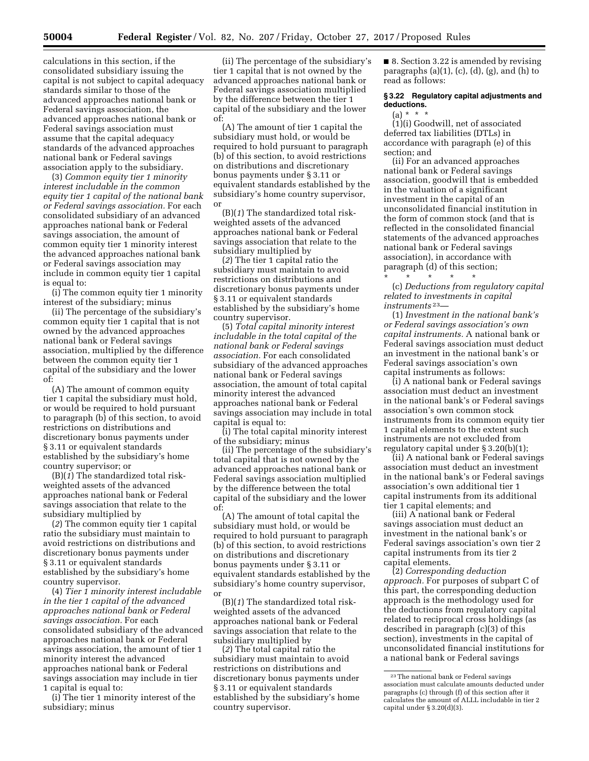calculations in this section, if the consolidated subsidiary issuing the capital is not subject to capital adequacy standards similar to those of the advanced approaches national bank or Federal savings association, the advanced approaches national bank or Federal savings association must assume that the capital adequacy standards of the advanced approaches national bank or Federal savings association apply to the subsidiary.

(3) *Common equity tier 1 minority interest includable in the common equity tier 1 capital of the national bank or Federal savings association.* For each consolidated subsidiary of an advanced approaches national bank or Federal savings association, the amount of common equity tier 1 minority interest the advanced approaches national bank or Federal savings association may include in common equity tier 1 capital is equal to:

(i) The common equity tier 1 minority interest of the subsidiary; minus

(ii) The percentage of the subsidiary's common equity tier 1 capital that is not owned by the advanced approaches national bank or Federal savings association, multiplied by the difference between the common equity tier 1 capital of the subsidiary and the lower of:

(A) The amount of common equity tier 1 capital the subsidiary must hold, or would be required to hold pursuant to paragraph (b) of this section, to avoid restrictions on distributions and discretionary bonus payments under § 3.11 or equivalent standards established by the subsidiary's home country supervisor; or

(B)(*1*) The standardized total riskweighted assets of the advanced approaches national bank or Federal savings association that relate to the subsidiary multiplied by

(*2*) The common equity tier 1 capital ratio the subsidiary must maintain to avoid restrictions on distributions and discretionary bonus payments under § 3.11 or equivalent standards established by the subsidiary's home country supervisor.

(4) *Tier 1 minority interest includable in the tier 1 capital of the advanced approaches national bank or Federal savings association.* For each consolidated subsidiary of the advanced approaches national bank or Federal savings association, the amount of tier 1 minority interest the advanced approaches national bank or Federal savings association may include in tier 1 capital is equal to:

(i) The tier 1 minority interest of the subsidiary; minus

(ii) The percentage of the subsidiary's tier 1 capital that is not owned by the advanced approaches national bank or Federal savings association multiplied by the difference between the tier 1 capital of the subsidiary and the lower of:

(A) The amount of tier 1 capital the subsidiary must hold, or would be required to hold pursuant to paragraph (b) of this section, to avoid restrictions on distributions and discretionary bonus payments under § 3.11 or equivalent standards established by the subsidiary's home country supervisor, or

(B)(*1*) The standardized total riskweighted assets of the advanced approaches national bank or Federal savings association that relate to the subsidiary multiplied by

(*2*) The tier 1 capital ratio the subsidiary must maintain to avoid restrictions on distributions and discretionary bonus payments under § 3.11 or equivalent standards established by the subsidiary's home country supervisor.

(5) *Total capital minority interest includable in the total capital of the national bank or Federal savings association.* For each consolidated subsidiary of the advanced approaches national bank or Federal savings association, the amount of total capital minority interest the advanced approaches national bank or Federal savings association may include in total capital is equal to:

(i) The total capital minority interest of the subsidiary; minus

(ii) The percentage of the subsidiary's total capital that is not owned by the advanced approaches national bank or Federal savings association multiplied by the difference between the total capital of the subsidiary and the lower of:

(A) The amount of total capital the subsidiary must hold, or would be required to hold pursuant to paragraph (b) of this section, to avoid restrictions on distributions and discretionary bonus payments under § 3.11 or equivalent standards established by the subsidiary's home country supervisor, or

(B)(*1*) The standardized total riskweighted assets of the advanced approaches national bank or Federal savings association that relate to the subsidiary multiplied by

(*2*) The total capital ratio the subsidiary must maintain to avoid restrictions on distributions and discretionary bonus payments under § 3.11 or equivalent standards established by the subsidiary's home country supervisor.

■ 8. Section 3.22 is amended by revising paragraphs  $(a)(1)$ ,  $(c)$ ,  $(d)$ ,  $(g)$ , and  $(h)$  to read as follows:

## **§ 3.22 Regulatory capital adjustments and deductions.**

 $(a) * * * *$ 

(1)(i) Goodwill, net of associated deferred tax liabilities (DTLs) in accordance with paragraph (e) of this section; and

(ii) For an advanced approaches national bank or Federal savings association, goodwill that is embedded in the valuation of a significant investment in the capital of an unconsolidated financial institution in the form of common stock (and that is reflected in the consolidated financial statements of the advanced approaches national bank or Federal savings association), in accordance with paragraph (d) of this section;

\* \* \* \* \* (c) *Deductions from regulatory capital related to investments in capital instruments* 23—

(1) *Investment in the national bank's or Federal savings association's own capital instruments.* A national bank or Federal savings association must deduct an investment in the national bank's or Federal savings association's own capital instruments as follows:

(i) A national bank or Federal savings association must deduct an investment in the national bank's or Federal savings association's own common stock instruments from its common equity tier 1 capital elements to the extent such instruments are not excluded from regulatory capital under § 3.20(b)(1);

(ii) A national bank or Federal savings association must deduct an investment in the national bank's or Federal savings association's own additional tier 1 capital instruments from its additional tier 1 capital elements; and

(iii) A national bank or Federal savings association must deduct an investment in the national bank's or Federal savings association's own tier 2 capital instruments from its tier 2 capital elements.

(2) *Corresponding deduction approach.* For purposes of subpart C of this part, the corresponding deduction approach is the methodology used for the deductions from regulatory capital related to reciprocal cross holdings (as described in paragraph (c)(3) of this section), investments in the capital of unconsolidated financial institutions for a national bank or Federal savings

<sup>23</sup>The national bank or Federal savings association must calculate amounts deducted under paragraphs (c) through (f) of this section after it calculates the amount of ALLL includable in tier 2 capital under § 3.20(d)(3).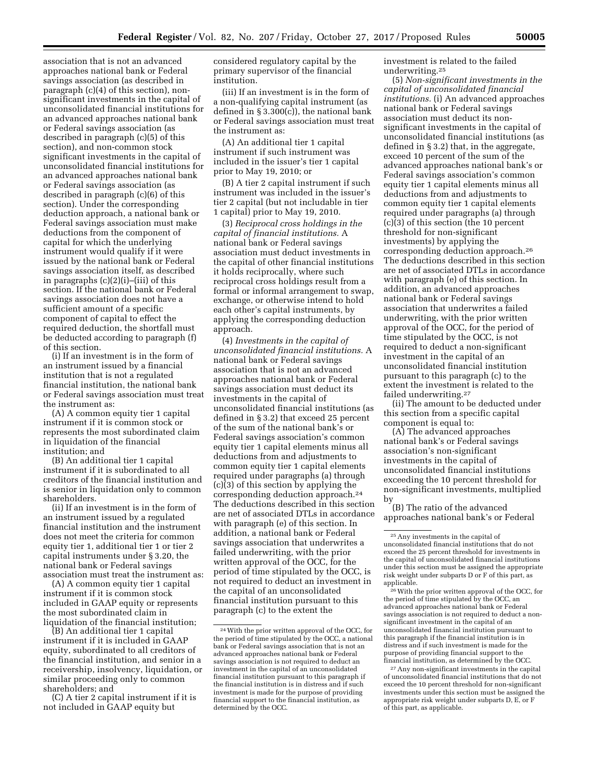association that is not an advanced approaches national bank or Federal savings association (as described in paragraph (c)(4) of this section), nonsignificant investments in the capital of unconsolidated financial institutions for an advanced approaches national bank or Federal savings association (as described in paragraph (c)(5) of this section), and non-common stock significant investments in the capital of unconsolidated financial institutions for an advanced approaches national bank or Federal savings association (as described in paragraph (c)(6) of this section). Under the corresponding deduction approach, a national bank or Federal savings association must make deductions from the component of capital for which the underlying instrument would qualify if it were issued by the national bank or Federal savings association itself, as described in paragraphs (c)(2)(i)–(iii) of this section. If the national bank or Federal savings association does not have a sufficient amount of a specific component of capital to effect the required deduction, the shortfall must be deducted according to paragraph (f) of this section.

(i) If an investment is in the form of an instrument issued by a financial institution that is not a regulated financial institution, the national bank or Federal savings association must treat the instrument as:

(A) A common equity tier 1 capital instrument if it is common stock or represents the most subordinated claim in liquidation of the financial institution; and

(B) An additional tier 1 capital instrument if it is subordinated to all creditors of the financial institution and is senior in liquidation only to common shareholders.

(ii) If an investment is in the form of an instrument issued by a regulated financial institution and the instrument does not meet the criteria for common equity tier 1, additional tier 1 or tier 2 capital instruments under § 3.20, the national bank or Federal savings association must treat the instrument as:

(A) A common equity tier 1 capital instrument if it is common stock included in GAAP equity or represents the most subordinated claim in liquidation of the financial institution;

(B) An additional tier 1 capital instrument if it is included in GAAP equity, subordinated to all creditors of the financial institution, and senior in a receivership, insolvency, liquidation, or similar proceeding only to common shareholders; and

(C) A tier 2 capital instrument if it is not included in GAAP equity but

considered regulatory capital by the primary supervisor of the financial institution.

(iii) If an investment is in the form of a non-qualifying capital instrument (as defined in § 3.300(c)), the national bank or Federal savings association must treat the instrument as:

(A) An additional tier 1 capital instrument if such instrument was included in the issuer's tier 1 capital prior to May 19, 2010; or

(B) A tier 2 capital instrument if such instrument was included in the issuer's tier 2 capital (but not includable in tier 1 capital) prior to May 19, 2010.

(3) *Reciprocal cross holdings in the capital of financial institutions.* A national bank or Federal savings association must deduct investments in the capital of other financial institutions it holds reciprocally, where such reciprocal cross holdings result from a formal or informal arrangement to swap, exchange, or otherwise intend to hold each other's capital instruments, by applying the corresponding deduction approach.

(4) *Investments in the capital of unconsolidated financial institutions.* A national bank or Federal savings association that is not an advanced approaches national bank or Federal savings association must deduct its investments in the capital of unconsolidated financial institutions (as defined in § 3.2) that exceed 25 percent of the sum of the national bank's or Federal savings association's common equity tier 1 capital elements minus all deductions from and adjustments to common equity tier 1 capital elements required under paragraphs (a) through (c)(3) of this section by applying the corresponding deduction approach.24 The deductions described in this section are net of associated DTLs in accordance with paragraph (e) of this section. In addition, a national bank or Federal savings association that underwrites a failed underwriting, with the prior written approval of the OCC, for the period of time stipulated by the OCC, is not required to deduct an investment in the capital of an unconsolidated financial institution pursuant to this paragraph (c) to the extent the

investment is related to the failed underwriting.25

(5) *Non-significant investments in the capital of unconsolidated financial institutions.* (i) An advanced approaches national bank or Federal savings association must deduct its nonsignificant investments in the capital of unconsolidated financial institutions (as defined in § 3.2) that, in the aggregate, exceed 10 percent of the sum of the advanced approaches national bank's or Federal savings association's common equity tier 1 capital elements minus all deductions from and adjustments to common equity tier 1 capital elements required under paragraphs (a) through (c)(3) of this section (the 10 percent threshold for non-significant investments) by applying the corresponding deduction approach.26 The deductions described in this section are net of associated DTLs in accordance with paragraph (e) of this section. In addition, an advanced approaches national bank or Federal savings association that underwrites a failed underwriting, with the prior written approval of the OCC, for the period of time stipulated by the OCC, is not required to deduct a non-significant investment in the capital of an unconsolidated financial institution pursuant to this paragraph (c) to the extent the investment is related to the failed underwriting.27

(ii) The amount to be deducted under this section from a specific capital component is equal to:

(A) The advanced approaches national bank's or Federal savings association's non-significant investments in the capital of unconsolidated financial institutions exceeding the 10 percent threshold for non-significant investments, multiplied by

(B) The ratio of the advanced approaches national bank's or Federal

<sup>24</sup>With the prior written approval of the OCC, for the period of time stipulated by the OCC, a national bank or Federal savings association that is not an advanced approaches national bank or Federal savings association is not required to deduct an investment in the capital of an unconsolidated financial institution pursuant to this paragraph if the financial institution is in distress and if such investment is made for the purpose of providing financial support to the financial institution, as determined by the OCC.

<sup>25</sup>Any investments in the capital of unconsolidated financial institutions that do not exceed the 25 percent threshold for investments in the capital of unconsolidated financial institutions under this section must be assigned the appropriate risk weight under subparts D or F of this part, as applicable.

<sup>&</sup>lt;sup>26</sup> With the prior written approval of the OCC, for the period of time stipulated by the OCC, an advanced approaches national bank or Federal savings association is not required to deduct a nonsignificant investment in the capital of an unconsolidated financial institution pursuant to this paragraph if the financial institution is in distress and if such investment is made for the purpose of providing financial support to the financial institution, as determined by the OCC.

<sup>27</sup>Any non-significant investments in the capital of unconsolidated financial institutions that do not exceed the 10 percent threshold for non-significant investments under this section must be assigned the appropriate risk weight under subparts D, E, or F of this part, as applicable.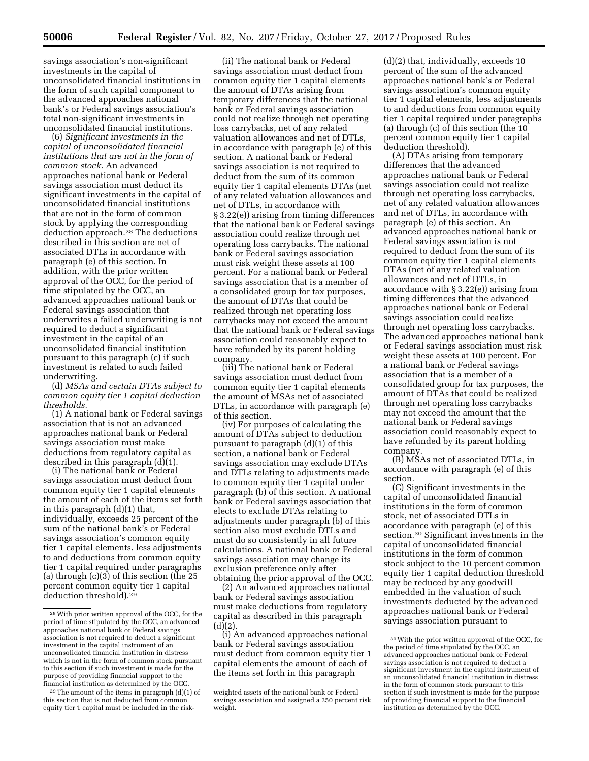savings association's non-significant investments in the capital of unconsolidated financial institutions in the form of such capital component to the advanced approaches national bank's or Federal savings association's total non-significant investments in unconsolidated financial institutions.

(6) *Significant investments in the capital of unconsolidated financial institutions that are not in the form of common stock.* An advanced approaches national bank or Federal savings association must deduct its significant investments in the capital of unconsolidated financial institutions that are not in the form of common stock by applying the corresponding deduction approach.28 The deductions described in this section are net of associated DTLs in accordance with paragraph (e) of this section. In addition, with the prior written approval of the OCC, for the period of time stipulated by the OCC, an advanced approaches national bank or Federal savings association that underwrites a failed underwriting is not required to deduct a significant investment in the capital of an unconsolidated financial institution pursuant to this paragraph (c) if such investment is related to such failed underwriting.

(d) *MSAs and certain DTAs subject to common equity tier 1 capital deduction thresholds.* 

(1) A national bank or Federal savings association that is not an advanced approaches national bank or Federal savings association must make deductions from regulatory capital as described in this paragraph (d)(1).

(i) The national bank or Federal savings association must deduct from common equity tier 1 capital elements the amount of each of the items set forth in this paragraph (d)(1) that, individually, exceeds 25 percent of the sum of the national bank's or Federal savings association's common equity tier 1 capital elements, less adjustments to and deductions from common equity tier 1 capital required under paragraphs (a) through (c)(3) of this section (the 25 percent common equity tier 1 capital deduction threshold).29

(ii) The national bank or Federal savings association must deduct from common equity tier 1 capital elements the amount of DTAs arising from temporary differences that the national bank or Federal savings association could not realize through net operating loss carrybacks, net of any related valuation allowances and net of DTLs, in accordance with paragraph (e) of this section. A national bank or Federal savings association is not required to deduct from the sum of its common equity tier 1 capital elements DTAs (net of any related valuation allowances and net of DTLs, in accordance with § 3.22(e)) arising from timing differences that the national bank or Federal savings association could realize through net operating loss carrybacks. The national bank or Federal savings association must risk weight these assets at 100 percent. For a national bank or Federal savings association that is a member of a consolidated group for tax purposes, the amount of DTAs that could be realized through net operating loss carrybacks may not exceed the amount that the national bank or Federal savings association could reasonably expect to have refunded by its parent holding company.

(iii) The national bank or Federal savings association must deduct from common equity tier 1 capital elements the amount of MSAs net of associated DTLs, in accordance with paragraph (e) of this section.

(iv) For purposes of calculating the amount of DTAs subject to deduction pursuant to paragraph (d)(1) of this section, a national bank or Federal savings association may exclude DTAs and DTLs relating to adjustments made to common equity tier 1 capital under paragraph (b) of this section. A national bank or Federal savings association that elects to exclude DTAs relating to adjustments under paragraph (b) of this section also must exclude DTLs and must do so consistently in all future calculations. A national bank or Federal savings association may change its exclusion preference only after obtaining the prior approval of the OCC.

(2) An advanced approaches national bank or Federal savings association must make deductions from regulatory capital as described in this paragraph  $(d)(2)$ .

(i) An advanced approaches national bank or Federal savings association must deduct from common equity tier 1 capital elements the amount of each of the items set forth in this paragraph

(d)(2) that, individually, exceeds 10 percent of the sum of the advanced approaches national bank's or Federal savings association's common equity tier 1 capital elements, less adjustments to and deductions from common equity tier 1 capital required under paragraphs (a) through (c) of this section (the 10 percent common equity tier 1 capital deduction threshold).

(A) DTAs arising from temporary differences that the advanced approaches national bank or Federal savings association could not realize through net operating loss carrybacks, net of any related valuation allowances and net of DTLs, in accordance with paragraph (e) of this section. An advanced approaches national bank or Federal savings association is not required to deduct from the sum of its common equity tier 1 capital elements DTAs (net of any related valuation allowances and net of DTLs, in accordance with § 3.22(e)) arising from timing differences that the advanced approaches national bank or Federal savings association could realize through net operating loss carrybacks. The advanced approaches national bank or Federal savings association must risk weight these assets at 100 percent. For a national bank or Federal savings association that is a member of a consolidated group for tax purposes, the amount of DTAs that could be realized through net operating loss carrybacks may not exceed the amount that the national bank or Federal savings association could reasonably expect to have refunded by its parent holding company.

(B) MSAs net of associated DTLs, in accordance with paragraph (e) of this section.

(C) Significant investments in the capital of unconsolidated financial institutions in the form of common stock, net of associated DTLs in accordance with paragraph (e) of this section.30 Significant investments in the capital of unconsolidated financial institutions in the form of common stock subject to the 10 percent common equity tier 1 capital deduction threshold may be reduced by any goodwill embedded in the valuation of such investments deducted by the advanced approaches national bank or Federal savings association pursuant to

<sup>28</sup>With prior written approval of the OCC, for the period of time stipulated by the OCC, an advanced approaches national bank or Federal savings association is not required to deduct a significant investment in the capital instrument of an unconsolidated financial institution in distress which is not in the form of common stock pursuant to this section if such investment is made for the purpose of providing financial support to the financial institution as determined by the OCC.

 $29$  The amount of the items in paragraph (d)(1) of this section that is not deducted from common equity tier 1 capital must be included in the risk-

weighted assets of the national bank or Federal savings association and assigned a 250 percent risk weight.

<sup>30</sup>With the prior written approval of the OCC, for the period of time stipulated by the OCC, an advanced approaches national bank or Federal savings association is not required to deduct a significant investment in the capital instrument of an unconsolidated financial institution in distress in the form of common stock pursuant to this section if such investment is made for the purpose of providing financial support to the financial institution as determined by the OCC.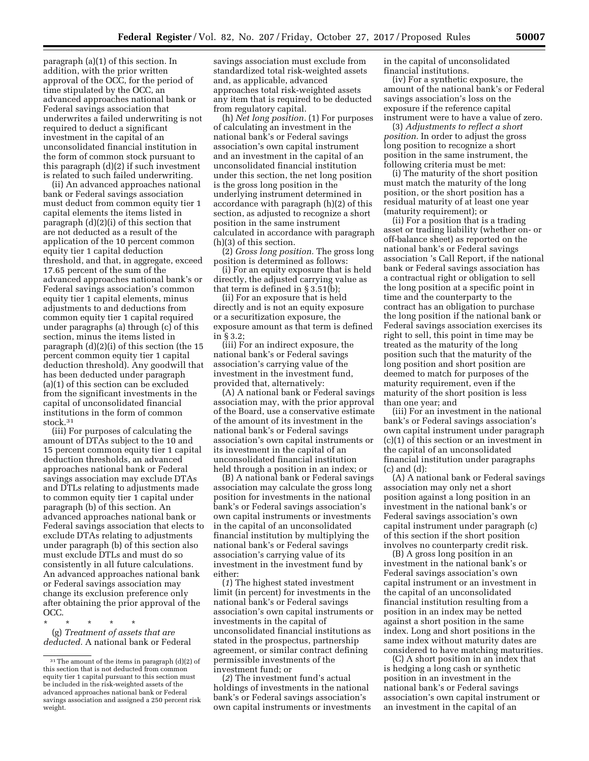paragraph (a)(1) of this section. In addition, with the prior written approval of the OCC, for the period of time stipulated by the OCC, an advanced approaches national bank or Federal savings association that underwrites a failed underwriting is not required to deduct a significant investment in the capital of an unconsolidated financial institution in the form of common stock pursuant to this paragraph (d)(2) if such investment is related to such failed underwriting.

(ii) An advanced approaches national bank or Federal savings association must deduct from common equity tier 1 capital elements the items listed in paragraph (d)(2)(i) of this section that are not deducted as a result of the application of the 10 percent common equity tier 1 capital deduction threshold, and that, in aggregate, exceed 17.65 percent of the sum of the advanced approaches national bank's or Federal savings association's common equity tier 1 capital elements, minus adjustments to and deductions from common equity tier 1 capital required under paragraphs (a) through (c) of this section, minus the items listed in paragraph (d)(2)(i) of this section (the 15 percent common equity tier 1 capital deduction threshold). Any goodwill that has been deducted under paragraph (a)(1) of this section can be excluded from the significant investments in the capital of unconsolidated financial institutions in the form of common stock.31

(iii) For purposes of calculating the amount of DTAs subject to the 10 and 15 percent common equity tier 1 capital deduction thresholds, an advanced approaches national bank or Federal savings association may exclude DTAs and DTLs relating to adjustments made to common equity tier 1 capital under paragraph (b) of this section. An advanced approaches national bank or Federal savings association that elects to exclude DTAs relating to adjustments under paragraph (b) of this section also must exclude DTLs and must do so consistently in all future calculations. An advanced approaches national bank or Federal savings association may change its exclusion preference only after obtaining the prior approval of the OCC.

\* \* \* \* \* (g) *Treatment of assets that are deducted.* A national bank or Federal savings association must exclude from standardized total risk-weighted assets and, as applicable, advanced approaches total risk-weighted assets any item that is required to be deducted from regulatory capital.

(h) *Net long position.* (1) For purposes of calculating an investment in the national bank's or Federal savings association's own capital instrument and an investment in the capital of an unconsolidated financial institution under this section, the net long position is the gross long position in the underlying instrument determined in accordance with paragraph (h)(2) of this section, as adjusted to recognize a short position in the same instrument calculated in accordance with paragraph (h)(3) of this section.

(2) *Gross long position.* The gross long position is determined as follows:

(i) For an equity exposure that is held directly, the adjusted carrying value as that term is defined in § 3.51(b);

(ii) For an exposure that is held directly and is not an equity exposure or a securitization exposure, the exposure amount as that term is defined in § 3.2;

(iii) For an indirect exposure, the national bank's or Federal savings association's carrying value of the investment in the investment fund, provided that, alternatively:

(A) A national bank or Federal savings association may, with the prior approval of the Board, use a conservative estimate of the amount of its investment in the national bank's or Federal savings association's own capital instruments or its investment in the capital of an unconsolidated financial institution held through a position in an index; or

(B) A national bank or Federal savings association may calculate the gross long position for investments in the national bank's or Federal savings association's own capital instruments or investments in the capital of an unconsolidated financial institution by multiplying the national bank's or Federal savings association's carrying value of its investment in the investment fund by either:

(*1*) The highest stated investment limit (in percent) for investments in the national bank's or Federal savings association's own capital instruments or investments in the capital of unconsolidated financial institutions as stated in the prospectus, partnership agreement, or similar contract defining permissible investments of the investment fund; or

(*2*) The investment fund's actual holdings of investments in the national bank's or Federal savings association's own capital instruments or investments in the capital of unconsolidated financial institutions.

(iv) For a synthetic exposure, the amount of the national bank's or Federal savings association's loss on the exposure if the reference capital instrument were to have a value of zero.

(3) *Adjustments to reflect a short position.* In order to adjust the gross long position to recognize a short position in the same instrument, the following criteria must be met:

(i) The maturity of the short position must match the maturity of the long position, or the short position has a residual maturity of at least one year (maturity requirement); or

(ii) For a position that is a trading asset or trading liability (whether on- or off-balance sheet) as reported on the national bank's or Federal savings association 's Call Report, if the national bank or Federal savings association has a contractual right or obligation to sell the long position at a specific point in time and the counterparty to the contract has an obligation to purchase the long position if the national bank or Federal savings association exercises its right to sell, this point in time may be treated as the maturity of the long position such that the maturity of the long position and short position are deemed to match for purposes of the maturity requirement, even if the maturity of the short position is less than one year; and

(iii) For an investment in the national bank's or Federal savings association's own capital instrument under paragraph (c)(1) of this section or an investment in the capital of an unconsolidated financial institution under paragraphs (c) and (d):

(A) A national bank or Federal savings association may only net a short position against a long position in an investment in the national bank's or Federal savings association's own capital instrument under paragraph (c) of this section if the short position involves no counterparty credit risk.

(B) A gross long position in an investment in the national bank's or Federal savings association's own capital instrument or an investment in the capital of an unconsolidated financial institution resulting from a position in an index may be netted against a short position in the same index. Long and short positions in the same index without maturity dates are considered to have matching maturities.

(C) A short position in an index that is hedging a long cash or synthetic position in an investment in the national bank's or Federal savings association's own capital instrument or an investment in the capital of an

<sup>31</sup>The amount of the items in paragraph (d)(2) of this section that is not deducted from common equity tier 1 capital pursuant to this section must be included in the risk-weighted assets of the advanced approaches national bank or Federal savings association and assigned a 250 percent risk weight.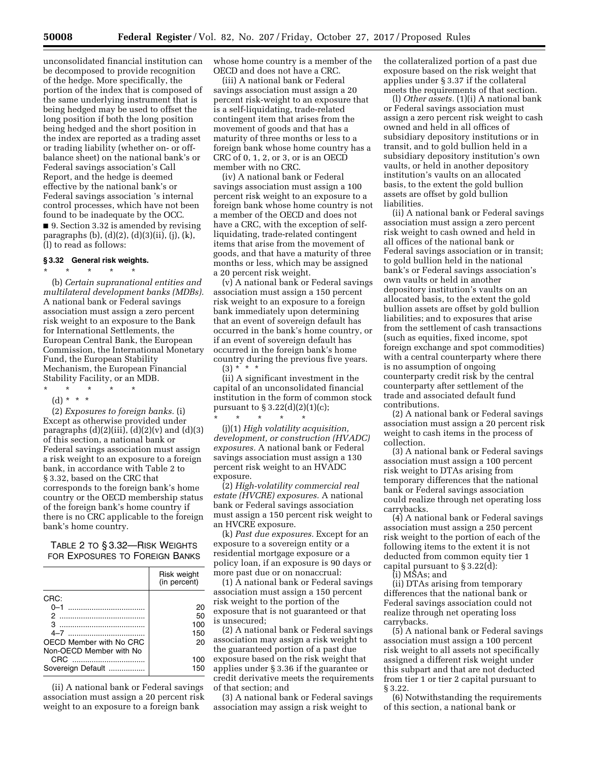unconsolidated financial institution can be decomposed to provide recognition of the hedge. More specifically, the portion of the index that is composed of the same underlying instrument that is being hedged may be used to offset the long position if both the long position being hedged and the short position in the index are reported as a trading asset or trading liability (whether on- or offbalance sheet) on the national bank's or Federal savings association's Call Report, and the hedge is deemed effective by the national bank's or Federal savings association 's internal control processes, which have not been found to be inadequate by the OCC. ■ 9. Section 3.32 is amended by revising

paragraphs (b), (d)(2), (d)(3)(ii), (j), (k), (l) to read as follows:

## **§ 3.32 General risk weights.**  \* \* \* \* \*

(b) *Certain supranational entities and multilateral development banks (MDBs).*  A national bank or Federal savings association must assign a zero percent risk weight to an exposure to the Bank for International Settlements, the European Central Bank, the European Commission, the International Monetary Fund, the European Stability Mechanism, the European Financial Stability Facility, or an MDB. \* \* \* \* \*

(d) \* \* \*

(2) *Exposures to foreign banks.* (i) Except as otherwise provided under paragraphs  $(d)(2)(iii)$ ,  $(d)(2)(v)$  and  $(d)(3)$ of this section, a national bank or Federal savings association must assign a risk weight to an exposure to a foreign bank, in accordance with Table 2 to § 3.32, based on the CRC that corresponds to the foreign bank's home country or the OECD membership status of the foreign bank's home country if there is no CRC applicable to the foreign bank's home country.

TABLE 2 TO § 3.32—RISK WEIGHTS FOR EXPOSURES TO FOREIGN BANKS

|                         | Risk weight<br>(in percent) |
|-------------------------|-----------------------------|
| CRC:                    |                             |
| $0 - 1$                 | 20                          |
| っ                       | 50                          |
| я                       | 100                         |
| 4–7                     | 150                         |
| OECD Member with No CRC | 20                          |
| Non-OECD Member with No |                             |
| CRC.                    | 100                         |
| Sovereign Default       | 150                         |

(ii) A national bank or Federal savings association must assign a 20 percent risk weight to an exposure to a foreign bank

whose home country is a member of the OECD and does not have a CRC.

(iii) A national bank or Federal savings association must assign a 20 percent risk-weight to an exposure that is a self-liquidating, trade-related contingent item that arises from the movement of goods and that has a maturity of three months or less to a foreign bank whose home country has a CRC of 0, 1, 2, or 3, or is an OECD member with no CRC.

(iv) A national bank or Federal savings association must assign a 100 percent risk weight to an exposure to a foreign bank whose home country is not a member of the OECD and does not have a CRC, with the exception of selfliquidating, trade-related contingent items that arise from the movement of goods, and that have a maturity of three months or less, which may be assigned a 20 percent risk weight.

(v) A national bank or Federal savings association must assign a 150 percent risk weight to an exposure to a foreign bank immediately upon determining that an event of sovereign default has occurred in the bank's home country, or if an event of sovereign default has occurred in the foreign bank's home country during the previous five years.  $(3) * * * *$ 

(ii) A significant investment in the capital of an unconsolidated financial institution in the form of common stock pursuant to  $\S 3.22(d)(2)(1)(c);$ 

\* \* \* \* \* (j)(1) *High volatility acquisition, development, or construction (HVADC) exposures.* A national bank or Federal savings association must assign a 130 percent risk weight to an HVADC exposure.

(2) *High-volatility commercial real estate (HVCRE) exposures.* A national bank or Federal savings association must assign a 150 percent risk weight to an HVCRE exposure.

(k) *Past due exposures.* Except for an exposure to a sovereign entity or a residential mortgage exposure or a policy loan, if an exposure is 90 days or more past due or on nonaccrual:

(1) A national bank or Federal savings association must assign a 150 percent risk weight to the portion of the exposure that is not guaranteed or that is unsecured;

(2) A national bank or Federal savings association may assign a risk weight to the guaranteed portion of a past due exposure based on the risk weight that applies under § 3.36 if the guarantee or credit derivative meets the requirements of that section; and

(3) A national bank or Federal savings association may assign a risk weight to

the collateralized portion of a past due exposure based on the risk weight that applies under § 3.37 if the collateral meets the requirements of that section.

(l) *Other assets.* (1)(i) A national bank or Federal savings association must assign a zero percent risk weight to cash owned and held in all offices of subsidiary depository institutions or in transit, and to gold bullion held in a subsidiary depository institution's own vaults, or held in another depository institution's vaults on an allocated basis, to the extent the gold bullion assets are offset by gold bullion liabilities.

(ii) A national bank or Federal savings association must assign a zero percent risk weight to cash owned and held in all offices of the national bank or Federal savings association or in transit; to gold bullion held in the national bank's or Federal savings association's own vaults or held in another depository institution's vaults on an allocated basis, to the extent the gold bullion assets are offset by gold bullion liabilities; and to exposures that arise from the settlement of cash transactions (such as equities, fixed income, spot foreign exchange and spot commodities) with a central counterparty where there is no assumption of ongoing counterparty credit risk by the central counterparty after settlement of the trade and associated default fund contributions.

(2) A national bank or Federal savings association must assign a 20 percent risk weight to cash items in the process of collection.

(3) A national bank or Federal savings association must assign a 100 percent risk weight to DTAs arising from temporary differences that the national bank or Federal savings association could realize through net operating loss carrybacks.

(4) A national bank or Federal savings association must assign a 250 percent risk weight to the portion of each of the following items to the extent it is not deducted from common equity tier 1 capital pursuant to § 3.22(d):

(i) MSAs; and

(ii) DTAs arising from temporary differences that the national bank or Federal savings association could not realize through net operating loss carrybacks.

(5) A national bank or Federal savings association must assign a 100 percent risk weight to all assets not specifically assigned a different risk weight under this subpart and that are not deducted from tier 1 or tier 2 capital pursuant to § 3.22.

(6) Notwithstanding the requirements of this section, a national bank or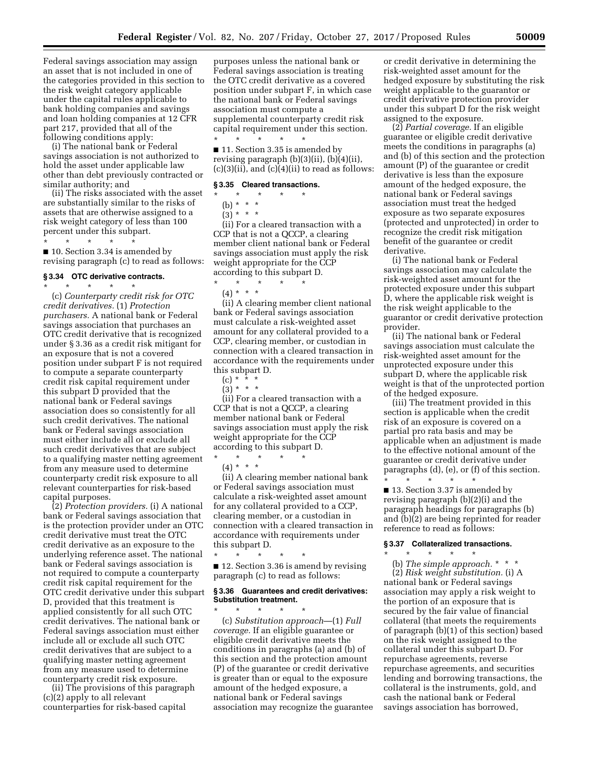Federal savings association may assign an asset that is not included in one of the categories provided in this section to the risk weight category applicable under the capital rules applicable to bank holding companies and savings and loan holding companies at 12 CFR part 217, provided that all of the following conditions apply:

(i) The national bank or Federal savings association is not authorized to hold the asset under applicable law other than debt previously contracted or similar authority; and

(ii) The risks associated with the asset are substantially similar to the risks of assets that are otherwise assigned to a risk weight category of less than 100 percent under this subpart. \* \* \* \* \*

■ 10. Section 3.34 is amended by revising paragraph (c) to read as follows:

#### **§ 3.34 OTC derivative contracts.**  \* \* \* \* \*

(c) *Counterparty credit risk for OTC credit derivatives.* (1) *Protection purchasers.* A national bank or Federal savings association that purchases an OTC credit derivative that is recognized under § 3.36 as a credit risk mitigant for an exposure that is not a covered position under subpart F is not required to compute a separate counterparty credit risk capital requirement under this subpart D provided that the national bank or Federal savings association does so consistently for all such credit derivatives. The national bank or Federal savings association must either include all or exclude all such credit derivatives that are subject to a qualifying master netting agreement from any measure used to determine counterparty credit risk exposure to all relevant counterparties for risk-based capital purposes.

(2) *Protection providers.* (i) A national bank or Federal savings association that is the protection provider under an OTC credit derivative must treat the OTC credit derivative as an exposure to the underlying reference asset. The national bank or Federal savings association is not required to compute a counterparty credit risk capital requirement for the OTC credit derivative under this subpart D, provided that this treatment is applied consistently for all such OTC credit derivatives. The national bank or Federal savings association must either include all or exclude all such OTC credit derivatives that are subject to a qualifying master netting agreement from any measure used to determine counterparty credit risk exposure.

(ii) The provisions of this paragraph (c)(2) apply to all relevant counterparties for risk-based capital

purposes unless the national bank or Federal savings association is treating the OTC credit derivative as a covered position under subpart F, in which case the national bank or Federal savings association must compute a supplemental counterparty credit risk capital requirement under this section.

\* \* \* \* \* ■ 11. Section 3.35 is amended by revising paragraph (b)(3)(ii), (b)(4)(ii),  $(c)(3)(ii)$ , and  $(c)(4)(ii)$  to read as follows:

#### **§ 3.35 Cleared transactions.**

- \* \* \* \* \*
	- (b) \* \* \*
	- $(3) * * * *$

(ii) For a cleared transaction with a CCP that is not a QCCP, a clearing member client national bank or Federal savings association must apply the risk weight appropriate for the CCP according to this subpart D.

# \* \* \* \* \*

(4) \* \* \*

(ii) A clearing member client national bank or Federal savings association must calculate a risk-weighted asset amount for any collateral provided to a CCP, clearing member, or custodian in connection with a cleared transaction in accordance with the requirements under this subpart D.

 $(c) * * * *$ 

 $(3) * * * *$ 

(ii) For a cleared transaction with a CCP that is not a QCCP, a clearing member national bank or Federal savings association must apply the risk weight appropriate for the CCP according to this subpart D.

\* \* \* \* \* (4) \* \* \*

\* \* \* \* \*

(ii) A clearing member national bank or Federal savings association must calculate a risk-weighted asset amount for any collateral provided to a CCP, clearing member, or a custodian in connection with a cleared transaction in accordance with requirements under this subpart D.

\* \* \* \* \* ■ 12. Section 3.36 is amend by revising paragraph (c) to read as follows:

#### **§ 3.36 Guarantees and credit derivatives: Substitution treatment.**

(c) *Substitution approach*—(1) *Full coverage.* If an eligible guarantee or eligible credit derivative meets the conditions in paragraphs (a) and (b) of this section and the protection amount (P) of the guarantee or credit derivative is greater than or equal to the exposure amount of the hedged exposure, a national bank or Federal savings association may recognize the guarantee or credit derivative in determining the risk-weighted asset amount for the hedged exposure by substituting the risk weight applicable to the guarantor or credit derivative protection provider under this subpart D for the risk weight assigned to the exposure.

(2) *Partial coverage.* If an eligible guarantee or eligible credit derivative meets the conditions in paragraphs (a) and (b) of this section and the protection amount (P) of the guarantee or credit derivative is less than the exposure amount of the hedged exposure, the national bank or Federal savings association must treat the hedged exposure as two separate exposures (protected and unprotected) in order to recognize the credit risk mitigation benefit of the guarantee or credit derivative.

(i) The national bank or Federal savings association may calculate the risk-weighted asset amount for the protected exposure under this subpart D, where the applicable risk weight is the risk weight applicable to the guarantor or credit derivative protection provider.

(ii) The national bank or Federal savings association must calculate the risk-weighted asset amount for the unprotected exposure under this subpart D, where the applicable risk weight is that of the unprotected portion of the hedged exposure.

(iii) The treatment provided in this section is applicable when the credit risk of an exposure is covered on a partial pro rata basis and may be applicable when an adjustment is made to the effective notional amount of the guarantee or credit derivative under paragraphs (d), (e), or (f) of this section. \* \* \* \* \*

■ 13. Section 3.37 is amended by revising paragraph (b)(2)(i) and the paragraph headings for paragraphs (b) and (b)(2) are being reprinted for reader reference to read as follows:

## **§ 3.37 Collateralized transactions.**

\* \* \* \* \*

(b) *The simple approach.* \* \* \* (2) *Risk weight substitution.* (i) A national bank or Federal savings association may apply a risk weight to the portion of an exposure that is secured by the fair value of financial collateral (that meets the requirements of paragraph (b)(1) of this section) based on the risk weight assigned to the collateral under this subpart D. For repurchase agreements, reverse repurchase agreements, and securities lending and borrowing transactions, the collateral is the instruments, gold, and cash the national bank or Federal savings association has borrowed,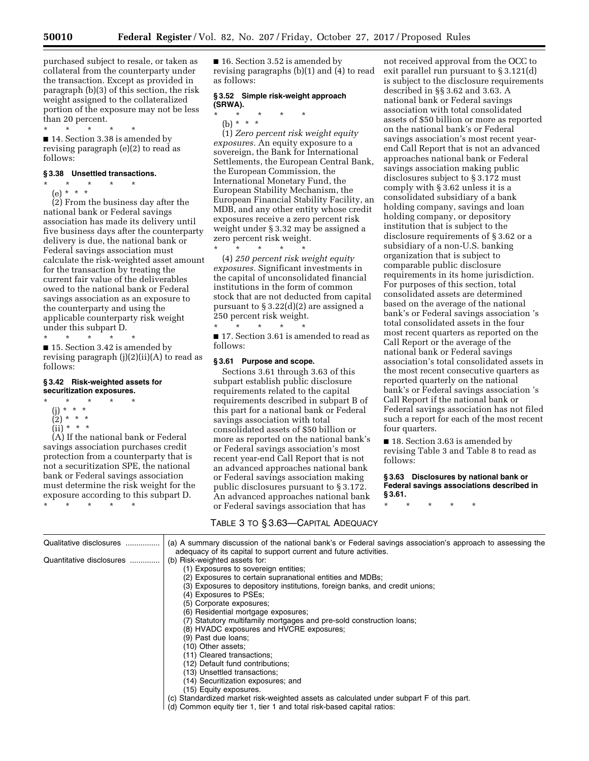purchased subject to resale, or taken as collateral from the counterparty under the transaction. Except as provided in paragraph (b)(3) of this section, the risk weight assigned to the collateralized portion of the exposure may not be less than 20 percent.

■ 14. Section 3.38 is amended by revising paragraph (e)(2) to read as follows:

#### **§ 3.38 Unsettled transactions.**

\* \* \* \* \* (e) \* \* \*

 $\star$   $\star$ 

(2) From the business day after the national bank or Federal savings association has made its delivery until five business days after the counterparty delivery is due, the national bank or Federal savings association must calculate the risk-weighted asset amount for the transaction by treating the current fair value of the deliverables owed to the national bank or Federal savings association as an exposure to the counterparty and using the applicable counterparty risk weight under this subpart D.

\* \* \* \* \* ■ 15. Section 3.42 is amended by revising paragraph (j)(2)(ii)(A) to read as follows:

#### **§ 3.42 Risk-weighted assets for securitization exposures.**

\* \* \* \* \*

- (j) \* \* \*
- (2) \* \* \*  $(ii) * * * *$
- 

(A) If the national bank or Federal savings association purchases credit protection from a counterparty that is not a securitization SPE, the national bank or Federal savings association must determine the risk weight for the exposure according to this subpart D. \* \* \* \* \*

■ 16. Section 3.52 is amended by revising paragraphs (b)(1) and (4) to read as follows:

## **§ 3.52 Simple risk-weight approach (SRWA).**

\* \* \* \* \*

(b) \* \* \*

(1) *Zero percent risk weight equity exposures.* An equity exposure to a sovereign, the Bank for International Settlements, the European Central Bank, the European Commission, the International Monetary Fund, the European Stability Mechanism, the European Financial Stability Facility, an MDB, and any other entity whose credit exposures receive a zero percent risk weight under § 3.32 may be assigned a zero percent risk weight. \* \* \* \* \*

(4) *250 percent risk weight equity exposures.* Significant investments in the capital of unconsolidated financial institutions in the form of common stock that are not deducted from capital pursuant to § 3.22(d)(2) are assigned a 250 percent risk weight. \* \* \* \* \*

■ 17. Section 3.61 is amended to read as follows:

#### **§ 3.61 Purpose and scope.**

Sections 3.61 through 3.63 of this subpart establish public disclosure requirements related to the capital requirements described in subpart B of this part for a national bank or Federal savings association with total consolidated assets of \$50 billion or more as reported on the national bank's or Federal savings association's most recent year-end Call Report that is not an advanced approaches national bank or Federal savings association making public disclosures pursuant to § 3.172. An advanced approaches national bank or Federal savings association that has

not received approval from the OCC to exit parallel run pursuant to § 3.121(d) is subject to the disclosure requirements described in §§ 3.62 and 3.63. A national bank or Federal savings association with total consolidated assets of \$50 billion or more as reported on the national bank's or Federal savings association's most recent yearend Call Report that is not an advanced approaches national bank or Federal savings association making public disclosures subject to § 3.172 must comply with § 3.62 unless it is a consolidated subsidiary of a bank holding company, savings and loan holding company, or depository institution that is subject to the disclosure requirements of § 3.62 or a subsidiary of a non-U.S. banking organization that is subject to comparable public disclosure requirements in its home jurisdiction. For purposes of this section, total consolidated assets are determined based on the average of the national bank's or Federal savings association 's total consolidated assets in the four most recent quarters as reported on the Call Report or the average of the national bank or Federal savings association's total consolidated assets in the most recent consecutive quarters as reported quarterly on the national bank's or Federal savings association 's Call Report if the national bank or Federal savings association has not filed such a report for each of the most recent four quarters.

■ 18. Section 3.63 is amended by revising Table 3 and Table 8 to read as follows:

**§ 3.63 Disclosures by national bank or Federal savings associations described in § 3.61.** 

\* \* \* \* \*

| TABLE 3 TO § 3.63-CAPITAL ADEQUACY |                                                                                                                                                                                 |  |
|------------------------------------|---------------------------------------------------------------------------------------------------------------------------------------------------------------------------------|--|
| Qualitative disclosures            | (a) A summary discussion of the national bank's or Federal savings association's approach to assessing the<br>adequacy of its capital to support current and future activities. |  |
| Quantitative disclosures           | (b) Risk-weighted assets for:                                                                                                                                                   |  |
|                                    | (1) Exposures to sovereign entities;                                                                                                                                            |  |
|                                    | (2) Exposures to certain supranational entities and MDBs;                                                                                                                       |  |
|                                    | (3) Exposures to depository institutions, foreign banks, and credit unions;                                                                                                     |  |
|                                    | (4) Exposures to PSEs;                                                                                                                                                          |  |
|                                    | (5) Corporate exposures;                                                                                                                                                        |  |
|                                    | (6) Residential mortgage exposures;                                                                                                                                             |  |
|                                    | (7) Statutory multifamily mortgages and pre-sold construction loans;                                                                                                            |  |
|                                    | (8) HVADC exposures and HVCRE exposures;                                                                                                                                        |  |
|                                    | (9) Past due loans;                                                                                                                                                             |  |
|                                    | (10) Other assets;                                                                                                                                                              |  |
|                                    | (11) Cleared transactions;                                                                                                                                                      |  |
|                                    | (12) Default fund contributions;                                                                                                                                                |  |
|                                    | (13) Unsettled transactions;                                                                                                                                                    |  |
|                                    | (14) Securitization exposures; and                                                                                                                                              |  |
|                                    | (15) Equity exposures.                                                                                                                                                          |  |
|                                    | (c) Standardized market risk-weighted assets as calculated under subpart F of this part.                                                                                        |  |
|                                    | (d) Common equity tier 1, tier 1 and total risk-based capital ratios:                                                                                                           |  |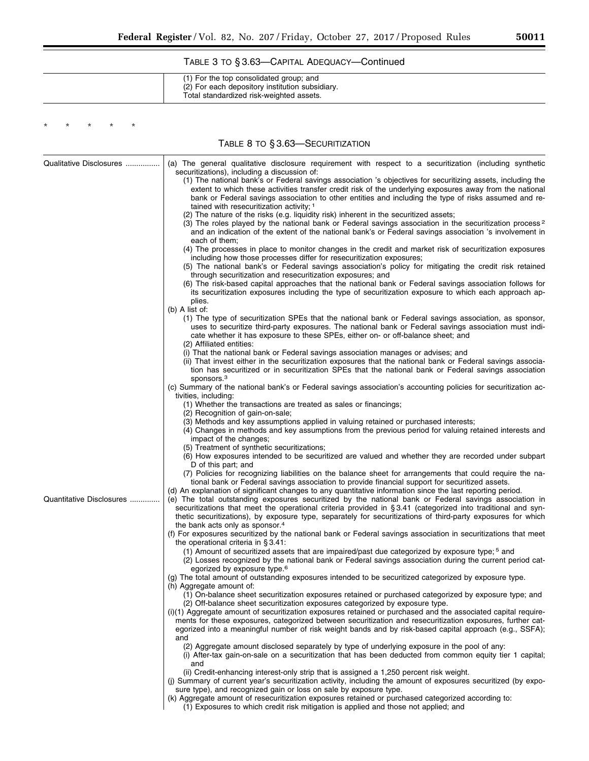# TABLE 3 TO § 3.63—CAPITAL ADEQUACY—Continued

| (1) For the top consolidated group; and<br>(2) For each depository institution subsidiary.<br>Total standardized risk-weighted assets. |
|----------------------------------------------------------------------------------------------------------------------------------------|
|----------------------------------------------------------------------------------------------------------------------------------------|

TABLE 8 TO § 3.63—SECURITIZATION

\* \* \* \* \*

| Qualitative Disclosures  | (a) The general qualitative disclosure requirement with respect to a securitization (including synthetic<br>securitizations), including a discussion of:                                                                                                                                            |
|--------------------------|-----------------------------------------------------------------------------------------------------------------------------------------------------------------------------------------------------------------------------------------------------------------------------------------------------|
|                          | (1) The national bank's or Federal savings association 's objectives for securitizing assets, including the<br>extent to which these activities transfer credit risk of the underlying exposures away from the national                                                                             |
|                          | bank or Federal savings association to other entities and including the type of risks assumed and re-<br>tained with resecuritization activity; 1                                                                                                                                                   |
|                          | (2) The nature of the risks (e.g. liquidity risk) inherent in the securitized assets;                                                                                                                                                                                                               |
|                          | (3) The roles played by the national bank or Federal savings association in the securitization process <sup>2</sup><br>and an indication of the extent of the national bank's or Federal savings association 's involvement in                                                                      |
|                          | each of them;                                                                                                                                                                                                                                                                                       |
|                          | (4) The processes in place to monitor changes in the credit and market risk of securitization exposures<br>including how those processes differ for resecuritization exposures;                                                                                                                     |
|                          | (5) The national bank's or Federal savings association's policy for mitigating the credit risk retained<br>through securitization and resecuritization exposures; and                                                                                                                               |
|                          | (6) The risk-based capital approaches that the national bank or Federal savings association follows for                                                                                                                                                                                             |
|                          | its securitization exposures including the type of securitization exposure to which each approach ap-<br>plies.                                                                                                                                                                                     |
|                          | (b) $A$ list of:                                                                                                                                                                                                                                                                                    |
|                          | (1) The type of securitization SPEs that the national bank or Federal savings association, as sponsor,<br>uses to securitize third-party exposures. The national bank or Federal savings association must indi-<br>cate whether it has exposure to these SPEs, either on- or off-balance sheet; and |
|                          | (2) Affiliated entities:                                                                                                                                                                                                                                                                            |
|                          | (i) That the national bank or Federal savings association manages or advises; and                                                                                                                                                                                                                   |
|                          | (ii) That invest either in the securitization exposures that the national bank or Federal savings associa-<br>tion has securitized or in securitization SPEs that the national bank or Federal savings association                                                                                  |
|                          | sponsors. <sup>3</sup><br>(c) Summary of the national bank's or Federal savings association's accounting policies for securitization ac-                                                                                                                                                            |
|                          | tivities, including:                                                                                                                                                                                                                                                                                |
|                          | (1) Whether the transactions are treated as sales or financings;                                                                                                                                                                                                                                    |
|                          | (2) Recognition of gain-on-sale;<br>(3) Methods and key assumptions applied in valuing retained or purchased interests;                                                                                                                                                                             |
|                          | (4) Changes in methods and key assumptions from the previous period for valuing retained interests and<br>impact of the changes;                                                                                                                                                                    |
|                          | (5) Treatment of synthetic securitizations;<br>(6) How exposures intended to be securitized are valued and whether they are recorded under subpart                                                                                                                                                  |
|                          | D of this part; and                                                                                                                                                                                                                                                                                 |
|                          | (7) Policies for recognizing liabilities on the balance sheet for arrangements that could require the na-                                                                                                                                                                                           |
|                          | tional bank or Federal savings association to provide financial support for securitized assets.<br>(d) An explanation of significant changes to any quantitative information since the last reporting period.                                                                                       |
| Quantitative Disclosures | (e) The total outstanding exposures securitized by the national bank or Federal savings association in                                                                                                                                                                                              |
|                          | securitizations that meet the operational criteria provided in §3.41 (categorized into traditional and syn-                                                                                                                                                                                         |
|                          | thetic securitizations), by exposure type, separately for securitizations of third-party exposures for which<br>the bank acts only as sponsor. <sup>4</sup>                                                                                                                                         |
|                          | (f) For exposures securitized by the national bank or Federal savings association in securitizations that meet<br>the operational criteria in $\S 3.41$ :                                                                                                                                           |
|                          | (1) Amount of securitized assets that are impaired/past due categorized by exposure type; <sup>5</sup> and                                                                                                                                                                                          |
|                          | (2) Losses recognized by the national bank or Federal savings association during the current period cat-<br>egorized by exposure type. <sup>6</sup>                                                                                                                                                 |
|                          | (g) The total amount of outstanding exposures intended to be securitized categorized by exposure type.                                                                                                                                                                                              |
|                          | (h) Aggregate amount of:                                                                                                                                                                                                                                                                            |
|                          | (1) On-balance sheet securitization exposures retained or purchased categorized by exposure type; and<br>(2) Off-balance sheet securitization exposures categorized by exposure type.                                                                                                               |
|                          | (i)(1) Aggregate amount of securitization exposures retained or purchased and the associated capital require-                                                                                                                                                                                       |
|                          | ments for these exposures, categorized between securitization and resecuritization exposures, further cat-<br>egorized into a meaningful number of risk weight bands and by risk-based capital approach (e.g., SSFA);                                                                               |
|                          | and<br>(2) Aggregate amount disclosed separately by type of underlying exposure in the pool of any:                                                                                                                                                                                                 |
|                          | (i) After-tax gain-on-sale on a securitization that has been deducted from common equity tier 1 capital;<br>and                                                                                                                                                                                     |
|                          | (ii) Credit-enhancing interest-only strip that is assigned a 1,250 percent risk weight.                                                                                                                                                                                                             |
|                          | (i) Summary of current year's securitization activity, including the amount of exposures securitized (by expo-<br>sure type), and recognized gain or loss on sale by exposure type.                                                                                                                 |
|                          | (k) Aggregate amount of resecuritization exposures retained or purchased categorized according to:                                                                                                                                                                                                  |
|                          | (1) Exposures to which credit risk mitigation is applied and those not applied; and                                                                                                                                                                                                                 |

▀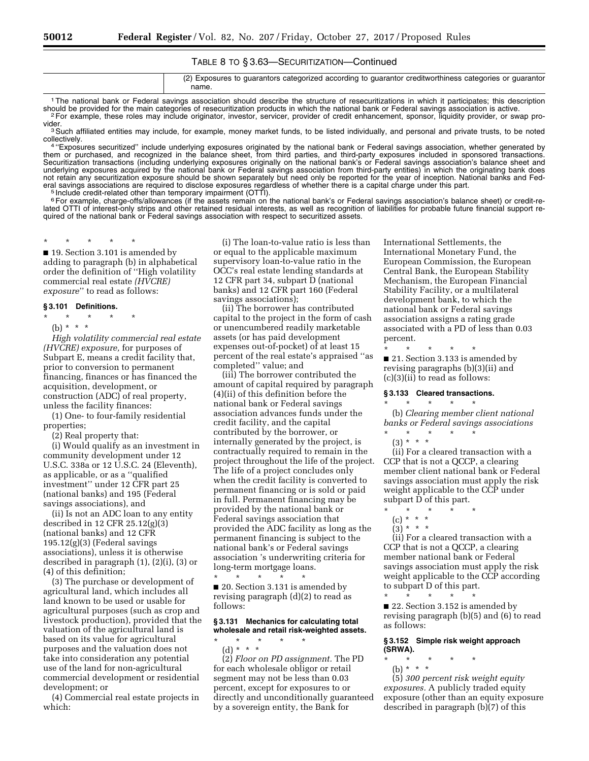# TABLE 8 TO § 3.63—SECURITIZATION—Continued

| (2) Exposures to guarantors categorized according to guarantor creditworthiness categories or guarantor<br>name. |
|------------------------------------------------------------------------------------------------------------------|
|                                                                                                                  |

<sup>1</sup>The national bank or Federal savings association should describe the structure of resecuritizations in which it participates; this description should be provided for the main categories of resecuritization products in w <sup>2</sup>For example, these roles may include originator, investor, servicer, provider of credit enhancement, sponsor, liquidity provider, or swap pro-<br>vider.

<sup>3</sup> Such affiliated entities may include, for example, money market funds, to be listed individually, and personal and private trusts, to be noted collectively.

collectively.<br>4 "Exposures securitized" include underlying exposures originated by the national bank or Federal savings association, whether generated by them or purchased, and recognized in the balance sheet, from third parties, and third-party exposures included in sponsored transactions. Securitization transactions (including underlying exposures originally on the national bank's or Federal savings association's balance sheet and underlying exposures acquired by the national bank or Federal savings association from third-party entities) in which the originating bank does not retain any securitization exposure should be shown separately but need only be reported for the year of inception. National banks and Fed-<br>eral savings associations are required to disclose exposures regardless of whet eral savings associations are required to disclose exposures regardless of whether there is a capital charge under this part.<br><sup>5</sup> Include credit-related other than temporary impairment (OTTI).

<sup>6</sup> For example, charge-offs/allowances (if the assets remain on the national bank's or Federal savings association's balance sheet) or credit-related OTTI of interest-only strips and other retained residual interests, as well as recognition of liabilities for probable future financial support required of the national bank or Federal savings association with respect to securitized assets.

\* \* \* \* \* ■ 19. Section 3.101 is amended by adding to paragraph (b) in alphabetical order the definition of ''High volatility commercial real estate *(HVCRE)* 

*exposure*'' to read as follows:

# **§ 3.101 Definitions.**

- \* \* \* \* \*
- (b) \* \* \*

*High volatility commercial real estate (HVCRE) exposure,* for purposes of Subpart E, means a credit facility that, prior to conversion to permanent financing, finances or has financed the acquisition, development, or construction (ADC) of real property, unless the facility finances:

(1) One- to four-family residential properties;

(2) Real property that:

(i) Would qualify as an investment in community development under 12 U.S.C. 338a or 12 U.S.C. 24 (Eleventh), as applicable, or as a ''qualified investment'' under 12 CFR part 25 (national banks) and 195 (Federal savings associations), and

(ii) Is not an ADC loan to any entity described in 12 CFR 25.12(g)(3) (national banks) and 12 CFR  $195.12(g)(3)$  (Federal savings associations), unless it is otherwise described in paragraph (1), (2)(i), (3) or (4) of this definition;

(3) The purchase or development of agricultural land, which includes all land known to be used or usable for agricultural purposes (such as crop and livestock production), provided that the valuation of the agricultural land is based on its value for agricultural purposes and the valuation does not take into consideration any potential use of the land for non-agricultural commercial development or residential development; or

(4) Commercial real estate projects in which:

(i) The loan-to-value ratio is less than or equal to the applicable maximum supervisory loan-to-value ratio in the OCC's real estate lending standards at 12 CFR part 34, subpart D (national banks) and 12 CFR part 160 (Federal savings associations);

(ii) The borrower has contributed capital to the project in the form of cash or unencumbered readily marketable assets (or has paid development expenses out-of-pocket) of at least 15 percent of the real estate's appraised ''as completed'' value; and

(iii) The borrower contributed the amount of capital required by paragraph (4)(ii) of this definition before the national bank or Federal savings association advances funds under the credit facility, and the capital contributed by the borrower, or internally generated by the project, is contractually required to remain in the project throughout the life of the project. The life of a project concludes only when the credit facility is converted to permanent financing or is sold or paid in full. Permanent financing may be provided by the national bank or Federal savings association that provided the ADC facility as long as the permanent financing is subject to the national bank's or Federal savings association 's underwriting criteria for long-term mortgage loans. \* \* \* \* \*

■ 20. Section 3.131 is amended by revising paragraph (d)(2) to read as follows:

#### **§ 3.131 Mechanics for calculating total wholesale and retail risk-weighted assets.**  \* \* \* \* \*

(d) \* \* \* (2) *Floor on PD assignment.* The PD for each wholesale obligor or retail segment may not be less than 0.03 percent, except for exposures to or directly and unconditionally guaranteed by a sovereign entity, the Bank for

International Settlements, the International Monetary Fund, the European Commission, the European Central Bank, the European Stability Mechanism, the European Financial Stability Facility, or a multilateral development bank, to which the national bank or Federal savings association assigns a rating grade associated with a PD of less than 0.03 percent.

\* \* \* \* \* ■ 21. Section 3.133 is amended by revising paragraphs (b)(3)(ii) and (c)(3)(ii) to read as follows:

#### **§ 3.133 Cleared transactions.**

\* \* \* \* \* (b) *Clearing member client national banks or Federal savings associations*  \* \* \* \* \*

(3) \* \* \*

(ii) For a cleared transaction with a CCP that is not a QCCP, a clearing member client national bank or Federal savings association must apply the risk weight applicable to the CCP under subpart D of this part.

- \* \* \* \* \* (c) \* \* \*
	- $(3) * * * *$

(ii) For a cleared transaction with a CCP that is not a QCCP, a clearing member national bank or Federal savings association must apply the risk weight applicable to the CCP according to subpart D of this part. \* \* \* \* \*

■ 22. Section 3.152 is amended by revising paragraph (b)(5) and (6) to read as follows:

#### **§ 3.152 Simple risk weight approach (SRWA).**

\* \* \* \* \* (b) \* \* \*

(5) *300 percent risk weight equity exposures.* A publicly traded equity exposure (other than an equity exposure described in paragraph (b)(7) of this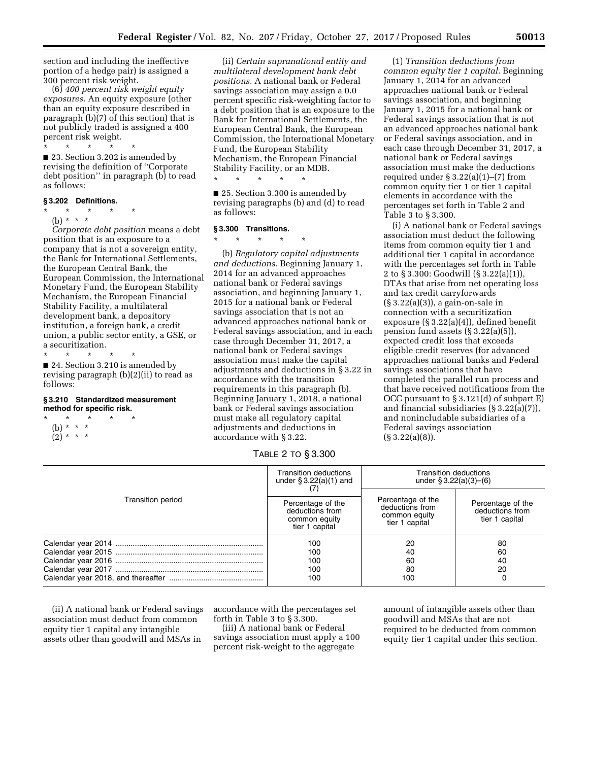section and including the ineffective portion of a hedge pair) is assigned a 300 percent risk weight.

(6) *400 percent risk weight equity exposures.* An equity exposure (other than an equity exposure described in paragraph (b)(7) of this section) that is not publicly traded is assigned a 400 percent risk weight.

\* \* \* \* \* ■ 23. Section 3.202 is amended by revising the definition of ''Corporate debt position'' in paragraph (b) to read as follows:

# **§ 3.202 Definitions.**

 $*$  \*

(b) \* \* \*

*Corporate debt position* means a debt position that is an exposure to a company that is not a sovereign entity, the Bank for International Settlements, the European Central Bank, the European Commission, the International Monetary Fund, the European Stability Mechanism, the European Financial Stability Facility, a multilateral development bank, a depository institution, a foreign bank, a credit union, a public sector entity, a GSE, or a securitization.

\* \* \* \* \*

■ 24. Section 3.210 is amended by revising paragraph (b)(2)(ii) to read as follows:

#### **§ 3.210 Standardized measurement method for specific risk.**

\* \* \* \* \* (b) \* \* \*  $(2)^*$  \* \*

(ii) *Certain supranational entity and multilateral development bank debt positions.* A national bank or Federal savings association may assign a 0.0 percent specific risk-weighting factor to a debt position that is an exposure to the Bank for International Settlements, the European Central Bank, the European Commission, the International Monetary Fund, the European Stability Mechanism, the European Financial Stability Facility, or an MDB.

\* \* \* \* \*

■ 25. Section 3.300 is amended by revising paragraphs (b) and (d) to read as follows:

## **§ 3.300 Transitions.**

\* \* \* \* \* (b) *Regulatory capital adjustments and deductions.* Beginning January 1, 2014 for an advanced approaches national bank or Federal savings association, and beginning January 1, 2015 for a national bank or Federal savings association that is not an advanced approaches national bank or Federal savings association, and in each case through December 31, 2017, a national bank or Federal savings association must make the capital adjustments and deductions in § 3.22 in accordance with the transition requirements in this paragraph (b). Beginning January 1, 2018, a national bank or Federal savings association must make all regulatory capital adjustments and deductions in accordance with § 3.22.

(1) *Transition deductions from common equity tier 1 capital.* Beginning January 1, 2014 for an advanced approaches national bank or Federal savings association, and beginning January 1, 2015 for a national bank or Federal savings association that is not an advanced approaches national bank or Federal savings association, and in each case through December 31, 2017, a national bank or Federal savings association must make the deductions required under  $\S 3.22(a)(1)–(7)$  from common equity tier 1 or tier 1 capital elements in accordance with the percentages set forth in Table 2 and Table 3 to § 3.300.

(i) A national bank or Federal savings association must deduct the following items from common equity tier 1 and additional tier 1 capital in accordance with the percentages set forth in Table 2 to § 3.300: Goodwill (§ 3.22(a)(1)), DTAs that arise from net operating loss and tax credit carryforwards (§ 3.22(a)(3)), a gain-on-sale in connection with a securitization exposure (§ 3.22(a)(4)), defined benefit pension fund assets (§ 3.22(a)(5)), expected credit loss that exceeds eligible credit reserves (for advanced approaches national banks and Federal savings associations that have completed the parallel run process and that have received notifications from the OCC pursuant to § 3.121(d) of subpart E) and financial subsidiaries (§ 3.22(a)(7)), and nonincludable subsidiaries of a Federal savings association  $(S \cdot 3.22(a)(8)).$ 

TABLE 2 TO § 3.300

| Transition period | <b>Transition deductions</b><br>under $\S 3.22(a)(1)$ and<br>Percentage of the<br>deductions from<br>common equity<br>tier 1 capital | <b>Transition deductions</b><br>under $$3.22(a)(3)–(6)$                 |                                                        |
|-------------------|--------------------------------------------------------------------------------------------------------------------------------------|-------------------------------------------------------------------------|--------------------------------------------------------|
|                   |                                                                                                                                      | Percentage of the<br>deductions from<br>common equity<br>tier 1 capital | Percentage of the<br>deductions from<br>tier 1 capital |
|                   | 100<br>100<br>100<br>100<br>100                                                                                                      | 20<br>40<br>60<br>80<br>100                                             | 80<br>60<br>40<br>20                                   |

(ii) A national bank or Federal savings association must deduct from common equity tier 1 capital any intangible assets other than goodwill and MSAs in

accordance with the percentages set forth in Table 3 to § 3.300.

(iii) A national bank or Federal savings association must apply a 100 percent risk-weight to the aggregate

amount of intangible assets other than goodwill and MSAs that are not required to be deducted from common equity tier 1 capital under this section.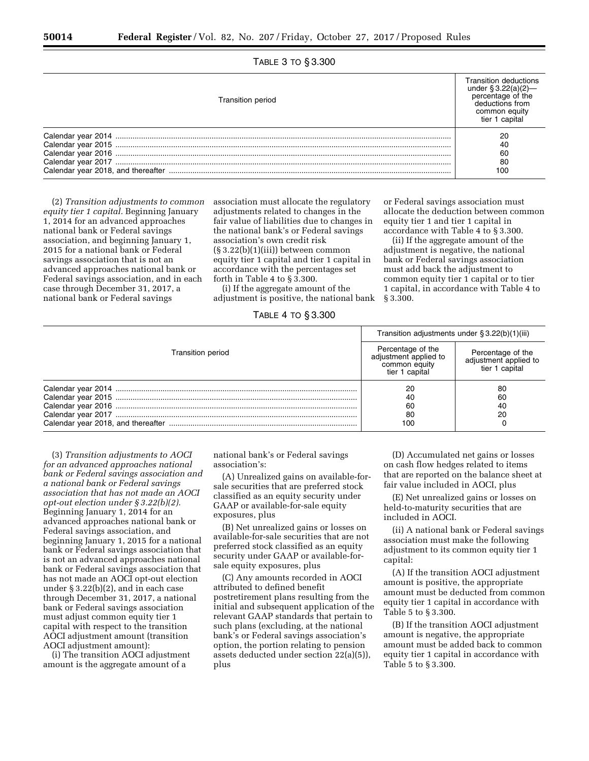| TABLE 3 TO § 3.300 |  |  |
|--------------------|--|--|
|--------------------|--|--|

| <b>Transition period</b> | Transition deductions<br>under $\S 3.22(a)(2)$<br>percentage of the<br>deductions from<br>common equity<br>tier 1 capital |
|--------------------------|---------------------------------------------------------------------------------------------------------------------------|
|                          | 20                                                                                                                        |
|                          | 40                                                                                                                        |
|                          | 60                                                                                                                        |
|                          | 80                                                                                                                        |
|                          | 100                                                                                                                       |

(2) *Transition adjustments to common equity tier 1 capital.* Beginning January 1, 2014 for an advanced approaches national bank or Federal savings association, and beginning January 1, 2015 for a national bank or Federal savings association that is not an advanced approaches national bank or Federal savings association, and in each case through December 31, 2017, a national bank or Federal savings

association must allocate the regulatory adjustments related to changes in the fair value of liabilities due to changes in the national bank's or Federal savings association's own credit risk  $(\S 3.22(b)(1)(iii))$  between common equity tier 1 capital and tier 1 capital in accordance with the percentages set forth in Table 4 to § 3.300.

(i) If the aggregate amount of the adjustment is positive, the national bank

TABLE 4 TO § 3.300

or Federal savings association must allocate the deduction between common equity tier 1 and tier 1 capital in accordance with Table 4 to § 3.300.

(ii) If the aggregate amount of the adjustment is negative, the national bank or Federal savings association must add back the adjustment to common equity tier 1 capital or to tier 1 capital, in accordance with Table 4 to § 3.300.

| Transition period | Transition adjustments under § 3.22(b)(1)(iii)                                |                                                              |
|-------------------|-------------------------------------------------------------------------------|--------------------------------------------------------------|
|                   | Percentage of the<br>adjustment applied to<br>common equity<br>tier 1 capital | Percentage of the<br>adjustment applied to<br>tier 1 capital |
|                   | 20<br>-46<br>-60<br>80<br>100                                                 | 80<br>60<br>40<br>20                                         |

(3) *Transition adjustments to AOCI for an advanced approaches national bank or Federal savings association and a national bank or Federal savings association that has not made an AOCI opt-out election under § 3.22(b)(2).*  Beginning January 1, 2014 for an advanced approaches national bank or Federal savings association, and beginning January 1, 2015 for a national bank or Federal savings association that is not an advanced approaches national bank or Federal savings association that has not made an AOCI opt-out election under § 3.22(b)(2), and in each case through December 31, 2017, a national bank or Federal savings association must adjust common equity tier 1 capital with respect to the transition AOCI adjustment amount (transition AOCI adjustment amount):

(i) The transition AOCI adjustment amount is the aggregate amount of a

national bank's or Federal savings association's:

(A) Unrealized gains on available-forsale securities that are preferred stock classified as an equity security under GAAP or available-for-sale equity exposures, plus

(B) Net unrealized gains or losses on available-for-sale securities that are not preferred stock classified as an equity security under GAAP or available-forsale equity exposures, plus

(C) Any amounts recorded in AOCI attributed to defined benefit postretirement plans resulting from the initial and subsequent application of the relevant GAAP standards that pertain to such plans (excluding, at the national bank's or Federal savings association's option, the portion relating to pension assets deducted under section 22(a)(5)), plus

(D) Accumulated net gains or losses on cash flow hedges related to items that are reported on the balance sheet at fair value included in AOCI, plus

(E) Net unrealized gains or losses on held-to-maturity securities that are included in AOCI.

(ii) A national bank or Federal savings association must make the following adjustment to its common equity tier 1 capital:

(A) If the transition AOCI adjustment amount is positive, the appropriate amount must be deducted from common equity tier 1 capital in accordance with Table 5 to § 3.300.

(B) If the transition AOCI adjustment amount is negative, the appropriate amount must be added back to common equity tier 1 capital in accordance with Table 5 to § 3.300.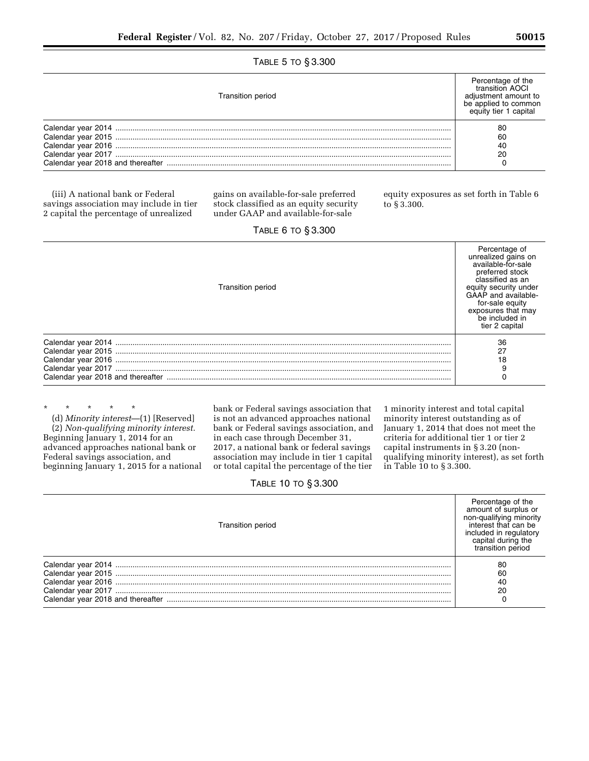# TABLE 5 TO § 3.300

| <b>Transition period</b> | Percentage of the<br>transition AOCI<br>adiustment amount to<br>be applied to common<br>equity tier 1 capital |
|--------------------------|---------------------------------------------------------------------------------------------------------------|
|                          | 80                                                                                                            |
|                          | 60                                                                                                            |
|                          | 40                                                                                                            |
|                          | 20                                                                                                            |
|                          |                                                                                                               |

(iii) A national bank or Federal savings association may include in tier 2 capital the percentage of unrealized

gains on available-for-sale preferred stock classified as an equity security under GAAP and available-for-sale

equity exposures as set forth in Table 6 to § 3.300.

| <b>IADLE U IU NO.OUU</b>                                                                                                  |                                                                                                                                                                                                                                |
|---------------------------------------------------------------------------------------------------------------------------|--------------------------------------------------------------------------------------------------------------------------------------------------------------------------------------------------------------------------------|
| <b>Transition period</b>                                                                                                  | Percentage of<br>unrealized gains on<br>available-for-sale<br>preferred stock<br>classified as an<br>equity security under<br>GAAP and available-<br>for-sale equity<br>exposures that may<br>be included in<br>tier 2 capital |
| Calendar year 2016<br>Calendar year 2016<br>Calendar year 2017<br>Calendar year 2017<br>Calendar year 2018 and thereafter | 36<br>27<br>18                                                                                                                                                                                                                 |

\* \* \* \* \* (d) *Minority interest*—(1) [Reserved] (2) *Non-qualifying minority interest.*  Beginning January 1, 2014 for an advanced approaches national bank or Federal savings association, and beginning January 1, 2015 for a national bank or Federal savings association that is not an advanced approaches national bank or Federal savings association, and in each case through December 31, 2017, a national bank or federal savings association may include in tier 1 capital or total capital the percentage of the tier

1 minority interest and total capital minority interest outstanding as of January 1, 2014 that does not meet the criteria for additional tier 1 or tier 2 capital instruments in § 3.20 (nonqualifying minority interest), as set forth in Table 10 to § 3.300.

# TABLE 10 TO § 3.300

| Transition period | Percentage of the<br>amount of surplus or<br>non-qualifying minority<br>interest that can be<br>included in regulatory<br>capital during the<br>transition period |
|-------------------|-------------------------------------------------------------------------------------------------------------------------------------------------------------------|
|                   | 80                                                                                                                                                                |
|                   | 60                                                                                                                                                                |
|                   | 40                                                                                                                                                                |
|                   | 20                                                                                                                                                                |
|                   |                                                                                                                                                                   |

# TABLE 6 TO § 3.300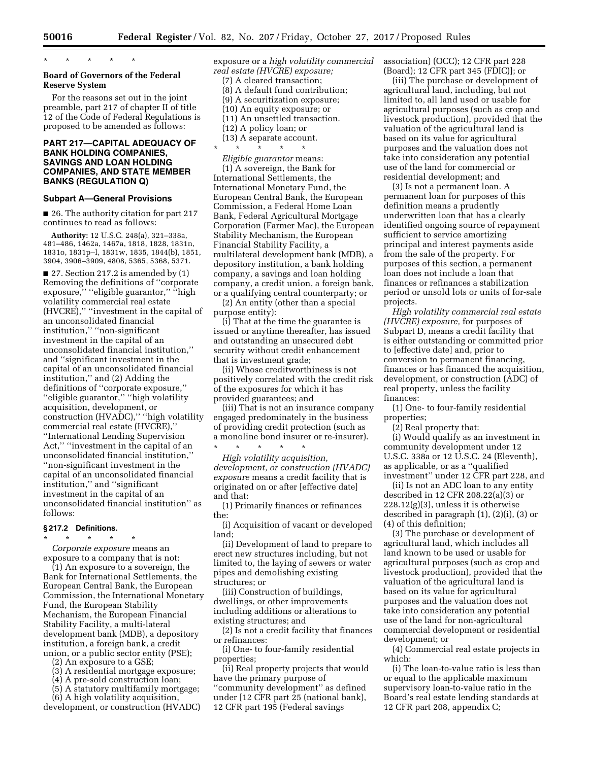\* \* \* \* \*

## **Board of Governors of the Federal Reserve System**

For the reasons set out in the joint preamble, part 217 of chapter II of title 12 of the Code of Federal Regulations is proposed to be amended as follows:

## **PART 217—CAPITAL ADEQUACY OF BANK HOLDING COMPANIES, SAVINGS AND LOAN HOLDING COMPANIES, AND STATE MEMBER BANKS (REGULATION Q)**

#### **Subpart A—General Provisions**

■ 26. The authority citation for part 217 continues to read as follows:

**Authority:** 12 U.S.C. 248(a), 321–338a, 481–486, 1462a, 1467a, 1818, 1828, 1831n, 1831o, 1831p–l, 1831w, 1835, 1844(b), 1851, 3904, 3906–3909, 4808, 5365, 5368, 5371.

 $\blacksquare$  27. Section 217.2 is amended by (1) Removing the definitions of ''corporate exposure," "eligible guarantor," "high volatility commercial real estate (HVCRE),'' ''investment in the capital of an unconsolidated financial institution,'' ''non-significant investment in the capital of an unconsolidated financial institution,'' and ''significant investment in the capital of an unconsolidated financial institution,'' and (2) Adding the definitions of ''corporate exposure,'' ''eligible guarantor,'' ''high volatility acquisition, development, or construction (HVADC),'' ''high volatility commercial real estate (HVCRE),'' ''International Lending Supervision Act,'' ''investment in the capital of an unconsolidated financial institution,'' ''non-significant investment in the capital of an unconsolidated financial institution,'' and ''significant investment in the capital of an unconsolidated financial institution'' as follows:

#### **§ 217.2 Definitions.**

\* \* \* \* \*

*Corporate exposure* means an exposure to a company that is not:

(1) An exposure to a sovereign, the Bank for International Settlements, the European Central Bank, the European Commission, the International Monetary Fund, the European Stability Mechanism, the European Financial Stability Facility, a multi-lateral development bank (MDB), a depository institution, a foreign bank, a credit union, or a public sector entity (PSE);

- (2) An exposure to a GSE;
- (3) A residential mortgage exposure;
- (4) A pre-sold construction loan;

(5) A statutory multifamily mortgage;

(6) A high volatility acquisition, development, or construction (HVADC) exposure or a *high volatility commercial real estate (HVCRE) exposure;*  (7) A cleared transaction; (8) A default fund contribution;

- (9) A securitization exposure; (10) An equity exposure; or (11) An unsettled transaction.
- (12) A policy loan; or
- (13) A separate account. \* \* \* \* \*

*Eligible guarantor* means: (1) A sovereign, the Bank for International Settlements, the International Monetary Fund, the European Central Bank, the European Commission, a Federal Home Loan Bank, Federal Agricultural Mortgage Corporation (Farmer Mac), the European Stability Mechanism, the European Financial Stability Facility, a multilateral development bank (MDB), a depository institution, a bank holding company, a savings and loan holding company, a credit union, a foreign bank, or a qualifying central counterparty; or

(2) An entity (other than a special purpose entity):

(i) That at the time the guarantee is issued or anytime thereafter, has issued and outstanding an unsecured debt security without credit enhancement that is investment grade;

(ii) Whose creditworthiness is not positively correlated with the credit risk of the exposures for which it has provided guarantees; and

(iii) That is not an insurance company engaged predominately in the business of providing credit protection (such as a monoline bond insurer or re-insurer).

\* \* \* \* \* *High volatility acquisition, development, or construction (HVADC) exposure* means a credit facility that is originated on or after [effective date] and that:

(1) Primarily finances or refinances the:

(i) Acquisition of vacant or developed land;

(ii) Development of land to prepare to erect new structures including, but not limited to, the laying of sewers or water pipes and demolishing existing structures; or

(iii) Construction of buildings, dwellings, or other improvements including additions or alterations to existing structures; and

(2) Is not a credit facility that finances or refinances:

(i) One- to four-family residential properties;

(ii) Real property projects that would have the primary purpose of ''community development'' as defined under [12 CFR part 25 (national bank), 12 CFR part 195 (Federal savings

association) (OCC); 12 CFR part 228 (Board); 12 CFR part 345 (FDIC)]; or

(iii) The purchase or development of agricultural land, including, but not limited to, all land used or usable for agricultural purposes (such as crop and livestock production), provided that the valuation of the agricultural land is based on its value for agricultural purposes and the valuation does not take into consideration any potential use of the land for commercial or residential development; and

(3) Is not a permanent loan. A permanent loan for purposes of this definition means a prudently underwritten loan that has a clearly identified ongoing source of repayment sufficient to service amortizing principal and interest payments aside from the sale of the property. For purposes of this section, a permanent loan does not include a loan that finances or refinances a stabilization period or unsold lots or units of for-sale projects.

*High volatility commercial real estate (HVCRE) exposure,* for purposes of Subpart D, means a credit facility that is either outstanding or committed prior to [effective date] and, prior to conversion to permanent financing, finances or has financed the acquisition, development, or construction (ADC) of real property, unless the facility finances:

(1) One- to four-family residential properties;

(2) Real property that:

(i) Would qualify as an investment in community development under 12 U.S.C. 338a or 12 U.S.C. 24 (Eleventh), as applicable, or as a ''qualified investment'' under 12 CFR part 228, and

(ii) Is not an ADC loan to any entity described in 12 CFR 208.22(a)(3) or  $228.12(g)(3)$ , unless it is otherwise described in paragraph (1), (2)(i), (3) or (4) of this definition;

(3) The purchase or development of agricultural land, which includes all land known to be used or usable for agricultural purposes (such as crop and livestock production), provided that the valuation of the agricultural land is based on its value for agricultural purposes and the valuation does not take into consideration any potential use of the land for non-agricultural commercial development or residential development; or

(4) Commercial real estate projects in which:

(i) The loan-to-value ratio is less than or equal to the applicable maximum supervisory loan-to-value ratio in the Board's real estate lending standards at 12 CFR part 208, appendix C;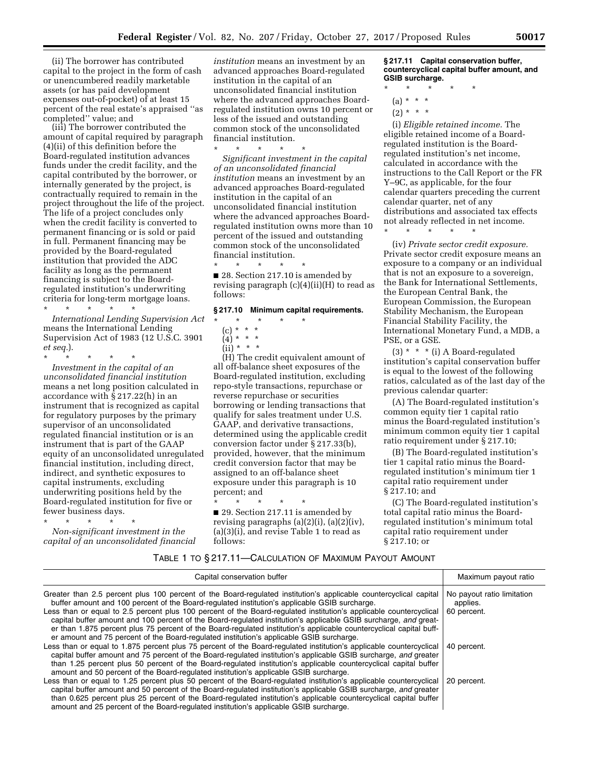(ii) The borrower has contributed capital to the project in the form of cash or unencumbered readily marketable assets (or has paid development expenses out-of-pocket) of at least 15 percent of the real estate's appraised ''as completed'' value; and

(iii) The borrower contributed the amount of capital required by paragraph (4)(ii) of this definition before the Board-regulated institution advances funds under the credit facility, and the capital contributed by the borrower, or internally generated by the project, is contractually required to remain in the project throughout the life of the project. The life of a project concludes only when the credit facility is converted to permanent financing or is sold or paid in full. Permanent financing may be provided by the Board-regulated institution that provided the ADC facility as long as the permanent financing is subject to the Boardregulated institution's underwriting criteria for long-term mortgage loans.

\* \* \* \* \* *International Lending Supervision Act*  means the International Lending Supervision Act of 1983 (12 U.S.C. 3901 *et seq.*).

\* \* \* \* \* *Investment in the capital of an unconsolidated financial institution*  means a net long position calculated in accordance with  $\bar{\S}$  217.22(h) in an instrument that is recognized as capital for regulatory purposes by the primary supervisor of an unconsolidated regulated financial institution or is an instrument that is part of the GAAP equity of an unconsolidated unregulated financial institution, including direct, indirect, and synthetic exposures to capital instruments, excluding underwriting positions held by the Board-regulated institution for five or fewer business days.

\* \* \* \* \* *Non-significant investment in the capital of an unconsolidated financial* 

*institution* means an investment by an advanced approaches Board-regulated institution in the capital of an unconsolidated financial institution where the advanced approaches Boardregulated institution owns 10 percent or less of the issued and outstanding common stock of the unconsolidated financial institution.

\* \* \* \* \*

*Significant investment in the capital of an unconsolidated financial institution* means an investment by an advanced approaches Board-regulated institution in the capital of an unconsolidated financial institution where the advanced approaches Boardregulated institution owns more than 10 percent of the issued and outstanding common stock of the unconsolidated financial institution.

\* \* \* \* \* ■ 28. Section 217.10 is amended by revising paragraph (c)(4)(ii)(H) to read as follows:

## **§ 217.10 Minimum capital requirements.**

(c) \* \* \*  $(4)^*$  \* \* \*

\* \* \* \* \*

 $(ii) * * * *$ 

(H) The credit equivalent amount of all off-balance sheet exposures of the Board-regulated institution, excluding repo-style transactions, repurchase or reverse repurchase or securities borrowing or lending transactions that qualify for sales treatment under U.S. GAAP, and derivative transactions, determined using the applicable credit conversion factor under § 217.33(b), provided, however, that the minimum credit conversion factor that may be assigned to an off-balance sheet exposure under this paragraph is 10 percent; and

\* \* \* \* \* ■ 29. Section 217.11 is amended by revising paragraphs  $(a)(2)(i)$ ,  $(a)(2)(iv)$ , (a)(3)(i), and revise Table 1 to read as follows:

**§ 217.11 Capital conservation buffer, countercyclical capital buffer amount, and GSIB surcharge.** 

- \* \* \* \* \*
	- $(a) * * * *$
	- $(2) * * * *$

(i) *Eligible retained income.* The eligible retained income of a Boardregulated institution is the Boardregulated institution's net income, calculated in accordance with the instructions to the Call Report or the FR Y–9C, as applicable, for the four calendar quarters preceding the current calendar quarter, net of any distributions and associated tax effects not already reflected in net income.

\* \* \* \* \*

(iv) *Private sector credit exposure.*  Private sector credit exposure means an exposure to a company or an individual that is not an exposure to a sovereign, the Bank for International Settlements, the European Central Bank, the European Commission, the European Stability Mechanism, the European Financial Stability Facility, the International Monetary Fund, a MDB, a PSE, or a GSE.

(3) \* \* \* (i) A Board-regulated institution's capital conservation buffer is equal to the lowest of the following ratios, calculated as of the last day of the previous calendar quarter:

(A) The Board-regulated institution's common equity tier 1 capital ratio minus the Board-regulated institution's minimum common equity tier 1 capital ratio requirement under § 217.10;

(B) The Board-regulated institution's tier 1 capital ratio minus the Boardregulated institution's minimum tier 1 capital ratio requirement under § 217.10; and

(C) The Board-regulated institution's total capital ratio minus the Boardregulated institution's minimum total capital ratio requirement under § 217.10; or

## TABLE 1 TO § 217.11—CALCULATION OF MAXIMUM PAYOUT AMOUNT

| Capital conservation buffer                                                                                                                                                                                                                                                                                                                                                                                                                                                                                                                                                                                                                                                     | Maximum payout ratio                                  |
|---------------------------------------------------------------------------------------------------------------------------------------------------------------------------------------------------------------------------------------------------------------------------------------------------------------------------------------------------------------------------------------------------------------------------------------------------------------------------------------------------------------------------------------------------------------------------------------------------------------------------------------------------------------------------------|-------------------------------------------------------|
| Greater than 2.5 percent plus 100 percent of the Board-regulated institution's applicable countercyclical capital<br>buffer amount and 100 percent of the Board-regulated institution's applicable GSIB surcharge.<br>Less than or equal to 2.5 percent plus 100 percent of the Board-regulated institution's applicable countercyclical<br>capital buffer amount and 100 percent of the Board-regulated institution's applicable GSIB surcharge, and great-<br>er than 1.875 percent plus 75 percent of the Board-regulated institution's applicable countercyclical capital buff-<br>er amount and 75 percent of the Board-regulated institution's applicable GSIB surcharge. | No payout ratio limitation<br>applies.<br>60 percent. |
| Less than or equal to 1.875 percent plus 75 percent of the Board-regulated institution's applicable countercyclical<br>capital buffer amount and 75 percent of the Board-regulated institution's applicable GSIB surcharge, and greater<br>than 1.25 percent plus 50 percent of the Board-regulated institution's applicable countercyclical capital buffer<br>amount and 50 percent of the Board-regulated institution's applicable GSIB surcharge.                                                                                                                                                                                                                            | 40 percent.                                           |
| Less than or equal to 1.25 percent plus 50 percent of the Board-regulated institution's applicable countercyclical<br>capital buffer amount and 50 percent of the Board-regulated institution's applicable GSIB surcharge, and greater<br>than 0.625 percent plus 25 percent of the Board-regulated institution's applicable countercyclical capital buffer<br>amount and 25 percent of the Board-regulated institution's applicable GSIB surcharge.                                                                                                                                                                                                                            | 20 percent.                                           |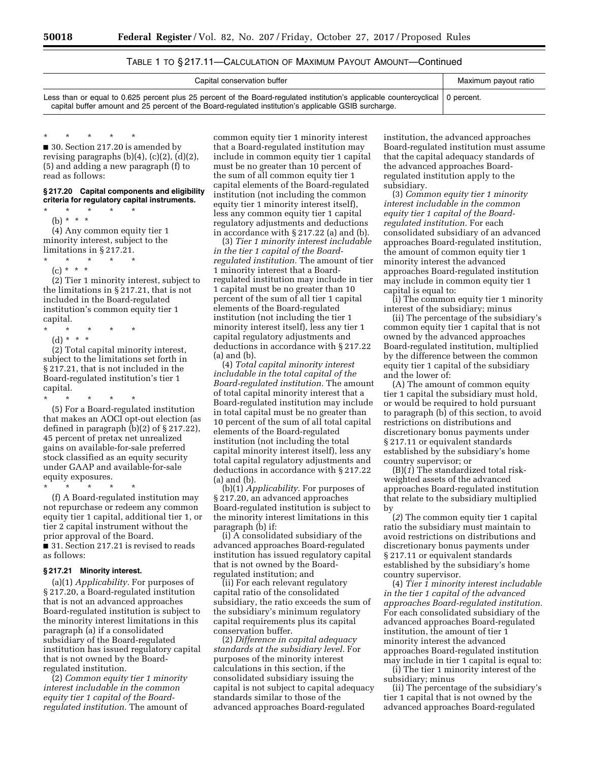# TABLE 1 TO § 217.11—CALCULATION OF MAXIMUM PAYOUT AMOUNT—Continued

| Capital conservation buffer                                                                                                                                                                                                              | Maximum payout ratio |
|------------------------------------------------------------------------------------------------------------------------------------------------------------------------------------------------------------------------------------------|----------------------|
| Less than or equal to 0.625 percent plus 25 percent of the Board-regulated institution's applicable countercyclical   0 percent.<br>capital buffer amount and 25 percent of the Board-regulated institution's applicable GSIB surcharge. |                      |

\* \* \* \* \*

■ 30. Section 217.20 is amended by revising paragraphs  $(b)(4)$ ,  $(c)(2)$ ,  $(d)(2)$ , (5) and adding a new paragraph (f) to read as follows:

#### **§ 217.20 Capital components and eligibility criteria for regulatory capital instruments.**

\* \* \* \* \*

(b) \* \* \* (4) Any common equity tier 1 minority interest, subject to the limitations in § 217.21.

\* \* \* \* \*

(c) \* \* \* (2) Tier 1 minority interest, subject to the limitations in § 217.21, that is not included in the Board-regulated institution's common equity tier 1 capital.

- \* \* \* \* \*
- (d) \* \* \*

(2) Total capital minority interest, subject to the limitations set forth in § 217.21, that is not included in the Board-regulated institution's tier 1 capital.

\* \* \* \* \* (5) For a Board-regulated institution that makes an AOCI opt-out election (as defined in paragraph (b)(2) of § 217.22), 45 percent of pretax net unrealized gains on available-for-sale preferred stock classified as an equity security under GAAP and available-for-sale equity exposures.

\* \* \* \* \*

(f) A Board-regulated institution may not repurchase or redeem any common equity tier 1 capital, additional tier 1, or tier 2 capital instrument without the prior approval of the Board.

■ 31. Section 217.21 is revised to reads as follows:

### **§ 217.21 Minority interest.**

(a)(1) *Applicability.* For purposes of § 217.20, a Board-regulated institution that is not an advanced approaches Board-regulated institution is subject to the minority interest limitations in this paragraph (a) if a consolidated subsidiary of the Board-regulated institution has issued regulatory capital that is not owned by the Boardregulated institution.

(2) *Common equity tier 1 minority interest includable in the common equity tier 1 capital of the Boardregulated institution.* The amount of

common equity tier 1 minority interest that a Board-regulated institution may include in common equity tier 1 capital must be no greater than 10 percent of the sum of all common equity tier 1 capital elements of the Board-regulated institution (not including the common equity tier 1 minority interest itself), less any common equity tier 1 capital regulatory adjustments and deductions in accordance with § 217.22 (a) and (b).

(3) *Tier 1 minority interest includable in the tier 1 capital of the Boardregulated institution.* The amount of tier 1 minority interest that a Boardregulated institution may include in tier 1 capital must be no greater than 10 percent of the sum of all tier 1 capital elements of the Board-regulated institution (not including the tier 1 minority interest itself), less any tier 1 capital regulatory adjustments and deductions in accordance with § 217.22 (a) and (b).

(4) *Total capital minority interest includable in the total capital of the Board-regulated institution.* The amount of total capital minority interest that a Board-regulated institution may include in total capital must be no greater than 10 percent of the sum of all total capital elements of the Board-regulated institution (not including the total capital minority interest itself), less any total capital regulatory adjustments and deductions in accordance with § 217.22 (a) and (b).

(b)(1) *Applicability.* For purposes of § 217.20, an advanced approaches Board-regulated institution is subject to the minority interest limitations in this paragraph (b) if:

(i) A consolidated subsidiary of the advanced approaches Board-regulated institution has issued regulatory capital that is not owned by the Boardregulated institution; and

(ii) For each relevant regulatory capital ratio of the consolidated subsidiary, the ratio exceeds the sum of the subsidiary's minimum regulatory capital requirements plus its capital conservation buffer.

(2) *Difference in capital adequacy standards at the subsidiary level.* For purposes of the minority interest calculations in this section, if the consolidated subsidiary issuing the capital is not subject to capital adequacy standards similar to those of the advanced approaches Board-regulated

institution, the advanced approaches Board-regulated institution must assume that the capital adequacy standards of the advanced approaches Boardregulated institution apply to the subsidiary.

(3) *Common equity tier 1 minority interest includable in the common equity tier 1 capital of the Boardregulated institution.* For each consolidated subsidiary of an advanced approaches Board-regulated institution, the amount of common equity tier 1 minority interest the advanced approaches Board-regulated institution may include in common equity tier 1 capital is equal to:

(i) The common equity tier 1 minority interest of the subsidiary; minus

(ii) The percentage of the subsidiary's common equity tier 1 capital that is not owned by the advanced approaches Board-regulated institution, multiplied by the difference between the common equity tier 1 capital of the subsidiary and the lower of:

(A) The amount of common equity tier 1 capital the subsidiary must hold, or would be required to hold pursuant to paragraph (b) of this section, to avoid restrictions on distributions and discretionary bonus payments under § 217.11 or equivalent standards established by the subsidiary's home country supervisor; or

(B)(*1*) The standardized total riskweighted assets of the advanced approaches Board-regulated institution that relate to the subsidiary multiplied by

(*2*) The common equity tier 1 capital ratio the subsidiary must maintain to avoid restrictions on distributions and discretionary bonus payments under § 217.11 or equivalent standards established by the subsidiary's home country supervisor.

(4) *Tier 1 minority interest includable in the tier 1 capital of the advanced approaches Board-regulated institution.*  For each consolidated subsidiary of the advanced approaches Board-regulated institution, the amount of tier 1 minority interest the advanced approaches Board-regulated institution may include in tier 1 capital is equal to:

(i) The tier 1 minority interest of the subsidiary; minus

(ii) The percentage of the subsidiary's tier 1 capital that is not owned by the advanced approaches Board-regulated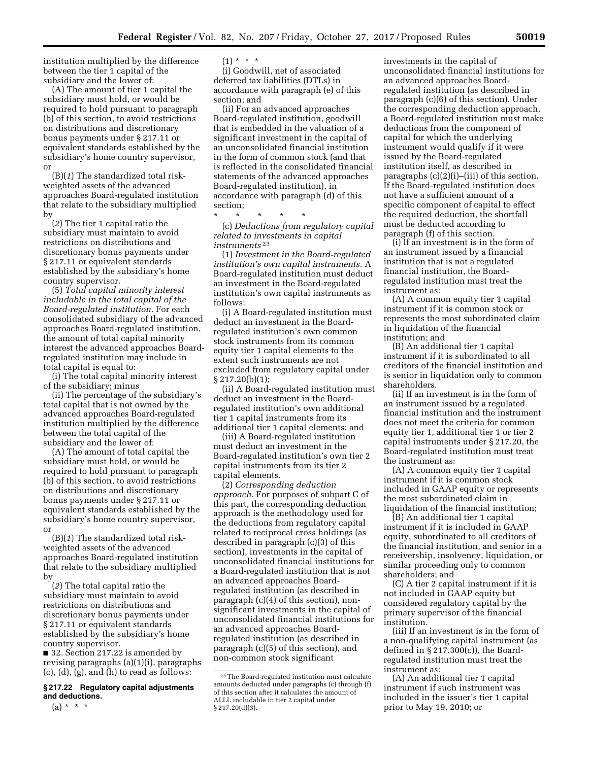institution multiplied by the difference between the tier 1 capital of the subsidiary and the lower of:

(A) The amount of tier 1 capital the subsidiary must hold, or would be required to hold pursuant to paragraph (b) of this section, to avoid restrictions on distributions and discretionary bonus payments under § 217.11 or equivalent standards established by the subsidiary's home country supervisor, or

(B)(*1*) The standardized total riskweighted assets of the advanced approaches Board-regulated institution that relate to the subsidiary multiplied by

(*2*) The tier 1 capital ratio the subsidiary must maintain to avoid restrictions on distributions and discretionary bonus payments under § 217.11 or equivalent standards established by the subsidiary's home country supervisor.

(5) *Total capital minority interest includable in the total capital of the Board-regulated institution.* For each consolidated subsidiary of the advanced approaches Board-regulated institution, the amount of total capital minority interest the advanced approaches Boardregulated institution may include in total capital is equal to:

(i) The total capital minority interest of the subsidiary; minus

(ii) The percentage of the subsidiary's total capital that is not owned by the advanced approaches Board-regulated institution multiplied by the difference between the total capital of the subsidiary and the lower of:

(A) The amount of total capital the subsidiary must hold, or would be required to hold pursuant to paragraph (b) of this section, to avoid restrictions on distributions and discretionary bonus payments under § 217.11 or equivalent standards established by the subsidiary's home country supervisor, or

(B)(*1*) The standardized total riskweighted assets of the advanced approaches Board-regulated institution that relate to the subsidiary multiplied by

(*2*) The total capital ratio the subsidiary must maintain to avoid restrictions on distributions and discretionary bonus payments under § 217.11 or equivalent standards established by the subsidiary's home country supervisor.

■ 32. Section 217.22 is amended by revising paragraphs (a)(1)(i), paragraphs (c), (d), (g), and (h) to read as follows:

## **§ 217.22 Regulatory capital adjustments and deductions.**

 $(1) * * * *$ 

(i) Goodwill, net of associated deferred tax liabilities (DTLs) in accordance with paragraph (e) of this section; and

(ii) For an advanced approaches Board-regulated institution, goodwill that is embedded in the valuation of a significant investment in the capital of an unconsolidated financial institution in the form of common stock (and that is reflected in the consolidated financial statements of the advanced approaches Board-regulated institution), in accordance with paragraph (d) of this section;

\* \* \* \* \*

(c) *Deductions from regulatory capital related to investments in capital instruments* 23

(1) *Investment in the Board-regulated institution's own capital instruments.* A Board-regulated institution must deduct an investment in the Board-regulated institution's own capital instruments as follows:

(i) A Board-regulated institution must deduct an investment in the Boardregulated institution's own common stock instruments from its common equity tier 1 capital elements to the extent such instruments are not excluded from regulatory capital under § 217.20(b)(1);

(ii) A Board-regulated institution must deduct an investment in the Boardregulated institution's own additional tier 1 capital instruments from its additional tier 1 capital elements; and

(iii) A Board-regulated institution must deduct an investment in the Board-regulated institution's own tier 2 capital instruments from its tier 2 capital elements.

(2) *Corresponding deduction approach.* For purposes of subpart C of this part, the corresponding deduction approach is the methodology used for the deductions from regulatory capital related to reciprocal cross holdings (as described in paragraph (c)(3) of this section), investments in the capital of unconsolidated financial institutions for a Board-regulated institution that is not an advanced approaches Boardregulated institution (as described in paragraph (c)(4) of this section), nonsignificant investments in the capital of unconsolidated financial institutions for an advanced approaches Boardregulated institution (as described in paragraph (c)(5) of this section), and non-common stock significant

investments in the capital of unconsolidated financial institutions for an advanced approaches Boardregulated institution (as described in paragraph (c)(6) of this section). Under the corresponding deduction approach, a Board-regulated institution must make deductions from the component of capital for which the underlying instrument would qualify if it were issued by the Board-regulated institution itself, as described in paragraphs (c)(2)(i)–(iii) of this section. If the Board-regulated institution does not have a sufficient amount of a specific component of capital to effect the required deduction, the shortfall must be deducted according to paragraph (f) of this section.

(i) If an investment is in the form of an instrument issued by a financial institution that is not a regulated financial institution, the Boardregulated institution must treat the instrument as:

(A) A common equity tier 1 capital instrument if it is common stock or represents the most subordinated claim in liquidation of the financial institution; and

(B) An additional tier 1 capital instrument if it is subordinated to all creditors of the financial institution and is senior in liquidation only to common shareholders.

(ii) If an investment is in the form of an instrument issued by a regulated financial institution and the instrument does not meet the criteria for common equity tier 1, additional tier 1 or tier 2 capital instruments under § 217.20, the Board-regulated institution must treat the instrument as:

(A) A common equity tier 1 capital instrument if it is common stock included in GAAP equity or represents the most subordinated claim in liquidation of the financial institution;

(B) An additional tier 1 capital instrument if it is included in GAAP equity, subordinated to all creditors of the financial institution, and senior in a receivership, insolvency, liquidation, or similar proceeding only to common shareholders; and

(C) A tier 2 capital instrument if it is not included in GAAP equity but considered regulatory capital by the primary supervisor of the financial institution.

(iii) If an investment is in the form of a non-qualifying capital instrument (as defined in § 217.300(c)), the Boardregulated institution must treat the instrument as:

(A) An additional tier 1 capital instrument if such instrument was included in the issuer's tier 1 capital prior to May 19, 2010; or

 $(a) * * * *$ 

<sup>23</sup>The Board-regulated institution must calculate amounts deducted under paragraphs (c) through (f) of this section after it calculates the amount of ALLL includable in tier 2 capital under § 217.20(d)(3).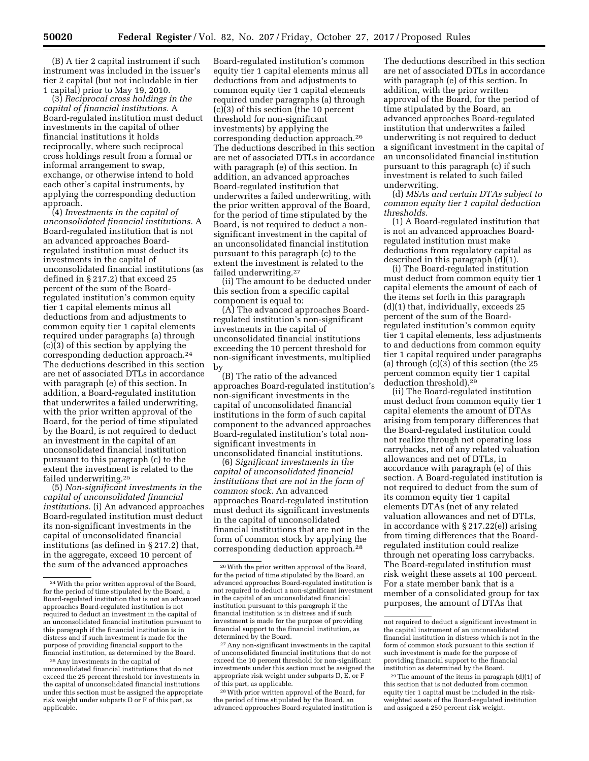(B) A tier 2 capital instrument if such instrument was included in the issuer's tier 2 capital (but not includable in tier 1 capital) prior to May 19, 2010.

(3) *Reciprocal cross holdings in the capital of financial institutions.* A Board-regulated institution must deduct investments in the capital of other financial institutions it holds reciprocally, where such reciprocal cross holdings result from a formal or informal arrangement to swap, exchange, or otherwise intend to hold each other's capital instruments, by applying the corresponding deduction approach.

(4) *Investments in the capital of unconsolidated financial institutions.* A Board-regulated institution that is not an advanced approaches Boardregulated institution must deduct its investments in the capital of unconsolidated financial institutions (as defined in § 217.2) that exceed 25 percent of the sum of the Boardregulated institution's common equity tier 1 capital elements minus all deductions from and adjustments to common equity tier 1 capital elements required under paragraphs (a) through  $(c)(3)$  of this section by applying the corresponding deduction approach.24 The deductions described in this section are net of associated DTLs in accordance with paragraph (e) of this section. In addition, a Board-regulated institution that underwrites a failed underwriting, with the prior written approval of the Board, for the period of time stipulated by the Board, is not required to deduct an investment in the capital of an unconsolidated financial institution pursuant to this paragraph (c) to the extent the investment is related to the failed underwriting.25

(5) *Non-significant investments in the capital of unconsolidated financial institutions.* (i) An advanced approaches Board-regulated institution must deduct its non-significant investments in the capital of unconsolidated financial institutions (as defined in § 217.2) that, in the aggregate, exceed 10 percent of the sum of the advanced approaches

Board-regulated institution's common equity tier 1 capital elements minus all deductions from and adjustments to common equity tier 1 capital elements required under paragraphs (a) through  $(c)$  $(3)$  of this section (the 10 percent threshold for non-significant investments) by applying the corresponding deduction approach.26 The deductions described in this section are net of associated DTLs in accordance with paragraph (e) of this section. In addition, an advanced approaches Board-regulated institution that underwrites a failed underwriting, with the prior written approval of the Board, for the period of time stipulated by the Board, is not required to deduct a nonsignificant investment in the capital of an unconsolidated financial institution pursuant to this paragraph (c) to the extent the investment is related to the failed underwriting.27

(ii) The amount to be deducted under this section from a specific capital component is equal to:

(A) The advanced approaches Boardregulated institution's non-significant investments in the capital of unconsolidated financial institutions exceeding the 10 percent threshold for non-significant investments, multiplied by

(B) The ratio of the advanced approaches Board-regulated institution's non-significant investments in the capital of unconsolidated financial institutions in the form of such capital component to the advanced approaches Board-regulated institution's total nonsignificant investments in unconsolidated financial institutions.

(6) *Significant investments in the capital of unconsolidated financial institutions that are not in the form of common stock.* An advanced approaches Board-regulated institution must deduct its significant investments in the capital of unconsolidated financial institutions that are not in the form of common stock by applying the corresponding deduction approach.28

27Any non-significant investments in the capital of unconsolidated financial institutions that do not exceed the 10 percent threshold for non-significant investments under this section must be assigned the appropriate risk weight under subparts D, E, or F of this part, as applicable.

28With prior written approval of the Board, for the period of time stipulated by the Board, an advanced approaches Board-regulated institution is

The deductions described in this section are net of associated DTLs in accordance with paragraph (e) of this section. In addition, with the prior written approval of the Board, for the period of time stipulated by the Board, an advanced approaches Board-regulated institution that underwrites a failed underwriting is not required to deduct a significant investment in the capital of an unconsolidated financial institution pursuant to this paragraph (c) if such investment is related to such failed underwriting.

(d) *MSAs and certain DTAs subject to common equity tier 1 capital deduction thresholds.* 

(1) A Board-regulated institution that is not an advanced approaches Boardregulated institution must make deductions from regulatory capital as described in this paragraph (d)(1).

(i) The Board-regulated institution must deduct from common equity tier 1 capital elements the amount of each of the items set forth in this paragraph (d)(1) that, individually, exceeds 25 percent of the sum of the Boardregulated institution's common equity tier 1 capital elements, less adjustments to and deductions from common equity tier 1 capital required under paragraphs (a) through (c)(3) of this section (the 25 percent common equity tier 1 capital deduction threshold).29

(ii) The Board-regulated institution must deduct from common equity tier 1 capital elements the amount of DTAs arising from temporary differences that the Board-regulated institution could not realize through net operating loss carrybacks, net of any related valuation allowances and net of DTLs, in accordance with paragraph (e) of this section. A Board-regulated institution is not required to deduct from the sum of its common equity tier 1 capital elements DTAs (net of any related valuation allowances and net of DTLs, in accordance with § 217.22(e)) arising from timing differences that the Boardregulated institution could realize through net operating loss carrybacks. The Board-regulated institution must risk weight these assets at 100 percent. For a state member bank that is a member of a consolidated group for tax purposes, the amount of DTAs that

<sup>24</sup>With the prior written approval of the Board, for the period of time stipulated by the Board, a Board-regulated institution that is not an advanced approaches Board-regulated institution is not required to deduct an investment in the capital of an unconsolidated financial institution pursuant to this paragraph if the financial institution is in distress and if such investment is made for the purpose of providing financial support to the financial institution, as determined by the Board.

<sup>25</sup>Any investments in the capital of unconsolidated financial institutions that do not exceed the 25 percent threshold for investments in the capital of unconsolidated financial institutions under this section must be assigned the appropriate risk weight under subparts D or F of this part, as applicable.

<sup>26</sup>With the prior written approval of the Board, for the period of time stipulated by the Board, an advanced approaches Board-regulated institution is not required to deduct a non-significant investment in the capital of an unconsolidated financial institution pursuant to this paragraph if the financial institution is in distress and if such investment is made for the purpose of providing financial support to the financial institution, as determined by the Board.

not required to deduct a significant investment in the capital instrument of an unconsolidated financial institution in distress which is not in the form of common stock pursuant to this section if such investment is made for the purpose of providing financial support to the financial institution as determined by the Board.

<sup>29</sup>The amount of the items in paragraph (d)(1) of this section that is not deducted from common equity tier 1 capital must be included in the riskweighted assets of the Board-regulated institution and assigned a 250 percent risk weight.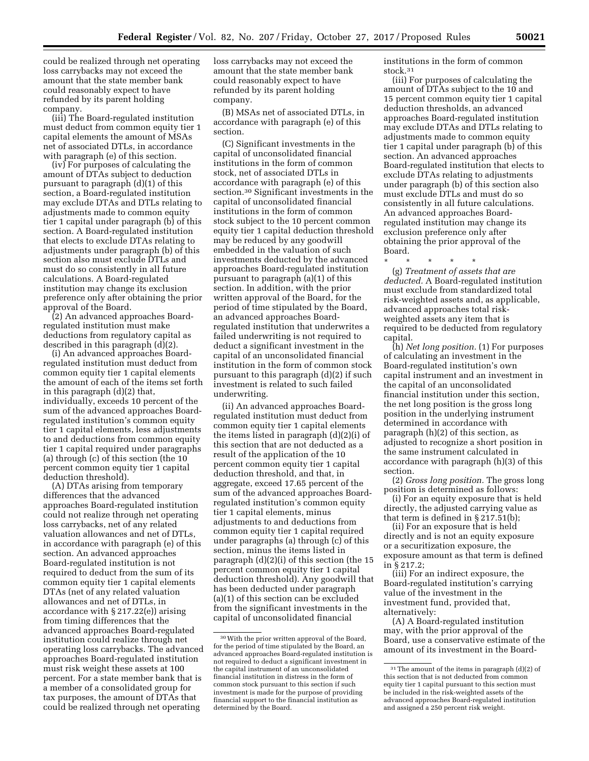could be realized through net operating loss carrybacks may not exceed the amount that the state member bank could reasonably expect to have refunded by its parent holding company.

(iii) The Board-regulated institution must deduct from common equity tier 1 capital elements the amount of MSAs net of associated DTLs, in accordance with paragraph (e) of this section.

(iv) For purposes of calculating the amount of DTAs subject to deduction pursuant to paragraph (d)(1) of this section, a Board-regulated institution may exclude DTAs and DTLs relating to adjustments made to common equity tier 1 capital under paragraph (b) of this section. A Board-regulated institution that elects to exclude DTAs relating to adjustments under paragraph (b) of this section also must exclude DTLs and must do so consistently in all future calculations. A Board-regulated institution may change its exclusion preference only after obtaining the prior approval of the Board.

(2) An advanced approaches Boardregulated institution must make deductions from regulatory capital as described in this paragraph (d)(2).

(i) An advanced approaches Boardregulated institution must deduct from common equity tier 1 capital elements the amount of each of the items set forth in this paragraph (d)(2) that, individually, exceeds 10 percent of the sum of the advanced approaches Boardregulated institution's common equity tier 1 capital elements, less adjustments to and deductions from common equity tier 1 capital required under paragraphs (a) through (c) of this section (the 10 percent common equity tier 1 capital deduction threshold).

(A) DTAs arising from temporary differences that the advanced approaches Board-regulated institution could not realize through net operating loss carrybacks, net of any related valuation allowances and net of DTLs, in accordance with paragraph (e) of this section. An advanced approaches Board-regulated institution is not required to deduct from the sum of its common equity tier 1 capital elements DTAs (net of any related valuation allowances and net of DTLs, in accordance with § 217.22(e)) arising from timing differences that the advanced approaches Board-regulated institution could realize through net operating loss carrybacks. The advanced approaches Board-regulated institution must risk weight these assets at 100 percent. For a state member bank that is a member of a consolidated group for tax purposes, the amount of DTAs that could be realized through net operating

loss carrybacks may not exceed the amount that the state member bank could reasonably expect to have refunded by its parent holding company.

(B) MSAs net of associated DTLs, in accordance with paragraph (e) of this section.

(C) Significant investments in the capital of unconsolidated financial institutions in the form of common stock, net of associated DTLs in accordance with paragraph (e) of this section.30 Significant investments in the capital of unconsolidated financial institutions in the form of common stock subject to the 10 percent common equity tier 1 capital deduction threshold may be reduced by any goodwill embedded in the valuation of such investments deducted by the advanced approaches Board-regulated institution pursuant to paragraph (a)(1) of this section. In addition, with the prior written approval of the Board, for the period of time stipulated by the Board, an advanced approaches Boardregulated institution that underwrites a failed underwriting is not required to deduct a significant investment in the capital of an unconsolidated financial institution in the form of common stock pursuant to this paragraph (d)(2) if such investment is related to such failed underwriting.

(ii) An advanced approaches Boardregulated institution must deduct from common equity tier 1 capital elements the items listed in paragraph (d)(2)(i) of this section that are not deducted as a result of the application of the 10 percent common equity tier 1 capital deduction threshold, and that, in aggregate, exceed 17.65 percent of the sum of the advanced approaches Boardregulated institution's common equity tier 1 capital elements, minus adjustments to and deductions from common equity tier 1 capital required under paragraphs (a) through (c) of this section, minus the items listed in paragraph (d)(2)(i) of this section (the 15 percent common equity tier 1 capital deduction threshold). Any goodwill that has been deducted under paragraph (a)(1) of this section can be excluded from the significant investments in the capital of unconsolidated financial

institutions in the form of common stock.31

(iii) For purposes of calculating the amount of DTAs subject to the 10 and 15 percent common equity tier 1 capital deduction thresholds, an advanced approaches Board-regulated institution may exclude DTAs and DTLs relating to adjustments made to common equity tier 1 capital under paragraph (b) of this section. An advanced approaches Board-regulated institution that elects to exclude DTAs relating to adjustments under paragraph (b) of this section also must exclude DTLs and must do so consistently in all future calculations. An advanced approaches Boardregulated institution may change its exclusion preference only after obtaining the prior approval of the Board.

\* \* \* \* \*

(g) *Treatment of assets that are deducted.* A Board-regulated institution must exclude from standardized total risk-weighted assets and, as applicable, advanced approaches total riskweighted assets any item that is required to be deducted from regulatory capital.

(h) *Net long position.* (1) For purposes of calculating an investment in the Board-regulated institution's own capital instrument and an investment in the capital of an unconsolidated financial institution under this section, the net long position is the gross long position in the underlying instrument determined in accordance with paragraph (h)(2) of this section, as adjusted to recognize a short position in the same instrument calculated in accordance with paragraph (h)(3) of this section.

(2) *Gross long position.* The gross long position is determined as follows:

(i) For an equity exposure that is held directly, the adjusted carrying value as that term is defined in § 217.51(b);

(ii) For an exposure that is held directly and is not an equity exposure or a securitization exposure, the exposure amount as that term is defined in § 217.2;

(iii) For an indirect exposure, the Board-regulated institution's carrying value of the investment in the investment fund, provided that, alternatively:

(A) A Board-regulated institution may, with the prior approval of the Board, use a conservative estimate of the amount of its investment in the Board-

<sup>30</sup>With the prior written approval of the Board, for the period of time stipulated by the Board, an advanced approaches Board-regulated institution is not required to deduct a significant investment in the capital instrument of an unconsolidated financial institution in distress in the form of common stock pursuant to this section if such investment is made for the purpose of providing financial support to the financial institution as determined by the Board.

<sup>31</sup>The amount of the items in paragraph (d)(2) of this section that is not deducted from common equity tier 1 capital pursuant to this section must be included in the risk-weighted assets of the advanced approaches Board-regulated institution and assigned a 250 percent risk weight.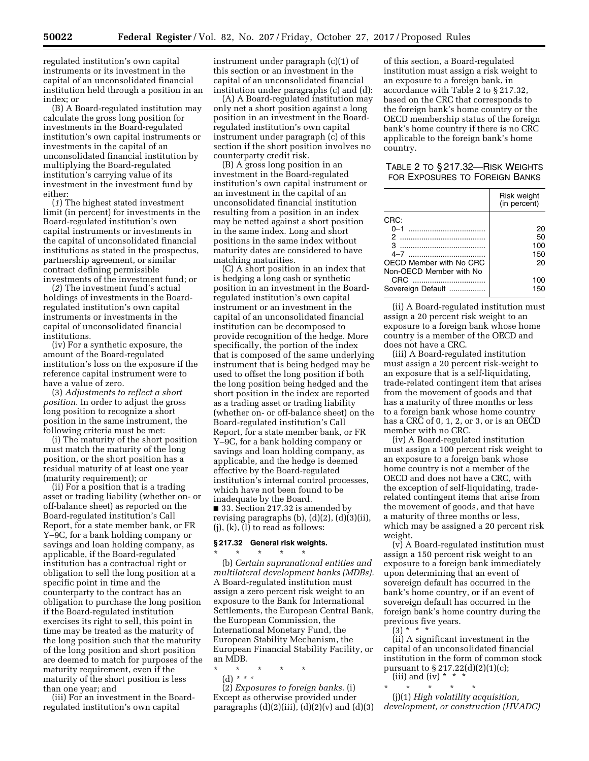regulated institution's own capital instruments or its investment in the capital of an unconsolidated financial institution held through a position in an index; or

(B) A Board-regulated institution may calculate the gross long position for investments in the Board-regulated institution's own capital instruments or investments in the capital of an unconsolidated financial institution by multiplying the Board-regulated institution's carrying value of its investment in the investment fund by either:

(*1*) The highest stated investment limit (in percent) for investments in the Board-regulated institution's own capital instruments or investments in the capital of unconsolidated financial institutions as stated in the prospectus, partnership agreement, or similar contract defining permissible investments of the investment fund; or

(*2*) The investment fund's actual holdings of investments in the Boardregulated institution's own capital instruments or investments in the capital of unconsolidated financial institutions.

(iv) For a synthetic exposure, the amount of the Board-regulated institution's loss on the exposure if the reference capital instrument were to have a value of zero.

(3) *Adjustments to reflect a short position.* In order to adjust the gross long position to recognize a short position in the same instrument, the following criteria must be met:

(i) The maturity of the short position must match the maturity of the long position, or the short position has a residual maturity of at least one year (maturity requirement); or

(ii) For a position that is a trading asset or trading liability (whether on- or off-balance sheet) as reported on the Board-regulated institution's Call Report, for a state member bank, or FR Y–9C, for a bank holding company or savings and loan holding company, as applicable, if the Board-regulated institution has a contractual right or obligation to sell the long position at a specific point in time and the counterparty to the contract has an obligation to purchase the long position if the Board-regulated institution exercises its right to sell, this point in time may be treated as the maturity of the long position such that the maturity of the long position and short position are deemed to match for purposes of the maturity requirement, even if the maturity of the short position is less than one year; and

(iii) For an investment in the Boardregulated institution's own capital

instrument under paragraph (c)(1) of this section or an investment in the capital of an unconsolidated financial institution under paragraphs (c) and (d):

(A) A Board-regulated institution may only net a short position against a long position in an investment in the Boardregulated institution's own capital instrument under paragraph (c) of this section if the short position involves no counterparty credit risk.

(B) A gross long position in an investment in the Board-regulated institution's own capital instrument or an investment in the capital of an unconsolidated financial institution resulting from a position in an index may be netted against a short position in the same index. Long and short positions in the same index without maturity dates are considered to have matching maturities.

(C) A short position in an index that is hedging a long cash or synthetic position in an investment in the Boardregulated institution's own capital instrument or an investment in the capital of an unconsolidated financial institution can be decomposed to provide recognition of the hedge. More specifically, the portion of the index that is composed of the same underlying instrument that is being hedged may be used to offset the long position if both the long position being hedged and the short position in the index are reported as a trading asset or trading liability (whether on- or off-balance sheet) on the Board-regulated institution's Call Report, for a state member bank, or FR Y–9C, for a bank holding company or savings and loan holding company, as applicable, and the hedge is deemed effective by the Board-regulated institution's internal control processes, which have not been found to be inadequate by the Board. ■ 33. Section 217.32 is amended by revising paragraphs (b), (d)(2), (d)(3)(ii),  $(i)$ ,  $(k)$ ,  $(l)$  to read as follows:

#### **§ 217.32 General risk weights.**

\* \* \* \* \* (b) *Certain supranational entities and multilateral development banks (MDBs).*  A Board-regulated institution must assign a zero percent risk weight to an exposure to the Bank for International Settlements, the European Central Bank, the European Commission, the International Monetary Fund, the European Stability Mechanism, the European Financial Stability Facility, or an MDB.

\* \* \* \* \* (d) *\* \* \** 

(2) *Exposures to foreign banks.* (i) Except as otherwise provided under paragraphs  $(d)(2)(iii)$ ,  $(d)(2)(v)$  and  $(d)(3)$ 

of this section, a Board-regulated institution must assign a risk weight to an exposure to a foreign bank, in accordance with Table 2 to § 217.32, based on the CRC that corresponds to the foreign bank's home country or the OECD membership status of the foreign bank's home country if there is no CRC applicable to the foreign bank's home country.

TABLE 2 TO § 217.32—RISK WEIGHTS FOR EXPOSURES TO FOREIGN BANKS

|                         | Risk weight<br>(in percent) |
|-------------------------|-----------------------------|
| CRC:                    |                             |
| $0 - 1$                 | 20                          |
| 2                       | 50                          |
| я                       | 100                         |
| 4–7                     | 150                         |
| OECD Member with No CRC | 20                          |
| Non-OECD Member with No |                             |
| CRC                     | 100                         |
| Sovereign Default       | 150                         |

(ii) A Board-regulated institution must assign a 20 percent risk weight to an exposure to a foreign bank whose home country is a member of the OECD and does not have a CRC.

(iii) A Board-regulated institution must assign a 20 percent risk-weight to an exposure that is a self-liquidating, trade-related contingent item that arises from the movement of goods and that has a maturity of three months or less to a foreign bank whose home country has a CRC of 0, 1, 2, or 3, or is an OECD member with no CRC.

(iv) A Board-regulated institution must assign a 100 percent risk weight to an exposure to a foreign bank whose home country is not a member of the OECD and does not have a CRC, with the exception of self-liquidating, traderelated contingent items that arise from the movement of goods, and that have a maturity of three months or less, which may be assigned a 20 percent risk weight.

(v) A Board-regulated institution must assign a 150 percent risk weight to an exposure to a foreign bank immediately upon determining that an event of sovereign default has occurred in the bank's home country, or if an event of sovereign default has occurred in the foreign bank's home country during the previous five years.

 $(3) * * * *$ 

(ii) A significant investment in the capital of an unconsolidated financial institution in the form of common stock pursuant to § 217.22(d)(2)(1)(c); (iii) and (iv) \* \* \*

\* \* \* \* \* (j)(1) *High volatility acquisition, development, or construction (HVADC)*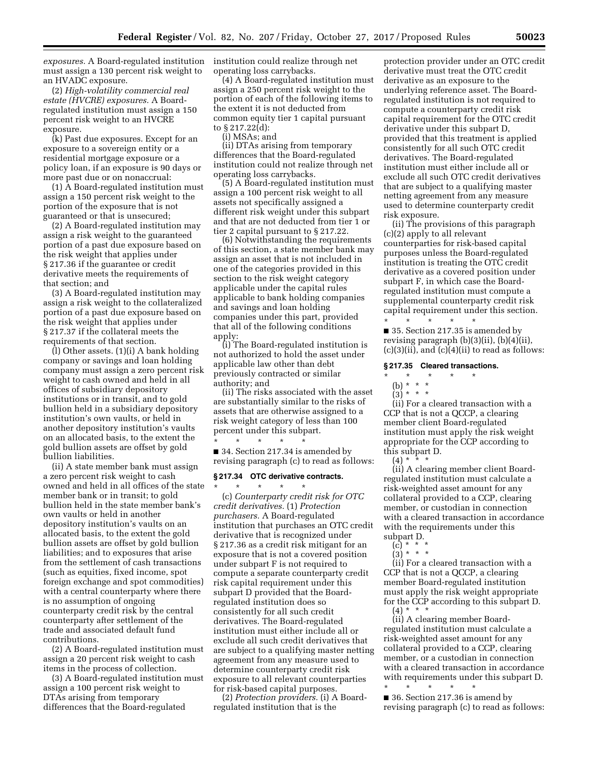*exposures.* A Board-regulated institution institution could realize through net must assign a 130 percent risk weight to an HVADC exposure.

(2) *High-volatility commercial real estate (HVCRE) exposures.* A Boardregulated institution must assign a 150 percent risk weight to an HVCRE exposure.

(k) Past due exposures. Except for an exposure to a sovereign entity or a residential mortgage exposure or a policy loan, if an exposure is 90 days or more past due or on nonaccrual:

(1) A Board-regulated institution must assign a 150 percent risk weight to the portion of the exposure that is not guaranteed or that is unsecured;

(2) A Board-regulated institution may assign a risk weight to the guaranteed portion of a past due exposure based on the risk weight that applies under § 217.36 if the guarantee or credit derivative meets the requirements of that section; and

(3) A Board-regulated institution may assign a risk weight to the collateralized portion of a past due exposure based on the risk weight that applies under § 217.37 if the collateral meets the requirements of that section.

(l) Other assets. (1)(i) A bank holding company or savings and loan holding company must assign a zero percent risk weight to cash owned and held in all offices of subsidiary depository institutions or in transit, and to gold bullion held in a subsidiary depository institution's own vaults, or held in another depository institution's vaults on an allocated basis, to the extent the gold bullion assets are offset by gold bullion liabilities.

(ii) A state member bank must assign a zero percent risk weight to cash owned and held in all offices of the state member bank or in transit; to gold bullion held in the state member bank's own vaults or held in another depository institution's vaults on an allocated basis, to the extent the gold bullion assets are offset by gold bullion liabilities; and to exposures that arise from the settlement of cash transactions (such as equities, fixed income, spot foreign exchange and spot commodities) with a central counterparty where there is no assumption of ongoing counterparty credit risk by the central counterparty after settlement of the trade and associated default fund contributions.

(2) A Board-regulated institution must assign a 20 percent risk weight to cash items in the process of collection.

(3) A Board-regulated institution must assign a 100 percent risk weight to DTAs arising from temporary differences that the Board-regulated

operating loss carrybacks.

(4) A Board-regulated institution must assign a 250 percent risk weight to the portion of each of the following items to the extent it is not deducted from common equity tier 1 capital pursuant to § 217.22(d):

(i) MSAs; and

(ii) DTAs arising from temporary differences that the Board-regulated institution could not realize through net operating loss carrybacks.

(5) A Board-regulated institution must assign a 100 percent risk weight to all assets not specifically assigned a different risk weight under this subpart and that are not deducted from tier 1 or tier 2 capital pursuant to § 217.22.

(6) Notwithstanding the requirements of this section, a state member bank may assign an asset that is not included in one of the categories provided in this section to the risk weight category applicable under the capital rules applicable to bank holding companies and savings and loan holding companies under this part, provided that all of the following conditions apply:

(i) The Board-regulated institution is not authorized to hold the asset under applicable law other than debt previously contracted or similar authority; and

(ii) The risks associated with the asset are substantially similar to the risks of assets that are otherwise assigned to a risk weight category of less than 100 percent under this subpart.

\* \* \* \* \* ■ 34. Section 217.34 is amended by revising paragraph (c) to read as follows:

## **§ 217.34 OTC derivative contracts.**

\* \* \* \* \* (c) *Counterparty credit risk for OTC credit derivatives.* (1) *Protection purchasers.* A Board-regulated institution that purchases an OTC credit derivative that is recognized under § 217.36 as a credit risk mitigant for an exposure that is not a covered position under subpart F is not required to compute a separate counterparty credit risk capital requirement under this subpart D provided that the Boardregulated institution does so consistently for all such credit derivatives. The Board-regulated institution must either include all or exclude all such credit derivatives that are subject to a qualifying master netting agreement from any measure used to determine counterparty credit risk exposure to all relevant counterparties for risk-based capital purposes.

(2) *Protection providers.* (i) A Boardregulated institution that is the

protection provider under an OTC credit derivative must treat the OTC credit derivative as an exposure to the underlying reference asset. The Boardregulated institution is not required to compute a counterparty credit risk capital requirement for the OTC credit derivative under this subpart D, provided that this treatment is applied consistently for all such OTC credit derivatives. The Board-regulated institution must either include all or exclude all such OTC credit derivatives that are subject to a qualifying master netting agreement from any measure used to determine counterparty credit risk exposure.

(ii) The provisions of this paragraph (c)(2) apply to all relevant counterparties for risk-based capital purposes unless the Board-regulated institution is treating the OTC credit derivative as a covered position under subpart F, in which case the Boardregulated institution must compute a supplemental counterparty credit risk capital requirement under this section. \* \* \* \* \*

■ 35. Section 217.35 is amended by revising paragraph (b)(3)(ii), (b)(4)(ii),  $(c)(3)(ii)$ , and  $(c)(4)(ii)$  to read as follows:

#### **§ 217.35 Cleared transactions.**

- \* \* \* \* \*
	- (b) \* \* \*
	- $(3) * * * *$

(ii) For a cleared transaction with a CCP that is not a QCCP, a clearing member client Board-regulated institution must apply the risk weight appropriate for the CCP according to this subpart D.

 $(4) *$ 

(ii) A clearing member client Boardregulated institution must calculate a risk-weighted asset amount for any collateral provided to a CCP, clearing member, or custodian in connection with a cleared transaction in accordance with the requirements under this subpart D.

- (c) \* \* \*
- (3) \* \* \*

(ii) For a cleared transaction with a CCP that is not a QCCP, a clearing member Board-regulated institution must apply the risk weight appropriate for the CCP according to this subpart D. (4) \* \* \*

(ii) A clearing member Boardregulated institution must calculate a risk-weighted asset amount for any collateral provided to a CCP, clearing member, or a custodian in connection with a cleared transaction in accordance with requirements under this subpart D.

\* \* \* \* \* ■ 36. Section 217.36 is amend by revising paragraph (c) to read as follows: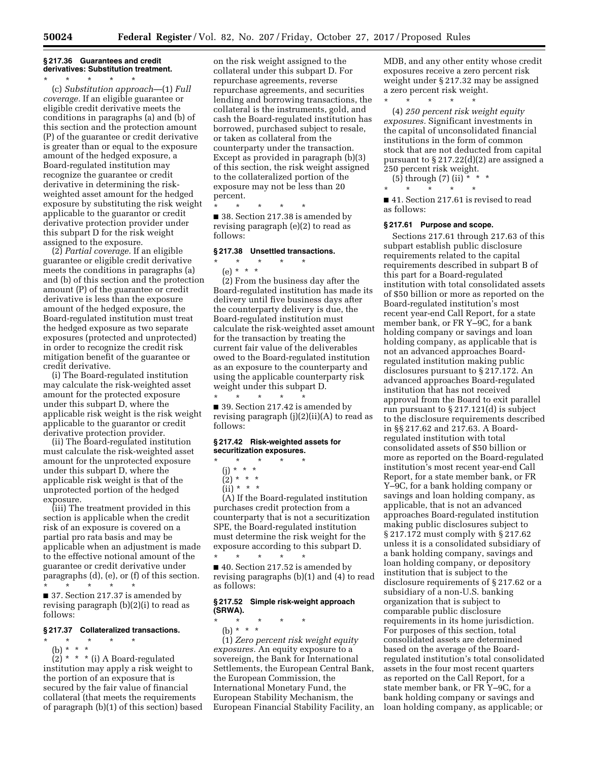## **§ 217.36 Guarantees and credit derivatives: Substitution treatment.**

\* \* \* \* \* (c) *Substitution approach*—(1) *Full coverage.* If an eligible guarantee or eligible credit derivative meets the conditions in paragraphs (a) and (b) of this section and the protection amount (P) of the guarantee or credit derivative is greater than or equal to the exposure amount of the hedged exposure, a Board-regulated institution may recognize the guarantee or credit derivative in determining the riskweighted asset amount for the hedged exposure by substituting the risk weight applicable to the guarantor or credit derivative protection provider under this subpart D for the risk weight assigned to the exposure.

(2) *Partial coverage.* If an eligible guarantee or eligible credit derivative meets the conditions in paragraphs (a) and (b) of this section and the protection amount (P) of the guarantee or credit derivative is less than the exposure amount of the hedged exposure, the Board-regulated institution must treat the hedged exposure as two separate exposures (protected and unprotected) in order to recognize the credit risk mitigation benefit of the guarantee or credit derivative.

(i) The Board-regulated institution may calculate the risk-weighted asset amount for the protected exposure under this subpart D, where the applicable risk weight is the risk weight applicable to the guarantor or credit derivative protection provider.

(ii) The Board-regulated institution must calculate the risk-weighted asset amount for the unprotected exposure under this subpart D, where the applicable risk weight is that of the unprotected portion of the hedged exposure.

(iii) The treatment provided in this section is applicable when the credit risk of an exposure is covered on a partial pro rata basis and may be applicable when an adjustment is made to the effective notional amount of the guarantee or credit derivative under paragraphs (d), (e), or (f) of this section. \* \* \* \* \*

■ 37. Section 217.37 is amended by revising paragraph (b)(2)(i) to read as follows:

### **§ 217.37 Collateralized transactions.**

\* \* \* \* \*

(b) \* \* \*  $\left(2\right)$  \* \* \* (i) A Board-regulated institution may apply a risk weight to the portion of an exposure that is secured by the fair value of financial collateral (that meets the requirements of paragraph (b)(1) of this section) based

on the risk weight assigned to the collateral under this subpart D. For repurchase agreements, reverse repurchase agreements, and securities lending and borrowing transactions, the collateral is the instruments, gold, and cash the Board-regulated institution has borrowed, purchased subject to resale, or taken as collateral from the counterparty under the transaction. Except as provided in paragraph (b)(3) of this section, the risk weight assigned to the collateralized portion of the exposure may not be less than 20 percent.

\* \* \* \* \* ■ 38. Section 217.38 is amended by revising paragraph (e)(2) to read as follows:

## **§ 217.38 Unsettled transactions.**

# \* \* \* \* \*

(e) \* \* \* (2) From the business day after the Board-regulated institution has made its delivery until five business days after the counterparty delivery is due, the Board-regulated institution must calculate the risk-weighted asset amount for the transaction by treating the current fair value of the deliverables owed to the Board-regulated institution as an exposure to the counterparty and using the applicable counterparty risk weight under this subpart D.

\* \* \* \* \* ■ 39. Section 217.42 is amended by revising paragraph  $(j)(2)(ii)(A)$  to read as follows:

## **§ 217.42 Risk-weighted assets for securitization exposures.**

- \* \* \* \* \*
- (j) \* \* \*
- $(2) * * * *$

 $(ii) * * * *$ (A) If the Board-regulated institution

purchases credit protection from a counterparty that is not a securitization SPE, the Board-regulated institution must determine the risk weight for the exposure according to this subpart D. \* \* \* \* \*

■ 40. Section 217.52 is amended by revising paragraphs (b)(1) and (4) to read as follows:

### **§ 217.52 Simple risk-weight approach (SRWA).**

\* \* \* \* \*

(b) \* \* \* (1) *Zero percent risk weight equity exposures.* An equity exposure to a sovereign, the Bank for International Settlements, the European Central Bank, the European Commission, the International Monetary Fund, the European Stability Mechanism, the European Financial Stability Facility, an MDB, and any other entity whose credit exposures receive a zero percent risk weight under § 217.32 may be assigned a zero percent risk weight.

\* \* \* \* \*

(4) *250 percent risk weight equity exposures.* Significant investments in the capital of unconsolidated financial institutions in the form of common stock that are not deducted from capital pursuant to § 217.22(d)(2) are assigned a 250 percent risk weight.

(5) through (7) (ii) \* \* \*

\* \* \* \* \*

■ 41. Section 217.61 is revised to read as follows:

#### **§ 217.61 Purpose and scope.**

Sections 217.61 through 217.63 of this subpart establish public disclosure requirements related to the capital requirements described in subpart B of this part for a Board-regulated institution with total consolidated assets of \$50 billion or more as reported on the Board-regulated institution's most recent year-end Call Report, for a state member bank, or FR Y–9C, for a bank holding company or savings and loan holding company, as applicable that is not an advanced approaches Boardregulated institution making public disclosures pursuant to § 217.172. An advanced approaches Board-regulated institution that has not received approval from the Board to exit parallel run pursuant to § 217.121(d) is subject to the disclosure requirements described in §§ 217.62 and 217.63. A Boardregulated institution with total consolidated assets of \$50 billion or more as reported on the Board-regulated institution's most recent year-end Call Report, for a state member bank, or FR Y–9C, for a bank holding company or savings and loan holding company, as applicable, that is not an advanced approaches Board-regulated institution making public disclosures subject to § 217.172 must comply with § 217.62 unless it is a consolidated subsidiary of a bank holding company, savings and loan holding company, or depository institution that is subject to the disclosure requirements of § 217.62 or a subsidiary of a non-U.S. banking organization that is subject to comparable public disclosure requirements in its home jurisdiction. For purposes of this section, total consolidated assets are determined based on the average of the Boardregulated institution's total consolidated assets in the four most recent quarters as reported on the Call Report, for a state member bank, or FR Y–9C, for a bank holding company or savings and loan holding company, as applicable; or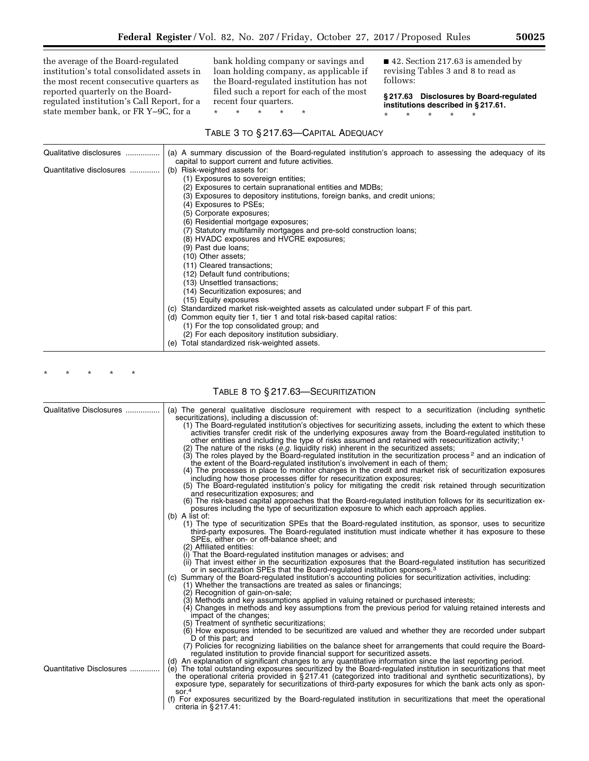the average of the Board-regulated institution's total consolidated assets in the most recent consecutive quarters as reported quarterly on the Boardregulated institution's Call Report, for a state member bank, or FR Y–9C, for a

bank holding company or savings and loan holding company, as applicable if the Board-regulated institution has not filed such a report for each of the most recent four quarters.

\* \* \* \* \*

■ 42. Section 217.63 is amended by revising Tables 3 and 8 to read as follows:

**§ 217.63 Disclosures by Board-regulated institutions described in § 217.61.** 

\* \* \* \* \*

TABLE 3 TO § 217.63—CAPITAL ADEQUACY

| Qualitative disclosures  | (a) A summary discussion of the Board-regulated institution's approach to assessing the adequacy of its                                                                                                                                                                                                                                                                                                                                                                                                                                                                                                                                                                                                                                                                                                                                                                                                                                                                                                                        |
|--------------------------|--------------------------------------------------------------------------------------------------------------------------------------------------------------------------------------------------------------------------------------------------------------------------------------------------------------------------------------------------------------------------------------------------------------------------------------------------------------------------------------------------------------------------------------------------------------------------------------------------------------------------------------------------------------------------------------------------------------------------------------------------------------------------------------------------------------------------------------------------------------------------------------------------------------------------------------------------------------------------------------------------------------------------------|
| Quantitative disclosures | capital to support current and future activities.<br>(b) Risk-weighted assets for:<br>(1) Exposures to sovereign entities;<br>(2) Exposures to certain supranational entities and MDBs;<br>(3) Exposures to depository institutions, foreign banks, and credit unions;<br>(4) Exposures to PSEs;<br>(5) Corporate exposures;<br>(6) Residential mortgage exposures;<br>(7) Statutory multifamily mortgages and pre-sold construction loans;<br>(8) HVADC exposures and HVCRE exposures;<br>(9) Past due loans;<br>(10) Other assets;<br>(11) Cleared transactions;<br>(12) Default fund contributions;<br>(13) Unsettled transactions;<br>(14) Securitization exposures; and<br>(15) Equity exposures<br>Standardized market risk-weighted assets as calculated under subpart F of this part.<br>(C)<br>(d) Common equity tier 1, tier 1 and total risk-based capital ratios:<br>(1) For the top consolidated group; and<br>(2) For each depository institution subsidiary.<br>Total standardized risk-weighted assets.<br>(e) |

\* \* \* \* \*

# TABLE 8 TO § 217.63—SECURITIZATION

| Qualitative Disclosures  | (a) The general qualitative disclosure requirement with respect to a securitization (including synthetic<br>securitizations), including a discussion of:                                                                                                                                                                                                                                                                                                                   |
|--------------------------|----------------------------------------------------------------------------------------------------------------------------------------------------------------------------------------------------------------------------------------------------------------------------------------------------------------------------------------------------------------------------------------------------------------------------------------------------------------------------|
|                          | (1) The Board-regulated institution's objectives for securitizing assets, including the extent to which these<br>activities transfer credit risk of the underlying exposures away from the Board-regulated institution to<br>other entities and including the type of risks assumed and retained with resecuritization activity; 1                                                                                                                                         |
|                          | (2) The nature of the risks $(e.g.$ liquidity risk) inherent in the securitized assets;<br>(3) The roles played by the Board-regulated institution in the securitization process <sup>2</sup> and an indication of<br>the extent of the Board-regulated institution's involvement in each of them;                                                                                                                                                                         |
|                          | (4) The processes in place to monitor changes in the credit and market risk of securitization exposures<br>including how those processes differ for resecuritization exposures;<br>(5) The Board-regulated institution's policy for mitigating the credit risk retained through securitization                                                                                                                                                                             |
|                          | and resecuritization exposures; and<br>(6) The risk-based capital approaches that the Board-regulated institution follows for its securitization ex-<br>posures including the type of securitization exposure to which each approach applies.                                                                                                                                                                                                                              |
|                          | $(b)$ A list of:                                                                                                                                                                                                                                                                                                                                                                                                                                                           |
|                          | (1) The type of securitization SPEs that the Board-regulated institution, as sponsor, uses to securitize<br>third-party exposures. The Board-regulated institution must indicate whether it has exposure to these<br>SPEs, either on- or off-balance sheet; and                                                                                                                                                                                                            |
|                          | (2) Affiliated entities:<br>(i) That the Board-regulated institution manages or advises; and<br>(ii) That invest either in the securitization exposures that the Board-regulated institution has securitized<br>or in securitization SPEs that the Board-regulated institution sponsors. <sup>3</sup>                                                                                                                                                                      |
|                          | (c) Summary of the Board-regulated institution's accounting policies for securitization activities, including:<br>(1) Whether the transactions are treated as sales or financings;<br>(2) Recognition of gain-on-sale;                                                                                                                                                                                                                                                     |
|                          | (3) Methods and key assumptions applied in valuing retained or purchased interests;<br>(4) Changes in methods and key assumptions from the previous period for valuing retained interests and<br>impact of the changes;                                                                                                                                                                                                                                                    |
|                          | (5) Treatment of synthetic securitizations;<br>(6) How exposures intended to be securitized are valued and whether they are recorded under subpart<br>D of this part; and                                                                                                                                                                                                                                                                                                  |
|                          | (7) Policies for recognizing liabilities on the balance sheet for arrangements that could require the Board-<br>regulated institution to provide financial support for securitized assets.                                                                                                                                                                                                                                                                                 |
| Quantitative Disclosures | (d) An explanation of significant changes to any quantitative information since the last reporting period.<br>(e) The total outstanding exposures securitized by the Board-regulated institution in securitizations that meet<br>the operational criteria provided in §217.41 (categorized into traditional and synthetic securitizations), by<br>exposure type, separately for securitizations of third-party exposures for which the bank acts only as spon-<br>sor. $4$ |
|                          | (f) For exposures securitized by the Board-regulated institution in securitizations that meet the operational<br>criteria in $§$ 217.41:                                                                                                                                                                                                                                                                                                                                   |

۰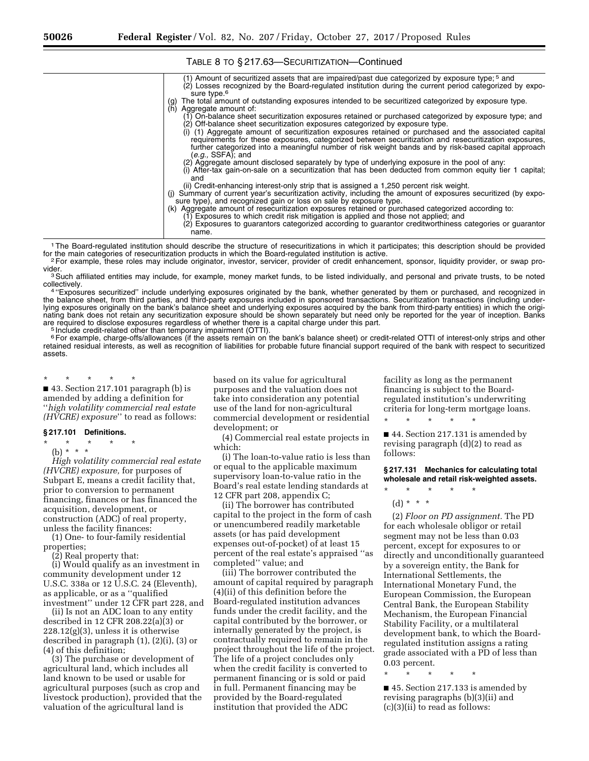| (1) Amount of securitized assets that are impaired/past due categorized by exposure type; $5$ and<br>(2) Losses recognized by the Board-regulated institution during the current period categorized by expo-<br>sure type. <sup>6</sup>                                                                                                       |
|-----------------------------------------------------------------------------------------------------------------------------------------------------------------------------------------------------------------------------------------------------------------------------------------------------------------------------------------------|
| The total amount of outstanding exposures intended to be securitized categorized by exposure type.<br>Aggregate amount of:<br>(h)                                                                                                                                                                                                             |
| (1) On-balance sheet securitization exposures retained or purchased categorized by exposure type; and<br>(2) Off-balance sheet securitization exposures categorized by exposure type.                                                                                                                                                         |
| (i) (1) Aggregate amount of securitization exposures retained or purchased and the associated capital<br>requirements for these exposures, categorized between securitization and resecuritization exposures,<br>further categorized into a meaningful number of risk weight bands and by risk-based capital approach<br>$(e.g., SSFA)$ ; and |
| (2) Aggregate amount disclosed separately by type of underlying exposure in the pool of any:<br>(i) After-tax gain-on-sale on a securitization that has been deducted from common equity tier 1 capital;<br>and                                                                                                                               |
| (ii) Credit-enhancing interest-only strip that is assigned a 1,250 percent risk weight.<br>(i) Summary of current year's securitization activity, including the amount of exposures securitized (by expo-<br>sure type), and recognized gain or loss on sale by exposure type.                                                                |
| (k) Aggregate amount of resecuritization exposures retained or purchased categorized according to:<br>(1) Exposures to which credit risk mitigation is applied and those not applied; and<br>(2) Exposures to guarantors categorized according to guarantor creditworthiness categories or guarantor<br>name.                                 |
| I The Reard requisted institution should describe the structure of resequritizations in which it participates; this description should be provided                                                                                                                                                                                            |

## TABLE 8 TO § 217.63—SECURITIZATION—Continued

Ine Board-regulated institution should describe the structure of resecuritizations in which it participates; this description should be provided<br>for the main categories of resecuritization products in which the Board-regul <sup>2</sup>For example, these roles may include originator, investor, servicer, provider of credit enhancement, sponsor, liquidity provider, or swap pro-<br>vider.

<sup>3</sup> Such affiliated entities may include, for example, money market funds, to be listed individually, and personal and private trusts, to be noted collectively.

4 "Exposures securitized" include underlying exposures originated by the bank, whether generated by them or purchased, and recognized in the balance sheet, from third parties, and third-party exposures included in sponsored transactions. Securitization transactions (including underlying exposures originally on the bank's balance sheet and underlying exposures acquired by the bank from third-party entities) in which the originating bank does not retain any securitization exposure should be shown separately but need only be reported for the year of inception. Banks are required to disclose exposures regardless of whether there is a capital charge under this part.<br><sup>5</sup> Include credit-related other than temporary impairment (OTTI).

<sup>6</sup> For example, charge-offs/allowances (if the assets remain on the bank's balance sheet) or credit-related OTTI of interest-only strips and other retained residual interests, as well as recognition of liabilities for probable future financial support required of the bank with respect to securitized assets.

\* \* \* \* \* ■ 43. Section 217.101 paragraph (b) is amended by adding a definition for ''*high volatility commercial real estate (HVCRE) exposure*'' to read as follows:

# **§ 217.101 Definitions.**

\* \* \* \* \*

(b) \* \* \*

*High volatility commercial real estate (HVCRE) exposure,* for purposes of Subpart E, means a credit facility that, prior to conversion to permanent financing, finances or has financed the acquisition, development, or construction (ADC) of real property, unless the facility finances:

(1) One- to four-family residential properties;

(2) Real property that:

(i) Would qualify as an investment in community development under 12 U.S.C. 338a or 12 U.S.C. 24 (Eleventh), as applicable, or as a ''qualified investment'' under 12 CFR part 228, and

(ii) Is not an ADC loan to any entity described in 12 CFR 208.22(a)(3) or 228.12(g)(3), unless it is otherwise described in paragraph (1), (2)(i), (3) or (4) of this definition;

(3) The purchase or development of agricultural land, which includes all land known to be used or usable for agricultural purposes (such as crop and livestock production), provided that the valuation of the agricultural land is

based on its value for agricultural purposes and the valuation does not take into consideration any potential use of the land for non-agricultural commercial development or residential development; or

(4) Commercial real estate projects in which:

(i) The loan-to-value ratio is less than or equal to the applicable maximum supervisory loan-to-value ratio in the Board's real estate lending standards at 12 CFR part 208, appendix C;

(ii) The borrower has contributed capital to the project in the form of cash or unencumbered readily marketable assets (or has paid development expenses out-of-pocket) of at least 15 percent of the real estate's appraised ''as completed'' value; and

(iii) The borrower contributed the amount of capital required by paragraph (4)(ii) of this definition before the Board-regulated institution advances funds under the credit facility, and the capital contributed by the borrower, or internally generated by the project, is contractually required to remain in the project throughout the life of the project. The life of a project concludes only when the credit facility is converted to permanent financing or is sold or paid in full. Permanent financing may be provided by the Board-regulated institution that provided the ADC

facility as long as the permanent financing is subject to the Boardregulated institution's underwriting criteria for long-term mortgage loans.

■ 44. Section 217.131 is amended by revising paragraph (d)(2) to read as follows:

\* \* \* \* \*

**§ 217.131 Mechanics for calculating total wholesale and retail risk-weighted assets.** 

\* \* \* \* \*

(d) \* \* \*

(2) *Floor on PD assignment.* The PD for each wholesale obligor or retail segment may not be less than 0.03 percent, except for exposures to or directly and unconditionally guaranteed by a sovereign entity, the Bank for International Settlements, the International Monetary Fund, the European Commission, the European Central Bank, the European Stability Mechanism, the European Financial Stability Facility, or a multilateral development bank, to which the Boardregulated institution assigns a rating grade associated with a PD of less than 0.03 percent.

\* \* \* \* \*

■ 45. Section 217.133 is amended by revising paragraphs (b)(3)(ii) and (c)(3)(ii) to read as follows: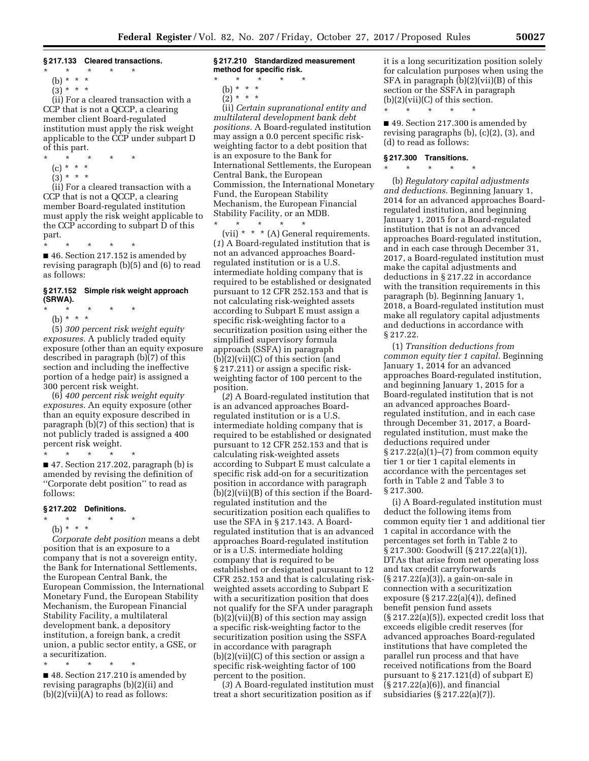## **§ 217.133 Cleared transactions.**

- $\star$   $\star$   $\star$
- (b) \* \* \*  $(3) * * * *$

(ii) For a cleared transaction with a CCP that is not a QCCP, a clearing member client Board-regulated institution must apply the risk weight applicable to the CCP under subpart D of this part.

- 
- \* \* \* \* \*
	- (c) \* \* \*  $(3) * * * *$

(ii) For a cleared transaction with a CCP that is not a QCCP, a clearing member Board-regulated institution must apply the risk weight applicable to the CCP according to subpart D of this part.

\* \* \* \* \* ■ 46. Section 217.152 is amended by revising paragraph (b)(5) and (6) to read as follows:

#### **§ 217.152 Simple risk weight approach (SRWA).**

- \* \* \* \* \*
	- (b) \* \* \*

(5) *300 percent risk weight equity exposures.* A publicly traded equity exposure (other than an equity exposure described in paragraph (b)(7) of this section and including the ineffective portion of a hedge pair) is assigned a 300 percent risk weight.

(6) *400 percent risk weight equity exposures.* An equity exposure (other than an equity exposure described in paragraph (b)(7) of this section) that is not publicly traded is assigned a 400 percent risk weight.

 $\star$   $\star$ 

■ 47. Section 217.202, paragraph (b) is amended by revising the definition of ''Corporate debt position'' to read as follows:

#### **§ 217.202 Definitions.**

\* \* \* \* \*

(b) \* \* \*

*Corporate debt position* means a debt position that is an exposure to a company that is not a sovereign entity, the Bank for International Settlements, the European Central Bank, the European Commission, the International Monetary Fund, the European Stability Mechanism, the European Financial Stability Facility, a multilateral development bank, a depository institution, a foreign bank, a credit union, a public sector entity, a GSE, or a securitization.

\* \* \* \* \* ■ 48. Section 217.210 is amended by revising paragraphs (b)(2)(ii) and  $(b)(2)(vii)(A)$  to read as follows:

#### **§ 217.210 Standardized measurement method for specific risk.**

- \* \* \* \* \*
- (b) \* \* \* \*  $(2)^* * * *$ 
	-

(ii) *Certain supranational entity and multilateral development bank debt positions.* A Board-regulated institution may assign a 0.0 percent specific riskweighting factor to a debt position that is an exposure to the Bank for International Settlements, the European Central Bank, the European Commission, the International Monetary Fund, the European Stability Mechanism, the European Financial Stability Facility, or an MDB.

\* \* \* \* \* (vii) \* \* \* (A) General requirements. (*1*) A Board-regulated institution that is not an advanced approaches Boardregulated institution or is a U.S. intermediate holding company that is required to be established or designated pursuant to 12 CFR 252.153 and that is not calculating risk-weighted assets according to Subpart E must assign a specific risk-weighting factor to a securitization position using either the simplified supervisory formula approach (SSFA) in paragraph (b)(2)(vii)(C) of this section (and § 217.211) or assign a specific riskweighting factor of 100 percent to the position.

(*2*) A Board-regulated institution that is an advanced approaches Boardregulated institution or is a U.S. intermediate holding company that is required to be established or designated pursuant to 12 CFR 252.153 and that is calculating risk-weighted assets according to Subpart E must calculate a specific risk add-on for a securitization position in accordance with paragraph (b)(2)(vii)(B) of this section if the Boardregulated institution and the securitization position each qualifies to use the SFA in § 217.143. A Boardregulated institution that is an advanced approaches Board-regulated institution or is a U.S. intermediate holding company that is required to be established or designated pursuant to 12 CFR 252.153 and that is calculating riskweighted assets according to Subpart E with a securitization position that does not qualify for the SFA under paragraph  $(b)(2)(vii)(B)$  of this section may assign a specific risk-weighting factor to the securitization position using the SSFA in accordance with paragraph (b)(2)(vii)(C) of this section or assign a specific risk-weighting factor of 100 percent to the position.

(*3*) A Board-regulated institution must treat a short securitization position as if

it is a long securitization position solely for calculation purposes when using the SFA in paragraph (b)(2)(vii)(B) of this section or the SSFA in paragraph  $(b)(2)(vii)(C)$  of this section. \* \* \* \* \*

■ 49. Section 217.300 is amended by revising paragraphs (b), (c)(2), (3), and (d) to read as follows:

## **§ 217.300 Transitions.**  \* \* \* \* \*

(b) *Regulatory capital adjustments and deductions.* Beginning January 1, 2014 for an advanced approaches Boardregulated institution, and beginning January 1, 2015 for a Board-regulated institution that is not an advanced approaches Board-regulated institution, and in each case through December 31, 2017, a Board-regulated institution must make the capital adjustments and deductions in § 217.22 in accordance with the transition requirements in this paragraph (b). Beginning January 1, 2018, a Board-regulated institution must make all regulatory capital adjustments and deductions in accordance with § 217.22.

(1) *Transition deductions from common equity tier 1 capital.* Beginning January 1, 2014 for an advanced approaches Board-regulated institution, and beginning January 1, 2015 for a Board-regulated institution that is not an advanced approaches Boardregulated institution, and in each case through December 31, 2017, a Boardregulated institution, must make the deductions required under § 217.22(a)(1)–(7) from common equity tier 1 or tier 1 capital elements in accordance with the percentages set forth in Table 2 and Table 3 to § 217.300.

(i) A Board-regulated institution must deduct the following items from common equity tier 1 and additional tier 1 capital in accordance with the percentages set forth in Table 2 to § 217.300: Goodwill (§ 217.22(a)(1)), DTAs that arise from net operating loss and tax credit carryforwards (§ 217.22(a)(3)), a gain-on-sale in connection with a securitization exposure (§ 217.22(a)(4)), defined benefit pension fund assets (§ 217.22(a)(5)), expected credit loss that exceeds eligible credit reserves (for advanced approaches Board-regulated institutions that have completed the parallel run process and that have received notifications from the Board pursuant to § 217.121(d) of subpart E) (§ 217.22(a)(6)), and financial subsidiaries (§ 217.22(a)(7)).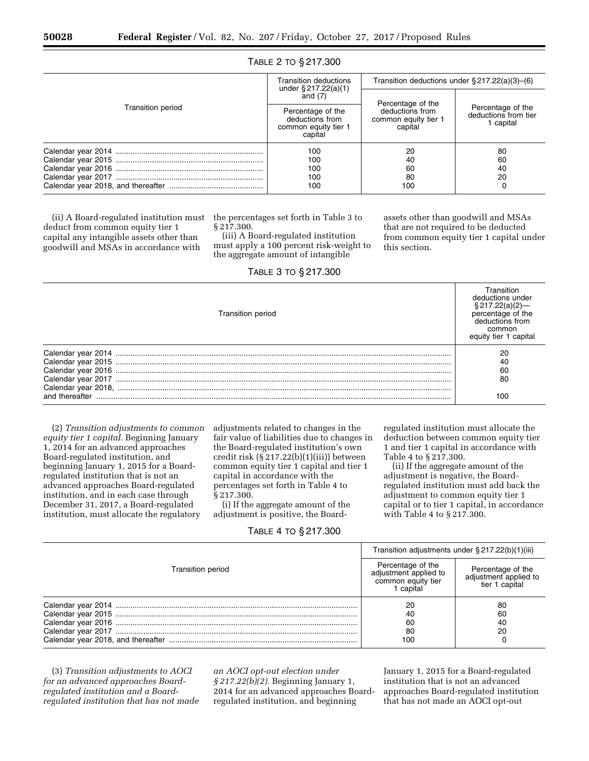|                   | <b>Transition deductions</b><br>under $\S 217.22(a)(1)$                 | Transition deductions under $\S 217.22(a)(3)$ –(6) |                                                        |
|-------------------|-------------------------------------------------------------------------|----------------------------------------------------|--------------------------------------------------------|
|                   | and $(7)$                                                               | Percentage of the                                  |                                                        |
| Transition period | Percentage of the<br>deductions from<br>common equity tier 1<br>capital | deductions from<br>common equity tier 1<br>capital | Percentage of the<br>deductions from tier<br>1 capital |
|                   | 100<br>100<br>100<br>100<br>100                                         | 20<br>40<br>60<br>80<br>100                        | 80<br>60<br>40<br>20<br>0                              |

## TABLE 2 TO § 217.300

(ii) A Board-regulated institution must deduct from common equity tier 1 capital any intangible assets other than goodwill and MSAs in accordance with

the percentages set forth in Table 3 to § 217.300.

(iii) A Board-regulated institution must apply a 100 percent risk-weight to the aggregate amount of intangible

TABLE 3 TO § 217.300 Transition period **Transition** deductions under § 217.22(a)(2) percentage of the deductions from common equity tier 1 capital Calendar year 2014 ............................................................................................................................................................. 20

| Calendar year 2016  | SC |
|---------------------|----|
| Calendar year 2017  | ዓር |
| Calendar year 2018, |    |
| and thereafter      |    |
|                     |    |

(2) *Transition adjustments to common equity tier 1 capital.* Beginning January 1, 2014 for an advanced approaches Board-regulated institution, and beginning January 1, 2015 for a Boardregulated institution that is not an advanced approaches Board-regulated institution, and in each case through December 31, 2017, a Board-regulated institution, must allocate the regulatory

adjustments related to changes in the fair value of liabilities due to changes in the Board-regulated institution's own credit risk (§ 217.22(b)(1)(iii)) between common equity tier 1 capital and tier 1 capital in accordance with the percentages set forth in Table 4 to § 217.300.

(i) If the aggregate amount of the adjustment is positive, the Board-

TABLE 4 TO § 217.300

regulated institution must allocate the deduction between common equity tier 1 and tier 1 capital in accordance with Table 4 to § 217.300.

assets other than goodwill and MSAs that are not required to be deducted from common equity tier 1 capital under

this section.

(ii) If the aggregate amount of the adjustment is negative, the Boardregulated institution must add back the adjustment to common equity tier 1 capital or to tier 1 capital, in accordance with Table 4 to § 217.300.

|                          | Transition adjustments under $\S 217.22(b)(1)(iii)$                           |                                                              |
|--------------------------|-------------------------------------------------------------------------------|--------------------------------------------------------------|
| <b>Transition period</b> | Percentage of the<br>adjustment applied to<br>common equity tier<br>1 capital | Percentage of the<br>adjustment applied to<br>tier 1 capital |
|                          | 20                                                                            | 80                                                           |
|                          | 40                                                                            | 60                                                           |
|                          | 60                                                                            | 40                                                           |
|                          | 80                                                                            | 20                                                           |
|                          | 100                                                                           |                                                              |

(3) *Transition adjustments to AOCI for an advanced approaches Boardregulated institution and a Boardregulated institution that has not made*  *an AOCI opt-out election under § 217.22(b)(2).* Beginning January 1, 2014 for an advanced approaches Boardregulated institution, and beginning

January 1, 2015 for a Board-regulated institution that is not an advanced approaches Board-regulated institution that has not made an AOCI opt-out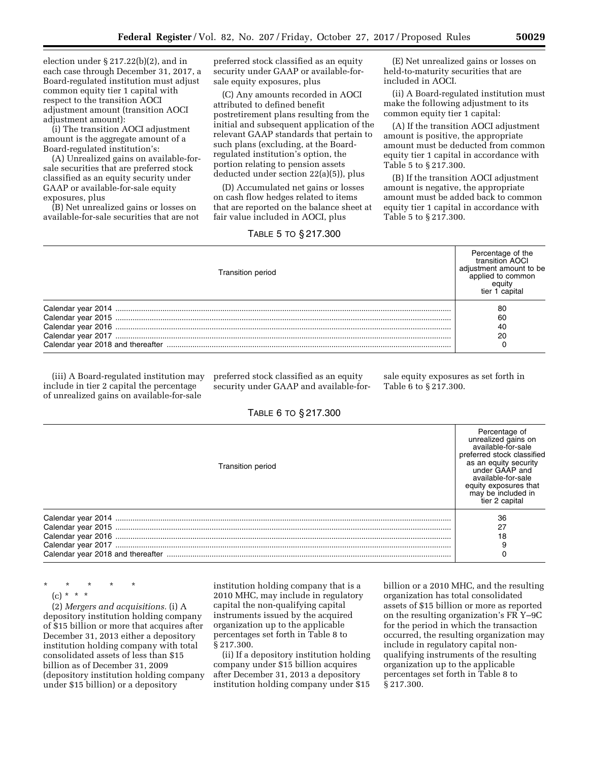election under § 217.22(b)(2), and in each case through December 31, 2017, a Board-regulated institution must adjust common equity tier 1 capital with respect to the transition AOCI adjustment amount (transition AOCI adjustment amount):

(i) The transition AOCI adjustment amount is the aggregate amount of a Board-regulated institution's:

(A) Unrealized gains on available-forsale securities that are preferred stock classified as an equity security under GAAP or available-for-sale equity exposures, plus

(B) Net unrealized gains or losses on available-for-sale securities that are not preferred stock classified as an equity security under GAAP or available-forsale equity exposures, plus

(C) Any amounts recorded in AOCI attributed to defined benefit postretirement plans resulting from the initial and subsequent application of the relevant GAAP standards that pertain to such plans (excluding, at the Boardregulated institution's option, the portion relating to pension assets deducted under section 22(a)(5)), plus

(D) Accumulated net gains or losses on cash flow hedges related to items that are reported on the balance sheet at fair value included in AOCI, plus

TABLE 5 TO § 217.300

(E) Net unrealized gains or losses on held-to-maturity securities that are included in AOCI.

(ii) A Board-regulated institution must make the following adjustment to its common equity tier 1 capital:

(A) If the transition AOCI adjustment amount is positive, the appropriate amount must be deducted from common equity tier 1 capital in accordance with Table 5 to § 217.300.

(B) If the transition AOCI adjustment amount is negative, the appropriate amount must be added back to common equity tier 1 capital in accordance with Table 5 to § 217.300.

| <b>Transition period</b> | Percentage of the<br>transition AOCI<br>adjustment amount to be<br>applied to common<br>eauity<br>tier 1 capital |
|--------------------------|------------------------------------------------------------------------------------------------------------------|
|                          | 80                                                                                                               |
|                          | 60                                                                                                               |
|                          | 40                                                                                                               |
|                          | 20                                                                                                               |
|                          |                                                                                                                  |

(iii) A Board-regulated institution may include in tier 2 capital the percentage of unrealized gains on available-for-sale

preferred stock classified as an equity security under GAAP and available-forsale equity exposures as set forth in Table 6 to § 217.300.

| TABLE 6 TO § 217.300 |  |  |
|----------------------|--|--|
|                      |  |  |

| <b>Transition period</b> | Percentage of<br>unrealized gains on<br>available-for-sale<br>preferred stock classified<br>as an equity security<br>under GAAP and<br>available-for-sale<br>equity exposures that<br>may be included in<br>tier 2 capital |
|--------------------------|----------------------------------------------------------------------------------------------------------------------------------------------------------------------------------------------------------------------------|
|                          | 36                                                                                                                                                                                                                         |
|                          | 27                                                                                                                                                                                                                         |
|                          | 18                                                                                                                                                                                                                         |
|                          |                                                                                                                                                                                                                            |
|                          |                                                                                                                                                                                                                            |

\* \* \* \* \*  $(c) * *$ 

(2) *Mergers and acquisitions.* (i) A depository institution holding company of \$15 billion or more that acquires after December 31, 2013 either a depository institution holding company with total consolidated assets of less than \$15 billion as of December 31, 2009 (depository institution holding company under \$15 billion) or a depository

institution holding company that is a 2010 MHC, may include in regulatory capital the non-qualifying capital instruments issued by the acquired organization up to the applicable percentages set forth in Table 8 to § 217.300.

(ii) If a depository institution holding company under \$15 billion acquires after December 31, 2013 a depository institution holding company under \$15

billion or a 2010 MHC, and the resulting organization has total consolidated assets of \$15 billion or more as reported on the resulting organization's FR Y–9C for the period in which the transaction occurred, the resulting organization may include in regulatory capital nonqualifying instruments of the resulting organization up to the applicable percentages set forth in Table 8 to § 217.300.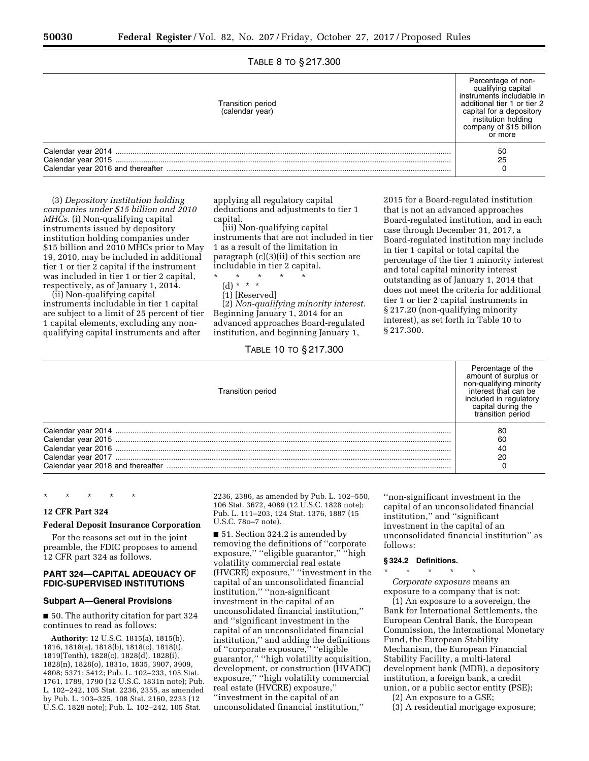## TABLE 8 TO § 217.300

| Transition period<br>(calendar year) | Percentage of non-<br>qualifying capital<br>instruments includable in<br>additional tier 1 or tier 2<br>capital for a depository<br>institution holding<br>company of \$15 billion<br>or more |
|--------------------------------------|-----------------------------------------------------------------------------------------------------------------------------------------------------------------------------------------------|
|                                      | 50                                                                                                                                                                                            |
|                                      | 25                                                                                                                                                                                            |
|                                      |                                                                                                                                                                                               |

(3) *Depository institution holding companies under \$15 billion and 2010 MHCs.* (i) Non-qualifying capital instruments issued by depository institution holding companies under \$15 billion and 2010 MHCs prior to May 19, 2010, may be included in additional tier 1 or tier 2 capital if the instrument was included in tier 1 or tier 2 capital, respectively, as of January 1, 2014.

(ii) Non-qualifying capital instruments includable in tier 1 capital are subject to a limit of 25 percent of tier 1 capital elements, excluding any nonqualifying capital instruments and after

applying all regulatory capital deductions and adjustments to tier 1 capital.

(iii) Non-qualifying capital instruments that are not included in tier 1 as a result of the limitation in paragraph (c)(3)(ii) of this section are includable in tier 2 capital.

\* \* \* \* \*

- (d) \* \* \*
- (1) [Reserved]

(2) *Non-qualifying minority interest.*  Beginning January 1, 2014 for an advanced approaches Board-regulated institution, and beginning January 1,

## TABLE 10 TO § 217.300

2015 for a Board-regulated institution that is not an advanced approaches Board-regulated institution, and in each case through December 31, 2017, a Board-regulated institution may include in tier 1 capital or total capital the percentage of the tier 1 minority interest and total capital minority interest outstanding as of January 1, 2014 that does not meet the criteria for additional tier 1 or tier 2 capital instruments in § 217.20 (non-qualifying minority interest), as set forth in Table 10 to § 217.300.

| <b>Transition period</b> | Percentage of the<br>amount of surplus or<br>non-qualifying minority<br>interest that can be<br>included in regulatory<br>capital during the<br>transition period |
|--------------------------|-------------------------------------------------------------------------------------------------------------------------------------------------------------------|
|                          | 80                                                                                                                                                                |
|                          | 60                                                                                                                                                                |
|                          | 40                                                                                                                                                                |
|                          | 20                                                                                                                                                                |
|                          |                                                                                                                                                                   |

\* \* \* \* \*

## **12 CFR Part 324**

#### **Federal Deposit Insurance Corporation**

For the reasons set out in the joint preamble, the FDIC proposes to amend 12 CFR part 324 as follows.

#### **PART 324—CAPITAL ADEQUACY OF FDIC-SUPERVISED INSTITUTIONS**

## **Subpart A—General Provisions**

■ 50. The authority citation for part 324 continues to read as follows:

**Authority:** 12 U.S.C. 1815(a), 1815(b), 1816, 1818(a), 1818(b), 1818(c), 1818(t), 1819(Tenth), 1828(c), 1828(d), 1828(i), 1828(n), 1828(o), 1831o, 1835, 3907, 3909, 4808; 5371; 5412; Pub. L. 102–233, 105 Stat. 1761, 1789, 1790 (12 U.S.C. 1831n note); Pub. L. 102–242, 105 Stat. 2236, 2355, as amended by Pub. L. 103–325, 108 Stat. 2160, 2233 (12 U.S.C. 1828 note); Pub. L. 102–242, 105 Stat.

2236, 2386, as amended by Pub. L. 102–550, 106 Stat. 3672, 4089 (12 U.S.C. 1828 note); Pub. L. 111–203, 124 Stat. 1376, 1887 (15 U.S.C. 78o–7 note).

■ 51. Section 324.2 is amended by removing the definitions of ''corporate exposure,'' ''eligible guarantor,'' ''high volatility commercial real estate (HVCRE) exposure,'' ''investment in the capital of an unconsolidated financial institution,'' ''non-significant investment in the capital of an unconsolidated financial institution,'' and ''significant investment in the capital of an unconsolidated financial institution,'' and adding the definitions of ''corporate exposure,'' ''eligible guarantor,'' ''high volatility acquisition, development, or construction (HVADC) exposure,'' ''high volatility commercial real estate (HVCRE) exposure,'' ''investment in the capital of an unconsolidated financial institution,''

''non-significant investment in the capital of an unconsolidated financial institution,'' and ''significant investment in the capital of an unconsolidated financial institution'' as follows:

#### **§ 324.2 Definitions.**  \* \* \* \* \*

*Corporate exposure* means an exposure to a company that is not:

(1) An exposure to a sovereign, the Bank for International Settlements, the European Central Bank, the European Commission, the International Monetary Fund, the European Stability Mechanism, the European Financial Stability Facility, a multi-lateral development bank (MDB), a depository institution, a foreign bank, a credit union, or a public sector entity (PSE);

(2) An exposure to a GSE;

(3) A residential mortgage exposure;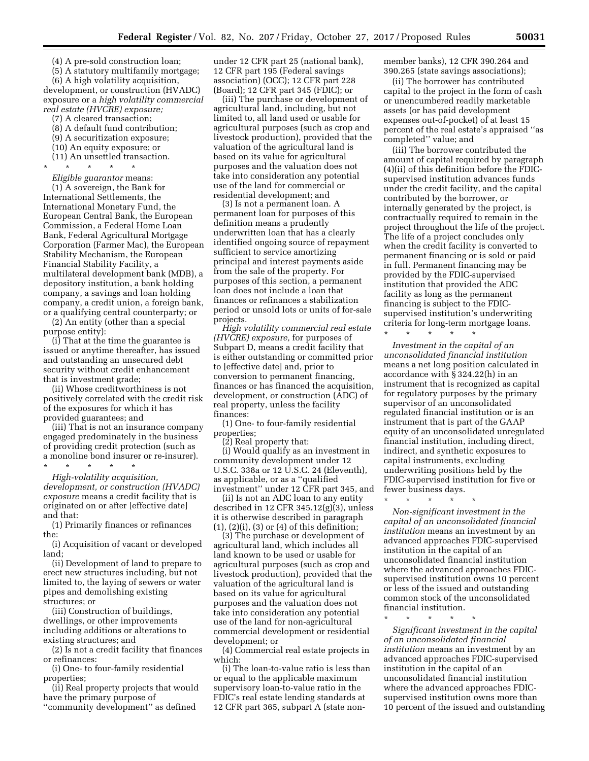(4) A pre-sold construction loan;

(5) A statutory multifamily mortgage;

(6) A high volatility acquisition, development, or construction (HVADC) exposure or a *high volatility commercial real estate (HVCRE) exposure;* 

- (7) A cleared transaction;
- (8) A default fund contribution;
- (9) A securitization exposure;
- (10) An equity exposure; or
- (11) An unsettled transaction.

\* \* \* \* \* *Eligible guarantor* means:

(1) A sovereign, the Bank for International Settlements, the International Monetary Fund, the European Central Bank, the European Commission, a Federal Home Loan Bank, Federal Agricultural Mortgage Corporation (Farmer Mac), the European Stability Mechanism, the European Financial Stability Facility, a multilateral development bank (MDB), a depository institution, a bank holding company, a savings and loan holding company, a credit union, a foreign bank, or a qualifying central counterparty; or

(2) An entity (other than a special purpose entity):

(i) That at the time the guarantee is issued or anytime thereafter, has issued and outstanding an unsecured debt security without credit enhancement that is investment grade;

(ii) Whose creditworthiness is not positively correlated with the credit risk of the exposures for which it has provided guarantees; and

(iii) That is not an insurance company engaged predominately in the business of providing credit protection (such as a monoline bond insurer or re-insurer).

\* \* \* \* \* *High-volatility acquisition, development, or construction (HVADC) exposure* means a credit facility that is originated on or after [effective date] and that:

(1) Primarily finances or refinances the:

(i) Acquisition of vacant or developed land;

(ii) Development of land to prepare to erect new structures including, but not limited to, the laying of sewers or water pipes and demolishing existing structures; or

(iii) Construction of buildings, dwellings, or other improvements including additions or alterations to existing structures; and

(2) Is not a credit facility that finances or refinances:

(i) One- to four-family residential properties;

(ii) Real property projects that would have the primary purpose of

''community development'' as defined

under 12 CFR part 25 (national bank), 12 CFR part 195 (Federal savings association) (OCC); 12 CFR part 228 (Board); 12 CFR part 345 (FDIC); or

(iii) The purchase or development of agricultural land, including, but not limited to, all land used or usable for agricultural purposes (such as crop and livestock production), provided that the valuation of the agricultural land is based on its value for agricultural purposes and the valuation does not take into consideration any potential use of the land for commercial or residential development; and

(3) Is not a permanent loan. A permanent loan for purposes of this definition means a prudently underwritten loan that has a clearly identified ongoing source of repayment sufficient to service amortizing principal and interest payments aside from the sale of the property. For purposes of this section, a permanent loan does not include a loan that finances or refinances a stabilization period or unsold lots or units of for-sale projects.

*High volatility commercial real estate (HVCRE) exposure,* for purposes of Subpart D, means a credit facility that is either outstanding or committed prior to [effective date] and, prior to conversion to permanent financing, finances or has financed the acquisition, development, or construction (ADC) of real property, unless the facility finances:

(1) One- to four-family residential properties;

(2) Real property that:

(i) Would qualify as an investment in community development under 12 U.S.C. 338a or 12 U.S.C. 24 (Eleventh), as applicable, or as a ''qualified investment'' under 12 CFR part 345, and

(ii) Is not an ADC loan to any entity described in 12 CFR 345.12(g)(3), unless it is otherwise described in paragraph  $(1)$ ,  $(2)(i)$ ,  $(3)$  or  $(4)$  of this definition;

(3) The purchase or development of agricultural land, which includes all land known to be used or usable for agricultural purposes (such as crop and livestock production), provided that the valuation of the agricultural land is based on its value for agricultural purposes and the valuation does not take into consideration any potential use of the land for non-agricultural commercial development or residential development; or

(4) Commercial real estate projects in which:

(i) The loan-to-value ratio is less than or equal to the applicable maximum supervisory loan-to-value ratio in the FDIC's real estate lending standards at 12 CFR part 365, subpart A (state nonmember banks), 12 CFR 390.264 and 390.265 (state savings associations);

(ii) The borrower has contributed capital to the project in the form of cash or unencumbered readily marketable assets (or has paid development expenses out-of-pocket) of at least 15 percent of the real estate's appraised ''as completed'' value; and

(iii) The borrower contributed the amount of capital required by paragraph (4)(ii) of this definition before the FDICsupervised institution advances funds under the credit facility, and the capital contributed by the borrower, or internally generated by the project, is contractually required to remain in the project throughout the life of the project. The life of a project concludes only when the credit facility is converted to permanent financing or is sold or paid in full. Permanent financing may be provided by the FDIC-supervised institution that provided the ADC facility as long as the permanent financing is subject to the FDICsupervised institution's underwriting criteria for long-term mortgage loans. \* \* \* \* \*

*Investment in the capital of an unconsolidated financial institution*  means a net long position calculated in accordance with § 324.22(h) in an instrument that is recognized as capital for regulatory purposes by the primary supervisor of an unconsolidated regulated financial institution or is an instrument that is part of the GAAP equity of an unconsolidated unregulated financial institution, including direct, indirect, and synthetic exposures to capital instruments, excluding underwriting positions held by the FDIC-supervised institution for five or fewer business days.

\* \* \* \* \*

*Non-significant investment in the capital of an unconsolidated financial institution* means an investment by an advanced approaches FDIC-supervised institution in the capital of an unconsolidated financial institution where the advanced approaches FDICsupervised institution owns 10 percent or less of the issued and outstanding common stock of the unconsolidated financial institution.

\* \* \* \* \*

*Significant investment in the capital of an unconsolidated financial institution* means an investment by an advanced approaches FDIC-supervised institution in the capital of an unconsolidated financial institution where the advanced approaches FDICsupervised institution owns more than 10 percent of the issued and outstanding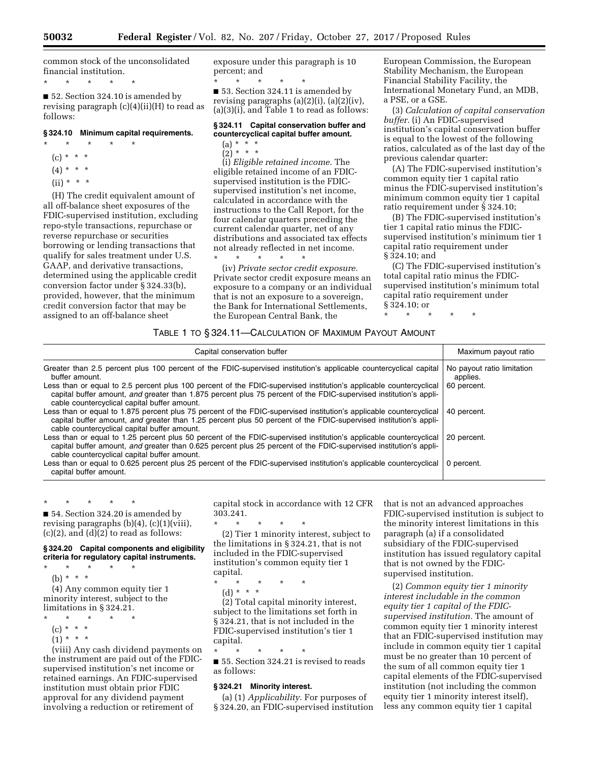common stock of the unconsolidated financial institution.

\* \* \* \* \*

■ 52. Section 324.10 is amended by revising paragraph (c)(4)(ii)(H) to read as follows:

#### **§ 324.10 Minimum capital requirements.**

- \* \* \* \* \*  $(c) * * * *$ 
	- $(4) * * * *$
	- $(ii) * * * *$
	-

(H) The credit equivalent amount of all off-balance sheet exposures of the FDIC-supervised institution, excluding repo-style transactions, repurchase or reverse repurchase or securities borrowing or lending transactions that qualify for sales treatment under U.S. GAAP, and derivative transactions, determined using the applicable credit conversion factor under § 324.33(b), provided, however, that the minimum credit conversion factor that may be assigned to an off-balance sheet

exposure under this paragraph is 10 percent; and

\* \* \* \* \* ■ 53. Section 324.11 is amended by revising paragraphs (a)(2)(i), (a)(2)(iv), (a)(3)(i), and Table 1 to read as follows:

## **§ 324.11 Capital conservation buffer and countercyclical capital buffer amount.**

(a) \* \* \*  $(2)^*$  \* \* \*

(i) *Eligible retained income.* The eligible retained income of an FDICsupervised institution is the FDICsupervised institution's net income, calculated in accordance with the instructions to the Call Report, for the four calendar quarters preceding the current calendar quarter, net of any distributions and associated tax effects not already reflected in net income.

\* \* \* \* \* (iv) *Private sector credit exposure.*  Private sector credit exposure means an exposure to a company or an individual that is not an exposure to a sovereign, the Bank for International Settlements, the European Central Bank, the

European Commission, the European Stability Mechanism, the European Financial Stability Facility, the International Monetary Fund, an MDB, a PSE, or a GSE.

(3) *Calculation of capital conservation buffer.* (i) An FDIC-supervised institution's capital conservation buffer is equal to the lowest of the following ratios, calculated as of the last day of the previous calendar quarter:

(A) The FDIC-supervised institution's common equity tier 1 capital ratio minus the FDIC-supervised institution's minimum common equity tier 1 capital ratio requirement under § 324.10;

(B) The FDIC-supervised institution's tier 1 capital ratio minus the FDICsupervised institution's minimum tier 1 capital ratio requirement under § 324.10; and

(C) The FDIC-supervised institution's total capital ratio minus the FDICsupervised institution's minimum total capital ratio requirement under § 324.10; or

\* \* \* \* \*

## TABLE 1 TO § 324.11—CALCULATION OF MAXIMUM PAYOUT AMOUNT

| Capital conservation buffer                                                                                                                                                                                                                                                             | Maximum payout ratio                   |
|-----------------------------------------------------------------------------------------------------------------------------------------------------------------------------------------------------------------------------------------------------------------------------------------|----------------------------------------|
| Greater than 2.5 percent plus 100 percent of the FDIC-supervised institution's applicable countercyclical capital<br>buffer amount.                                                                                                                                                     | No payout ratio limitation<br>applies. |
| Less than or equal to 2.5 percent plus 100 percent of the FDIC-supervised institution's applicable countercyclical<br>capital buffer amount, and greater than 1.875 percent plus 75 percent of the FDIC-supervised institution's appli-<br>cable countercyclical capital buffer amount. | 60 percent.                            |
| Less than or equal to 1.875 percent plus 75 percent of the FDIC-supervised institution's applicable countercyclical<br>capital buffer amount, and greater than 1.25 percent plus 50 percent of the FDIC-supervised institution's appli-<br>cable countercyclical capital buffer amount. | 40 percent.                            |
| Less than or equal to 1.25 percent plus 50 percent of the FDIC-supervised institution's applicable countercyclical<br>capital buffer amount, and greater than 0.625 percent plus 25 percent of the FDIC-supervised institution's appli-<br>cable countercyclical capital buffer amount. | 20 percent.                            |
| Less than or equal to 0.625 percent plus 25 percent of the FDIC-supervised institution's applicable countercyclical<br>capital buffer amount.                                                                                                                                           | 0 percent.                             |

\* \* \* \* \* ■ 54. Section 324.20 is amended by revising paragraphs (b)(4), (c)(1)(viii), (c)(2), and  $(d)(2)$  to read as follows:

#### **§ 324.20 Capital components and eligibility criteria for regulatory capital instruments.**

- \* \* \* \* \*
	- (b) \* \* \*

(4) Any common equity tier 1 minority interest, subject to the limitations in § 324.21.

- $\star$   $\star$   $\star$
- (c) \* \* \*
- $(1) * * * *$

(viii) Any cash dividend payments on the instrument are paid out of the FDICsupervised institution's net income or retained earnings. An FDIC-supervised institution must obtain prior FDIC approval for any dividend payment involving a reduction or retirement of

capital stock in accordance with 12 CFR 303.241.

\* \* \* \* \*

(2) Tier 1 minority interest, subject to the limitations in § 324.21, that is not included in the FDIC-supervised institution's common equity tier 1 capital.

- \* \* \* \* \*
	- (d) \* \* \*

(2) Total capital minority interest, subject to the limitations set forth in § 324.21, that is not included in the FDIC-supervised institution's tier 1 capital.

\* \* \* \* \* ■ 55. Section 324.21 is revised to reads as follows:

#### **§ 324.21 Minority interest.**

(a) (1) *Applicability.* For purposes of § 324.20, an FDIC-supervised institution that is not an advanced approaches FDIC-supervised institution is subject to the minority interest limitations in this paragraph (a) if a consolidated subsidiary of the FDIC-supervised institution has issued regulatory capital that is not owned by the FDICsupervised institution.

(2) *Common equity tier 1 minority interest includable in the common equity tier 1 capital of the FDICsupervised institution.* The amount of common equity tier 1 minority interest that an FDIC-supervised institution may include in common equity tier 1 capital must be no greater than 10 percent of the sum of all common equity tier 1 capital elements of the FDIC-supervised institution (not including the common equity tier 1 minority interest itself), less any common equity tier 1 capital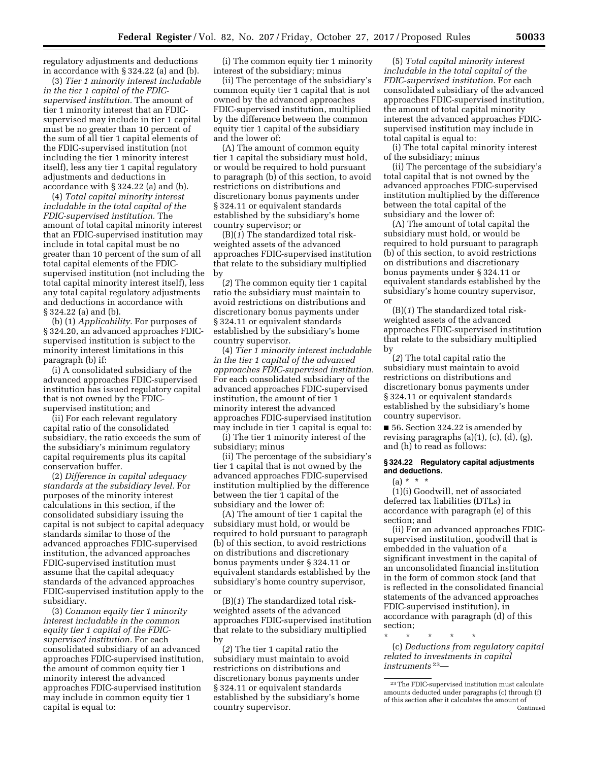regulatory adjustments and deductions in accordance with § 324.22 (a) and (b).

(3) *Tier 1 minority interest includable in the tier 1 capital of the FDICsupervised institution.* The amount of tier 1 minority interest that an FDICsupervised may include in tier 1 capital must be no greater than 10 percent of the sum of all tier 1 capital elements of the FDIC-supervised institution (not including the tier 1 minority interest itself), less any tier 1 capital regulatory adjustments and deductions in accordance with § 324.22 (a) and (b).

(4) *Total capital minority interest includable in the total capital of the FDIC-supervised institution.* The amount of total capital minority interest that an FDIC-supervised institution may include in total capital must be no greater than 10 percent of the sum of all total capital elements of the FDICsupervised institution (not including the total capital minority interest itself), less any total capital regulatory adjustments and deductions in accordance with § 324.22 (a) and (b).

(b) (1) *Applicability.* For purposes of § 324.20, an advanced approaches FDICsupervised institution is subject to the minority interest limitations in this paragraph (b) if:

(i) A consolidated subsidiary of the advanced approaches FDIC-supervised institution has issued regulatory capital that is not owned by the FDICsupervised institution; and

(ii) For each relevant regulatory capital ratio of the consolidated subsidiary, the ratio exceeds the sum of the subsidiary's minimum regulatory capital requirements plus its capital conservation buffer.

(2) *Difference in capital adequacy standards at the subsidiary level.* For purposes of the minority interest calculations in this section, if the consolidated subsidiary issuing the capital is not subject to capital adequacy standards similar to those of the advanced approaches FDIC-supervised institution, the advanced approaches FDIC-supervised institution must assume that the capital adequacy standards of the advanced approaches FDIC-supervised institution apply to the subsidiary.

(3) *Common equity tier 1 minority interest includable in the common equity tier 1 capital of the FDICsupervised institution.* For each consolidated subsidiary of an advanced approaches FDIC-supervised institution, the amount of common equity tier 1 minority interest the advanced approaches FDIC-supervised institution may include in common equity tier 1 capital is equal to:

(i) The common equity tier 1 minority interest of the subsidiary; minus

(ii) The percentage of the subsidiary's common equity tier 1 capital that is not owned by the advanced approaches FDIC-supervised institution, multiplied by the difference between the common equity tier 1 capital of the subsidiary and the lower of:

(A) The amount of common equity tier 1 capital the subsidiary must hold, or would be required to hold pursuant to paragraph (b) of this section, to avoid restrictions on distributions and discretionary bonus payments under § 324.11 or equivalent standards established by the subsidiary's home country supervisor; or

(B)(*1*) The standardized total riskweighted assets of the advanced approaches FDIC-supervised institution that relate to the subsidiary multiplied by

(*2*) The common equity tier 1 capital ratio the subsidiary must maintain to avoid restrictions on distributions and discretionary bonus payments under § 324.11 or equivalent standards established by the subsidiary's home country supervisor.

(4) *Tier 1 minority interest includable in the tier 1 capital of the advanced approaches FDIC-supervised institution.*  For each consolidated subsidiary of the advanced approaches FDIC-supervised institution, the amount of tier 1 minority interest the advanced approaches FDIC-supervised institution may include in tier 1 capital is equal to:

(i) The tier 1 minority interest of the subsidiary; minus

(ii) The percentage of the subsidiary's tier 1 capital that is not owned by the advanced approaches FDIC-supervised institution multiplied by the difference between the tier 1 capital of the subsidiary and the lower of:

(A) The amount of tier 1 capital the subsidiary must hold, or would be required to hold pursuant to paragraph (b) of this section, to avoid restrictions on distributions and discretionary bonus payments under § 324.11 or equivalent standards established by the subsidiary's home country supervisor, or

(B)(*1*) The standardized total riskweighted assets of the advanced approaches FDIC-supervised institution that relate to the subsidiary multiplied by

(*2*) The tier 1 capital ratio the subsidiary must maintain to avoid restrictions on distributions and discretionary bonus payments under § 324.11 or equivalent standards established by the subsidiary's home country supervisor.

(5) *Total capital minority interest includable in the total capital of the FDIC-supervised institution.* For each consolidated subsidiary of the advanced approaches FDIC-supervised institution, the amount of total capital minority interest the advanced approaches FDICsupervised institution may include in total capital is equal to:

(i) The total capital minority interest of the subsidiary; minus

(ii) The percentage of the subsidiary's total capital that is not owned by the advanced approaches FDIC-supervised institution multiplied by the difference between the total capital of the subsidiary and the lower of:

(A) The amount of total capital the subsidiary must hold, or would be required to hold pursuant to paragraph (b) of this section, to avoid restrictions on distributions and discretionary bonus payments under § 324.11 or equivalent standards established by the subsidiary's home country supervisor, or

(B)(*1*) The standardized total riskweighted assets of the advanced approaches FDIC-supervised institution that relate to the subsidiary multiplied by

(*2*) The total capital ratio the subsidiary must maintain to avoid restrictions on distributions and discretionary bonus payments under § 324.11 or equivalent standards established by the subsidiary's home country supervisor.

■ 56. Section 324.22 is amended by revising paragraphs (a)(1), (c), (d), (g), and (h) to read as follows:

## **§ 324.22 Regulatory capital adjustments and deductions.**

 $(a) * * * *$ 

(1)(i) Goodwill, net of associated deferred tax liabilities (DTLs) in accordance with paragraph (e) of this section; and

(ii) For an advanced approaches FDICsupervised institution, goodwill that is embedded in the valuation of a significant investment in the capital of an unconsolidated financial institution in the form of common stock (and that is reflected in the consolidated financial statements of the advanced approaches FDIC-supervised institution), in accordance with paragraph (d) of this section;

\* \* \* \* \* (c) *Deductions from regulatory capital related to investments in capital instruments* 23—

<sup>23</sup>The FDIC-supervised institution must calculate amounts deducted under paragraphs (c) through (f) of this section after it calculates the amount of Continued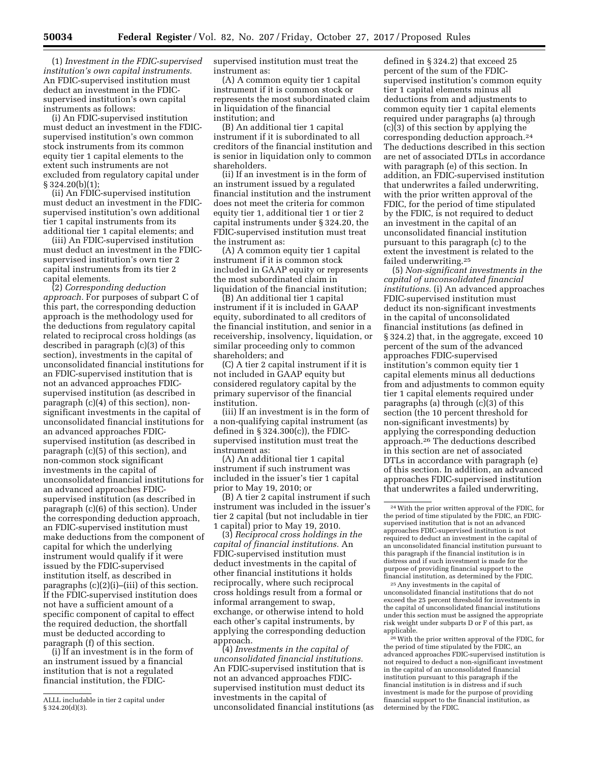(1) *Investment in the FDIC-supervised institution's own capital instruments.*  An FDIC-supervised institution must deduct an investment in the FDICsupervised institution's own capital instruments as follows:

(i) An FDIC-supervised institution must deduct an investment in the FDICsupervised institution's own common stock instruments from its common equity tier 1 capital elements to the extent such instruments are not excluded from regulatory capital under § 324.20(b)(1);

(ii) An FDIC-supervised institution must deduct an investment in the FDICsupervised institution's own additional tier 1 capital instruments from its additional tier 1 capital elements; and

(iii) An FDIC-supervised institution must deduct an investment in the FDICsupervised institution's own tier 2 capital instruments from its tier 2 capital elements.

(2) *Corresponding deduction approach.* For purposes of subpart C of this part, the corresponding deduction approach is the methodology used for the deductions from regulatory capital related to reciprocal cross holdings (as described in paragraph (c)(3) of this section), investments in the capital of unconsolidated financial institutions for an FDIC-supervised institution that is not an advanced approaches FDICsupervised institution (as described in paragraph (c)(4) of this section), nonsignificant investments in the capital of unconsolidated financial institutions for an advanced approaches FDICsupervised institution (as described in paragraph (c)(5) of this section), and non-common stock significant investments in the capital of unconsolidated financial institutions for an advanced approaches FDICsupervised institution (as described in paragraph (c)(6) of this section). Under the corresponding deduction approach, an FDIC-supervised institution must make deductions from the component of capital for which the underlying instrument would qualify if it were issued by the FDIC-supervised institution itself, as described in paragraphs (c)(2)(i)–(iii) of this section. If the FDIC-supervised institution does not have a sufficient amount of a specific component of capital to effect the required deduction, the shortfall must be deducted according to paragraph (f) of this section.

(i) If an investment is in the form of an instrument issued by a financial institution that is not a regulated financial institution, the FDIC-

supervised institution must treat the instrument as:

(A) A common equity tier 1 capital instrument if it is common stock or represents the most subordinated claim in liquidation of the financial institution; and

(B) An additional tier 1 capital instrument if it is subordinated to all creditors of the financial institution and is senior in liquidation only to common shareholders.

(ii) If an investment is in the form of an instrument issued by a regulated financial institution and the instrument does not meet the criteria for common equity tier 1, additional tier 1 or tier 2 capital instruments under § 324.20, the FDIC-supervised institution must treat the instrument as:

(A) A common equity tier 1 capital instrument if it is common stock included in GAAP equity or represents the most subordinated claim in liquidation of the financial institution;

(B) An additional tier 1 capital instrument if it is included in GAAP equity, subordinated to all creditors of the financial institution, and senior in a receivership, insolvency, liquidation, or similar proceeding only to common shareholders; and

(C) A tier 2 capital instrument if it is not included in GAAP equity but considered regulatory capital by the primary supervisor of the financial institution.

(iii) If an investment is in the form of a non-qualifying capital instrument (as defined in § 324.300(c)), the FDICsupervised institution must treat the instrument as:

(A) An additional tier 1 capital instrument if such instrument was included in the issuer's tier 1 capital prior to May 19, 2010; or

(B) A tier 2 capital instrument if such instrument was included in the issuer's tier 2 capital (but not includable in tier 1 capital) prior to May 19, 2010.

(3) *Reciprocal cross holdings in the capital of financial institutions.* An FDIC-supervised institution must deduct investments in the capital of other financial institutions it holds reciprocally, where such reciprocal cross holdings result from a formal or informal arrangement to swap, exchange, or otherwise intend to hold each other's capital instruments, by applying the corresponding deduction approach.

(4) *Investments in the capital of unconsolidated financial institutions.*  An FDIC-supervised institution that is not an advanced approaches FDICsupervised institution must deduct its investments in the capital of unconsolidated financial institutions (as

defined in § 324.2) that exceed 25 percent of the sum of the FDICsupervised institution's common equity tier 1 capital elements minus all deductions from and adjustments to common equity tier 1 capital elements required under paragraphs (a) through (c)(3) of this section by applying the corresponding deduction approach.24 The deductions described in this section are net of associated DTLs in accordance with paragraph (e) of this section. In addition, an FDIC-supervised institution that underwrites a failed underwriting, with the prior written approval of the FDIC, for the period of time stipulated by the FDIC, is not required to deduct an investment in the capital of an unconsolidated financial institution pursuant to this paragraph (c) to the extent the investment is related to the failed underwriting.25

(5) *Non-significant investments in the capital of unconsolidated financial institutions.* (i) An advanced approaches FDIC-supervised institution must deduct its non-significant investments in the capital of unconsolidated financial institutions (as defined in § 324.2) that, in the aggregate, exceed 10 percent of the sum of the advanced approaches FDIC-supervised institution's common equity tier 1 capital elements minus all deductions from and adjustments to common equity tier 1 capital elements required under paragraphs (a) through (c)(3) of this section (the 10 percent threshold for non-significant investments) by applying the corresponding deduction approach.26 The deductions described in this section are net of associated DTLs in accordance with paragraph (e) of this section. In addition, an advanced approaches FDIC-supervised institution that underwrites a failed underwriting,

25Any investments in the capital of unconsolidated financial institutions that do not exceed the 25 percent threshold for investments in the capital of unconsolidated financial institutions under this section must be assigned the appropriate risk weight under subparts D or F of this part, as applicable.

26With the prior written approval of the FDIC, for the period of time stipulated by the FDIC, an advanced approaches FDIC-supervised institution is not required to deduct a non-significant investment in the capital of an unconsolidated financial institution pursuant to this paragraph if the financial institution is in distress and if such investment is made for the purpose of providing financial support to the financial institution, as determined by the FDIC.

ALLL includable in tier 2 capital under § 324.20(d)(3).

<sup>24</sup>With the prior written approval of the FDIC, for the period of time stipulated by the FDIC, an FDICsupervised institution that is not an advanced approaches FDIC-supervised institution is not required to deduct an investment in the capital of an unconsolidated financial institution pursuant to this paragraph if the financial institution is in distress and if such investment is made for the purpose of providing financial support to the financial institution, as determined by the FDIC.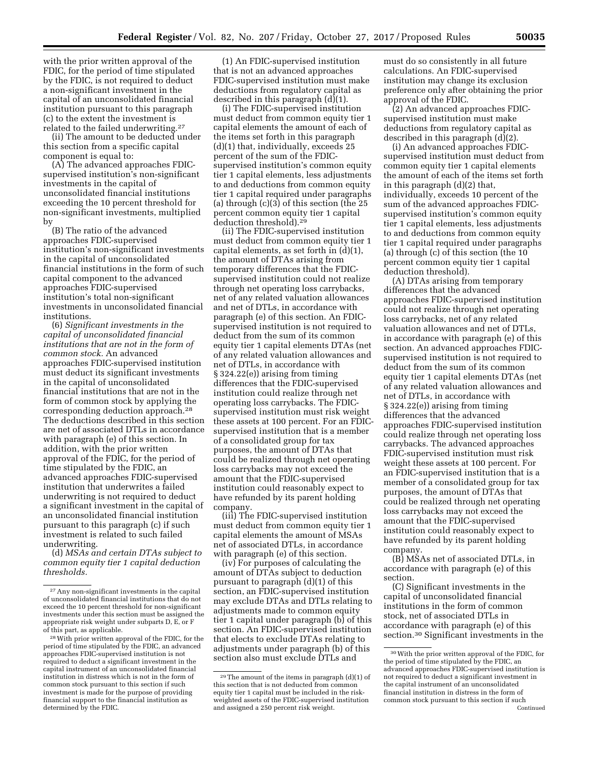with the prior written approval of the FDIC, for the period of time stipulated by the FDIC, is not required to deduct a non-significant investment in the capital of an unconsolidated financial institution pursuant to this paragraph (c) to the extent the investment is related to the failed underwriting.27

(ii) The amount to be deducted under this section from a specific capital component is equal to:

(A) The advanced approaches FDICsupervised institution's non-significant investments in the capital of unconsolidated financial institutions exceeding the 10 percent threshold for non-significant investments, multiplied by

(B) The ratio of the advanced approaches FDIC-supervised institution's non-significant investments in the capital of unconsolidated financial institutions in the form of such capital component to the advanced approaches FDIC-supervised institution's total non-significant investments in unconsolidated financial institutions.

(6) *Significant investments in the capital of unconsolidated financial institutions that are not in the form of common stock.* An advanced approaches FDIC-supervised institution must deduct its significant investments in the capital of unconsolidated financial institutions that are not in the form of common stock by applying the corresponding deduction approach.28 The deductions described in this section are net of associated DTLs in accordance with paragraph (e) of this section. In addition, with the prior written approval of the FDIC, for the period of time stipulated by the FDIC, an advanced approaches FDIC-supervised institution that underwrites a failed underwriting is not required to deduct a significant investment in the capital of an unconsolidated financial institution pursuant to this paragraph (c) if such investment is related to such failed underwriting.

(d) *MSAs and certain DTAs subject to common equity tier 1 capital deduction thresholds.* 

(1) An FDIC-supervised institution that is not an advanced approaches FDIC-supervised institution must make deductions from regulatory capital as described in this paragraph  $(d)(1)$ .

(i) The FDIC-supervised institution must deduct from common equity tier 1 capital elements the amount of each of the items set forth in this paragraph (d)(1) that, individually, exceeds 25 percent of the sum of the FDICsupervised institution's common equity tier 1 capital elements, less adjustments to and deductions from common equity tier 1 capital required under paragraphs (a) through (c)(3) of this section (the 25 percent common equity tier 1 capital deduction threshold).29

(ii) The FDIC-supervised institution must deduct from common equity tier 1 capital elements, as set forth in (d)(1), the amount of DTAs arising from temporary differences that the FDICsupervised institution could not realize through net operating loss carrybacks, net of any related valuation allowances and net of DTLs, in accordance with paragraph (e) of this section. An FDICsupervised institution is not required to deduct from the sum of its common equity tier 1 capital elements DTAs (net of any related valuation allowances and net of DTLs, in accordance with § 324.22(e)) arising from timing differences that the FDIC-supervised institution could realize through net operating loss carrybacks. The FDICsupervised institution must risk weight these assets at 100 percent. For an FDICsupervised institution that is a member of a consolidated group for tax purposes, the amount of DTAs that could be realized through net operating loss carrybacks may not exceed the amount that the FDIC-supervised institution could reasonably expect to have refunded by its parent holding company.

(iii) The FDIC-supervised institution must deduct from common equity tier 1 capital elements the amount of MSAs net of associated DTLs, in accordance with paragraph (e) of this section.

(iv) For purposes of calculating the amount of DTAs subject to deduction pursuant to paragraph (d)(1) of this section, an FDIC-supervised institution may exclude DTAs and DTLs relating to adjustments made to common equity tier 1 capital under paragraph (b) of this section. An FDIC-supervised institution that elects to exclude DTAs relating to adjustments under paragraph (b) of this section also must exclude DTLs and

must do so consistently in all future calculations. An FDIC-supervised institution may change its exclusion preference only after obtaining the prior approval of the FDIC.

(2) An advanced approaches FDICsupervised institution must make deductions from regulatory capital as described in this paragraph  $(d)(2)$ .

(i) An advanced approaches FDICsupervised institution must deduct from common equity tier 1 capital elements the amount of each of the items set forth in this paragraph (d)(2) that, individually, exceeds 10 percent of the sum of the advanced approaches FDICsupervised institution's common equity tier 1 capital elements, less adjustments to and deductions from common equity tier 1 capital required under paragraphs (a) through (c) of this section (the 10 percent common equity tier 1 capital deduction threshold).

(A) DTAs arising from temporary differences that the advanced approaches FDIC-supervised institution could not realize through net operating loss carrybacks, net of any related valuation allowances and net of DTLs, in accordance with paragraph (e) of this section. An advanced approaches FDICsupervised institution is not required to deduct from the sum of its common equity tier 1 capital elements DTAs (net of any related valuation allowances and net of DTLs, in accordance with § 324.22(e)) arising from timing differences that the advanced approaches FDIC-supervised institution could realize through net operating loss carrybacks. The advanced approaches FDIC-supervised institution must risk weight these assets at 100 percent. For an FDIC-supervised institution that is a member of a consolidated group for tax purposes, the amount of DTAs that could be realized through net operating loss carrybacks may not exceed the amount that the FDIC-supervised institution could reasonably expect to have refunded by its parent holding company.

(B) MSAs net of associated DTLs, in accordance with paragraph (e) of this section.

(C) Significant investments in the capital of unconsolidated financial institutions in the form of common stock, net of associated DTLs in accordance with paragraph (e) of this section.30 Significant investments in the

<sup>27</sup>Any non-significant investments in the capital of unconsolidated financial institutions that do not exceed the 10 percent threshold for non-significant investments under this section must be assigned the appropriate risk weight under subparts D, E, or F of this part, as applicable.

<sup>28</sup>With prior written approval of the FDIC, for the period of time stipulated by the FDIC, an advanced approaches FDIC-supervised institution is not required to deduct a significant investment in the capital instrument of an unconsolidated financial institution in distress which is not in the form of common stock pursuant to this section if such investment is made for the purpose of providing financial support to the financial institution as determined by the FDIC.

<sup>29</sup>The amount of the items in paragraph (d)(1) of this section that is not deducted from common equity tier 1 capital must be included in the riskweighted assets of the FDIC-supervised institution and assigned a 250 percent risk weight.

<sup>30</sup>With the prior written approval of the FDIC, for the period of time stipulated by the FDIC, an advanced approaches FDIC-supervised institution is not required to deduct a significant investment in the capital instrument of an unconsolidated financial institution in distress in the form of common stock pursuant to this section if such Continued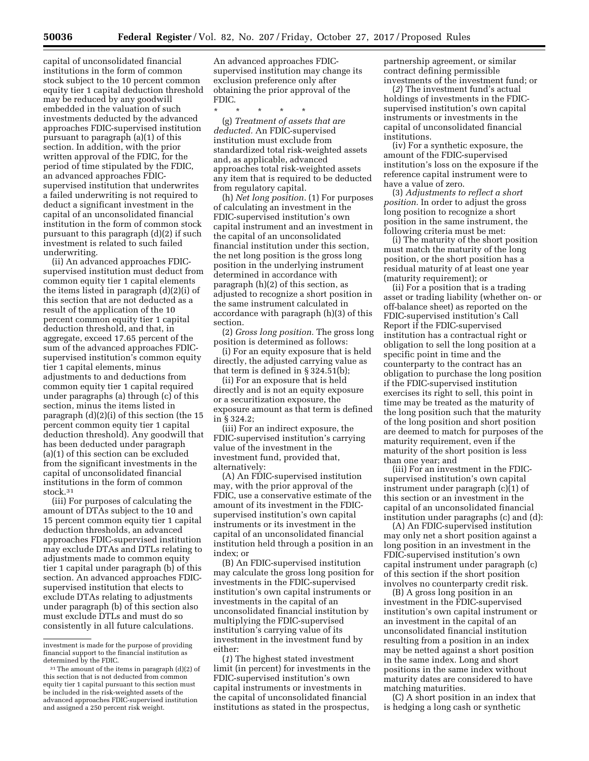capital of unconsolidated financial institutions in the form of common stock subject to the 10 percent common equity tier 1 capital deduction threshold may be reduced by any goodwill embedded in the valuation of such investments deducted by the advanced approaches FDIC-supervised institution pursuant to paragraph (a)(1) of this section. In addition, with the prior written approval of the FDIC, for the period of time stipulated by the FDIC, an advanced approaches FDICsupervised institution that underwrites a failed underwriting is not required to deduct a significant investment in the capital of an unconsolidated financial institution in the form of common stock pursuant to this paragraph (d)(2) if such investment is related to such failed underwriting.

(ii) An advanced approaches FDICsupervised institution must deduct from common equity tier 1 capital elements the items listed in paragraph (d)(2)(i) of this section that are not deducted as a result of the application of the 10 percent common equity tier 1 capital deduction threshold, and that, in aggregate, exceed 17.65 percent of the sum of the advanced approaches FDICsupervised institution's common equity tier 1 capital elements, minus adjustments to and deductions from common equity tier 1 capital required under paragraphs (a) through (c) of this section, minus the items listed in paragraph (d)(2)(i) of this section (the 15 percent common equity tier 1 capital deduction threshold). Any goodwill that has been deducted under paragraph (a)(1) of this section can be excluded from the significant investments in the capital of unconsolidated financial institutions in the form of common stock.31

(iii) For purposes of calculating the amount of DTAs subject to the 10 and 15 percent common equity tier 1 capital deduction thresholds, an advanced approaches FDIC-supervised institution may exclude DTAs and DTLs relating to adjustments made to common equity tier 1 capital under paragraph (b) of this section. An advanced approaches FDICsupervised institution that elects to exclude DTAs relating to adjustments under paragraph (b) of this section also must exclude DTLs and must do so consistently in all future calculations.

An advanced approaches FDICsupervised institution may change its exclusion preference only after obtaining the prior approval of the FDIC.

\* \* \* \* \*

(g) *Treatment of assets that are deducted.* An FDIC-supervised institution must exclude from standardized total risk-weighted assets and, as applicable, advanced approaches total risk-weighted assets any item that is required to be deducted from regulatory capital.

(h) *Net long position.* (1) For purposes of calculating an investment in the FDIC-supervised institution's own capital instrument and an investment in the capital of an unconsolidated financial institution under this section, the net long position is the gross long position in the underlying instrument determined in accordance with paragraph (h)(2) of this section, as adjusted to recognize a short position in the same instrument calculated in accordance with paragraph (h)(3) of this section.

(2) *Gross long position.* The gross long position is determined as follows:

(i) For an equity exposure that is held directly, the adjusted carrying value as that term is defined in § 324.51(b);

(ii) For an exposure that is held directly and is not an equity exposure or a securitization exposure, the exposure amount as that term is defined in § 324.2;

(iii) For an indirect exposure, the FDIC-supervised institution's carrying value of the investment in the investment fund, provided that, alternatively:

(A) An FDIC-supervised institution may, with the prior approval of the FDIC, use a conservative estimate of the amount of its investment in the FDICsupervised institution's own capital instruments or its investment in the capital of an unconsolidated financial institution held through a position in an index; or

(B) An FDIC-supervised institution may calculate the gross long position for investments in the FDIC-supervised institution's own capital instruments or investments in the capital of an unconsolidated financial institution by multiplying the FDIC-supervised institution's carrying value of its investment in the investment fund by either:

(*1*) The highest stated investment limit (in percent) for investments in the FDIC-supervised institution's own capital instruments or investments in the capital of unconsolidated financial institutions as stated in the prospectus,

partnership agreement, or similar contract defining permissible investments of the investment fund; or

(*2*) The investment fund's actual holdings of investments in the FDICsupervised institution's own capital instruments or investments in the capital of unconsolidated financial institutions.

(iv) For a synthetic exposure, the amount of the FDIC-supervised institution's loss on the exposure if the reference capital instrument were to have a value of zero.

(3) *Adjustments to reflect a short position.* In order to adjust the gross long position to recognize a short position in the same instrument, the following criteria must be met:

(i) The maturity of the short position must match the maturity of the long position, or the short position has a residual maturity of at least one year (maturity requirement); or

(ii) For a position that is a trading asset or trading liability (whether on- or off-balance sheet) as reported on the FDIC-supervised institution's Call Report if the FDIC-supervised institution has a contractual right or obligation to sell the long position at a specific point in time and the counterparty to the contract has an obligation to purchase the long position if the FDIC-supervised institution exercises its right to sell, this point in time may be treated as the maturity of the long position such that the maturity of the long position and short position are deemed to match for purposes of the maturity requirement, even if the maturity of the short position is less than one year; and

(iii) For an investment in the FDICsupervised institution's own capital instrument under paragraph (c)(1) of this section or an investment in the capital of an unconsolidated financial institution under paragraphs (c) and (d):

(A) An FDIC-supervised institution may only net a short position against a long position in an investment in the FDIC-supervised institution's own capital instrument under paragraph (c) of this section if the short position involves no counterparty credit risk.

(B) A gross long position in an investment in the FDIC-supervised institution's own capital instrument or an investment in the capital of an unconsolidated financial institution resulting from a position in an index may be netted against a short position in the same index. Long and short positions in the same index without maturity dates are considered to have matching maturities.

(C) A short position in an index that is hedging a long cash or synthetic

investment is made for the purpose of providing financial support to the financial institution as determined by the FDIC.

<sup>31</sup>The amount of the items in paragraph (d)(2) of this section that is not deducted from common equity tier 1 capital pursuant to this section must be included in the risk-weighted assets of the advanced approaches FDIC-supervised institution and assigned a 250 percent risk weight.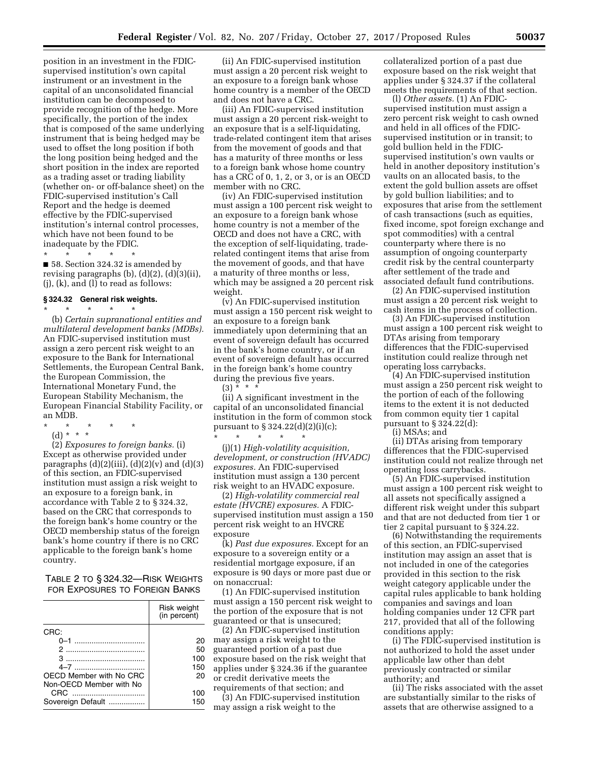position in an investment in the FDICsupervised institution's own capital instrument or an investment in the capital of an unconsolidated financial institution can be decomposed to provide recognition of the hedge. More specifically, the portion of the index that is composed of the same underlying instrument that is being hedged may be used to offset the long position if both the long position being hedged and the short position in the index are reported as a trading asset or trading liability (whether on- or off-balance sheet) on the FDIC-supervised institution's Call Report and the hedge is deemed effective by the FDIC-supervised institution's internal control processes, which have not been found to be inadequate by the FDIC.

\* \* \* \* \* ■ 58. Section 324.32 is amended by revising paragraphs  $(b)$ ,  $(d)(2)$ ,  $(d)(3)(ii)$ ,  $(i)$ ,  $(k)$ , and  $(l)$  to read as follows:

#### **§ 324.32 General risk weights.**  \* \* \* \* \*

(b) *Certain supranational entities and multilateral development banks (MDBs).*  An FDIC-supervised institution must assign a zero percent risk weight to an exposure to the Bank for International Settlements, the European Central Bank, the European Commission, the International Monetary Fund, the European Stability Mechanism, the European Financial Stability Facility, or an MDB.

- \* \* \* \* \*
	- (d) \* \* \*

(2) *Exposures to foreign banks.* (i) Except as otherwise provided under paragraphs  $(d)(2)(iii)$ ,  $(d)(2)(v)$  and  $(d)(3)$ of this section, an FDIC-supervised institution must assign a risk weight to an exposure to a foreign bank, in accordance with Table 2 to § 324.32, based on the CRC that corresponds to the foreign bank's home country or the OECD membership status of the foreign bank's home country if there is no CRC applicable to the foreign bank's home country.

TABLE 2 TO § 324.32—RISK WEIGHTS FOR EXPOSURES TO FOREIGN BANKS

|                         | Risk weight<br>(in percent) |
|-------------------------|-----------------------------|
| CRC:                    |                             |
| $0 - 1$                 | 20                          |
| $\mathcal{P}$           | 50                          |
| З                       | 100                         |
|                         | 150                         |
| OECD Member with No CRC | 20                          |
| Non-OECD Member with No |                             |
| CRC                     | 100                         |
| Sovereign Default       | 150                         |
|                         |                             |

(ii) An FDIC-supervised institution must assign a 20 percent risk weight to an exposure to a foreign bank whose home country is a member of the OECD and does not have a CRC.

(iii) An FDIC-supervised institution must assign a 20 percent risk-weight to an exposure that is a self-liquidating, trade-related contingent item that arises from the movement of goods and that has a maturity of three months or less to a foreign bank whose home country has a CRC of 0, 1, 2, or 3, or is an OECD member with no CRC.

(iv) An FDIC-supervised institution must assign a 100 percent risk weight to an exposure to a foreign bank whose home country is not a member of the OECD and does not have a CRC, with the exception of self-liquidating, traderelated contingent items that arise from the movement of goods, and that have a maturity of three months or less, which may be assigned a 20 percent risk weight.

(v) An FDIC-supervised institution must assign a 150 percent risk weight to an exposure to a foreign bank immediately upon determining that an event of sovereign default has occurred in the bank's home country, or if an event of sovereign default has occurred in the foreign bank's home country during the previous five years.  $(3)$  \* \* \*

(ii) A significant investment in the capital of an unconsolidated financial institution in the form of common stock pursuant to § 324.22(d)(2)(i)(c);

\* \* \* \* \* (j)(1) *High-volatility acquisition, development, or construction (HVADC) exposures.* An FDIC-supervised institution must assign a 130 percent risk weight to an HVADC exposure.

(2) *High-volatility commercial real estate (HVCRE) exposures.* A FDICsupervised institution must assign a 150 percent risk weight to an HVCRE exposure

(k) *Past due exposures.* Except for an exposure to a sovereign entity or a residential mortgage exposure, if an exposure is 90 days or more past due or on nonaccrual:

(1) An FDIC-supervised institution must assign a 150 percent risk weight to the portion of the exposure that is not guaranteed or that is unsecured;

(2) An FDIC-supervised institution may assign a risk weight to the guaranteed portion of a past due exposure based on the risk weight that applies under § 324.36 if the guarantee or credit derivative meets the

requirements of that section; and (3) An FDIC-supervised institution may assign a risk weight to the

collateralized portion of a past due exposure based on the risk weight that applies under § 324.37 if the collateral meets the requirements of that section.

(l) *Other assets.* (1) An FDICsupervised institution must assign a zero percent risk weight to cash owned and held in all offices of the FDICsupervised institution or in transit; to gold bullion held in the FDICsupervised institution's own vaults or held in another depository institution's vaults on an allocated basis, to the extent the gold bullion assets are offset by gold bullion liabilities; and to exposures that arise from the settlement of cash transactions (such as equities, fixed income, spot foreign exchange and spot commodities) with a central counterparty where there is no assumption of ongoing counterparty credit risk by the central counterparty after settlement of the trade and associated default fund contributions.

(2) An FDIC-supervised institution must assign a 20 percent risk weight to cash items in the process of collection.

(3) An FDIC-supervised institution must assign a 100 percent risk weight to DTAs arising from temporary differences that the FDIC-supervised institution could realize through net operating loss carrybacks.

(4) An FDIC-supervised institution must assign a 250 percent risk weight to the portion of each of the following items to the extent it is not deducted from common equity tier 1 capital pursuant to § 324.22(d):

(i) MSAs; and

(ii) DTAs arising from temporary differences that the FDIC-supervised institution could not realize through net operating loss carrybacks.

(5) An FDIC-supervised institution must assign a 100 percent risk weight to all assets not specifically assigned a different risk weight under this subpart and that are not deducted from tier 1 or tier 2 capital pursuant to § 324.22.

(6) Notwithstanding the requirements of this section, an FDIC-supervised institution may assign an asset that is not included in one of the categories provided in this section to the risk weight category applicable under the capital rules applicable to bank holding companies and savings and loan holding companies under 12 CFR part 217, provided that all of the following conditions apply:

(i) The FDIC-supervised institution is not authorized to hold the asset under applicable law other than debt previously contracted or similar authority; and

(ii) The risks associated with the asset are substantially similar to the risks of assets that are otherwise assigned to a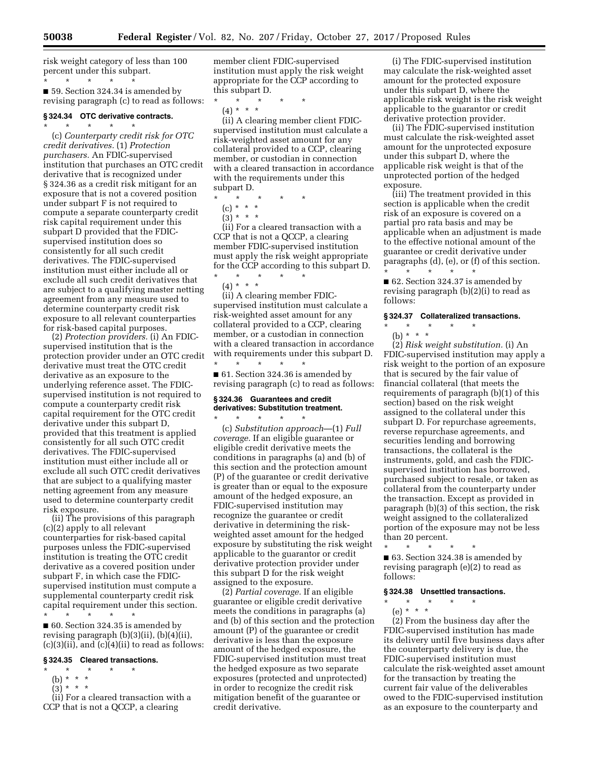risk weight category of less than 100 percent under this subpart. \* \* \* \* \*

■ 59. Section 324.34 is amended by revising paragraph (c) to read as follows:

## **§ 324.34 OTC derivative contracts.**

\* \* \* \* \* (c) *Counterparty credit risk for OTC credit derivatives.* (1) *Protection purchasers.* An FDIC-supervised institution that purchases an OTC credit derivative that is recognized under § 324.36 as a credit risk mitigant for an exposure that is not a covered position under subpart F is not required to compute a separate counterparty credit risk capital requirement under this subpart D provided that the FDICsupervised institution does so consistently for all such credit derivatives. The FDIC-supervised institution must either include all or exclude all such credit derivatives that are subject to a qualifying master netting agreement from any measure used to determine counterparty credit risk exposure to all relevant counterparties for risk-based capital purposes.

(2) *Protection providers.* (i) An FDICsupervised institution that is the protection provider under an OTC credit derivative must treat the OTC credit derivative as an exposure to the underlying reference asset. The FDICsupervised institution is not required to compute a counterparty credit risk capital requirement for the OTC credit derivative under this subpart D, provided that this treatment is applied consistently for all such OTC credit derivatives. The FDIC-supervised institution must either include all or exclude all such OTC credit derivatives that are subject to a qualifying master netting agreement from any measure used to determine counterparty credit risk exposure.

(ii) The provisions of this paragraph (c)(2) apply to all relevant counterparties for risk-based capital purposes unless the FDIC-supervised institution is treating the OTC credit derivative as a covered position under subpart F, in which case the FDICsupervised institution must compute a supplemental counterparty credit risk capital requirement under this section. \* \* \* \* \*

■ 60. Section 324.35 is amended by revising paragraph (b)(3)(ii), (b)(4)(ii),  $(c)(3)(ii)$ , and  $(c)(4)(ii)$  to read as follows:

## **§ 324.35 Cleared transactions.**

- \* \* \* \* \*
	- (b) \* \* \*  $(3)^*$  \* \*
- (ii) For a cleared transaction with a CCP that is not a QCCP, a clearing

member client FDIC-supervised institution must apply the risk weight appropriate for the CCP according to this subpart D.

\* \* \* \* \* (4) \* \* \*

(ii) A clearing member client FDICsupervised institution must calculate a risk-weighted asset amount for any collateral provided to a CCP, clearing member, or custodian in connection with a cleared transaction in accordance with the requirements under this subpart D.

\* \* \* \* \*

- (c) \* \* \*
- $(3) * * * *$

(ii) For a cleared transaction with a CCP that is not a QCCP, a clearing member FDIC-supervised institution must apply the risk weight appropriate for the CCP according to this subpart D. \* \* \* \* \*

(4) \* \* \*

(ii) A clearing member FDICsupervised institution must calculate a risk-weighted asset amount for any collateral provided to a CCP, clearing member, or a custodian in connection with a cleared transaction in accordance with requirements under this subpart D. \* \* \* \* \*

■ 61. Section 324.36 is amended by revising paragraph (c) to read as follows:

## **§ 324.36 Guarantees and credit derivatives: Substitution treatment.**

\* \* \* \* \* (c) *Substitution approach*—(1) *Full coverage.* If an eligible guarantee or eligible credit derivative meets the conditions in paragraphs (a) and (b) of this section and the protection amount (P) of the guarantee or credit derivative is greater than or equal to the exposure amount of the hedged exposure, an FDIC-supervised institution may recognize the guarantee or credit derivative in determining the riskweighted asset amount for the hedged exposure by substituting the risk weight applicable to the guarantor or credit derivative protection provider under this subpart D for the risk weight assigned to the exposure.

(2) *Partial coverage.* If an eligible guarantee or eligible credit derivative meets the conditions in paragraphs (a) and (b) of this section and the protection amount (P) of the guarantee or credit derivative is less than the exposure amount of the hedged exposure, the FDIC-supervised institution must treat the hedged exposure as two separate exposures (protected and unprotected) in order to recognize the credit risk mitigation benefit of the guarantee or credit derivative.

(i) The FDIC-supervised institution may calculate the risk-weighted asset amount for the protected exposure under this subpart D, where the applicable risk weight is the risk weight applicable to the guarantor or credit derivative protection provider.

(ii) The FDIC-supervised institution must calculate the risk-weighted asset amount for the unprotected exposure under this subpart D, where the applicable risk weight is that of the unprotected portion of the hedged exposure.

(iii) The treatment provided in this section is applicable when the credit risk of an exposure is covered on a partial pro rata basis and may be applicable when an adjustment is made to the effective notional amount of the guarantee or credit derivative under paragraphs (d), (e), or (f) of this section. \* \* \* \* \*

■ 62. Section 324.37 is amended by revising paragraph (b)(2)(i) to read as follows:

## **§ 324.37 Collateralized transactions.**

\* \* \* \* \*

(b) \* \* \* (2) *Risk weight substitution.* (i) An FDIC-supervised institution may apply a risk weight to the portion of an exposure that is secured by the fair value of financial collateral (that meets the requirements of paragraph (b)(1) of this section) based on the risk weight assigned to the collateral under this subpart D. For repurchase agreements, reverse repurchase agreements, and securities lending and borrowing transactions, the collateral is the instruments, gold, and cash the FDICsupervised institution has borrowed, purchased subject to resale, or taken as collateral from the counterparty under the transaction. Except as provided in paragraph (b)(3) of this section, the risk weight assigned to the collateralized portion of the exposure may not be less than 20 percent.

\* \* \* \* \* ■ 63. Section 324.38 is amended by revising paragraph (e)(2) to read as follows:

# **§ 324.38 Unsettled transactions.**

\* \* \* \* \*

(e) \* \* \*

(2) From the business day after the FDIC-supervised institution has made its delivery until five business days after the counterparty delivery is due, the FDIC-supervised institution must calculate the risk-weighted asset amount for the transaction by treating the current fair value of the deliverables owed to the FDIC-supervised institution as an exposure to the counterparty and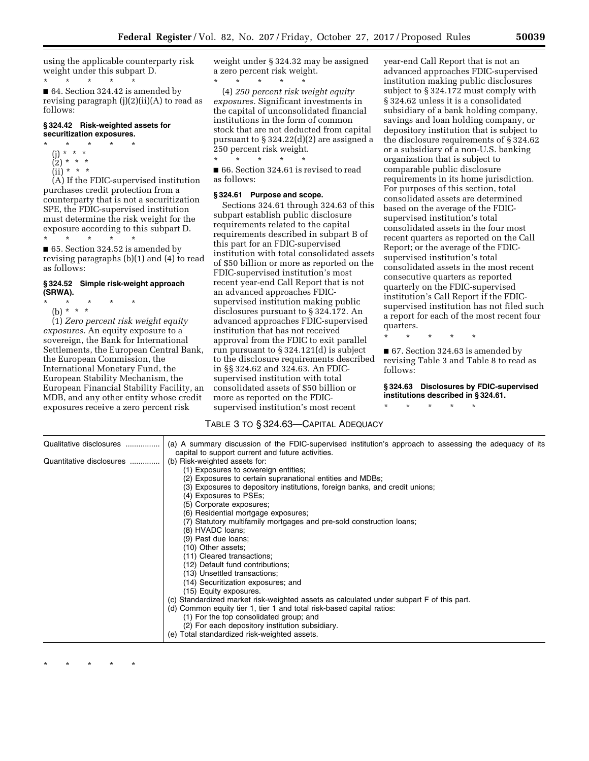using the applicable counterparty risk weight under this subpart D. \* \* \* \* \*

■ 64. Section 324.42 is amended by revising paragraph (j)(2)(ii)(A) to read as follows:

## **§ 324.42 Risk-weighted assets for securitization exposures.**

- \* \* \* \* \* (j) \* \* \*
	- $(2) * * * *$  $(ii) * * * *$
	-

(A) If the FDIC-supervised institution purchases credit protection from a counterparty that is not a securitization SPE, the FDIC-supervised institution must determine the risk weight for the exposure according to this subpart D. \* \* \* \* \*

■ 65. Section 324.52 is amended by revising paragraphs (b)(1) and (4) to read as follows:

## **§ 324.52 Simple risk-weight approach (SRWA).**

- \* \* \* \* \*
	- (b) \* \* \*

(1) *Zero percent risk weight equity exposures.* An equity exposure to a sovereign, the Bank for International Settlements, the European Central Bank, the European Commission, the International Monetary Fund, the European Stability Mechanism, the European Financial Stability Facility, an MDB, and any other entity whose credit exposures receive a zero percent risk

weight under § 324.32 may be assigned a zero percent risk weight.

\* \* \* \* \* (4) *250 percent risk weight equity exposures.* Significant investments in the capital of unconsolidated financial institutions in the form of common stock that are not deducted from capital pursuant to § 324.22(d)(2) are assigned a 250 percent risk weight.

\* \* \* \* \* ■ 66. Section 324.61 is revised to read as follows:

#### **§ 324.61 Purpose and scope.**

Sections 324.61 through 324.63 of this subpart establish public disclosure requirements related to the capital requirements described in subpart B of this part for an FDIC-supervised institution with total consolidated assets of \$50 billion or more as reported on the FDIC-supervised institution's most recent year-end Call Report that is not an advanced approaches FDICsupervised institution making public disclosures pursuant to § 324.172. An advanced approaches FDIC-supervised institution that has not received approval from the FDIC to exit parallel run pursuant to § 324.121(d) is subject to the disclosure requirements described in §§ 324.62 and 324.63. An FDICsupervised institution with total consolidated assets of \$50 billion or more as reported on the FDICsupervised institution's most recent

year-end Call Report that is not an advanced approaches FDIC-supervised institution making public disclosures subject to § 324.172 must comply with § 324.62 unless it is a consolidated subsidiary of a bank holding company, savings and loan holding company, or depository institution that is subject to the disclosure requirements of § 324.62 or a subsidiary of a non-U.S. banking organization that is subject to comparable public disclosure requirements in its home jurisdiction. For purposes of this section, total consolidated assets are determined based on the average of the FDICsupervised institution's total consolidated assets in the four most recent quarters as reported on the Call Report; or the average of the FDICsupervised institution's total consolidated assets in the most recent consecutive quarters as reported quarterly on the FDIC-supervised institution's Call Report if the FDICsupervised institution has not filed such a report for each of the most recent four quarters.

\* \* \* \* \*

■ 67. Section 324.63 is amended by revising Table 3 and Table 8 to read as follows:

## **§ 324.63 Disclosures by FDIC-supervised institutions described in § 324.61.**

\* \* \* \* \*

## TABLE 3 TO § 324.63—CAPITAL ADEQUACY

| Qualitative disclosures  | (a) A summary discussion of the FDIC-supervised institution's approach to assessing the adequacy of its |
|--------------------------|---------------------------------------------------------------------------------------------------------|
|                          | capital to support current and future activities.                                                       |
| Quantitative disclosures | (b) Risk-weighted assets for:                                                                           |
|                          | (1) Exposures to sovereign entities;                                                                    |
|                          | (2) Exposures to certain supranational entities and MDBs;                                               |
|                          | (3) Exposures to depository institutions, foreign banks, and credit unions;                             |
|                          | (4) Exposures to PSEs;                                                                                  |
|                          | (5) Corporate exposures;                                                                                |
|                          | (6) Residential mortgage exposures;                                                                     |
|                          | (7) Statutory multifamily mortgages and pre-sold construction loans;                                    |
|                          | (8) HVADC loans;                                                                                        |
|                          | (9) Past due loans;                                                                                     |
|                          | (10) Other assets;                                                                                      |
|                          | (11) Cleared transactions;                                                                              |
|                          | (12) Default fund contributions;                                                                        |
|                          | (13) Unsettled transactions;                                                                            |
|                          | (14) Securitization exposures; and                                                                      |
|                          | (15) Equity exposures.                                                                                  |
|                          | (c) Standardized market risk-weighted assets as calculated under subpart F of this part.                |
|                          | (d) Common equity tier 1, tier 1 and total risk-based capital ratios:                                   |
|                          | (1) For the top consolidated group; and                                                                 |
|                          | (2) For each depository institution subsidiary.                                                         |
|                          | (e) Total standardized risk-weighted assets.                                                            |
|                          |                                                                                                         |

\* \* \* \* \*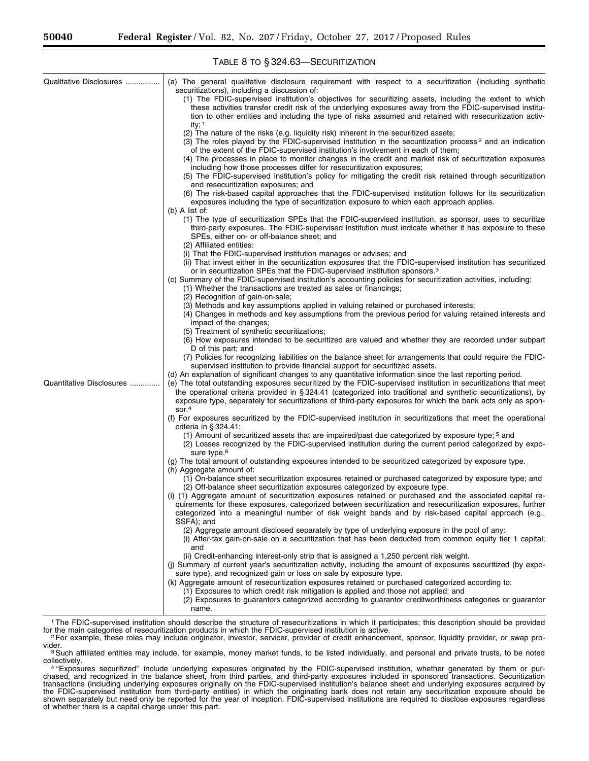| Qualitative Disclosures  | (a) The general qualitative disclosure requirement with respect to a securitization (including synthetic<br>securitizations), including a discussion of:<br>(1) The FDIC-supervised institution's objectives for securitizing assets, including the extent to which<br>these activities transfer credit risk of the underlying exposures away from the FDIC-supervised institu-<br>tion to other entities and including the type of risks assumed and retained with resecuritization activ-<br>ity; $1$<br>(2) The nature of the risks (e.g. liquidity risk) inherent in the securitized assets;<br>(3) The roles played by the FDIC-supervised institution in the securitization process <sup>2</sup> and an indication<br>of the extent of the FDIC-supervised institution's involvement in each of them;<br>(4) The processes in place to monitor changes in the credit and market risk of securitization exposures<br>including how those processes differ for resecuritization exposures;<br>(5) The FDIC-supervised institution's policy for mitigating the credit risk retained through securitization<br>and resecuritization exposures; and<br>(6) The risk-based capital approaches that the FDIC-supervised institution follows for its securitization<br>exposures including the type of securitization exposure to which each approach applies.<br>$(b)$ A list of:<br>(1) The type of securitization SPEs that the FDIC-supervised institution, as sponsor, uses to securitize<br>third-party exposures. The FDIC-supervised institution must indicate whether it has exposure to these<br>SPEs, either on- or off-balance sheet; and<br>(2) Affiliated entities:<br>(i) That the FDIC-supervised institution manages or advises; and |
|--------------------------|-----------------------------------------------------------------------------------------------------------------------------------------------------------------------------------------------------------------------------------------------------------------------------------------------------------------------------------------------------------------------------------------------------------------------------------------------------------------------------------------------------------------------------------------------------------------------------------------------------------------------------------------------------------------------------------------------------------------------------------------------------------------------------------------------------------------------------------------------------------------------------------------------------------------------------------------------------------------------------------------------------------------------------------------------------------------------------------------------------------------------------------------------------------------------------------------------------------------------------------------------------------------------------------------------------------------------------------------------------------------------------------------------------------------------------------------------------------------------------------------------------------------------------------------------------------------------------------------------------------------------------------------------------------------------------------------------------------------------------------------------------|
|                          | (ii) That invest either in the securitization exposures that the FDIC-supervised institution has securitized<br>or in securitization SPEs that the FDIC-supervised institution sponsors. <sup>3</sup><br>(c) Summary of the FDIC-supervised institution's accounting policies for securitization activities, including:<br>(1) Whether the transactions are treated as sales or financings;<br>(2) Recognition of gain-on-sale;<br>(3) Methods and key assumptions applied in valuing retained or purchased interests;<br>(4) Changes in methods and key assumptions from the previous period for valuing retained interests and                                                                                                                                                                                                                                                                                                                                                                                                                                                                                                                                                                                                                                                                                                                                                                                                                                                                                                                                                                                                                                                                                                                    |
|                          | impact of the changes;<br>(5) Treatment of synthetic securitizations;<br>(6) How exposures intended to be securitized are valued and whether they are recorded under subpart<br>D of this part; and<br>(7) Policies for recognizing liabilities on the balance sheet for arrangements that could require the FDIC-<br>supervised institution to provide financial support for securitized assets.<br>(d) An explanation of significant changes to any quantitative information since the last reporting period.                                                                                                                                                                                                                                                                                                                                                                                                                                                                                                                                                                                                                                                                                                                                                                                                                                                                                                                                                                                                                                                                                                                                                                                                                                     |
| Quantitative Disclosures | (e) The total outstanding exposures securitized by the FDIC-supervised institution in securitizations that meet<br>the operational criteria provided in § 324.41 (categorized into traditional and synthetic securitizations), by<br>exposure type, separately for securitizations of third-party exposures for which the bank acts only as spon-<br>sor. $4$                                                                                                                                                                                                                                                                                                                                                                                                                                                                                                                                                                                                                                                                                                                                                                                                                                                                                                                                                                                                                                                                                                                                                                                                                                                                                                                                                                                       |
|                          | (f) For exposures securitized by the FDIC-supervised institution in securitizations that meet the operational<br>criteria in $\S 324.41$ :<br>(1) Amount of securitized assets that are impaired/past due categorized by exposure type; 5 and<br>(2) Losses recognized by the FDIC-supervised institution during the current period categorized by expo-<br>sure type. <sup>6</sup>                                                                                                                                                                                                                                                                                                                                                                                                                                                                                                                                                                                                                                                                                                                                                                                                                                                                                                                                                                                                                                                                                                                                                                                                                                                                                                                                                                 |
|                          | (g) The total amount of outstanding exposures intended to be securitized categorized by exposure type.<br>(h) Aggregate amount of:<br>(1) On-balance sheet securitization exposures retained or purchased categorized by exposure type; and<br>(2) Off-balance sheet securitization exposures categorized by exposure type.<br>(i) (1) Aggregate amount of securitization exposures retained or purchased and the associated capital re-<br>quirements for these exposures, categorized between securitization and resecuritization exposures, further<br>categorized into a meaningful number of risk weight bands and by risk-based capital approach (e.g.,<br>SSFA); and<br>(2) Aggregate amount disclosed separately by type of underlying exposure in the pool of any:<br>(i) After-tax gain-on-sale on a securitization that has been deducted from common equity tier 1 capital;                                                                                                                                                                                                                                                                                                                                                                                                                                                                                                                                                                                                                                                                                                                                                                                                                                                             |
|                          | and<br>(ii) Credit-enhancing interest-only strip that is assigned a 1,250 percent risk weight.<br>(j) Summary of current year's securitization activity, including the amount of exposures securitized (by expo-<br>sure type), and recognized gain or loss on sale by exposure type.<br>(k) Aggregate amount of resecuritization exposures retained or purchased categorized according to:<br>(1) Exposures to which credit risk mitigation is applied and those not applied; and<br>(2) Exposures to guarantors categorized according to guarantor creditworthiness categories or guarantor<br>name.                                                                                                                                                                                                                                                                                                                                                                                                                                                                                                                                                                                                                                                                                                                                                                                                                                                                                                                                                                                                                                                                                                                                              |

<sup>1</sup>The FDIC-supervised institution should describe the structure of resecuritizations in which it participates; this description should be provided for the main categories of resecuritization products in which the FDIC-sup

3Such affiliated entities may include, for example, money market funds, to be listed individually, and personal and private trusts, to be noted

Por example, these roles may include originator, investor, servicer, provider of credit enhancement, sponsor, liquidity provider, or swap pro-<br>vider.

collectively.<br><sup>4 "</sup>Exposures securitized" include underlying exposures originated by the FDIC-supervised institution, whether generated by them or pur-<br><sup>4 "</sup>Exposures securitized" include underlying exposures originated by chased, and recognized in the balance sheet, from third parties, and third-party exposures included in sponsored transactions. Securitization transactions (including underlying exposures originally on the FDIC-supervised institution's balance sheet and underlying exposures acquired by the FDIC-supervised institution from third-party entities) in which the originating bank does not retain any securitization exposure should be shown separately but need only be reported for the year of inception. FDIC-supervised institutions are required to disclose exposures regardless of whether there is a capital charge under this part.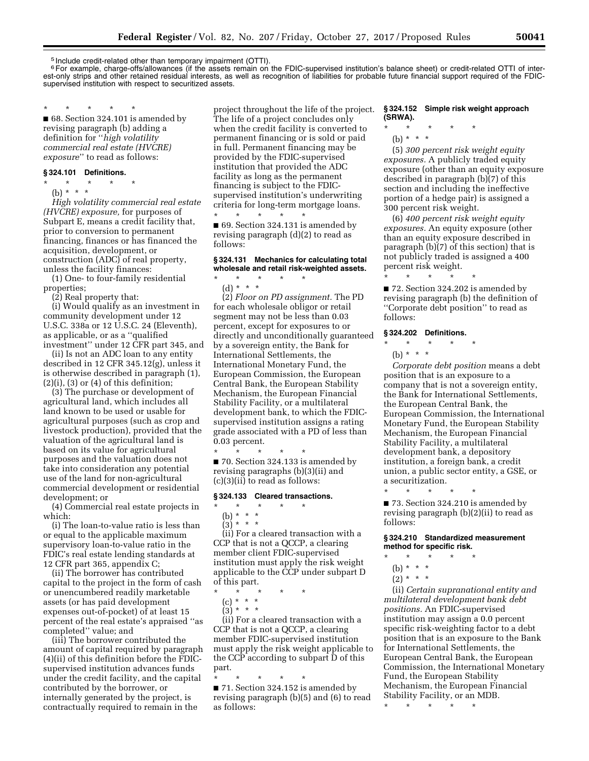5 Include credit-related other than temporary impairment (OTTI).

6For example, charge-offs/allowances (if the assets remain on the FDIC-supervised institution's balance sheet) or credit-related OTTI of interest-only strips and other retained residual interests, as well as recognition of liabilities for probable future financial support required of the FDICsupervised institution with respect to securitized assets.

\* \* \* \* \* ■ 68. Section 324.101 is amended by revising paragraph (b) adding a definition for ''*high volatility commercial real estate (HVCRE) exposure*'' to read as follows:

#### **§ 324.101 Definitions.**

- \* \* \* \* \*
	- (b)  $* * * *$

*High volatility commercial real estate (HVCRE) exposure,* for purposes of Subpart E, means a credit facility that, prior to conversion to permanent financing, finances or has financed the acquisition, development, or construction (ADC) of real property, unless the facility finances:

(1) One- to four-family residential properties;

(2) Real property that:

(i) Would qualify as an investment in community development under 12 U.S.C. 338a or 12 U.S.C. 24 (Eleventh), as applicable, or as a ''qualified investment'' under 12 CFR part 345, and

(ii) Is not an ADC loan to any entity described in 12 CFR 345.12(g), unless it is otherwise described in paragraph (1),  $(2)(i)$ ,  $(3)$  or  $(4)$  of this definition;

(3) The purchase or development of agricultural land, which includes all land known to be used or usable for agricultural purposes (such as crop and livestock production), provided that the valuation of the agricultural land is based on its value for agricultural purposes and the valuation does not take into consideration any potential use of the land for non-agricultural commercial development or residential development; or

(4) Commercial real estate projects in which:

(i) The loan-to-value ratio is less than or equal to the applicable maximum supervisory loan-to-value ratio in the FDIC's real estate lending standards at 12 CFR part 365, appendix C;

(ii) The borrower has contributed capital to the project in the form of cash or unencumbered readily marketable assets (or has paid development expenses out-of-pocket) of at least 15 percent of the real estate's appraised ''as completed'' value; and

(iii) The borrower contributed the amount of capital required by paragraph (4)(ii) of this definition before the FDICsupervised institution advances funds under the credit facility, and the capital contributed by the borrower, or internally generated by the project, is contractually required to remain in the

project throughout the life of the project. The life of a project concludes only when the credit facility is converted to permanent financing or is sold or paid in full. Permanent financing may be provided by the FDIC-supervised institution that provided the ADC facility as long as the permanent financing is subject to the FDICsupervised institution's underwriting criteria for long-term mortgage loans. \* \* \* \* \*

■ 69. Section 324.131 is amended by revising paragraph (d)(2) to read as follows:

## **§ 324.131 Mechanics for calculating total wholesale and retail risk-weighted assets.**

\* \* \* \* \*

(d) \* \* \*

(2) *Floor on PD assignment.* The PD for each wholesale obligor or retail segment may not be less than 0.03 percent, except for exposures to or directly and unconditionally guaranteed by a sovereign entity, the Bank for International Settlements, the International Monetary Fund, the European Commission, the European Central Bank, the European Stability Mechanism, the European Financial Stability Facility, or a multilateral development bank, to which the FDICsupervised institution assigns a rating grade associated with a PD of less than 0.03 percent.

■ 70. Section 324.133 is amended by revising paragraphs (b)(3)(ii) and (c)(3)(ii) to read as follows:

#### **§ 324.133 Cleared transactions.**

- \* \* \* \* \*
	- (b) \* \* \*

\* \* \* \* \*

 $(3) * * * *$ 

(ii) For a cleared transaction with a CCP that is not a QCCP, a clearing member client FDIC-supervised institution must apply the risk weight applicable to the CCP under subpart D of this part.

\* \* \* \* \*

 $(c) * * * *$ 

 $(3) * * * *$ 

(ii) For a cleared transaction with a CCP that is not a QCCP, a clearing member FDIC-supervised institution must apply the risk weight applicable to the CCP according to subpart D of this part.

\* \* \* \* \*

■ 71. Section 324.152 is amended by revising paragraph (b)(5) and (6) to read as follows:

#### **§ 324.152 Simple risk weight approach (SRWA).**

- \* \* \* \* \*
	- (b) \* \* \*

(5) *300 percent risk weight equity exposures.* A publicly traded equity exposure (other than an equity exposure described in paragraph (b)(7) of this section and including the ineffective portion of a hedge pair) is assigned a 300 percent risk weight.

(6) *400 percent risk weight equity exposures.* An equity exposure (other than an equity exposure described in paragraph (b)(7) of this section) that is not publicly traded is assigned a 400 percent risk weight.

■ 72. Section 324.202 is amended by revising paragraph (b) the definition of ''Corporate debt position'' to read as follows:

## **§ 324.202 Definitions.**

\* \* \* \* \*

- \* \* \* \* \*
	- (b) \* \* \*

*Corporate debt position* means a debt position that is an exposure to a company that is not a sovereign entity, the Bank for International Settlements, the European Central Bank, the European Commission, the International Monetary Fund, the European Stability Mechanism, the European Financial Stability Facility, a multilateral development bank, a depository institution, a foreign bank, a credit union, a public sector entity, a GSE, or a securitization. \* \* \* \* \*

■ 73. Section 324.210 is amended by revising paragraph (b)(2)(ii) to read as follows:

# **§ 324.210 Standardized measurement method for specific risk.**

- \* \* \* \* \*
	- (b) \* \* \*
	- $(2) * * * *$

(ii) *Certain supranational entity and multilateral development bank debt positions.* An FDIC-supervised institution may assign a 0.0 percent specific risk-weighting factor to a debt position that is an exposure to the Bank for International Settlements, the European Central Bank, the European Commission, the International Monetary Fund, the European Stability Mechanism, the European Financial Stability Facility, or an MDB.

\* \* \* \* \*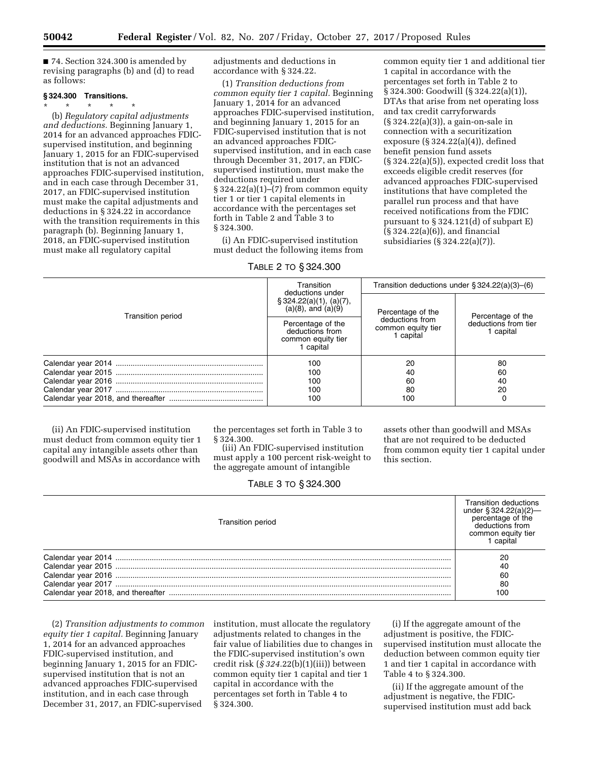■ 74. Section 324.300 is amended by revising paragraphs (b) and (d) to read as follows:

## **§ 324.300 Transitions.**

\* \* \* \* \* (b) *Regulatory capital adjustments and deductions.* Beginning January 1, 2014 for an advanced approaches FDICsupervised institution, and beginning January 1, 2015 for an FDIC-supervised institution that is not an advanced approaches FDIC-supervised institution, and in each case through December 31, 2017, an FDIC-supervised institution must make the capital adjustments and deductions in § 324.22 in accordance with the transition requirements in this paragraph (b). Beginning January 1, 2018, an FDIC-supervised institution must make all regulatory capital

adjustments and deductions in accordance with § 324.22.

(1) *Transition deductions from common equity tier 1 capital.* Beginning January 1, 2014 for an advanced approaches FDIC-supervised institution, and beginning January 1, 2015 for an FDIC-supervised institution that is not an advanced approaches FDICsupervised institution, and in each case through December 31, 2017, an FDICsupervised institution, must make the deductions required under § 324.22(a)(1)–(7) from common equity tier 1 or tier 1 capital elements in accordance with the percentages set forth in Table 2 and Table 3 to § 324.300.

(i) An FDIC-supervised institution must deduct the following items from

# TABLE 2 TO § 324.300

common equity tier 1 and additional tier 1 capital in accordance with the percentages set forth in Table 2 to § 324.300: Goodwill (§ 324.22(a)(1)), DTAs that arise from net operating loss and tax credit carryforwards (§ 324.22(a)(3)), a gain-on-sale in connection with a securitization exposure (§ 324.22(a)(4)), defined benefit pension fund assets (§ 324.22(a)(5)), expected credit loss that exceeds eligible credit reserves (for advanced approaches FDIC-supervised institutions that have completed the parallel run process and that have received notifications from the FDIC pursuant to § 324.121(d) of subpart E) (§ 324.22(a)(6)), and financial subsidiaries (§ 324.22(a)(7)).

|                   | Transition<br>deductions under                                          |                                                    | Transition deductions under $\S 324.22(a)(3)$ –(6) |  |
|-------------------|-------------------------------------------------------------------------|----------------------------------------------------|----------------------------------------------------|--|
| Transition period | § 324.22(a)(1), (a)(7), (a)(8), and (a)(9)                              | Percentage of the                                  | Percentage of the                                  |  |
|                   | Percentage of the<br>deductions from<br>common equity tier<br>1 capital | deductions from<br>common equity tier<br>1 capital | deductions from tier<br>1 capital                  |  |
|                   | 100                                                                     | 20                                                 | 80                                                 |  |
|                   | 100                                                                     | 40                                                 | 60                                                 |  |
|                   | 100                                                                     | 60                                                 | 40                                                 |  |
|                   | 100                                                                     | 80                                                 | 20                                                 |  |
|                   | 100                                                                     | 100                                                |                                                    |  |

(ii) An FDIC-supervised institution must deduct from common equity tier 1 capital any intangible assets other than goodwill and MSAs in accordance with

the percentages set forth in Table 3 to § 324.300.

(iii) An FDIC-supervised institution must apply a 100 percent risk-weight to the aggregate amount of intangible

assets other than goodwill and MSAs that are not required to be deducted from common equity tier 1 capital under this section.

|  |  | TABLE 3 TO § 324.300 |
|--|--|----------------------|
|--|--|----------------------|

| <b>Transition period</b> | Transition deductions<br>under § 324.22(a)(2)-<br>percentage of the<br>deductions from<br>common equity tier<br>1 capital |
|--------------------------|---------------------------------------------------------------------------------------------------------------------------|
|                          | 20                                                                                                                        |
|                          | 40                                                                                                                        |
|                          | 60                                                                                                                        |
|                          | 80                                                                                                                        |
|                          | 100                                                                                                                       |

(2) *Transition adjustments to common equity tier 1 capital.* Beginning January 1, 2014 for an advanced approaches FDIC-supervised institution, and beginning January 1, 2015 for an FDICsupervised institution that is not an advanced approaches FDIC-supervised institution, and in each case through December 31, 2017, an FDIC-supervised

institution, must allocate the regulatory adjustments related to changes in the fair value of liabilities due to changes in the FDIC-supervised institution's own credit risk (*§ 324.*22(b)(1)(iii)) between common equity tier 1 capital and tier 1 capital in accordance with the percentages set forth in Table 4 to § 324.300.

(i) If the aggregate amount of the adjustment is positive, the FDICsupervised institution must allocate the deduction between common equity tier 1 and tier 1 capital in accordance with Table 4 to § 324.300.

(ii) If the aggregate amount of the adjustment is negative, the FDICsupervised institution must add back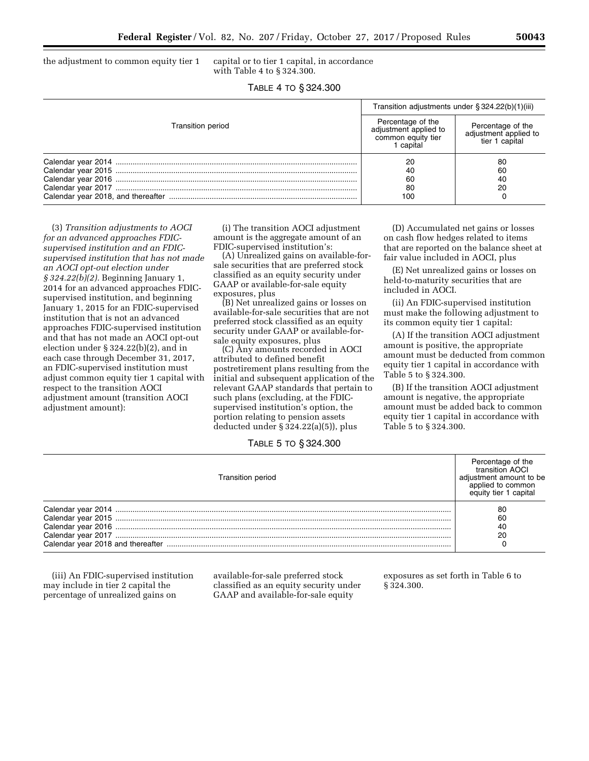the adjustment to common equity tier 1 capital or to tier 1 capital, in accordance

with Table 4 to § 324.300.

| TABLE 4 TO § 324.300 |  |  |
|----------------------|--|--|
|----------------------|--|--|

|                          | Transition adjustments under $\S 324.22(b)(1)(iii)$                         |                                                              |
|--------------------------|-----------------------------------------------------------------------------|--------------------------------------------------------------|
| <b>Transition period</b> | Percentage of the<br>adjustment applied to<br>common equity tier<br>capital | Percentage of the<br>adjustment applied to<br>tier 1 capital |
|                          | 20<br>40<br>60<br>80<br>100                                                 | 80<br>60<br>40<br>20                                         |

(3) *Transition adjustments to AOCI for an advanced approaches FDICsupervised institution and an FDICsupervised institution that has not made an AOCI opt-out election under § 324.22(b)(2).* Beginning January 1, 2014 for an advanced approaches FDICsupervised institution, and beginning January 1, 2015 for an FDIC-supervised institution that is not an advanced approaches FDIC-supervised institution and that has not made an AOCI opt-out election under § 324.22(b)(2), and in each case through December 31, 2017, an FDIC-supervised institution must adjust common equity tier 1 capital with respect to the transition AOCI adjustment amount (transition AOCI adjustment amount):

(i) The transition AOCI adjustment amount is the aggregate amount of an FDIC-supervised institution's:

(A) Unrealized gains on available-forsale securities that are preferred stock classified as an equity security under GAAP or available-for-sale equity exposures, plus

(B) Net unrealized gains or losses on available-for-sale securities that are not preferred stock classified as an equity security under GAAP or available-forsale equity exposures, plus

(C) Any amounts recorded in AOCI attributed to defined benefit postretirement plans resulting from the initial and subsequent application of the relevant GAAP standards that pertain to such plans (excluding, at the FDICsupervised institution's option, the portion relating to pension assets deducted under § 324.22(a)(5)), plus

(D) Accumulated net gains or losses on cash flow hedges related to items that are reported on the balance sheet at fair value included in AOCI, plus

(E) Net unrealized gains or losses on held-to-maturity securities that are included in AOCI.

(ii) An FDIC-supervised institution must make the following adjustment to its common equity tier 1 capital:

(A) If the transition AOCI adjustment amount is positive, the appropriate amount must be deducted from common equity tier 1 capital in accordance with Table 5 to § 324.300.

(B) If the transition AOCI adjustment amount is negative, the appropriate amount must be added back to common equity tier 1 capital in accordance with Table 5 to § 324.300.

TABLE 5 TO § 324.300

| <b>Transition period</b> | Percentage of the<br>transition AOCI<br>adiustment amount to be<br>applied to common<br>equity tier 1 capital |
|--------------------------|---------------------------------------------------------------------------------------------------------------|
|                          | 80                                                                                                            |
|                          | 60                                                                                                            |
|                          | 40                                                                                                            |
|                          | 20                                                                                                            |
|                          |                                                                                                               |

(iii) An FDIC-supervised institution may include in tier 2 capital the percentage of unrealized gains on

available-for-sale preferred stock classified as an equity security under GAAP and available-for-sale equity

exposures as set forth in Table 6 to § 324.300.